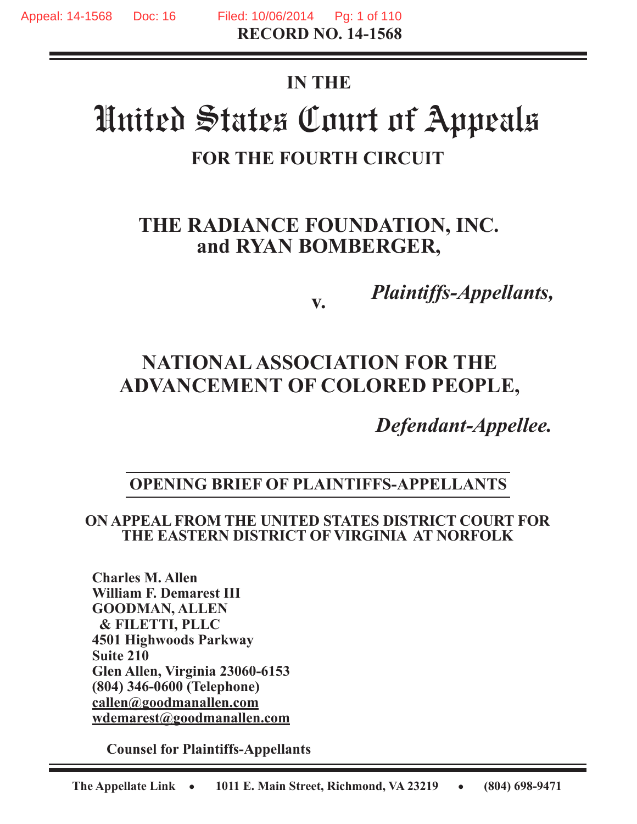# **IN THE**

# United States Court of Appeals **FOR THE FOURTH CIRCUIT**

# **THE RADIANCE FOUNDATION, INC. and RYAN BOMBERGER,**

**v.**

*Plaintiffs-Appellants,*

# **NATIONAL ASSOCIATION FOR THE ADVANCEMENT OF COLORED PEOPLE,**

*Defendant-Appellee.*

## **OPENING BRIEF OF PLAINTIFFS-APPELLANTS**

### **ON APPEAL FROM THE UNITED STATES DISTRICT COURT FOR THE EASTERN DISTRICT OF VIRGINIA AT NORFOLK**

**Charles M. Allen William F. Demarest III GOODMAN, ALLEN & FILETTI, PLLC 4501 Highwoods Parkway Suite 210 Glen Allen, Virginia 23060-6153 (804) 346-0600 (Telephone) callen@goodmanallen.com wdemarest@goodmanallen.com**

 **Counsel for Plaintiffs-Appellants**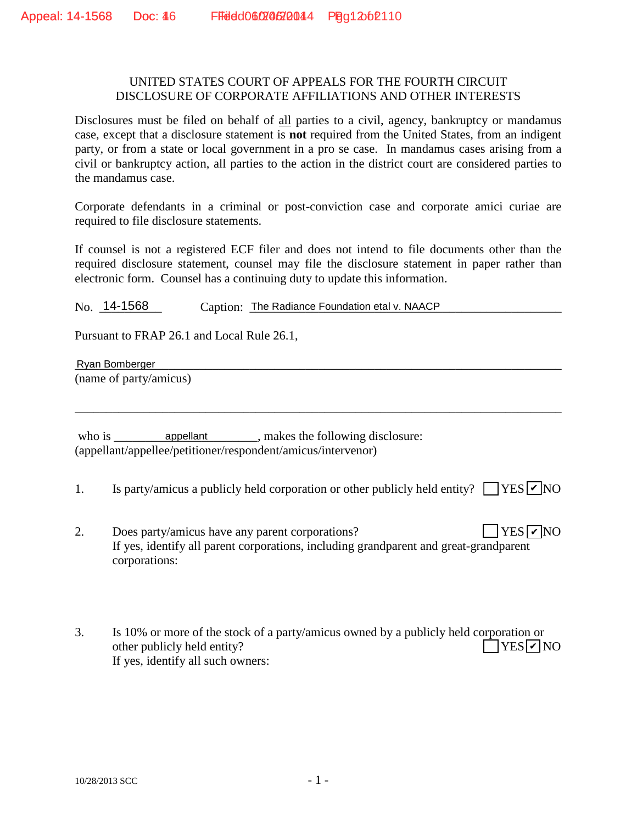#### UNITED STATES COURT OF APPEALS FOR THE FOURTH CIRCUIT DISCLOSURE OF CORPORATE AFFILIATIONS AND OTHER INTERESTS

Disclosures must be filed on behalf of all parties to a civil, agency, bankruptcy or mandamus case, except that a disclosure statement is **not** required from the United States, from an indigent party, or from a state or local government in a pro se case. In mandamus cases arising from a civil or bankruptcy action, all parties to the action in the district court are considered parties to the mandamus case.

Corporate defendants in a criminal or post-conviction case and corporate amici curiae are required to file disclosure statements.

If counsel is not a registered ECF filer and does not intend to file documents other than the required disclosure statement, counsel may file the disclosure statement in paper rather than electronic form. Counsel has a continuing duty to update this information.

No.  $\frac{14-1568}{2}$  Caption: The Radiance Foundation etal v. NAACP

Pursuant to FRAP 26.1 and Local Rule 26.1,

Ryan Bomberger <u>and the substitute of the set of the set of the set of the set of the set of the set of the set of the set of the set of the set of the set of the set of the set of the set of the set of the set of the set </u> (name of party/amicus)

 who is \_\_\_\_\_\_\_\_\_\_\_\_\_\_\_\_\_\_\_\_\_\_\_, makes the following disclosure: appellant (appellant/appellee/petitioner/respondent/amicus/intervenor)

1. Is party/amicus a publicly held corporation or other publicly held entity?  $\Box$  YES  $\nu$  NO

\_\_\_\_\_\_\_\_\_\_\_\_\_\_\_\_\_\_\_\_\_\_\_\_\_\_\_\_\_\_\_\_\_\_\_\_\_\_\_\_\_\_\_\_\_\_\_\_\_\_\_\_\_\_\_\_\_\_\_\_\_\_\_\_\_\_\_\_\_\_\_\_\_\_\_\_\_\_

- 2. Does party/amicus have any parent corporations? If yes, identify all parent corporations, including grandparent and great-grandparent corporations:  $YES$   $\neg$  NO
- 3. Is 10% or more of the stock of a party/amicus owned by a publicly held corporation or other publicly held entity? If yes, identify all such owners:  $\sqrt{\text{YES}}$  NO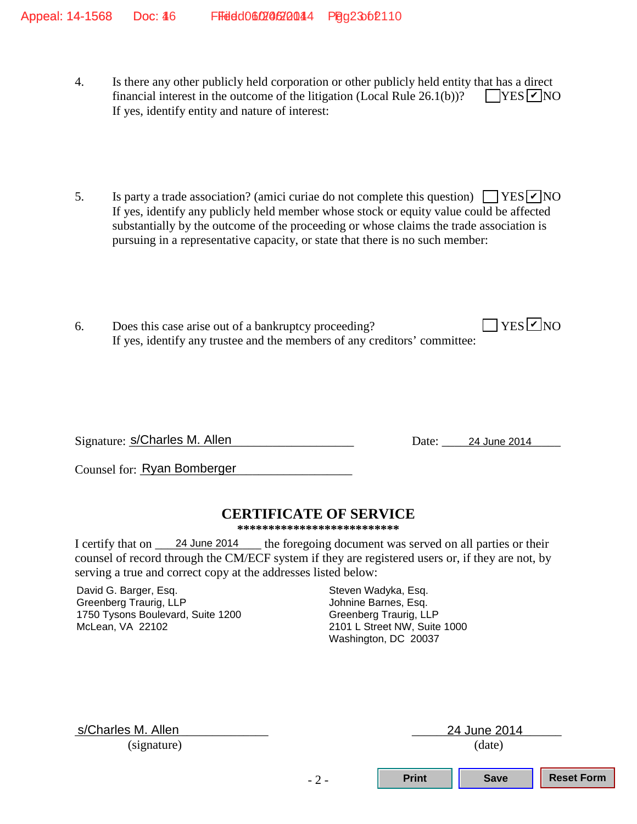- 4. Is there any other publicly held corporation or other publicly held entity that has a direct financial interest in the outcome of the litigation (Local Rule  $26.1(b)$ )? If yes, identify entity and nature of interest:  $\Box$ YES  $\Box$ NO
- 5. Is party a trade association? (amici curiae do not complete this question)  $\Box$  YES  $\Box$  NO If yes, identify any publicly held member whose stock or equity value could be affected substantially by the outcome of the proceeding or whose claims the trade association is pursuing in a representative capacity, or state that there is no such member:
- 6. Does this case arise out of a bankruptcy proceeding? If yes, identify any trustee and the members of any creditors' committee:  $T$  YES  $\nu$  NO

Signature: S/Charles M. Allen 2014 and Date: 24 June 2014

Counsel for: **Ryan Bomberger** 

### **CERTIFICATE OF SERVICE**

**\*\*\*\*\*\*\*\*\*\*\*\*\*\*\*\*\*\*\*\*\*\*\*\*\*\***

I certify that on 24 June 2014 he foregoing document was served on all parties or their counsel of record through the CM/ECF system if they are registered users or, if they are not, by serving a true and correct copy at the addresses listed below:

David G. Barger, Esq. Greenberg Traurig, LLP 1750 Tysons Boulevard, Suite 1200 McLean, VA 22102

Steven Wadyka, Esq. Johnine Barnes, Esq. Greenberg Traurig, LLP 2101 L Street NW, Suite 1000 Washington, DC 20037

| s/Charles M. Allen<br>(signature) | 24 June 2014<br>(date) |              |             |                   |
|-----------------------------------|------------------------|--------------|-------------|-------------------|
|                                   | $-2-$                  | <b>Print</b> | <b>Save</b> | <b>Reset Form</b> |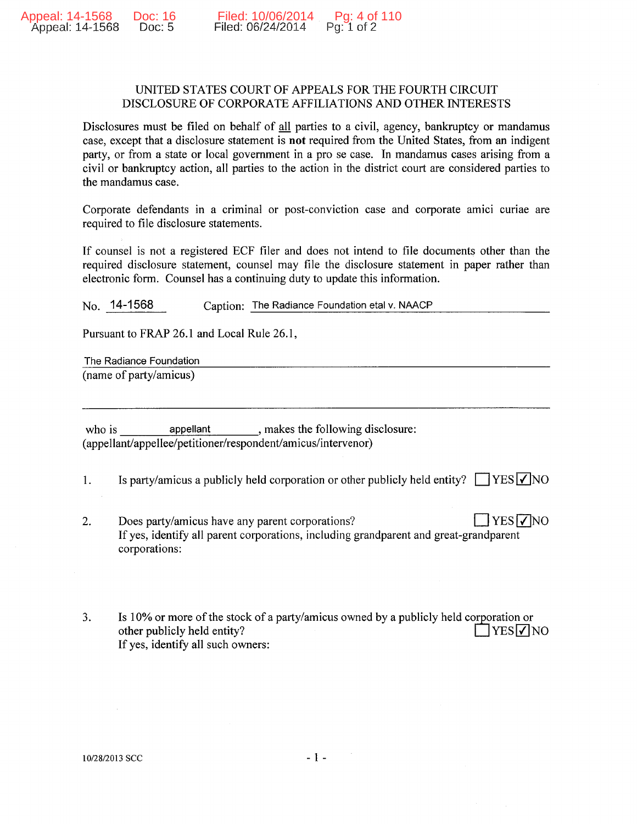



#### UNITED STATES COURT OF APPEALS FOR THE FOURTH CIRCUIT DISCLOSURE OF CORPORATE AFFILIATIONS AND OTHER INTERESTS

Disclosures must be filed on behalf of all parties to a civil, agency, bankruptcy or mandamus case, except that a disclosure statement is not required from the United States, from an indigent party, or from a state or local government in a pro se case. In mandamus cases arising from a civil or bankruptcy action, all parties to the action in the district court are considered parties to the mandamus case.

Corporate defendants in a criminal or post-conviction case and corporate amici curiae are required to file disclosure statements.

If counsel is not a registered ECF filer and does not intend to file documents other than the required disclosure statement, counsel may file the disclosure statement in paper rather than electronic form. Counsel has a continuing duty to update this information.

 $No.$  14-1568 Caption: The Radiance Foundation etal v. NAACP

Pursuant to FRAP 26.1 and Local Rule 26.1,

The Radiance Foundation

(name of party/amicus)

appellant , makes the following disclosure: who is (appellant/appellee/petitioner/respondent/amicus/intervenor)

Is party/amicus a publicly held corporation or other publicly held entity?  $\Box$  YES  $\Box$  NO 1.

- $\exists$  YES  $\nabla$  NO  $2.$ Does party/amicus have any parent corporations? If yes, identify all parent corporations, including grandparent and great-grandparent corporations:
- $3.$ Is 10% or more of the stock of a party/amicus owned by a publicly held corporation or  $\exists$ yes $\vec{v}$ no other publicly held entity? If yes, identify all such owners: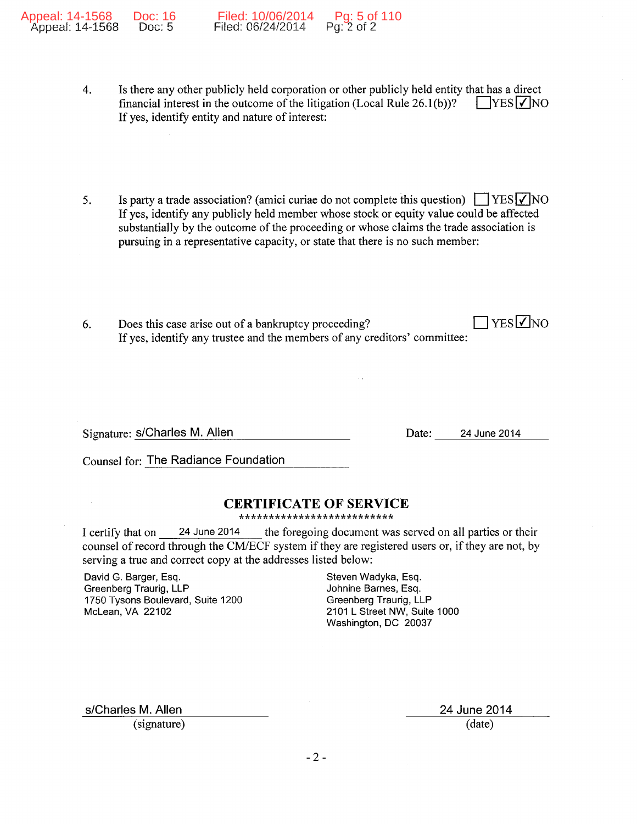- $4.$ Is there any other publicly held corporation or other publicly held entity that has a direct financial interest in the outcome of the litigation (Local Rule  $26.1(b)$ )?  $T$  YES  $\sqrt{NQ}$ If yes, identify entity and nature of interest:
- 5. Is party a trade association? (amici curiae do not complete this question)  $\Box$  YES  $\Diamond$  NO If yes, identify any publicly held member whose stock or equity value could be affected substantially by the outcome of the proceeding or whose claims the trade association is pursuing in a representative capacity, or state that there is no such member:
- $T$ YES $\overline{\mathbf{V}}$ NO 6. Does this case arise out of a bankruptcy proceeding? If yes, identify any trustee and the members of any creditors' committee:

Signature: s/Charles M. Allen

Date: 24 June 2014

**Counsel for: The Radiance Foundation** 

#### **CERTIFICATE OF SERVICE** \*\*\*\*\*\*\*\*\*\*\*\*\*\*\*\*\*\*\*\*\*\*\*\*\*

24 June 2014 I certify that on the foregoing document was served on all parties or their counsel of record through the CM/ECF system if they are registered users or, if they are not, by serving a true and correct copy at the addresses listed below:

David G. Barger, Esq. Greenberg Traurig, LLP 1750 Tysons Boulevard, Suite 1200 McLean, VA 22102

Steven Wadyka, Esq. Johnine Barnes, Esq. Greenberg Traurig, LLP 2101 L Street NW, Suite 1000 Washington, DC 20037

s/Charles M. Allen (signature) 24 June 2014 (date)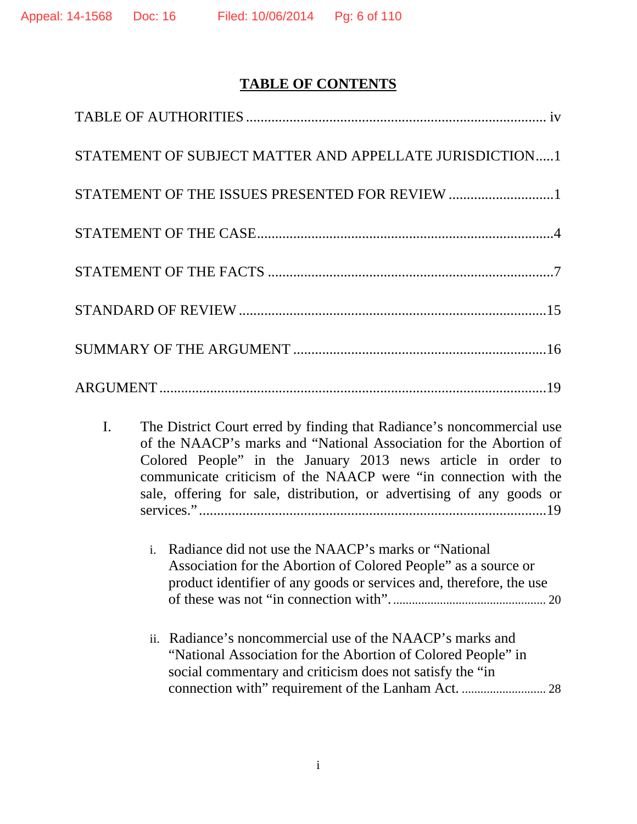# **TABLE OF CONTENTS**

| STATEMENT OF SUBJECT MATTER AND APPELLATE JURISDICTION1                                                                                                                                                                                                                                                                                                                   |
|---------------------------------------------------------------------------------------------------------------------------------------------------------------------------------------------------------------------------------------------------------------------------------------------------------------------------------------------------------------------------|
| STATEMENT OF THE ISSUES PRESENTED FOR REVIEW 1                                                                                                                                                                                                                                                                                                                            |
|                                                                                                                                                                                                                                                                                                                                                                           |
|                                                                                                                                                                                                                                                                                                                                                                           |
|                                                                                                                                                                                                                                                                                                                                                                           |
|                                                                                                                                                                                                                                                                                                                                                                           |
|                                                                                                                                                                                                                                                                                                                                                                           |
| $\mathbf{I}$ .<br>The District Court erred by finding that Radiance's noncommercial use<br>of the NAACP's marks and "National Association for the Abortion of<br>Colored People" in the January 2013 news article in order to<br>communicate criticism of the NAACP were "in connection with the<br>sale, offering for sale, distribution, or advertising of any goods or |
| Radiance did not use the NAACP's marks or "National"<br>$\mathbf{i}$ .<br>Association for the Abortion of Colored People" as a source or<br>product identifier of any goods or services and, therefore, the use                                                                                                                                                           |
| ii. Radiance's noncommercial use of the NAACP's marks and<br>"National Association for the Abortion of Colored People" in<br>social commentary and criticism does not satisfy the "in                                                                                                                                                                                     |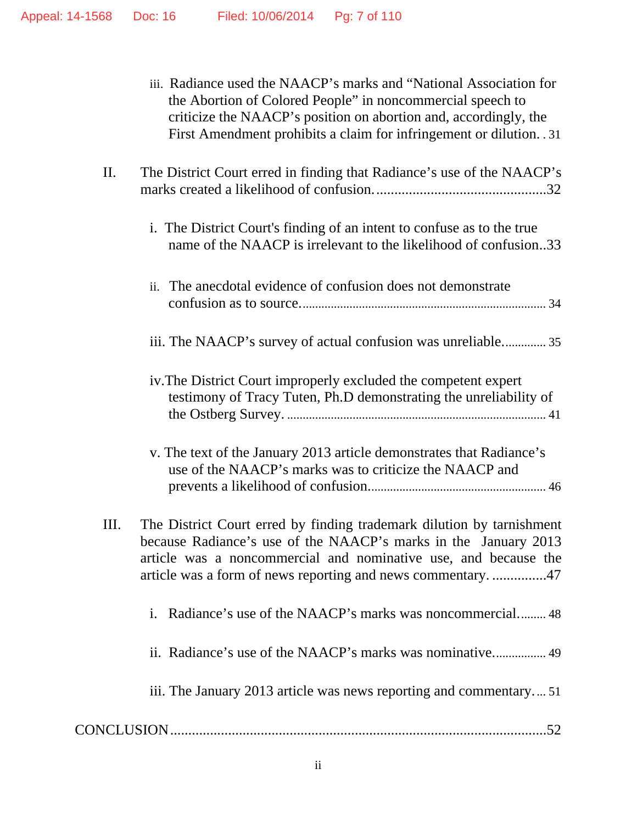|     | iii. Radiance used the NAACP's marks and "National Association for<br>the Abortion of Colored People" in noncommercial speech to<br>criticize the NAACP's position on abortion and, accordingly, the<br>First Amendment prohibits a claim for infringement or dilution. 31 |
|-----|----------------------------------------------------------------------------------------------------------------------------------------------------------------------------------------------------------------------------------------------------------------------------|
| II. | The District Court erred in finding that Radiance's use of the NAACP's                                                                                                                                                                                                     |
|     | i. The District Court's finding of an intent to confuse as to the true<br>name of the NAACP is irrelevant to the likelihood of confusion33                                                                                                                                 |
|     | The anecdotal evidence of confusion does not demonstrate<br>ii.                                                                                                                                                                                                            |
|     | iii. The NAACP's survey of actual confusion was unreliable 35                                                                                                                                                                                                              |
|     | iv. The District Court improperly excluded the competent expert<br>testimony of Tracy Tuten, Ph.D demonstrating the unreliability of                                                                                                                                       |
|     | v. The text of the January 2013 article demonstrates that Radiance's<br>use of the NAACP's marks was to criticize the NAACP and                                                                                                                                            |
| Ш.  | The District Court erred by finding trademark dilution by tarnishment<br>because Radiance's use of the NAACP's marks in the January 2013<br>article was a noncommercial and nominative use, and because the<br>article was a form of news reporting and news commentary47  |
|     | $\mathbf{i}$ .<br>Radiance's use of the NAACP's marks was noncommercial 48                                                                                                                                                                                                 |
|     |                                                                                                                                                                                                                                                                            |
|     | iii. The January 2013 article was news reporting and commentary 51                                                                                                                                                                                                         |
|     |                                                                                                                                                                                                                                                                            |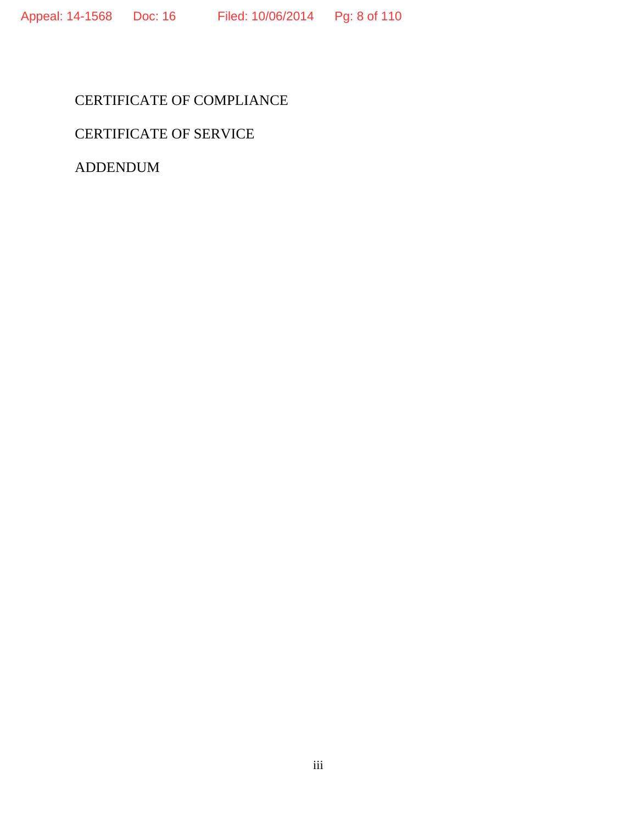### CERTIFICATE OF COMPLIANCE

### CERTIFICATE OF SERVICE

ADDENDUM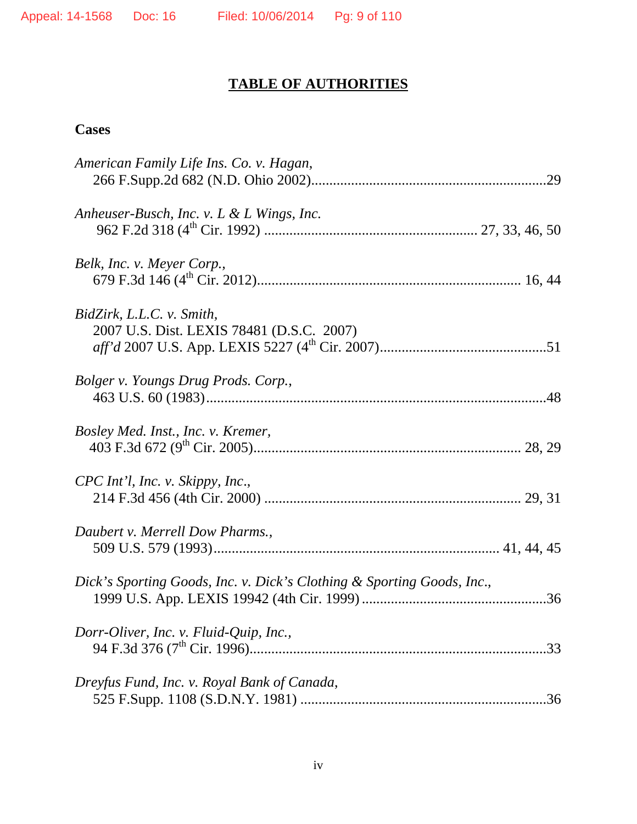# **TABLE OF AUTHORITIES**

## **Cases**

| American Family Life Ins. Co. v. Hagan,                                       |
|-------------------------------------------------------------------------------|
| Anheuser-Busch, Inc. v. $L \& L$ Wings, Inc.                                  |
| Belk, Inc. v. Meyer Corp.,                                                    |
| BidZirk, L.L.C. v. Smith,<br>2007 U.S. Dist. LEXIS 78481 (D.S.C. 2007)        |
| Bolger v. Youngs Drug Prods. Corp.,                                           |
| Bosley Med. Inst., Inc. v. Kremer,                                            |
| $CPC$ Int'l, Inc. v. Skippy, Inc.,                                            |
| Daubert v. Merrell Dow Pharms.,                                               |
| Dick's Sporting Goods, Inc. v. Dick's Clothing & Sporting Goods, Inc.,<br>.36 |
| Dorr-Oliver, Inc. v. Fluid-Quip, Inc.,<br>.33                                 |
| Dreyfus Fund, Inc. v. Royal Bank of Canada,<br>.36                            |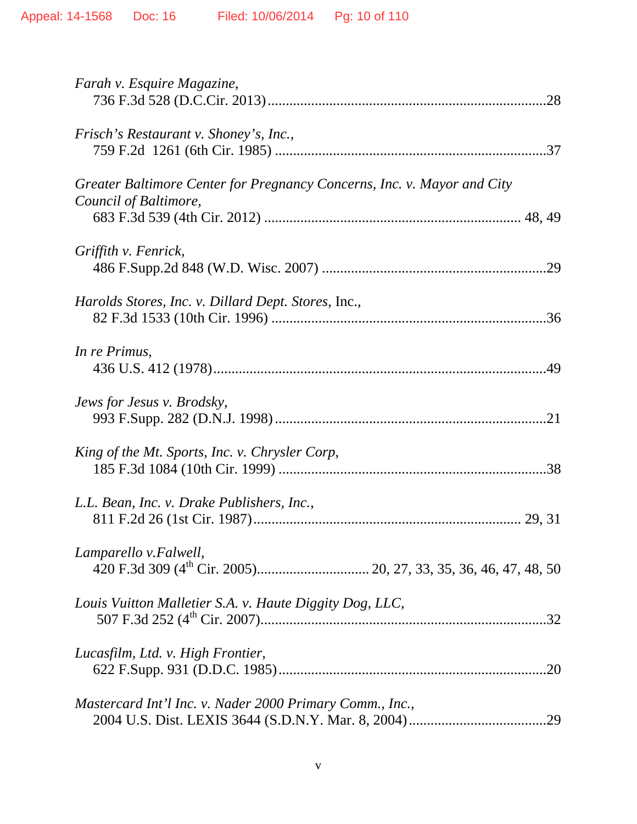| Farah v. Esquire Magazine,                                                                       |
|--------------------------------------------------------------------------------------------------|
| <i>Frisch's Restaurant v. Shoney's, Inc.,</i>                                                    |
| Greater Baltimore Center for Pregnancy Concerns, Inc. v. Mayor and City<br>Council of Baltimore, |
| Griffith v. Fenrick,                                                                             |
| Harolds Stores, Inc. v. Dillard Dept. Stores, Inc.,                                              |
| In re Primus,                                                                                    |
| Jews for Jesus v. Brodsky,                                                                       |
| King of the Mt. Sports, Inc. v. Chrysler Corp,                                                   |
| L.L. Bean, Inc. v. Drake Publishers, Inc.,                                                       |
| Lamparello v.Falwell,                                                                            |
| Louis Vuitton Malletier S.A. v. Haute Diggity Dog, LLC,                                          |
| Lucasfilm, Ltd. v. High Frontier,                                                                |
| Mastercard Int'l Inc. v. Nader 2000 Primary Comm., Inc.,                                         |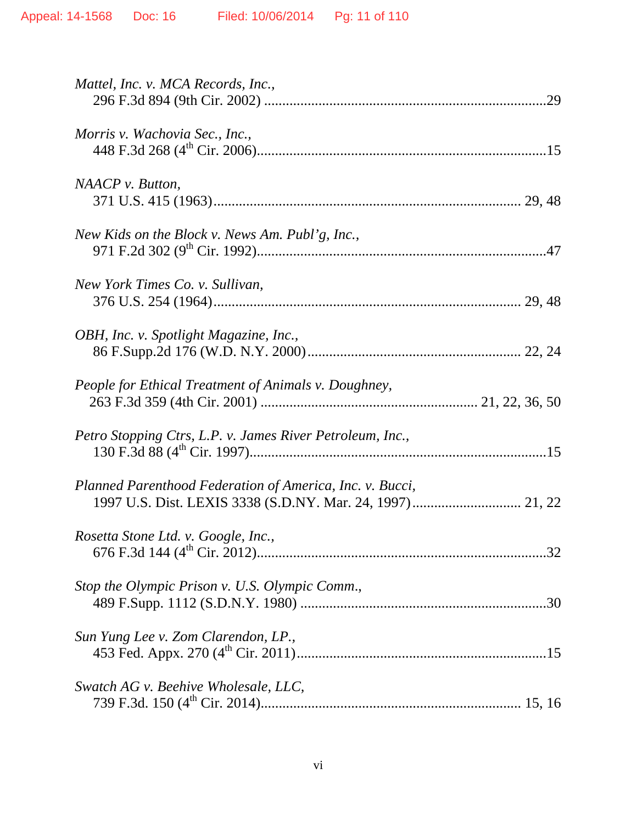| Mattel, Inc. v. MCA Records, Inc.,<br>.29                 |
|-----------------------------------------------------------|
| Morris v. Wachovia Sec., Inc.,                            |
| $NAACP$ v. Button,                                        |
| New Kids on the Block v. News Am. Publ'g, Inc.,           |
| New York Times Co. v. Sullivan,                           |
| OBH, Inc. v. Spotlight Magazine, Inc.,                    |
| People for Ethical Treatment of Animals v. Doughney,      |
| Petro Stopping Ctrs, L.P. v. James River Petroleum, Inc., |
| Planned Parenthood Federation of America, Inc. v. Bucci,  |
| Rosetta Stone Ltd. v. Google, Inc.,                       |
| Stop the Olympic Prison v. U.S. Olympic Comm.,            |
| Sun Yung Lee v. Zom Clarendon, LP.,                       |
| Swatch AG v. Beehive Wholesale, LLC,                      |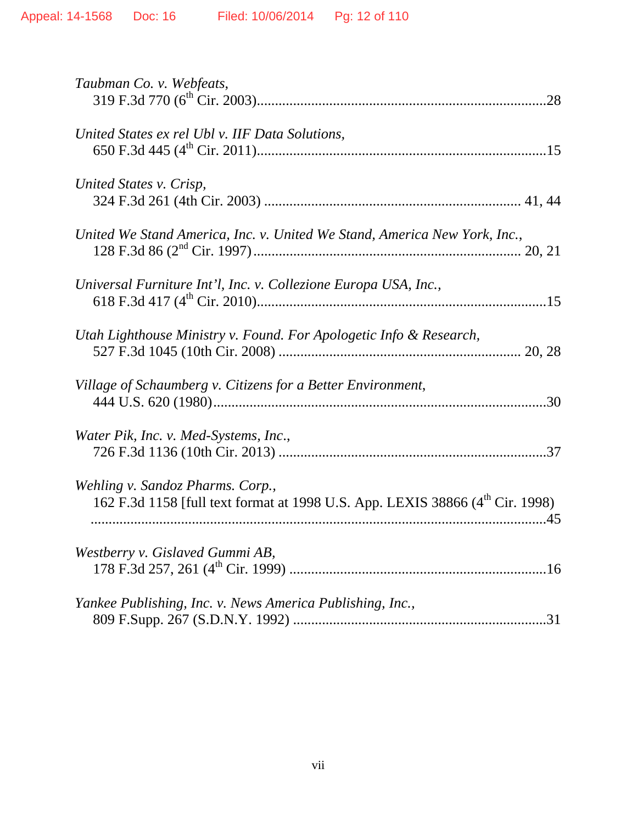| Taubman Co. v. Webfeats,                                                                                                      |
|-------------------------------------------------------------------------------------------------------------------------------|
| United States ex rel Ubl v. IIF Data Solutions,                                                                               |
| United States v. Crisp,                                                                                                       |
| United We Stand America, Inc. v. United We Stand, America New York, Inc.,                                                     |
| Universal Furniture Int'l, Inc. v. Collezione Europa USA, Inc.,                                                               |
| Utah Lighthouse Ministry v. Found. For Apologetic Info & Research,                                                            |
| Village of Schaumberg v. Citizens for a Better Environment,                                                                   |
| Water Pik, Inc. v. Med-Systems, Inc.,                                                                                         |
| Wehling v. Sandoz Pharms. Corp.,<br>162 F.3d 1158 [full text format at 1998 U.S. App. LEXIS 38866 (4 <sup>th</sup> Cir. 1998) |
| Westberry v. Gislaved Gummi AB,                                                                                               |
| Yankee Publishing, Inc. v. News America Publishing, Inc.,                                                                     |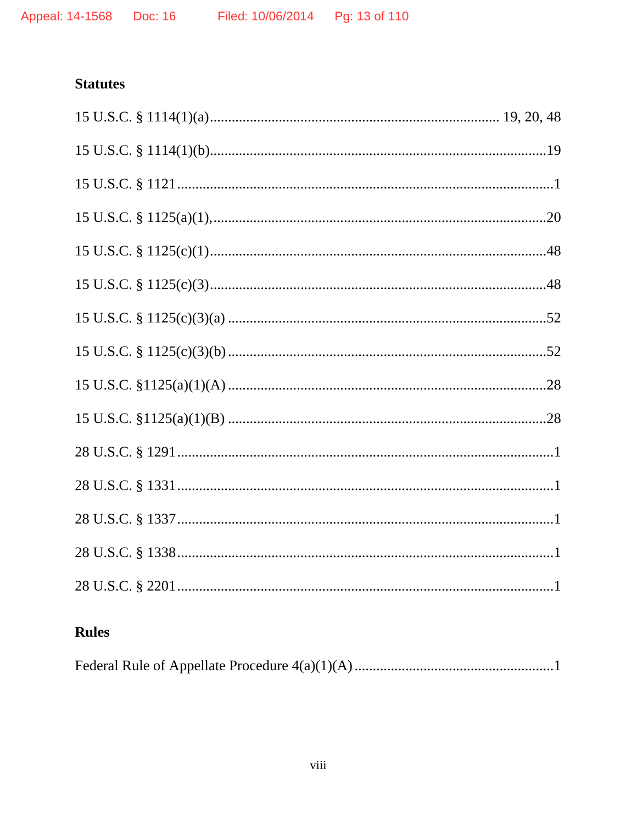## **Statutes**

# Rules

|--|--|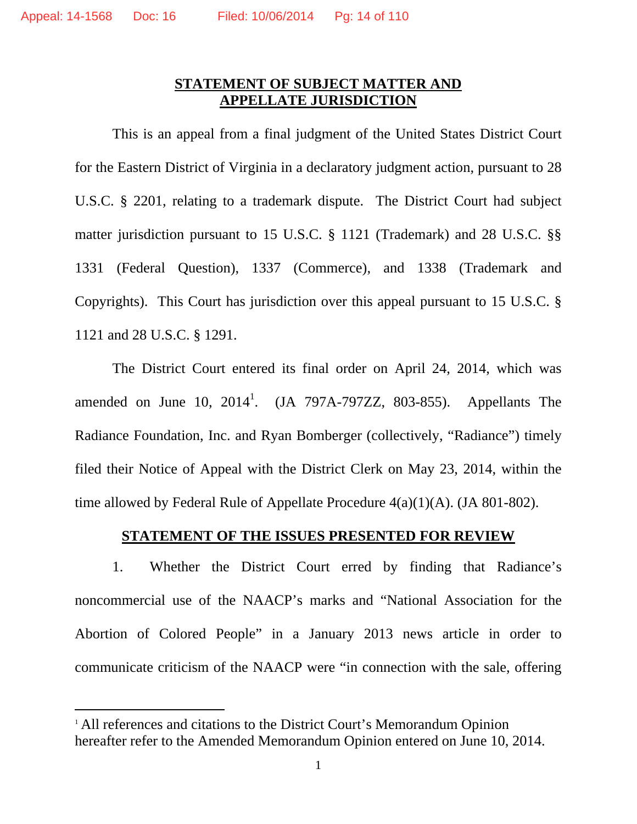$\overline{a}$ 

#### **STATEMENT OF SUBJECT MATTER AND APPELLATE JURISDICTION**

 This is an appeal from a final judgment of the United States District Court for the Eastern District of Virginia in a declaratory judgment action, pursuant to 28 U.S.C. § 2201, relating to a trademark dispute. The District Court had subject matter jurisdiction pursuant to 15 U.S.C. § 1121 (Trademark) and 28 U.S.C. §§ 1331 (Federal Question), 1337 (Commerce), and 1338 (Trademark and Copyrights). This Court has jurisdiction over this appeal pursuant to 15 U.S.C. § 1121 and 28 U.S.C. § 1291.

 The District Court entered its final order on April 24, 2014, which was amended on June 10,  $2014<sup>1</sup>$ . (JA 797A-797ZZ, 803-855). Appellants The Radiance Foundation, Inc. and Ryan Bomberger (collectively, "Radiance") timely filed their Notice of Appeal with the District Clerk on May 23, 2014, within the time allowed by Federal Rule of Appellate Procedure 4(a)(1)(A). (JA 801-802).

### **STATEMENT OF THE ISSUES PRESENTED FOR REVIEW**

1. Whether the District Court erred by finding that Radiance's noncommercial use of the NAACP's marks and "National Association for the Abortion of Colored People" in a January 2013 news article in order to communicate criticism of the NAACP were "in connection with the sale, offering

<sup>1</sup> All references and citations to the District Court's Memorandum Opinion hereafter refer to the Amended Memorandum Opinion entered on June 10, 2014.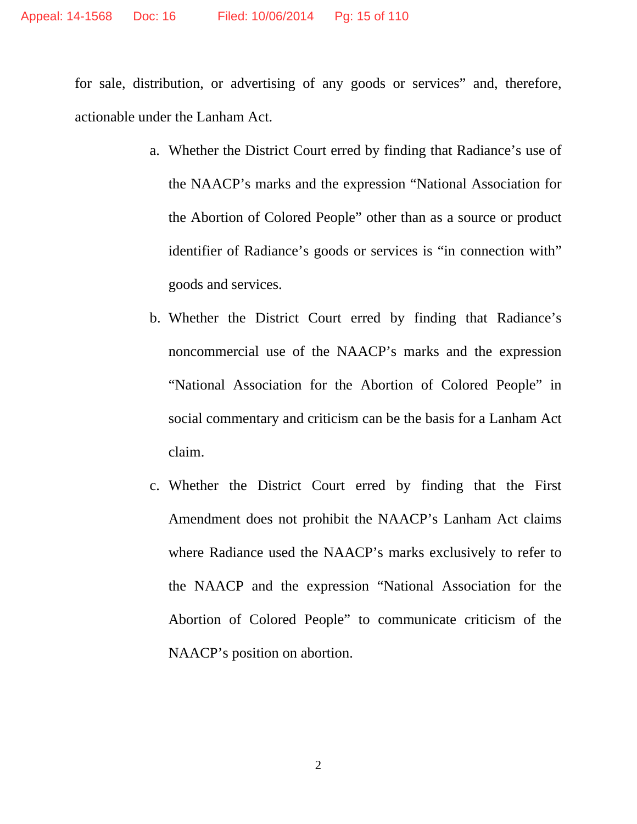for sale, distribution, or advertising of any goods or services" and, therefore, actionable under the Lanham Act.

- a. Whether the District Court erred by finding that Radiance's use of the NAACP's marks and the expression "National Association for the Abortion of Colored People" other than as a source or product identifier of Radiance's goods or services is "in connection with" goods and services.
- b. Whether the District Court erred by finding that Radiance's noncommercial use of the NAACP's marks and the expression "National Association for the Abortion of Colored People" in social commentary and criticism can be the basis for a Lanham Act claim.
- c. Whether the District Court erred by finding that the First Amendment does not prohibit the NAACP's Lanham Act claims where Radiance used the NAACP's marks exclusively to refer to the NAACP and the expression "National Association for the Abortion of Colored People" to communicate criticism of the NAACP's position on abortion.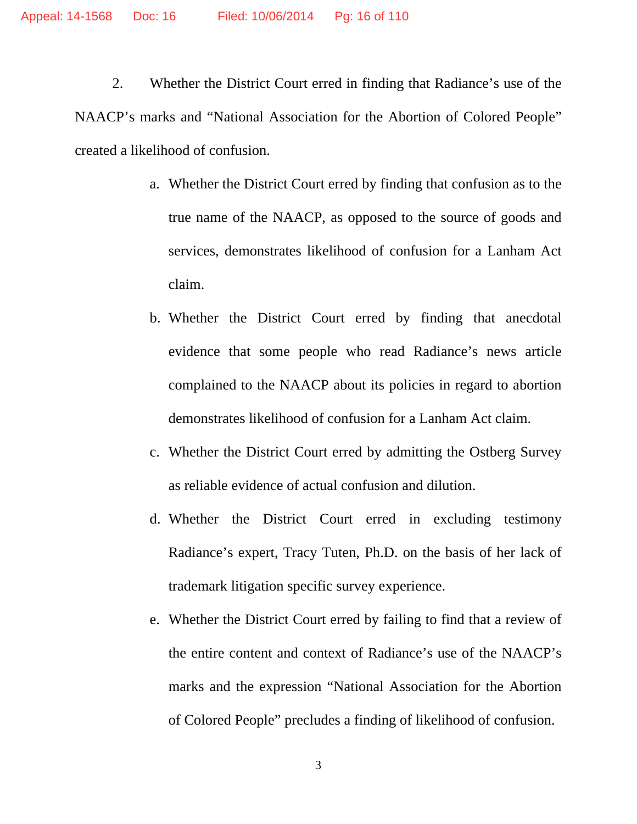2. Whether the District Court erred in finding that Radiance's use of the NAACP's marks and "National Association for the Abortion of Colored People" created a likelihood of confusion.

- a. Whether the District Court erred by finding that confusion as to the true name of the NAACP, as opposed to the source of goods and services, demonstrates likelihood of confusion for a Lanham Act claim.
- b. Whether the District Court erred by finding that anecdotal evidence that some people who read Radiance's news article complained to the NAACP about its policies in regard to abortion demonstrates likelihood of confusion for a Lanham Act claim.
- c. Whether the District Court erred by admitting the Ostberg Survey as reliable evidence of actual confusion and dilution.
- d. Whether the District Court erred in excluding testimony Radiance's expert, Tracy Tuten, Ph.D. on the basis of her lack of trademark litigation specific survey experience.
- e. Whether the District Court erred by failing to find that a review of the entire content and context of Radiance's use of the NAACP's marks and the expression "National Association for the Abortion of Colored People" precludes a finding of likelihood of confusion.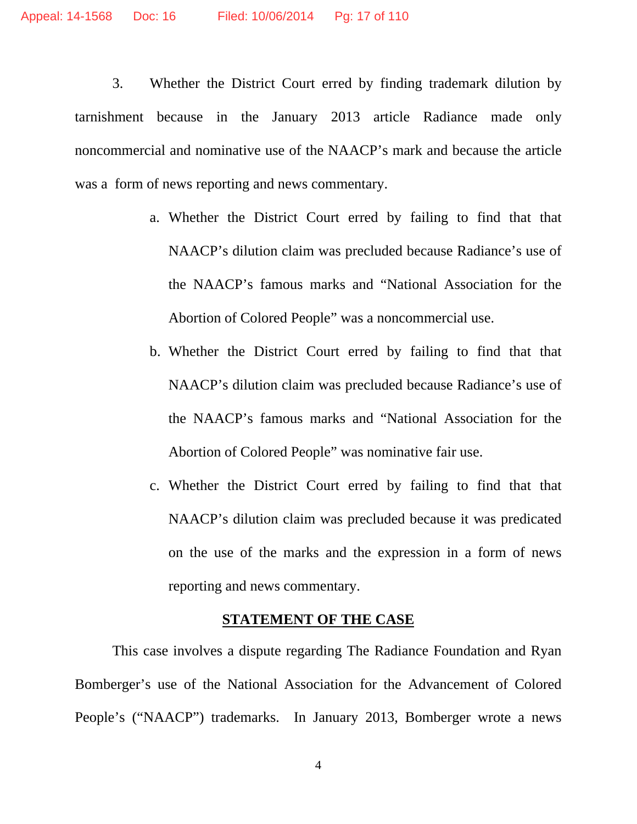3. Whether the District Court erred by finding trademark dilution by tarnishment because in the January 2013 article Radiance made only noncommercial and nominative use of the NAACP's mark and because the article was a form of news reporting and news commentary.

- a. Whether the District Court erred by failing to find that that NAACP's dilution claim was precluded because Radiance's use of the NAACP's famous marks and "National Association for the Abortion of Colored People" was a noncommercial use.
- b. Whether the District Court erred by failing to find that that NAACP's dilution claim was precluded because Radiance's use of the NAACP's famous marks and "National Association for the Abortion of Colored People" was nominative fair use.
- c. Whether the District Court erred by failing to find that that NAACP's dilution claim was precluded because it was predicated on the use of the marks and the expression in a form of news reporting and news commentary.

#### **STATEMENT OF THE CASE**

This case involves a dispute regarding The Radiance Foundation and Ryan Bomberger's use of the National Association for the Advancement of Colored People's ("NAACP") trademarks. In January 2013, Bomberger wrote a news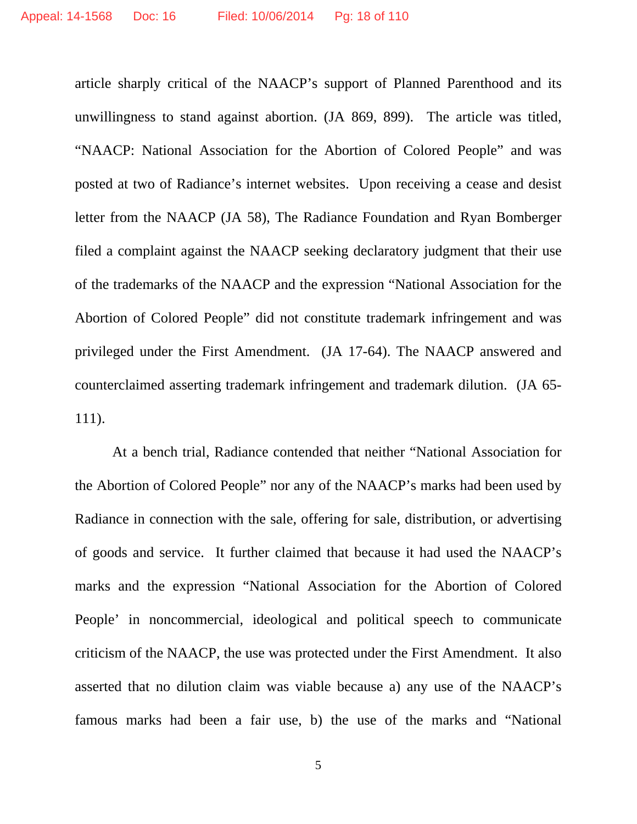article sharply critical of the NAACP's support of Planned Parenthood and its unwillingness to stand against abortion. (JA 869, 899). The article was titled, "NAACP: National Association for the Abortion of Colored People" and was posted at two of Radiance's internet websites. Upon receiving a cease and desist letter from the NAACP (JA 58), The Radiance Foundation and Ryan Bomberger filed a complaint against the NAACP seeking declaratory judgment that their use of the trademarks of the NAACP and the expression "National Association for the Abortion of Colored People" did not constitute trademark infringement and was privileged under the First Amendment. (JA 17-64). The NAACP answered and counterclaimed asserting trademark infringement and trademark dilution. (JA 65- 111).

At a bench trial, Radiance contended that neither "National Association for the Abortion of Colored People" nor any of the NAACP's marks had been used by Radiance in connection with the sale, offering for sale, distribution, or advertising of goods and service. It further claimed that because it had used the NAACP's marks and the expression "National Association for the Abortion of Colored People' in noncommercial, ideological and political speech to communicate criticism of the NAACP, the use was protected under the First Amendment. It also asserted that no dilution claim was viable because a) any use of the NAACP's famous marks had been a fair use, b) the use of the marks and "National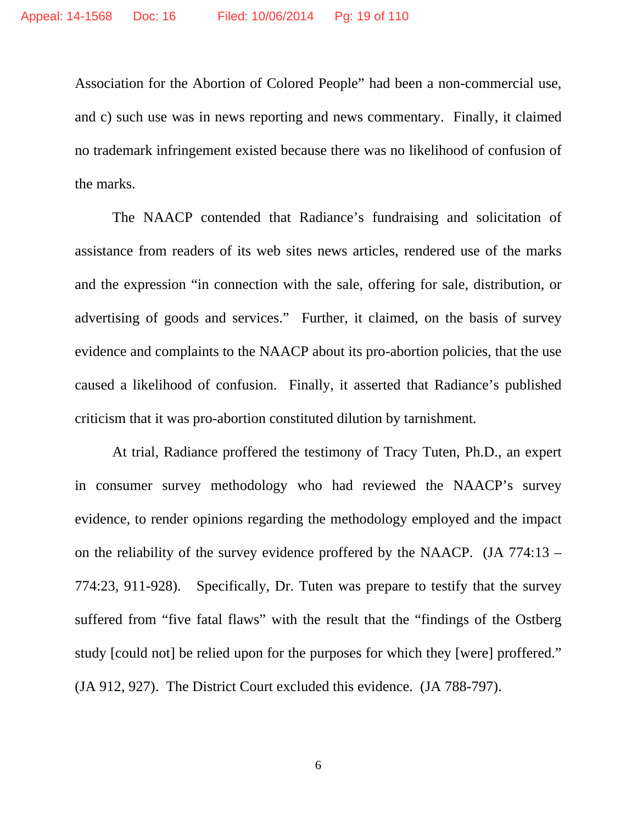Association for the Abortion of Colored People" had been a non-commercial use, and c) such use was in news reporting and news commentary. Finally, it claimed no trademark infringement existed because there was no likelihood of confusion of the marks.

 The NAACP contended that Radiance's fundraising and solicitation of assistance from readers of its web sites news articles, rendered use of the marks and the expression "in connection with the sale, offering for sale, distribution, or advertising of goods and services." Further, it claimed, on the basis of survey evidence and complaints to the NAACP about its pro-abortion policies, that the use caused a likelihood of confusion. Finally, it asserted that Radiance's published criticism that it was pro-abortion constituted dilution by tarnishment.

At trial, Radiance proffered the testimony of Tracy Tuten, Ph.D., an expert in consumer survey methodology who had reviewed the NAACP's survey evidence, to render opinions regarding the methodology employed and the impact on the reliability of the survey evidence proffered by the NAACP. (JA 774:13 – 774:23, 911-928). Specifically, Dr. Tuten was prepare to testify that the survey suffered from "five fatal flaws" with the result that the "findings of the Ostberg study [could not] be relied upon for the purposes for which they [were] proffered." (JA 912, 927). The District Court excluded this evidence. (JA 788-797).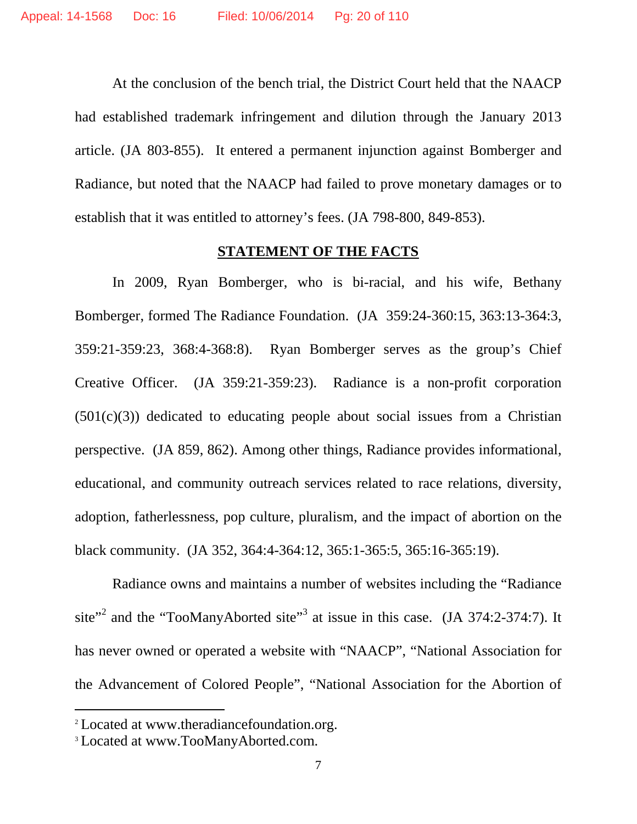At the conclusion of the bench trial, the District Court held that the NAACP had established trademark infringement and dilution through the January 2013 article. (JA 803-855). It entered a permanent injunction against Bomberger and Radiance, but noted that the NAACP had failed to prove monetary damages or to establish that it was entitled to attorney's fees. (JA 798-800, 849-853).

#### **STATEMENT OF THE FACTS**

 In 2009, Ryan Bomberger, who is bi-racial, and his wife, Bethany Bomberger, formed The Radiance Foundation. (JA 359:24-360:15, 363:13-364:3, 359:21-359:23, 368:4-368:8). Ryan Bomberger serves as the group's Chief Creative Officer. (JA 359:21-359:23). Radiance is a non-profit corporation  $(501(c)(3))$  dedicated to educating people about social issues from a Christian perspective. (JA 859, 862). Among other things, Radiance provides informational, educational, and community outreach services related to race relations, diversity, adoption, fatherlessness, pop culture, pluralism, and the impact of abortion on the black community. (JA 352, 364:4-364:12, 365:1-365:5, 365:16-365:19).

 Radiance owns and maintains a number of websites including the "Radiance site"<sup>2</sup> and the "TooManyAborted site"<sup>3</sup> at issue in this case. (JA 374:2-374:7). It has never owned or operated a website with "NAACP", "National Association for the Advancement of Colored People", "National Association for the Abortion of

 $\overline{a}$ 

<sup>&</sup>lt;sup>2</sup> Located at www.theradiancefoundation.org.

<sup>3</sup> Located at www.TooManyAborted.com.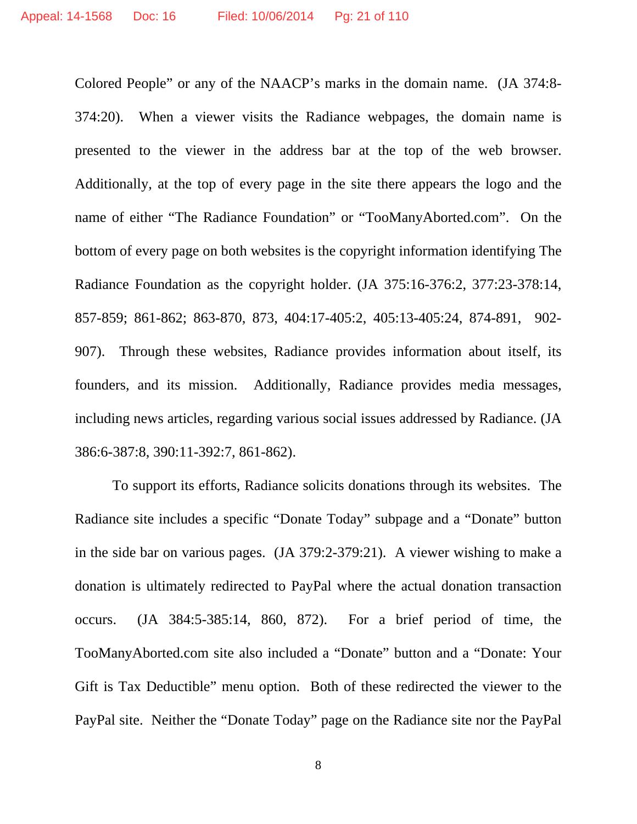Colored People" or any of the NAACP's marks in the domain name. (JA 374:8- 374:20). When a viewer visits the Radiance webpages, the domain name is presented to the viewer in the address bar at the top of the web browser. Additionally, at the top of every page in the site there appears the logo and the name of either "The Radiance Foundation" or "TooManyAborted.com". On the bottom of every page on both websites is the copyright information identifying The Radiance Foundation as the copyright holder. (JA 375:16-376:2, 377:23-378:14, 857-859; 861-862; 863-870, 873, 404:17-405:2, 405:13-405:24, 874-891, 902- 907). Through these websites, Radiance provides information about itself, its founders, and its mission. Additionally, Radiance provides media messages, including news articles, regarding various social issues addressed by Radiance. (JA 386:6-387:8, 390:11-392:7, 861-862).

 To support its efforts, Radiance solicits donations through its websites. The Radiance site includes a specific "Donate Today" subpage and a "Donate" button in the side bar on various pages. (JA 379:2-379:21). A viewer wishing to make a donation is ultimately redirected to PayPal where the actual donation transaction occurs. (JA 384:5-385:14, 860, 872). For a brief period of time, the TooManyAborted.com site also included a "Donate" button and a "Donate: Your Gift is Tax Deductible" menu option. Both of these redirected the viewer to the PayPal site. Neither the "Donate Today" page on the Radiance site nor the PayPal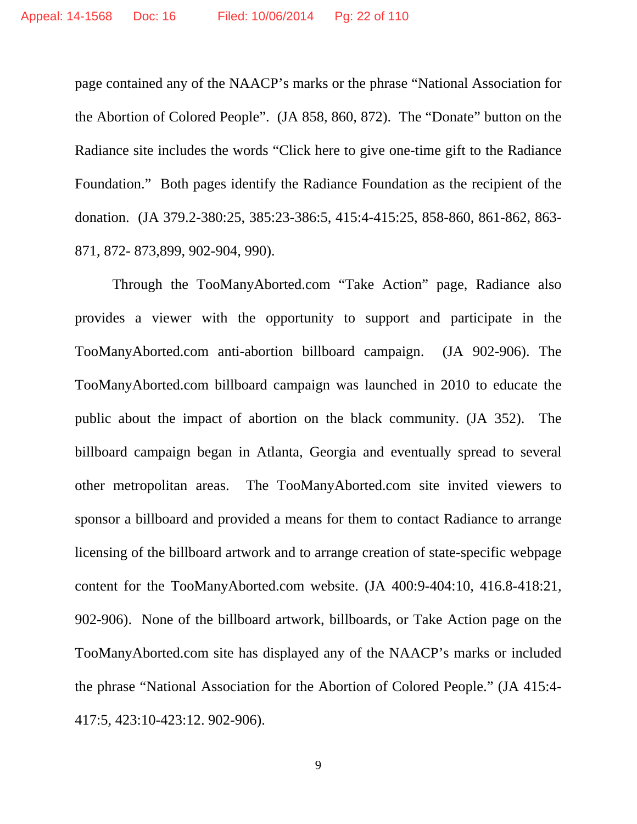page contained any of the NAACP's marks or the phrase "National Association for the Abortion of Colored People". (JA 858, 860, 872). The "Donate" button on the Radiance site includes the words "Click here to give one-time gift to the Radiance Foundation." Both pages identify the Radiance Foundation as the recipient of the donation. (JA 379.2-380:25, 385:23-386:5, 415:4-415:25, 858-860, 861-862, 863- 871, 872- 873,899, 902-904, 990).

 Through the TooManyAborted.com "Take Action" page, Radiance also provides a viewer with the opportunity to support and participate in the TooManyAborted.com anti-abortion billboard campaign. (JA 902-906). The TooManyAborted.com billboard campaign was launched in 2010 to educate the public about the impact of abortion on the black community. (JA 352). The billboard campaign began in Atlanta, Georgia and eventually spread to several other metropolitan areas. The TooManyAborted.com site invited viewers to sponsor a billboard and provided a means for them to contact Radiance to arrange licensing of the billboard artwork and to arrange creation of state-specific webpage content for the TooManyAborted.com website. (JA 400:9-404:10, 416.8-418:21, 902-906). None of the billboard artwork, billboards, or Take Action page on the TooManyAborted.com site has displayed any of the NAACP's marks or included the phrase "National Association for the Abortion of Colored People." (JA 415:4- 417:5, 423:10-423:12. 902-906).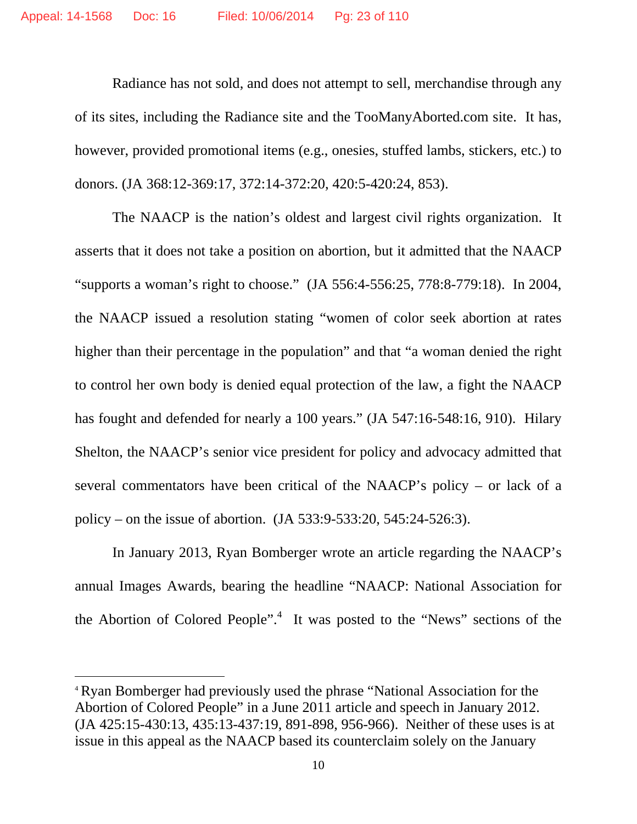Radiance has not sold, and does not attempt to sell, merchandise through any of its sites, including the Radiance site and the TooManyAborted.com site. It has, however, provided promotional items (e.g., onesies, stuffed lambs, stickers, etc.) to donors. (JA 368:12-369:17, 372:14-372:20, 420:5-420:24, 853).

 The NAACP is the nation's oldest and largest civil rights organization. It asserts that it does not take a position on abortion, but it admitted that the NAACP "supports a woman's right to choose." (JA 556:4-556:25, 778:8-779:18). In 2004, the NAACP issued a resolution stating "women of color seek abortion at rates higher than their percentage in the population" and that "a woman denied the right to control her own body is denied equal protection of the law, a fight the NAACP has fought and defended for nearly a 100 years." (JA 547:16-548:16, 910). Hilary Shelton, the NAACP's senior vice president for policy and advocacy admitted that several commentators have been critical of the NAACP's policy – or lack of a policy – on the issue of abortion. (JA 533:9-533:20, 545:24-526:3).

 In January 2013, Ryan Bomberger wrote an article regarding the NAACP's annual Images Awards, bearing the headline "NAACP: National Association for the Abortion of Colored People".<sup>4</sup> It was posted to the "News" sections of the

 $\overline{a}$ 

<sup>4</sup> Ryan Bomberger had previously used the phrase "National Association for the Abortion of Colored People" in a June 2011 article and speech in January 2012. (JA 425:15-430:13, 435:13-437:19, 891-898, 956-966). Neither of these uses is at issue in this appeal as the NAACP based its counterclaim solely on the January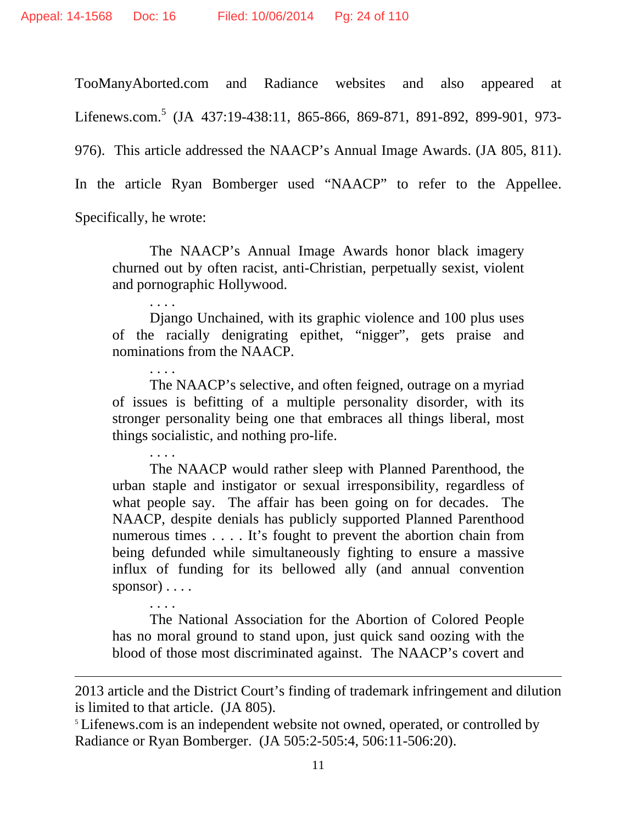. . . .

. . . .

. . . .

. . . .

 $\overline{a}$ 

TooManyAborted.com and Radiance websites and also appeared at Lifenews.com.<sup>5</sup> (JA 437:19-438:11, 865-866, 869-871, 891-892, 899-901, 973-976). This article addressed the NAACP's Annual Image Awards. (JA 805, 811). In the article Ryan Bomberger used "NAACP" to refer to the Appellee. Specifically, he wrote:

The NAACP's Annual Image Awards honor black imagery churned out by often racist, anti-Christian, perpetually sexist, violent and pornographic Hollywood.

Django Unchained, with its graphic violence and 100 plus uses of the racially denigrating epithet, "nigger", gets praise and nominations from the NAACP.

The NAACP's selective, and often feigned, outrage on a myriad of issues is befitting of a multiple personality disorder, with its stronger personality being one that embraces all things liberal, most things socialistic, and nothing pro-life.

The NAACP would rather sleep with Planned Parenthood, the urban staple and instigator or sexual irresponsibility, regardless of what people say. The affair has been going on for decades. The NAACP, despite denials has publicly supported Planned Parenthood numerous times . . . . It's fought to prevent the abortion chain from being defunded while simultaneously fighting to ensure a massive influx of funding for its bellowed ally (and annual convention sponsor) . . . .

The National Association for the Abortion of Colored People has no moral ground to stand upon, just quick sand oozing with the blood of those most discriminated against. The NAACP's covert and

2013 article and the District Court's finding of trademark infringement and dilution is limited to that article. (JA 805).

<sup>5</sup> Lifenews.com is an independent website not owned, operated, or controlled by Radiance or Ryan Bomberger. (JA 505:2-505:4, 506:11-506:20).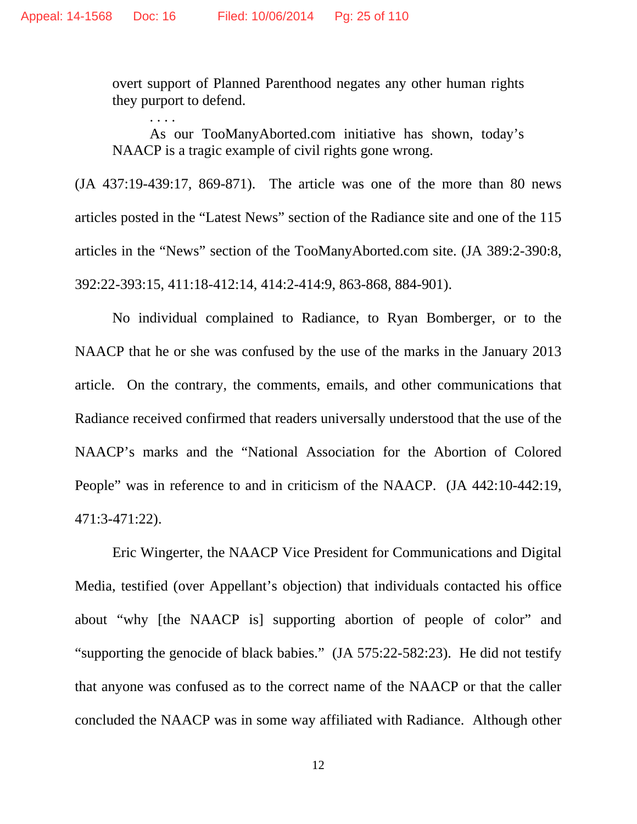. . . .

overt support of Planned Parenthood negates any other human rights they purport to defend.

As our TooManyAborted.com initiative has shown, today's NAACP is a tragic example of civil rights gone wrong.

(JA 437:19-439:17, 869-871). The article was one of the more than 80 news articles posted in the "Latest News" section of the Radiance site and one of the 115 articles in the "News" section of the TooManyAborted.com site. (JA 389:2-390:8, 392:22-393:15, 411:18-412:14, 414:2-414:9, 863-868, 884-901).

No individual complained to Radiance, to Ryan Bomberger, or to the NAACP that he or she was confused by the use of the marks in the January 2013 article. On the contrary, the comments, emails, and other communications that Radiance received confirmed that readers universally understood that the use of the NAACP's marks and the "National Association for the Abortion of Colored People" was in reference to and in criticism of the NAACP. (JA 442:10-442:19, 471:3-471:22).

Eric Wingerter, the NAACP Vice President for Communications and Digital Media, testified (over Appellant's objection) that individuals contacted his office about "why [the NAACP is] supporting abortion of people of color" and "supporting the genocide of black babies." (JA 575:22-582:23). He did not testify that anyone was confused as to the correct name of the NAACP or that the caller concluded the NAACP was in some way affiliated with Radiance. Although other

12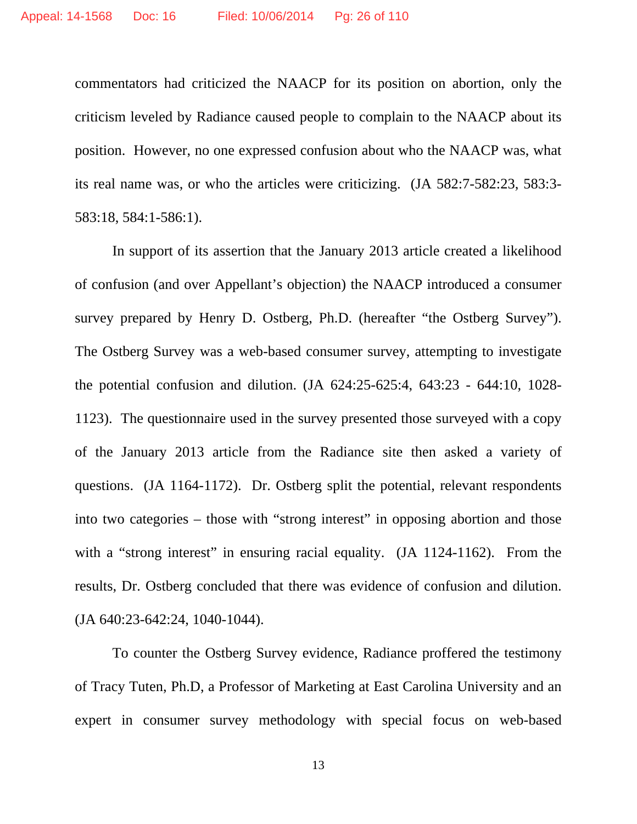commentators had criticized the NAACP for its position on abortion, only the criticism leveled by Radiance caused people to complain to the NAACP about its position. However, no one expressed confusion about who the NAACP was, what its real name was, or who the articles were criticizing. (JA 582:7-582:23, 583:3- 583:18, 584:1-586:1).

 In support of its assertion that the January 2013 article created a likelihood of confusion (and over Appellant's objection) the NAACP introduced a consumer survey prepared by Henry D. Ostberg, Ph.D. (hereafter "the Ostberg Survey"). The Ostberg Survey was a web-based consumer survey, attempting to investigate the potential confusion and dilution. (JA 624:25-625:4, 643:23 - 644:10, 1028- 1123). The questionnaire used in the survey presented those surveyed with a copy of the January 2013 article from the Radiance site then asked a variety of questions. (JA 1164-1172). Dr. Ostberg split the potential, relevant respondents into two categories – those with "strong interest" in opposing abortion and those with a "strong interest" in ensuring racial equality. (JA 1124-1162). From the results, Dr. Ostberg concluded that there was evidence of confusion and dilution. (JA 640:23-642:24, 1040-1044).

 To counter the Ostberg Survey evidence, Radiance proffered the testimony of Tracy Tuten, Ph.D, a Professor of Marketing at East Carolina University and an expert in consumer survey methodology with special focus on web-based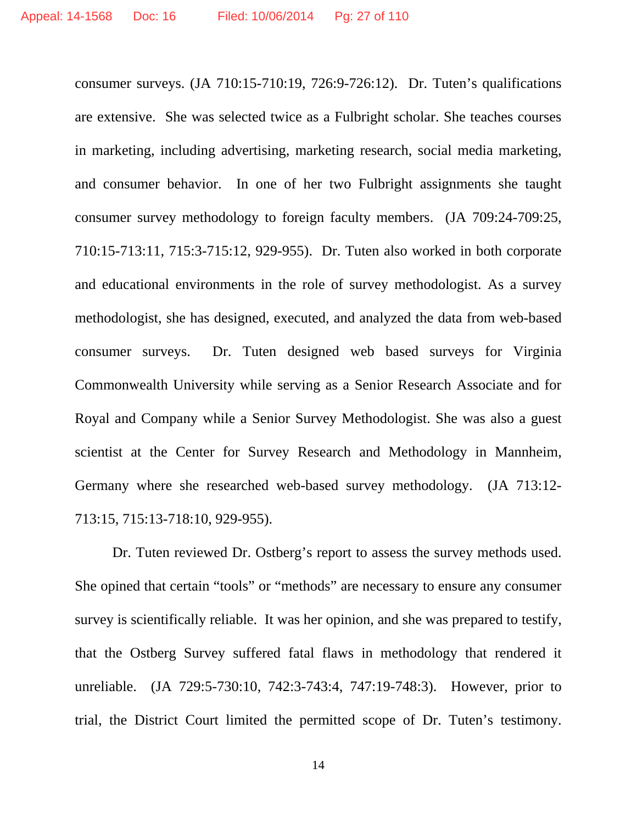consumer surveys. (JA 710:15-710:19, 726:9-726:12). Dr. Tuten's qualifications are extensive. She was selected twice as a Fulbright scholar. She teaches courses in marketing, including advertising, marketing research, social media marketing, and consumer behavior. In one of her two Fulbright assignments she taught consumer survey methodology to foreign faculty members. (JA 709:24-709:25, 710:15-713:11, 715:3-715:12, 929-955). Dr. Tuten also worked in both corporate and educational environments in the role of survey methodologist. As a survey methodologist, she has designed, executed, and analyzed the data from web-based consumer surveys. Dr. Tuten designed web based surveys for Virginia Commonwealth University while serving as a Senior Research Associate and for Royal and Company while a Senior Survey Methodologist. She was also a guest scientist at the Center for Survey Research and Methodology in Mannheim, Germany where she researched web-based survey methodology. (JA 713:12- 713:15, 715:13-718:10, 929-955).

 Dr. Tuten reviewed Dr. Ostberg's report to assess the survey methods used. She opined that certain "tools" or "methods" are necessary to ensure any consumer survey is scientifically reliable. It was her opinion, and she was prepared to testify, that the Ostberg Survey suffered fatal flaws in methodology that rendered it unreliable. (JA 729:5-730:10, 742:3-743:4, 747:19-748:3). However, prior to trial, the District Court limited the permitted scope of Dr. Tuten's testimony.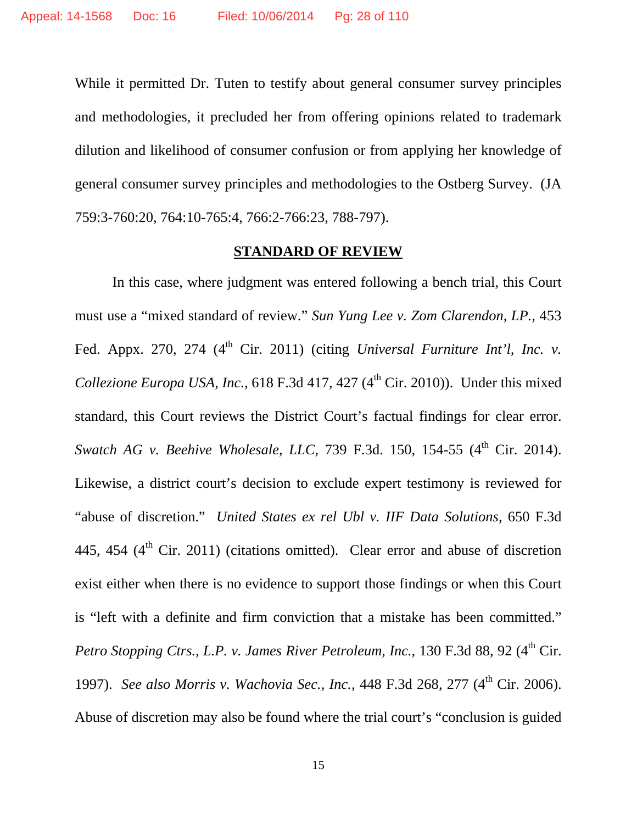While it permitted Dr. Tuten to testify about general consumer survey principles and methodologies, it precluded her from offering opinions related to trademark dilution and likelihood of consumer confusion or from applying her knowledge of general consumer survey principles and methodologies to the Ostberg Survey. (JA 759:3-760:20, 764:10-765:4, 766:2-766:23, 788-797).

#### **STANDARD OF REVIEW**

 In this case, where judgment was entered following a bench trial, this Court must use a "mixed standard of review." *Sun Yung Lee v. Zom Clarendon, LP.,* 453 Fed. Appx. 270, 274  $(4<sup>th</sup> Cir. 2011)$  (citing *Universal Furniture Int'l, Inc. v. Collezione Europa USA, Inc.,* 618 F.3d 417, 427 (4<sup>th</sup> Cir. 2010)). Under this mixed standard, this Court reviews the District Court's factual findings for clear error. *Swatch AG v. Beehive Wholesale, LLC, 739 F.3d, 150, 154-55 (4<sup>th</sup> Cir. 2014).* Likewise, a district court's decision to exclude expert testimony is reviewed for "abuse of discretion." *United States ex rel Ubl v. IIF Data Solutions,* 650 F.3d 445, 454 ( $4<sup>th</sup>$  Cir. 2011) (citations omitted). Clear error and abuse of discretion exist either when there is no evidence to support those findings or when this Court is "left with a definite and firm conviction that a mistake has been committed." *Petro Stopping Ctrs., L.P. v. James River Petroleum, Inc., 130 F.3d 88, 92 (4<sup>th</sup> Cir.)* 1997). *See also Morris v. Wachovia Sec., Inc.,* 448 F.3d 268, 277 (4<sup>th</sup> Cir. 2006). Abuse of discretion may also be found where the trial court's "conclusion is guided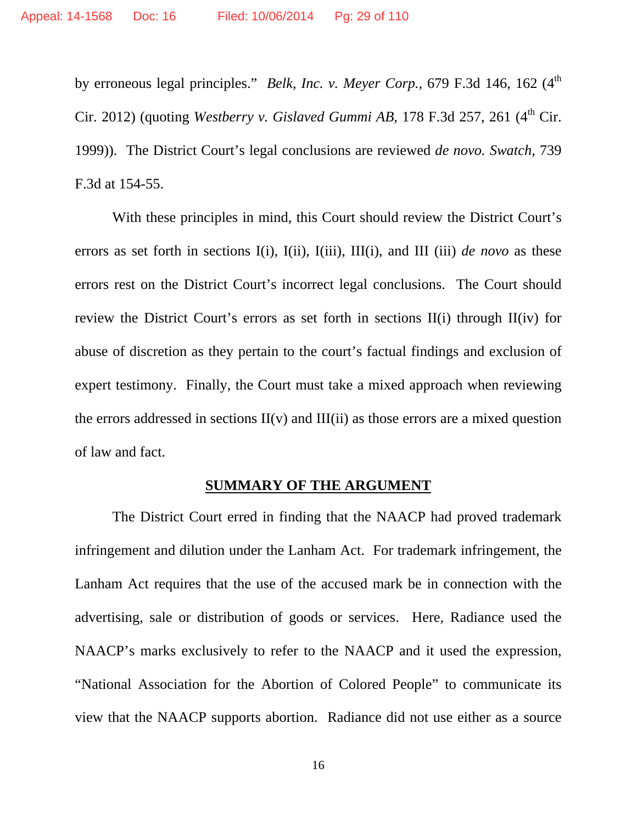by erroneous legal principles." *Belk, Inc. v. Meyer Corp.*, 679 F.3d 146, 162 (4<sup>th</sup> Cir. 2012) (quoting *Westberry v. Gislaved Gummi AB, 178 F.3d 257, 261* (4<sup>th</sup> Cir. 1999)). The District Court's legal conclusions are reviewed *de novo. Swatch,* 739 F.3d at 154-55.

 With these principles in mind, this Court should review the District Court's errors as set forth in sections I(i), I(ii), I(iii), III(i), and III (iii) *de novo* as these errors rest on the District Court's incorrect legal conclusions. The Court should review the District Court's errors as set forth in sections II(i) through II(iv) for abuse of discretion as they pertain to the court's factual findings and exclusion of expert testimony. Finally, the Court must take a mixed approach when reviewing the errors addressed in sections  $II(v)$  and  $III(i)$  as those errors are a mixed question of law and fact.

#### **SUMMARY OF THE ARGUMENT**

The District Court erred in finding that the NAACP had proved trademark infringement and dilution under the Lanham Act. For trademark infringement, the Lanham Act requires that the use of the accused mark be in connection with the advertising, sale or distribution of goods or services. Here, Radiance used the NAACP's marks exclusively to refer to the NAACP and it used the expression, "National Association for the Abortion of Colored People" to communicate its view that the NAACP supports abortion. Radiance did not use either as a source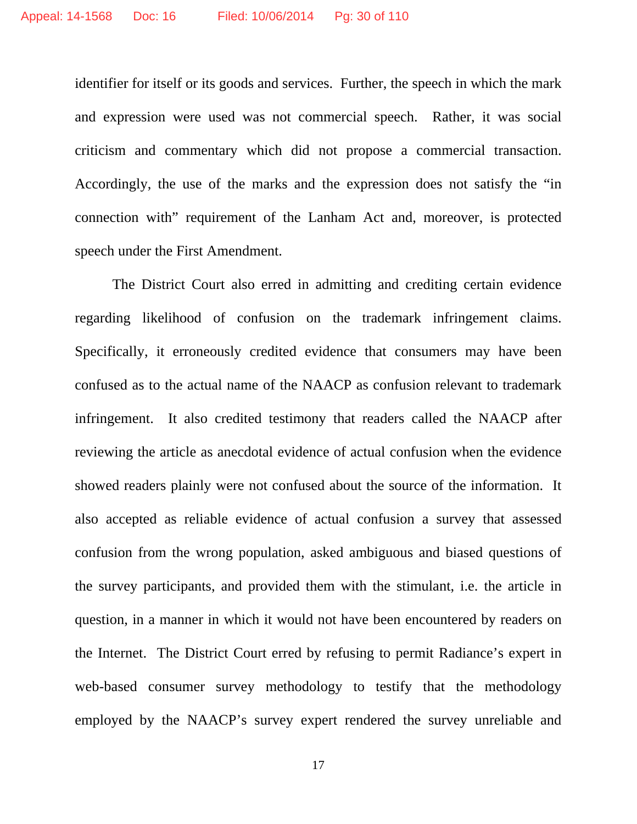identifier for itself or its goods and services. Further, the speech in which the mark and expression were used was not commercial speech. Rather, it was social criticism and commentary which did not propose a commercial transaction. Accordingly, the use of the marks and the expression does not satisfy the "in connection with" requirement of the Lanham Act and, moreover, is protected speech under the First Amendment.

 The District Court also erred in admitting and crediting certain evidence regarding likelihood of confusion on the trademark infringement claims. Specifically, it erroneously credited evidence that consumers may have been confused as to the actual name of the NAACP as confusion relevant to trademark infringement. It also credited testimony that readers called the NAACP after reviewing the article as anecdotal evidence of actual confusion when the evidence showed readers plainly were not confused about the source of the information. It also accepted as reliable evidence of actual confusion a survey that assessed confusion from the wrong population, asked ambiguous and biased questions of the survey participants, and provided them with the stimulant, i.e. the article in question, in a manner in which it would not have been encountered by readers on the Internet. The District Court erred by refusing to permit Radiance's expert in web-based consumer survey methodology to testify that the methodology employed by the NAACP's survey expert rendered the survey unreliable and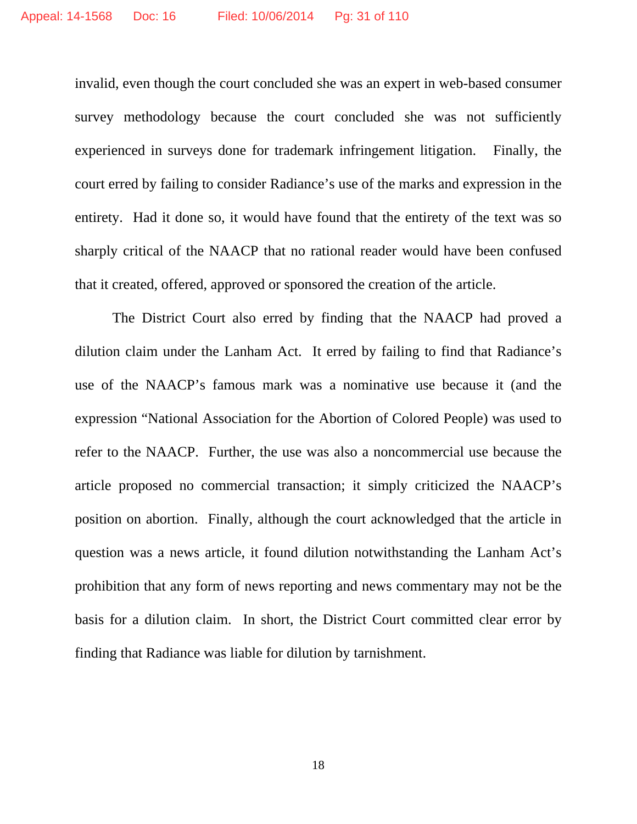invalid, even though the court concluded she was an expert in web-based consumer survey methodology because the court concluded she was not sufficiently experienced in surveys done for trademark infringement litigation. Finally, the court erred by failing to consider Radiance's use of the marks and expression in the entirety. Had it done so, it would have found that the entirety of the text was so sharply critical of the NAACP that no rational reader would have been confused that it created, offered, approved or sponsored the creation of the article.

 The District Court also erred by finding that the NAACP had proved a dilution claim under the Lanham Act. It erred by failing to find that Radiance's use of the NAACP's famous mark was a nominative use because it (and the expression "National Association for the Abortion of Colored People) was used to refer to the NAACP. Further, the use was also a noncommercial use because the article proposed no commercial transaction; it simply criticized the NAACP's position on abortion. Finally, although the court acknowledged that the article in question was a news article, it found dilution notwithstanding the Lanham Act's prohibition that any form of news reporting and news commentary may not be the basis for a dilution claim. In short, the District Court committed clear error by finding that Radiance was liable for dilution by tarnishment.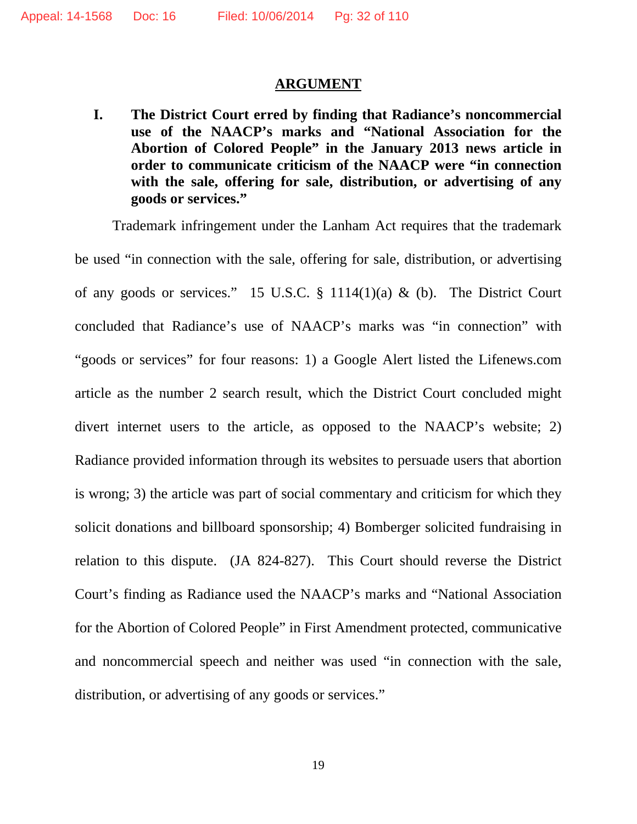#### **ARGUMENT**

**I. The District Court erred by finding that Radiance's noncommercial use of the NAACP's marks and "National Association for the Abortion of Colored People" in the January 2013 news article in order to communicate criticism of the NAACP were "in connection with the sale, offering for sale, distribution, or advertising of any goods or services."** 

 Trademark infringement under the Lanham Act requires that the trademark be used "in connection with the sale, offering for sale, distribution, or advertising of any goods or services." 15 U.S.C.  $\S$  1114(1)(a) & (b). The District Court concluded that Radiance's use of NAACP's marks was "in connection" with "goods or services" for four reasons: 1) a Google Alert listed the Lifenews.com article as the number 2 search result, which the District Court concluded might divert internet users to the article, as opposed to the NAACP's website; 2) Radiance provided information through its websites to persuade users that abortion is wrong; 3) the article was part of social commentary and criticism for which they solicit donations and billboard sponsorship; 4) Bomberger solicited fundraising in relation to this dispute. (JA 824-827). This Court should reverse the District Court's finding as Radiance used the NAACP's marks and "National Association for the Abortion of Colored People" in First Amendment protected, communicative and noncommercial speech and neither was used "in connection with the sale, distribution, or advertising of any goods or services."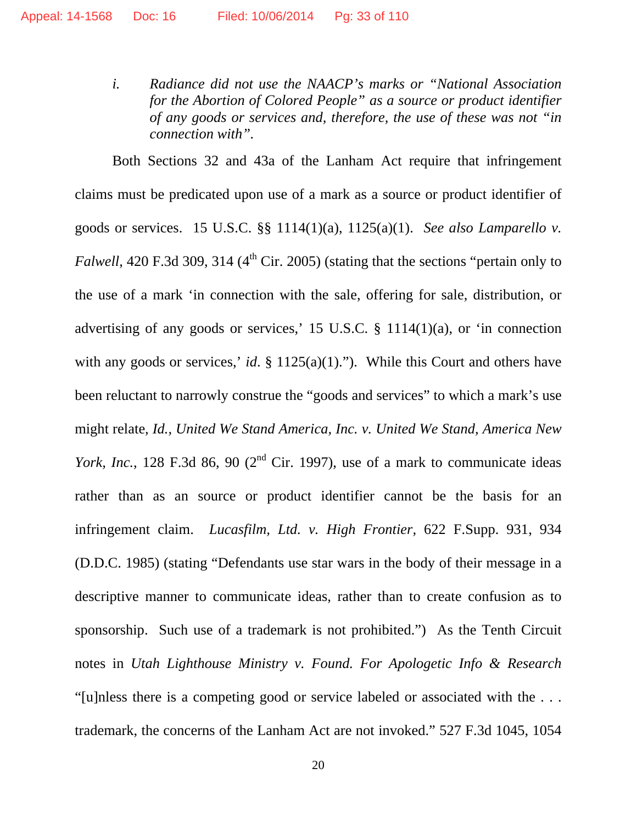*i. Radiance did not use the NAACP's marks or "National Association for the Abortion of Colored People" as a source or product identifier of any goods or services and, therefore, the use of these was not "in connection with".* 

Both Sections 32 and 43a of the Lanham Act require that infringement claims must be predicated upon use of a mark as a source or product identifier of goods or services. 15 U.S.C. §§ 1114(1)(a), 1125(a)(1). *See also Lamparello v. Falwell*, 420 F.3d 309, 314 (4<sup>th</sup> Cir. 2005) (stating that the sections "pertain only to the use of a mark 'in connection with the sale, offering for sale, distribution, or advertising of any goods or services,' 15 U.S.C.  $\S$  1114(1)(a), or 'in connection with any goods or services,' *id*. § 1125(a)(1)."). While this Court and others have been reluctant to narrowly construe the "goods and services" to which a mark's use might relate*, Id., United We Stand America, Inc. v. United We Stand, America New York, Inc.*, 128 F.3d 86, 90 ( $2<sup>nd</sup>$  Cir. 1997), use of a mark to communicate ideas rather than as an source or product identifier cannot be the basis for an infringement claim. *Lucasfilm, Ltd. v. High Frontier,* 622 F.Supp. 931, 934 (D.D.C. 1985) (stating "Defendants use star wars in the body of their message in a descriptive manner to communicate ideas, rather than to create confusion as to sponsorship. Such use of a trademark is not prohibited.") As the Tenth Circuit notes in *Utah Lighthouse Ministry v. Found. For Apologetic Info & Research* "[u]nless there is a competing good or service labeled or associated with the . . . trademark, the concerns of the Lanham Act are not invoked." 527 F.3d 1045, 1054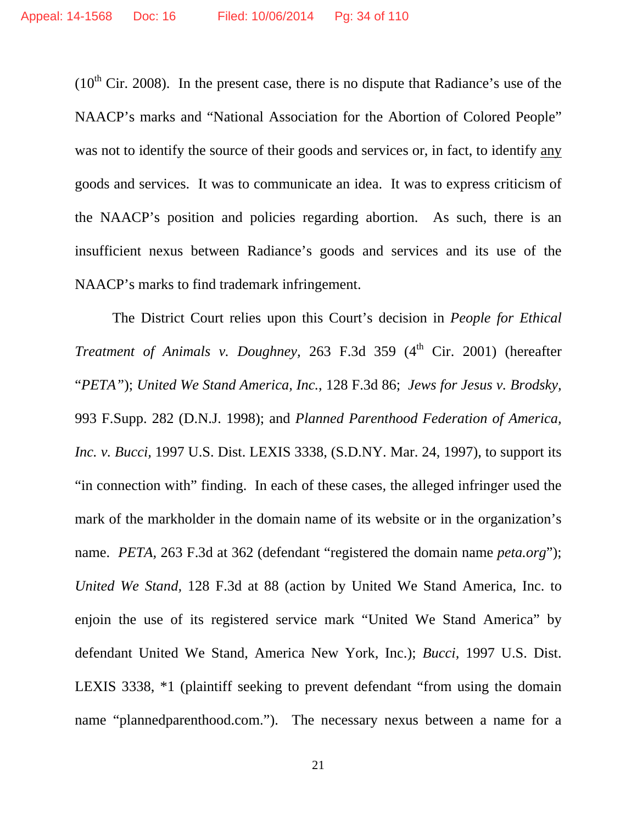$(10<sup>th</sup>$  Cir. 2008). In the present case, there is no dispute that Radiance's use of the NAACP's marks and "National Association for the Abortion of Colored People" was not to identify the source of their goods and services or, in fact, to identify any goods and services. It was to communicate an idea. It was to express criticism of the NAACP's position and policies regarding abortion. As such, there is an insufficient nexus between Radiance's goods and services and its use of the NAACP's marks to find trademark infringement.

The District Court relies upon this Court's decision in *People for Ethical Treatment of Animals v. Doughney, 263 F.3d 359 (4<sup>th</sup> Cir. 2001) (hereafter* "*PETA"*); *United We Stand America, Inc.*, 128 F.3d 86; *Jews for Jesus v. Brodsky,*  993 F.Supp. 282 (D.N.J. 1998); and *Planned Parenthood Federation of America, Inc. v. Bucci,* 1997 U.S. Dist. LEXIS 3338, (S.D.NY. Mar. 24, 1997), to support its "in connection with" finding. In each of these cases*,* the alleged infringer used the mark of the markholder in the domain name of its website or in the organization's name. *PETA,* 263 F.3d at 362 (defendant "registered the domain name *peta.org*"); *United We Stand,* 128 F.3d at 88 (action by United We Stand America, Inc. to enjoin the use of its registered service mark "United We Stand America" by defendant United We Stand, America New York, Inc.); *Bucci,* 1997 U.S. Dist. LEXIS 3338, \*1 (plaintiff seeking to prevent defendant "from using the domain name "plannedparenthood.com."). The necessary nexus between a name for a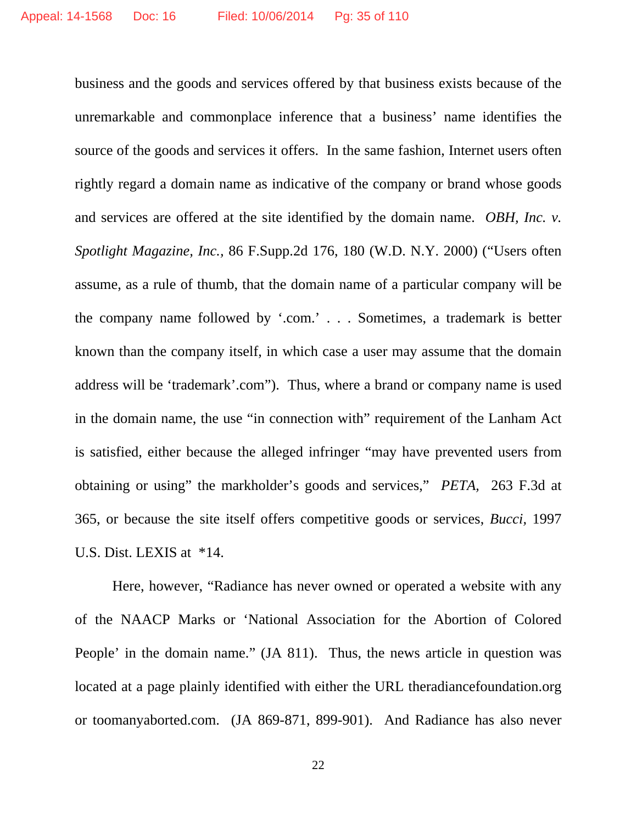business and the goods and services offered by that business exists because of the unremarkable and commonplace inference that a business' name identifies the source of the goods and services it offers. In the same fashion, Internet users often rightly regard a domain name as indicative of the company or brand whose goods and services are offered at the site identified by the domain name. *OBH, Inc. v. Spotlight Magazine, Inc.,* 86 F.Supp.2d 176, 180 (W.D. N.Y. 2000) ("Users often assume, as a rule of thumb, that the domain name of a particular company will be the company name followed by '.com.' . . . Sometimes, a trademark is better known than the company itself, in which case a user may assume that the domain address will be 'trademark'.com"). Thus, where a brand or company name is used in the domain name, the use "in connection with" requirement of the Lanham Act is satisfied, either because the alleged infringer "may have prevented users from obtaining or using" the markholder's goods and services," *PETA,* 263 F.3d at 365, or because the site itself offers competitive goods or services, *Bucci,* 1997 U.S. Dist. LEXIS at \*14.

Here, however, "Radiance has never owned or operated a website with any of the NAACP Marks or 'National Association for the Abortion of Colored People' in the domain name." (JA 811). Thus, the news article in question was located at a page plainly identified with either the URL theradiancefoundation.org or toomanyaborted.com. (JA 869-871, 899-901). And Radiance has also never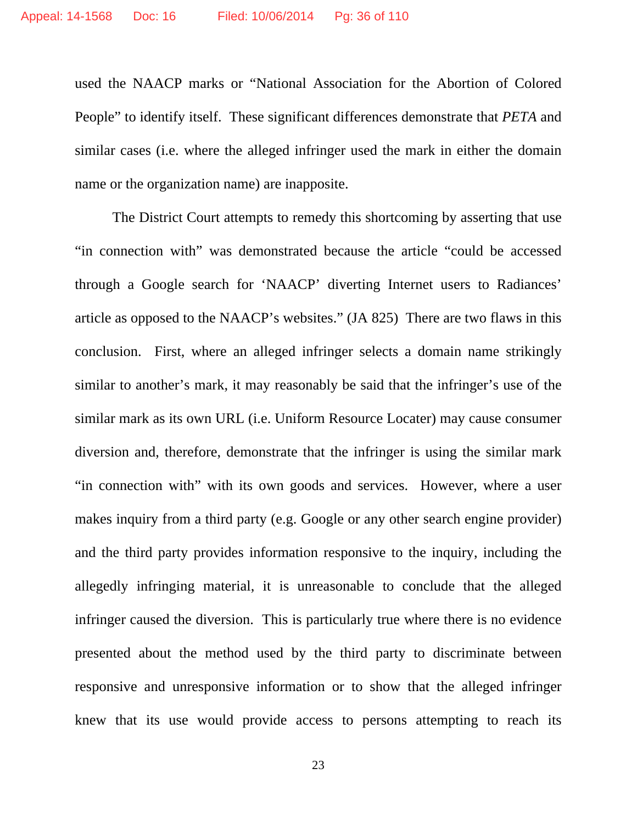used the NAACP marks or "National Association for the Abortion of Colored People" to identify itself. These significant differences demonstrate that *PETA* and similar cases (i.e. where the alleged infringer used the mark in either the domain name or the organization name) are inapposite.

The District Court attempts to remedy this shortcoming by asserting that use "in connection with" was demonstrated because the article "could be accessed through a Google search for 'NAACP' diverting Internet users to Radiances' article as opposed to the NAACP's websites." (JA 825) There are two flaws in this conclusion. First, where an alleged infringer selects a domain name strikingly similar to another's mark, it may reasonably be said that the infringer's use of the similar mark as its own URL (i.e. Uniform Resource Locater) may cause consumer diversion and, therefore, demonstrate that the infringer is using the similar mark "in connection with" with its own goods and services. However, where a user makes inquiry from a third party (e.g. Google or any other search engine provider) and the third party provides information responsive to the inquiry, including the allegedly infringing material, it is unreasonable to conclude that the alleged infringer caused the diversion. This is particularly true where there is no evidence presented about the method used by the third party to discriminate between responsive and unresponsive information or to show that the alleged infringer knew that its use would provide access to persons attempting to reach its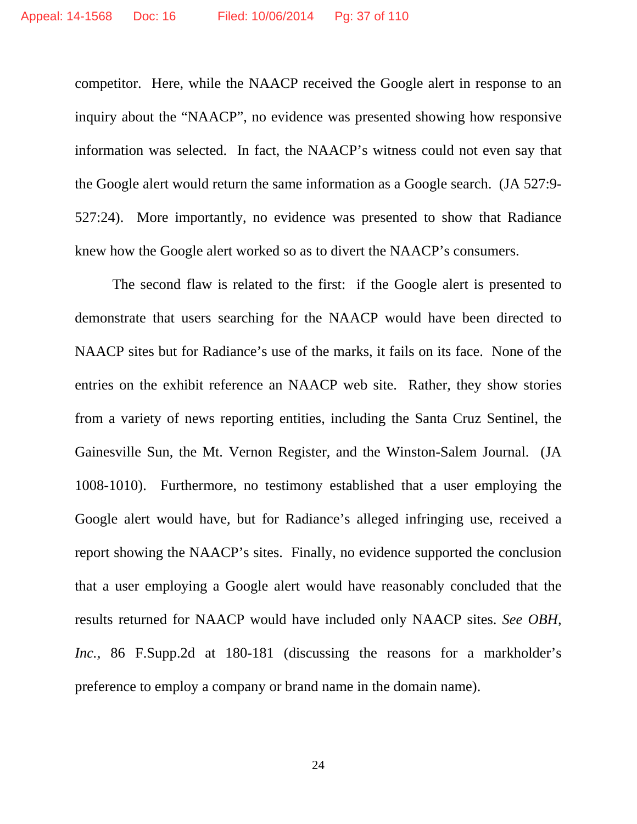competitor. Here, while the NAACP received the Google alert in response to an inquiry about the "NAACP", no evidence was presented showing how responsive information was selected. In fact, the NAACP's witness could not even say that the Google alert would return the same information as a Google search. (JA 527:9- 527:24). More importantly, no evidence was presented to show that Radiance knew how the Google alert worked so as to divert the NAACP's consumers.

The second flaw is related to the first: if the Google alert is presented to demonstrate that users searching for the NAACP would have been directed to NAACP sites but for Radiance's use of the marks, it fails on its face. None of the entries on the exhibit reference an NAACP web site. Rather, they show stories from a variety of news reporting entities, including the Santa Cruz Sentinel, the Gainesville Sun, the Mt. Vernon Register, and the Winston-Salem Journal. (JA 1008-1010). Furthermore, no testimony established that a user employing the Google alert would have, but for Radiance's alleged infringing use, received a report showing the NAACP's sites. Finally, no evidence supported the conclusion that a user employing a Google alert would have reasonably concluded that the results returned for NAACP would have included only NAACP sites. *See OBH, Inc.,* 86 F.Supp.2d at 180-181 (discussing the reasons for a markholder's preference to employ a company or brand name in the domain name).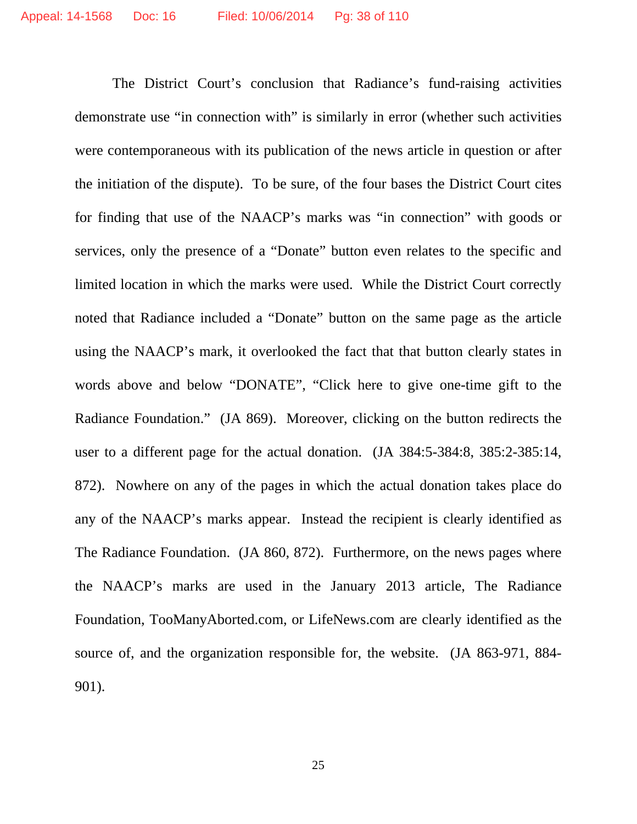The District Court's conclusion that Radiance's fund-raising activities demonstrate use "in connection with" is similarly in error (whether such activities were contemporaneous with its publication of the news article in question or after the initiation of the dispute). To be sure, of the four bases the District Court cites for finding that use of the NAACP's marks was "in connection" with goods or services, only the presence of a "Donate" button even relates to the specific and limited location in which the marks were used. While the District Court correctly noted that Radiance included a "Donate" button on the same page as the article using the NAACP's mark, it overlooked the fact that that button clearly states in words above and below "DONATE", "Click here to give one-time gift to the Radiance Foundation." (JA 869). Moreover, clicking on the button redirects the user to a different page for the actual donation. (JA 384:5-384:8, 385:2-385:14, 872). Nowhere on any of the pages in which the actual donation takes place do any of the NAACP's marks appear. Instead the recipient is clearly identified as The Radiance Foundation. (JA 860, 872). Furthermore, on the news pages where the NAACP's marks are used in the January 2013 article, The Radiance Foundation, TooManyAborted.com, or LifeNews.com are clearly identified as the source of, and the organization responsible for, the website. (JA 863-971, 884- 901).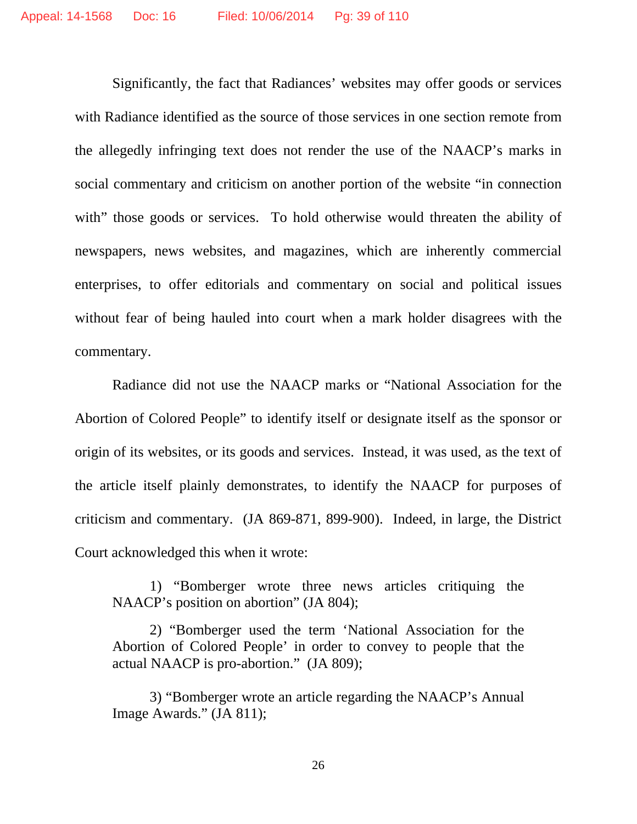Significantly, the fact that Radiances' websites may offer goods or services with Radiance identified as the source of those services in one section remote from the allegedly infringing text does not render the use of the NAACP's marks in social commentary and criticism on another portion of the website "in connection with" those goods or services. To hold otherwise would threaten the ability of newspapers, news websites, and magazines, which are inherently commercial enterprises, to offer editorials and commentary on social and political issues without fear of being hauled into court when a mark holder disagrees with the commentary.

Radiance did not use the NAACP marks or "National Association for the Abortion of Colored People" to identify itself or designate itself as the sponsor or origin of its websites, or its goods and services. Instead, it was used, as the text of the article itself plainly demonstrates, to identify the NAACP for purposes of criticism and commentary. (JA 869-871, 899-900). Indeed, in large, the District Court acknowledged this when it wrote:

1) "Bomberger wrote three news articles critiquing the NAACP's position on abortion" (JA 804);

2) "Bomberger used the term 'National Association for the Abortion of Colored People' in order to convey to people that the actual NAACP is pro-abortion." (JA 809);

3) "Bomberger wrote an article regarding the NAACP's Annual Image Awards." (JA 811);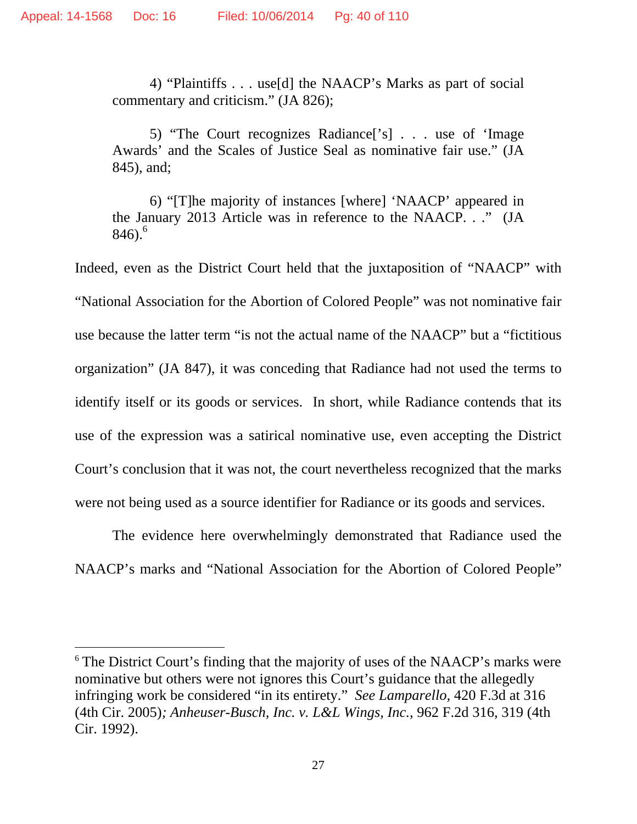4) "Plaintiffs . . . use[d] the NAACP's Marks as part of social commentary and criticism." (JA 826);

5) "The Court recognizes Radiance['s] . . . use of 'Image Awards' and the Scales of Justice Seal as nominative fair use." (JA 845), and;

6) "[T]he majority of instances [where] 'NAACP' appeared in the January 2013 Article was in reference to the NAACP. . ." (JA 846). $^{6}$ 

Indeed, even as the District Court held that the juxtaposition of "NAACP" with "National Association for the Abortion of Colored People" was not nominative fair use because the latter term "is not the actual name of the NAACP" but a "fictitious organization" (JA 847), it was conceding that Radiance had not used the terms to identify itself or its goods or services. In short, while Radiance contends that its use of the expression was a satirical nominative use, even accepting the District Court's conclusion that it was not, the court nevertheless recognized that the marks were not being used as a source identifier for Radiance or its goods and services.

The evidence here overwhelmingly demonstrated that Radiance used the NAACP's marks and "National Association for the Abortion of Colored People"

 $\overline{a}$ 

<sup>&</sup>lt;sup>6</sup> The District Court's finding that the majority of uses of the NAACP's marks were nominative but others were not ignores this Court's guidance that the allegedly infringing work be considered "in its entirety." *See Lamparello,* 420 F.3d at 316 (4th Cir. 2005)*; Anheuser-Busch, Inc. v. L&L Wings, Inc.,* 962 F.2d 316, 319 (4th Cir. 1992).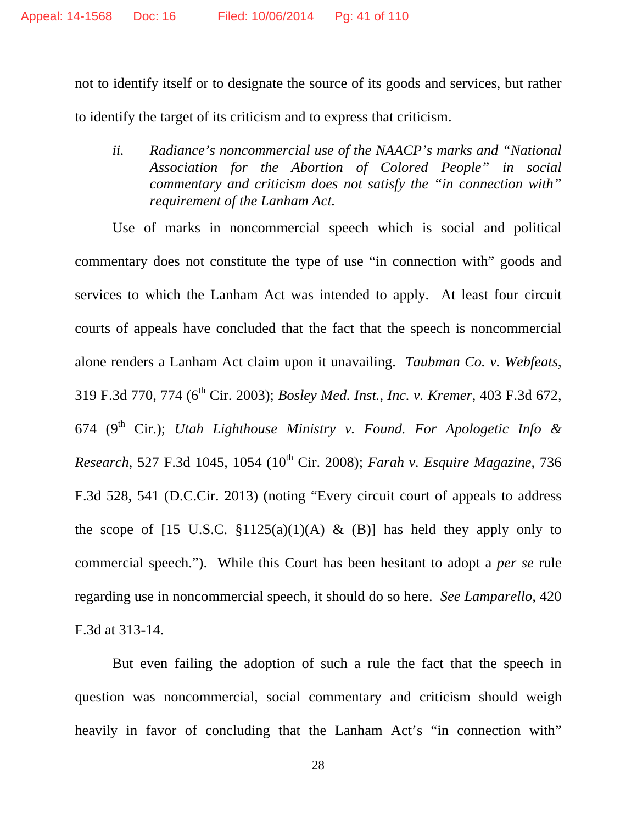not to identify itself or to designate the source of its goods and services, but rather to identify the target of its criticism and to express that criticism.

*ii. Radiance's noncommercial use of the NAACP's marks and "National Association for the Abortion of Colored People" in social commentary and criticism does not satisfy the "in connection with" requirement of the Lanham Act.* 

Use of marks in noncommercial speech which is social and political commentary does not constitute the type of use "in connection with" goods and services to which the Lanham Act was intended to apply. At least four circuit courts of appeals have concluded that the fact that the speech is noncommercial alone renders a Lanham Act claim upon it unavailing. *Taubman Co. v. Webfeats*, 319 F.3d 770, 774 (6th Cir. 2003); *Bosley Med. Inst., Inc. v. Kremer,* 403 F.3d 672, 674 (9<sup>th</sup> Cir.); *Utah Lighthouse Ministry v. Found. For Apologetic Info & Research*, 527 F.3d 1045, 1054 (10<sup>th</sup> Cir. 2008); *Farah v. Esquire Magazine*, 736 F.3d 528, 541 (D.C.Cir. 2013) (noting "Every circuit court of appeals to address the scope of  $[15 \text{ U.S.C. } §1125(a)(1)(\text{A}) \& (\text{B})]$  has held they apply only to commercial speech."). While this Court has been hesitant to adopt a *per se* rule regarding use in noncommercial speech, it should do so here. *See Lamparello,* 420 F.3d at 313-14.

But even failing the adoption of such a rule the fact that the speech in question was noncommercial, social commentary and criticism should weigh heavily in favor of concluding that the Lanham Act's "in connection with"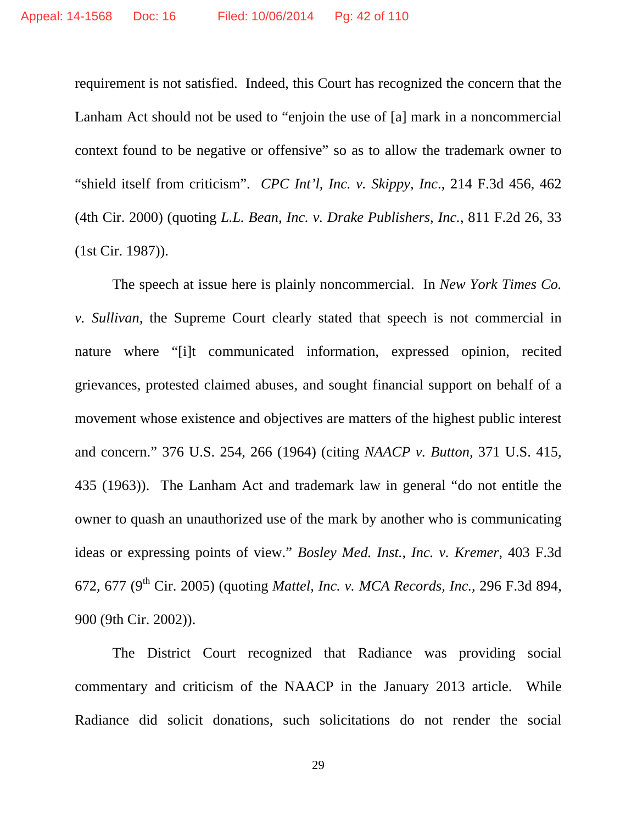requirement is not satisfied. Indeed, this Court has recognized the concern that the Lanham Act should not be used to "enjoin the use of [a] mark in a noncommercial context found to be negative or offensive" so as to allow the trademark owner to "shield itself from criticism". *CPC Int'l, Inc. v. Skippy, Inc*., 214 F.3d 456, 462 (4th Cir. 2000) (quoting *L.L. Bean, Inc. v. Drake Publishers, Inc.*, 811 F.2d 26, 33 (1st Cir. 1987)).

The speech at issue here is plainly noncommercial. In *New York Times Co. v. Sullivan,* the Supreme Court clearly stated that speech is not commercial in nature where "[i]t communicated information, expressed opinion, recited grievances, protested claimed abuses, and sought financial support on behalf of a movement whose existence and objectives are matters of the highest public interest and concern." 376 U.S. 254, 266 (1964) (citing *NAACP v. Button,* 371 U.S. 415, 435 (1963)). The Lanham Act and trademark law in general "do not entitle the owner to quash an unauthorized use of the mark by another who is communicating ideas or expressing points of view." *Bosley Med. Inst., Inc. v. Kremer,* 403 F.3d 672, 677 (9th Cir. 2005) (quoting *Mattel, Inc. v. MCA Records, Inc.,* 296 F.3d 894, 900 (9th Cir. 2002)).

The District Court recognized that Radiance was providing social commentary and criticism of the NAACP in the January 2013 article. While Radiance did solicit donations, such solicitations do not render the social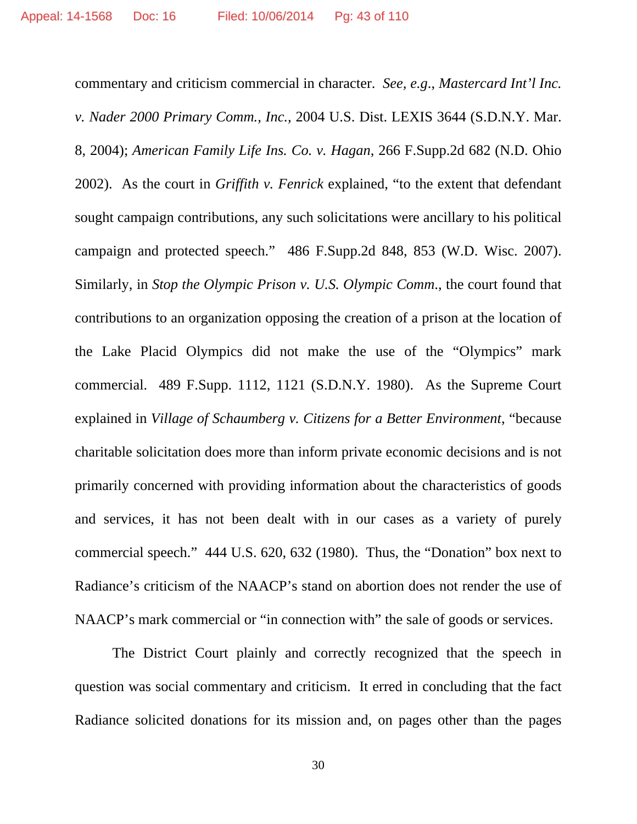commentary and criticism commercial in character. *See, e.g*., *Mastercard Int'l Inc. v. Nader 2000 Primary Comm., Inc.,* 2004 U.S. Dist. LEXIS 3644 (S.D.N.Y. Mar. 8, 2004); *American Family Life Ins. Co. v. Hagan*, 266 F.Supp.2d 682 (N.D. Ohio 2002). As the court in *Griffith v. Fenrick* explained, "to the extent that defendant sought campaign contributions, any such solicitations were ancillary to his political campaign and protected speech." 486 F.Supp.2d 848, 853 (W.D. Wisc. 2007). Similarly, in *Stop the Olympic Prison v. U.S. Olympic Comm*., the court found that contributions to an organization opposing the creation of a prison at the location of the Lake Placid Olympics did not make the use of the "Olympics" mark commercial. 489 F.Supp. 1112, 1121 (S.D.N.Y. 1980). As the Supreme Court explained in *Village of Schaumberg v. Citizens for a Better Environment*, "because charitable solicitation does more than inform private economic decisions and is not primarily concerned with providing information about the characteristics of goods and services, it has not been dealt with in our cases as a variety of purely commercial speech." 444 U.S. 620, 632 (1980). Thus, the "Donation" box next to Radiance's criticism of the NAACP's stand on abortion does not render the use of NAACP's mark commercial or "in connection with" the sale of goods or services.

 The District Court plainly and correctly recognized that the speech in question was social commentary and criticism. It erred in concluding that the fact Radiance solicited donations for its mission and, on pages other than the pages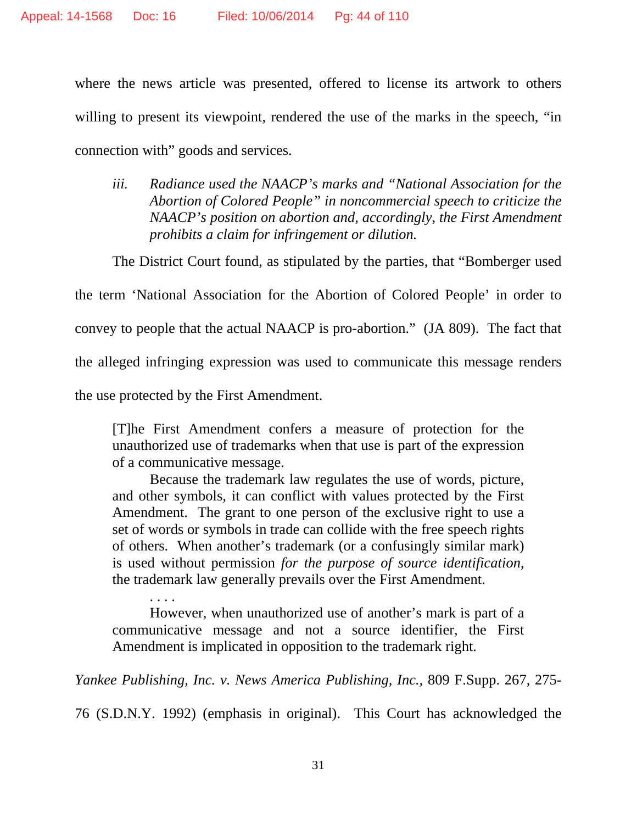where the news article was presented, offered to license its artwork to others willing to present its viewpoint, rendered the use of the marks in the speech, "in connection with" goods and services.

*iii. Radiance used the NAACP's marks and "National Association for the Abortion of Colored People" in noncommercial speech to criticize the NAACP's position on abortion and, accordingly, the First Amendment prohibits a claim for infringement or dilution.* 

The District Court found, as stipulated by the parties, that "Bomberger used

the term 'National Association for the Abortion of Colored People' in order to convey to people that the actual NAACP is pro-abortion." (JA 809). The fact that the alleged infringing expression was used to communicate this message renders the use protected by the First Amendment.

[T]he First Amendment confers a measure of protection for the unauthorized use of trademarks when that use is part of the expression of a communicative message.

 Because the trademark law regulates the use of words, picture, and other symbols, it can conflict with values protected by the First Amendment. The grant to one person of the exclusive right to use a set of words or symbols in trade can collide with the free speech rights of others. When another's trademark (or a confusingly similar mark) is used without permission *for the purpose of source identification*, the trademark law generally prevails over the First Amendment.

 However, when unauthorized use of another's mark is part of a communicative message and not a source identifier, the First Amendment is implicated in opposition to the trademark right.

. . . .

*Yankee Publishing, Inc. v. News America Publishing, Inc.,* 809 F.Supp. 267, 275-

76 (S.D.N.Y. 1992) (emphasis in original). This Court has acknowledged the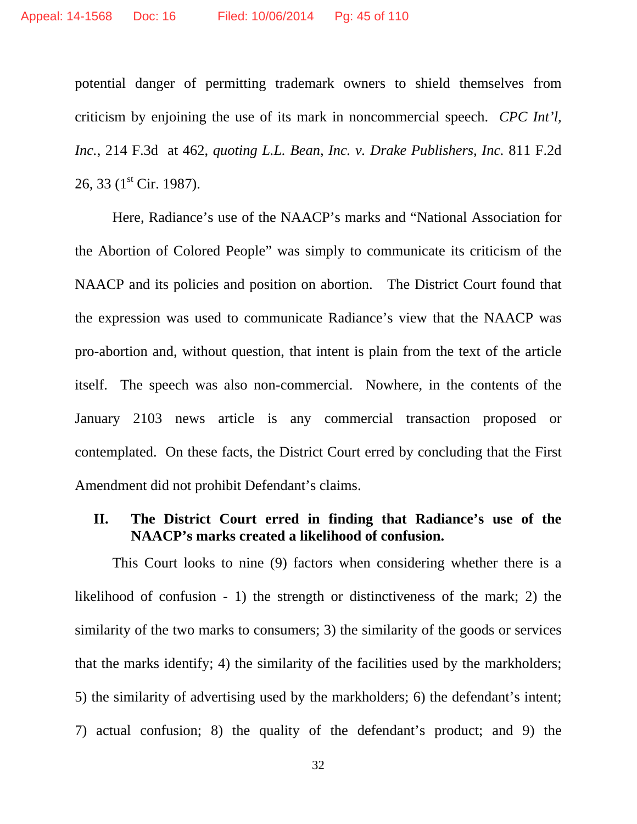potential danger of permitting trademark owners to shield themselves from criticism by enjoining the use of its mark in noncommercial speech. *CPC Int'l, Inc.*, 214 F.3d at 462, *quoting L.L. Bean, Inc. v. Drake Publishers, Inc.* 811 F.2d 26, 33  $(1^{\text{st}}$  Cir. 1987).

 Here, Radiance's use of the NAACP's marks and "National Association for the Abortion of Colored People" was simply to communicate its criticism of the NAACP and its policies and position on abortion. The District Court found that the expression was used to communicate Radiance's view that the NAACP was pro-abortion and, without question, that intent is plain from the text of the article itself. The speech was also non-commercial. Nowhere, in the contents of the January 2103 news article is any commercial transaction proposed or contemplated. On these facts, the District Court erred by concluding that the First Amendment did not prohibit Defendant's claims.

## **II. The District Court erred in finding that Radiance's use of the NAACP's marks created a likelihood of confusion.**

This Court looks to nine (9) factors when considering whether there is a likelihood of confusion - 1) the strength or distinctiveness of the mark; 2) the similarity of the two marks to consumers; 3) the similarity of the goods or services that the marks identify; 4) the similarity of the facilities used by the markholders; 5) the similarity of advertising used by the markholders; 6) the defendant's intent; 7) actual confusion; 8) the quality of the defendant's product; and 9) the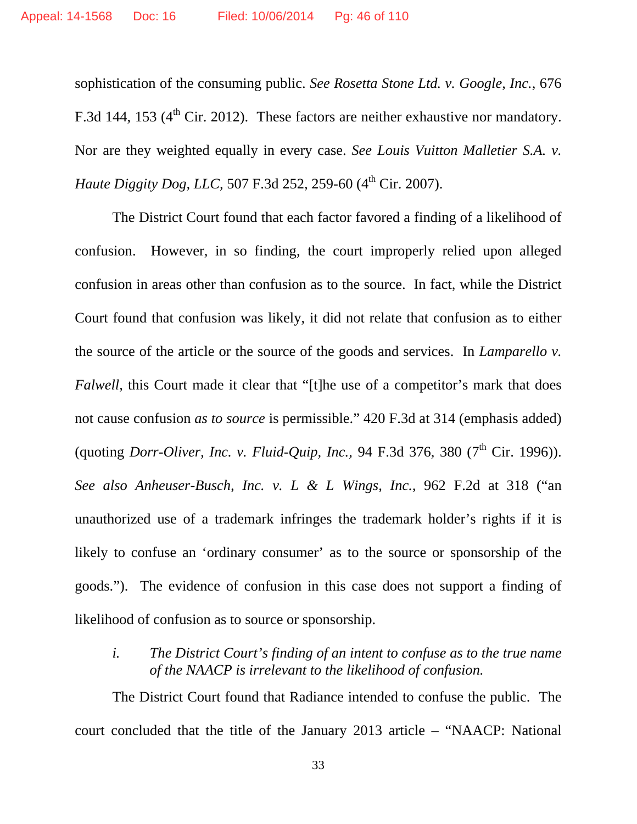sophistication of the consuming public. *See Rosetta Stone Ltd. v. Google, Inc.,* 676 F.3d 144, 153 ( $4^{\text{th}}$  Cir. 2012). These factors are neither exhaustive nor mandatory. Nor are they weighted equally in every case. *See Louis Vuitton Malletier S.A. v. Haute Diggity Dog, LLC, 507 F.3d 252, 259-60 (4<sup>th</sup> Cir. 2007).* 

The District Court found that each factor favored a finding of a likelihood of confusion. However, in so finding, the court improperly relied upon alleged confusion in areas other than confusion as to the source. In fact, while the District Court found that confusion was likely, it did not relate that confusion as to either the source of the article or the source of the goods and services. In *Lamparello v. Falwell*, this Court made it clear that "[t]he use of a competitor's mark that does not cause confusion *as to source* is permissible." 420 F.3d at 314 (emphasis added) (quoting *Dorr-Oliver, Inc. v. Fluid-Ouip, Inc.*, 94 F.3d 376, 380 (7<sup>th</sup> Cir. 1996)). *See also Anheuser-Busch, Inc. v. L & L Wings, Inc.,* 962 F.2d at 318 ("an unauthorized use of a trademark infringes the trademark holder's rights if it is likely to confuse an 'ordinary consumer' as to the source or sponsorship of the goods."). The evidence of confusion in this case does not support a finding of likelihood of confusion as to source or sponsorship.

*i. The District Court's finding of an intent to confuse as to the true name of the NAACP is irrelevant to the likelihood of confusion.* 

 The District Court found that Radiance intended to confuse the public. The court concluded that the title of the January 2013 article – "NAACP: National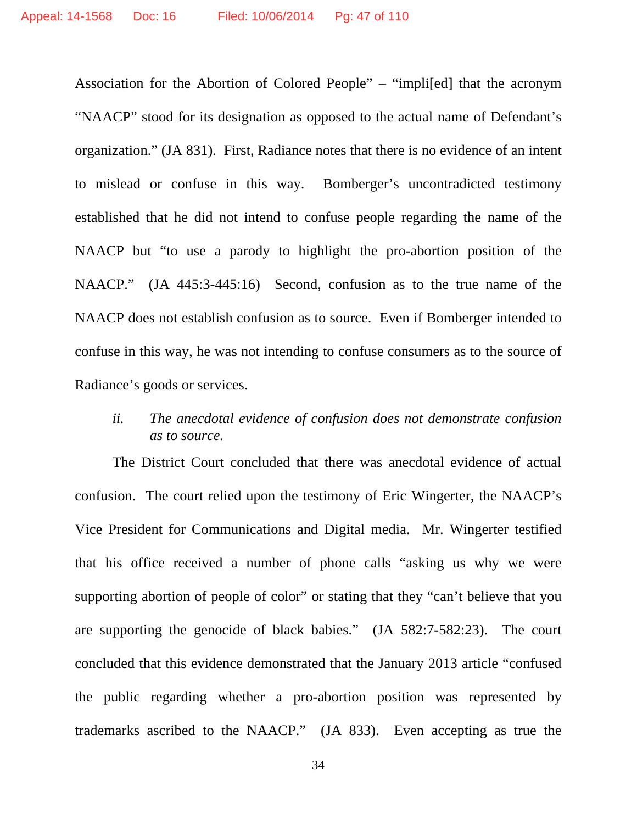Association for the Abortion of Colored People" – "impli[ed] that the acronym "NAACP" stood for its designation as opposed to the actual name of Defendant's organization." (JA 831). First, Radiance notes that there is no evidence of an intent to mislead or confuse in this way. Bomberger's uncontradicted testimony established that he did not intend to confuse people regarding the name of the NAACP but "to use a parody to highlight the pro-abortion position of the NAACP." (JA 445:3-445:16) Second, confusion as to the true name of the NAACP does not establish confusion as to source. Even if Bomberger intended to confuse in this way, he was not intending to confuse consumers as to the source of Radiance's goods or services.

# *ii. The anecdotal evidence of confusion does not demonstrate confusion as to source.*

 The District Court concluded that there was anecdotal evidence of actual confusion. The court relied upon the testimony of Eric Wingerter, the NAACP's Vice President for Communications and Digital media. Mr. Wingerter testified that his office received a number of phone calls "asking us why we were supporting abortion of people of color" or stating that they "can't believe that you are supporting the genocide of black babies." (JA 582:7-582:23). The court concluded that this evidence demonstrated that the January 2013 article "confused the public regarding whether a pro-abortion position was represented by trademarks ascribed to the NAACP." (JA 833). Even accepting as true the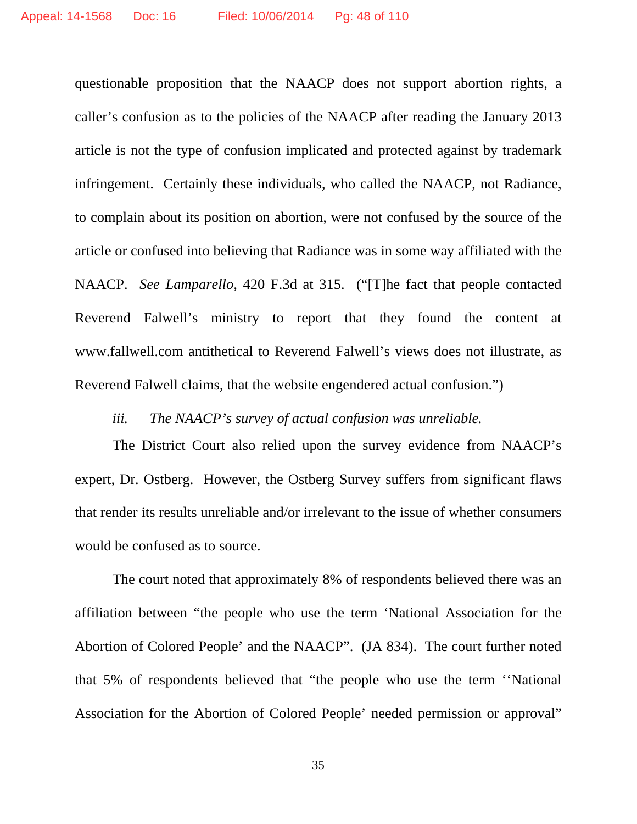questionable proposition that the NAACP does not support abortion rights, a caller's confusion as to the policies of the NAACP after reading the January 2013 article is not the type of confusion implicated and protected against by trademark infringement. Certainly these individuals, who called the NAACP, not Radiance, to complain about its position on abortion, were not confused by the source of the article or confused into believing that Radiance was in some way affiliated with the NAACP. *See Lamparello,* 420 F.3d at 315. ("[T]he fact that people contacted Reverend Falwell's ministry to report that they found the content at www.fallwell.com antithetical to Reverend Falwell's views does not illustrate, as Reverend Falwell claims, that the website engendered actual confusion.")

## *iii. The NAACP's survey of actual confusion was unreliable.*

 The District Court also relied upon the survey evidence from NAACP's expert, Dr. Ostberg. However, the Ostberg Survey suffers from significant flaws that render its results unreliable and/or irrelevant to the issue of whether consumers would be confused as to source.

 The court noted that approximately 8% of respondents believed there was an affiliation between "the people who use the term 'National Association for the Abortion of Colored People' and the NAACP". (JA 834). The court further noted that 5% of respondents believed that "the people who use the term ''National Association for the Abortion of Colored People' needed permission or approval"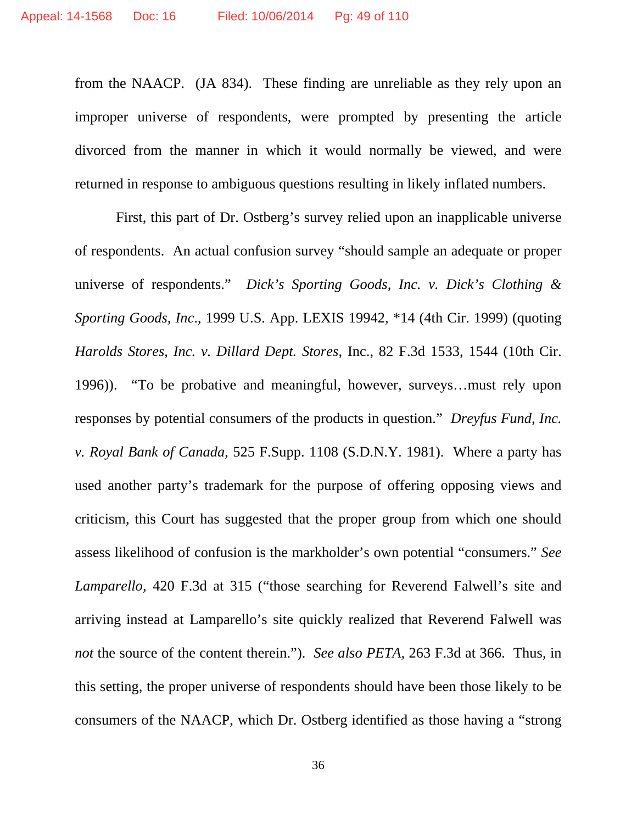from the NAACP. (JA 834). These finding are unreliable as they rely upon an improper universe of respondents, were prompted by presenting the article divorced from the manner in which it would normally be viewed, and were returned in response to ambiguous questions resulting in likely inflated numbers.

 First, this part of Dr. Ostberg's survey relied upon an inapplicable universe of respondents. An actual confusion survey "should sample an adequate or proper universe of respondents." *Dick's Sporting Goods, Inc. v. Dick's Clothing & Sporting Goods, Inc*., 1999 U.S. App. LEXIS 19942, \*14 (4th Cir. 1999) (quoting *Harolds Stores, Inc. v. Dillard Dept. Stores*, Inc., 82 F.3d 1533, 1544 (10th Cir. 1996)). "To be probative and meaningful, however, surveys…must rely upon responses by potential consumers of the products in question." *Dreyfus Fund, Inc. v. Royal Bank of Canada*, 525 F.Supp. 1108 (S.D.N.Y. 1981). Where a party has used another party's trademark for the purpose of offering opposing views and criticism, this Court has suggested that the proper group from which one should assess likelihood of confusion is the markholder's own potential "consumers." *See Lamparello,* 420 F.3d at 315 ("those searching for Reverend Falwell's site and arriving instead at Lamparello's site quickly realized that Reverend Falwell was *not* the source of the content therein."). *See also PETA*, 263 F.3d at 366. Thus, in this setting, the proper universe of respondents should have been those likely to be consumers of the NAACP, which Dr. Ostberg identified as those having a "strong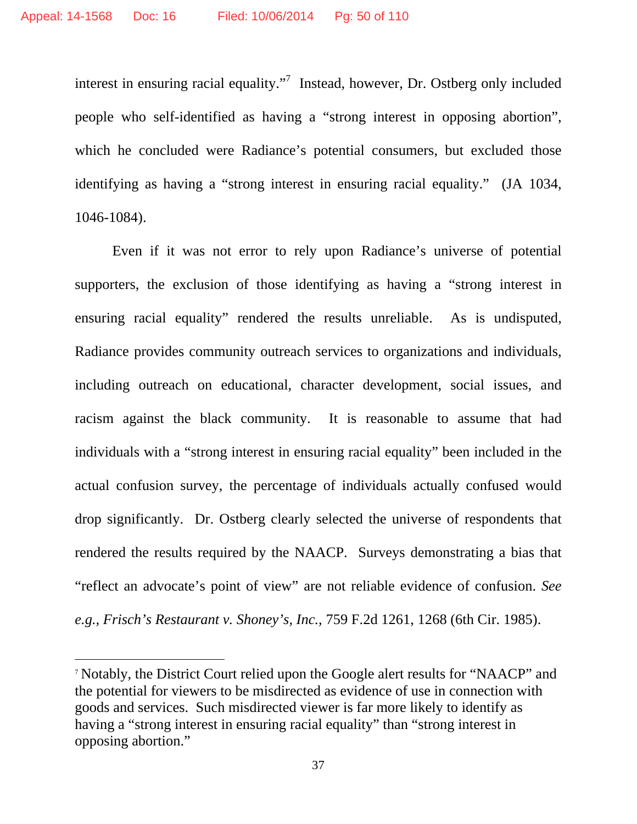interest in ensuring racial equality."<sup>7</sup> Instead, however, Dr. Ostberg only included people who self-identified as having a "strong interest in opposing abortion", which he concluded were Radiance's potential consumers, but excluded those identifying as having a "strong interest in ensuring racial equality." (JA 1034, 1046-1084).

 Even if it was not error to rely upon Radiance's universe of potential supporters, the exclusion of those identifying as having a "strong interest in ensuring racial equality" rendered the results unreliable. As is undisputed, Radiance provides community outreach services to organizations and individuals, including outreach on educational, character development, social issues, and racism against the black community. It is reasonable to assume that had individuals with a "strong interest in ensuring racial equality" been included in the actual confusion survey, the percentage of individuals actually confused would drop significantly. Dr. Ostberg clearly selected the universe of respondents that rendered the results required by the NAACP. Surveys demonstrating a bias that "reflect an advocate's point of view" are not reliable evidence of confusion. *See e.g., Frisch's Restaurant v. Shoney's, Inc.,* 759 F.2d 1261, 1268 (6th Cir. 1985).

 $\overline{a}$ 

<sup>7</sup> Notably, the District Court relied upon the Google alert results for "NAACP" and the potential for viewers to be misdirected as evidence of use in connection with goods and services. Such misdirected viewer is far more likely to identify as having a "strong interest in ensuring racial equality" than "strong interest in opposing abortion."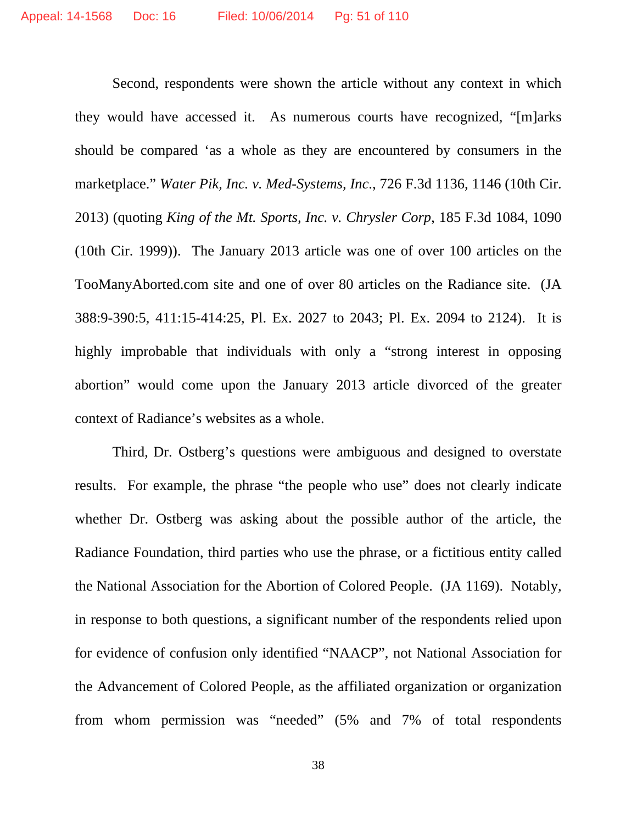Second, respondents were shown the article without any context in which they would have accessed it. As numerous courts have recognized, "[m]arks should be compared 'as a whole as they are encountered by consumers in the marketplace." *Water Pik, Inc. v. Med-Systems, Inc*., 726 F.3d 1136, 1146 (10th Cir. 2013) (quoting *King of the Mt. Sports, Inc. v. Chrysler Corp*, 185 F.3d 1084, 1090 (10th Cir. 1999)). The January 2013 article was one of over 100 articles on the TooManyAborted.com site and one of over 80 articles on the Radiance site. (JA 388:9-390:5, 411:15-414:25, Pl. Ex. 2027 to 2043; Pl. Ex. 2094 to 2124). It is highly improbable that individuals with only a "strong interest in opposing abortion" would come upon the January 2013 article divorced of the greater context of Radiance's websites as a whole.

 Third, Dr. Ostberg's questions were ambiguous and designed to overstate results. For example, the phrase "the people who use" does not clearly indicate whether Dr. Ostberg was asking about the possible author of the article, the Radiance Foundation, third parties who use the phrase, or a fictitious entity called the National Association for the Abortion of Colored People. (JA 1169). Notably, in response to both questions, a significant number of the respondents relied upon for evidence of confusion only identified "NAACP", not National Association for the Advancement of Colored People, as the affiliated organization or organization from whom permission was "needed" (5% and 7% of total respondents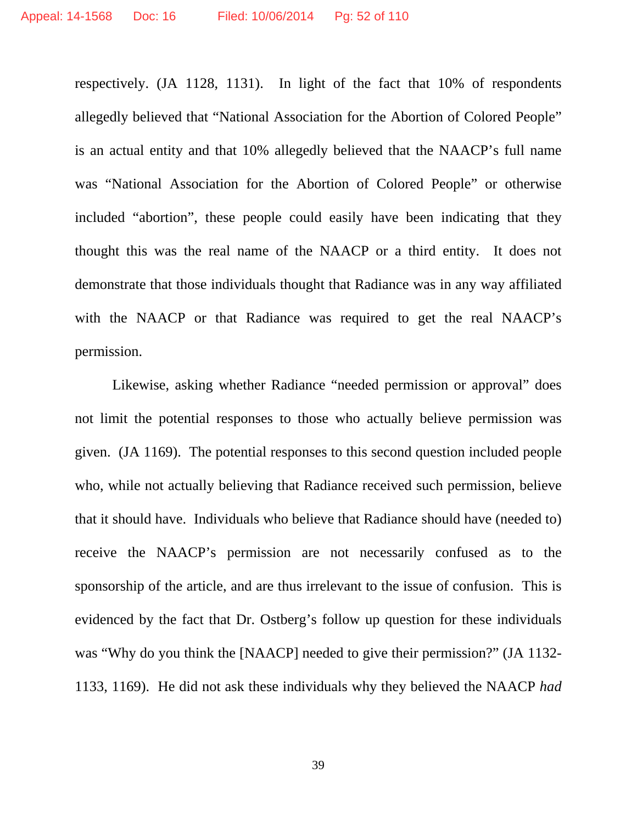respectively. (JA 1128, 1131). In light of the fact that 10% of respondents allegedly believed that "National Association for the Abortion of Colored People" is an actual entity and that 10% allegedly believed that the NAACP's full name was "National Association for the Abortion of Colored People" or otherwise included "abortion", these people could easily have been indicating that they thought this was the real name of the NAACP or a third entity. It does not demonstrate that those individuals thought that Radiance was in any way affiliated with the NAACP or that Radiance was required to get the real NAACP's permission.

Likewise, asking whether Radiance "needed permission or approval" does not limit the potential responses to those who actually believe permission was given. (JA 1169). The potential responses to this second question included people who, while not actually believing that Radiance received such permission, believe that it should have. Individuals who believe that Radiance should have (needed to) receive the NAACP's permission are not necessarily confused as to the sponsorship of the article, and are thus irrelevant to the issue of confusion. This is evidenced by the fact that Dr. Ostberg's follow up question for these individuals was "Why do you think the [NAACP] needed to give their permission?" (JA 1132- 1133, 1169). He did not ask these individuals why they believed the NAACP *had*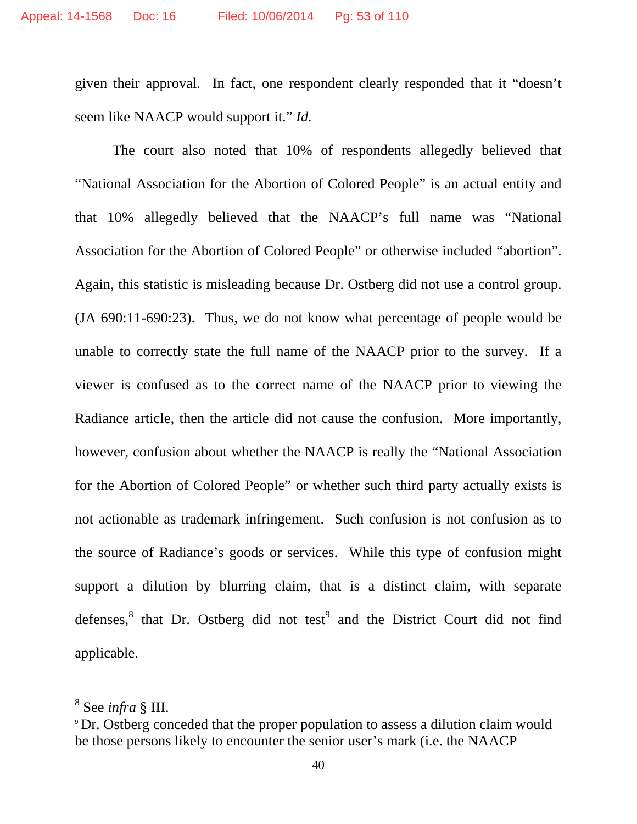given their approval. In fact, one respondent clearly responded that it "doesn't seem like NAACP would support it." *Id.* 

The court also noted that 10% of respondents allegedly believed that "National Association for the Abortion of Colored People" is an actual entity and that 10% allegedly believed that the NAACP's full name was "National Association for the Abortion of Colored People" or otherwise included "abortion". Again, this statistic is misleading because Dr. Ostberg did not use a control group. (JA 690:11-690:23). Thus, we do not know what percentage of people would be unable to correctly state the full name of the NAACP prior to the survey. If a viewer is confused as to the correct name of the NAACP prior to viewing the Radiance article, then the article did not cause the confusion. More importantly, however, confusion about whether the NAACP is really the "National Association for the Abortion of Colored People" or whether such third party actually exists is not actionable as trademark infringement. Such confusion is not confusion as to the source of Radiance's goods or services. While this type of confusion might support a dilution by blurring claim, that is a distinct claim, with separate defenses, $8$  that Dr. Ostberg did not test $9$  and the District Court did not find applicable.

 $\overline{a}$ 

<sup>8</sup> See *infra* § III.

<sup>9</sup> Dr. Ostberg conceded that the proper population to assess a dilution claim would be those persons likely to encounter the senior user's mark (i.e. the NAACP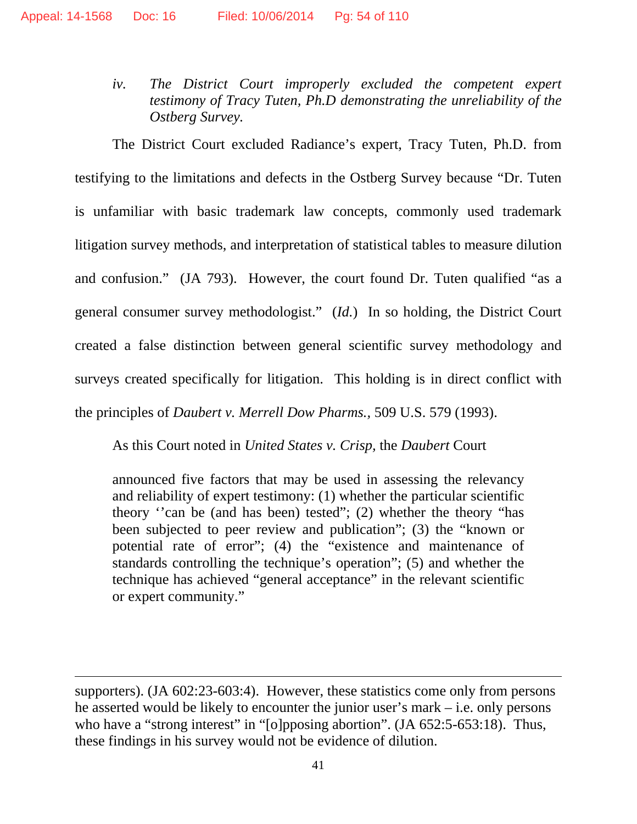*iv. The District Court improperly excluded the competent expert testimony of Tracy Tuten, Ph.D demonstrating the unreliability of the Ostberg Survey.* 

The District Court excluded Radiance's expert, Tracy Tuten, Ph.D. from testifying to the limitations and defects in the Ostberg Survey because "Dr. Tuten is unfamiliar with basic trademark law concepts, commonly used trademark litigation survey methods, and interpretation of statistical tables to measure dilution and confusion." (JA 793). However, the court found Dr. Tuten qualified "as a general consumer survey methodologist." (*Id.*) In so holding, the District Court created a false distinction between general scientific survey methodology and surveys created specifically for litigation. This holding is in direct conflict with the principles of *Daubert v. Merrell Dow Pharms.,* 509 U.S. 579 (1993).

As this Court noted in *United States v. Crisp,* the *Daubert* Court

announced five factors that may be used in assessing the relevancy and reliability of expert testimony: (1) whether the particular scientific theory ''can be (and has been) tested"; (2) whether the theory "has been subjected to peer review and publication"; (3) the "known or potential rate of error"; (4) the "existence and maintenance of standards controlling the technique's operation"; (5) and whether the technique has achieved "general acceptance" in the relevant scientific or expert community."

 $\overline{a}$ 

supporters). (JA 602:23-603:4). However, these statistics come only from persons he asserted would be likely to encounter the junior user's mark – i.e. only persons who have a "strong interest" in "[o]pposing abortion". (JA 652:5-653:18). Thus, these findings in his survey would not be evidence of dilution.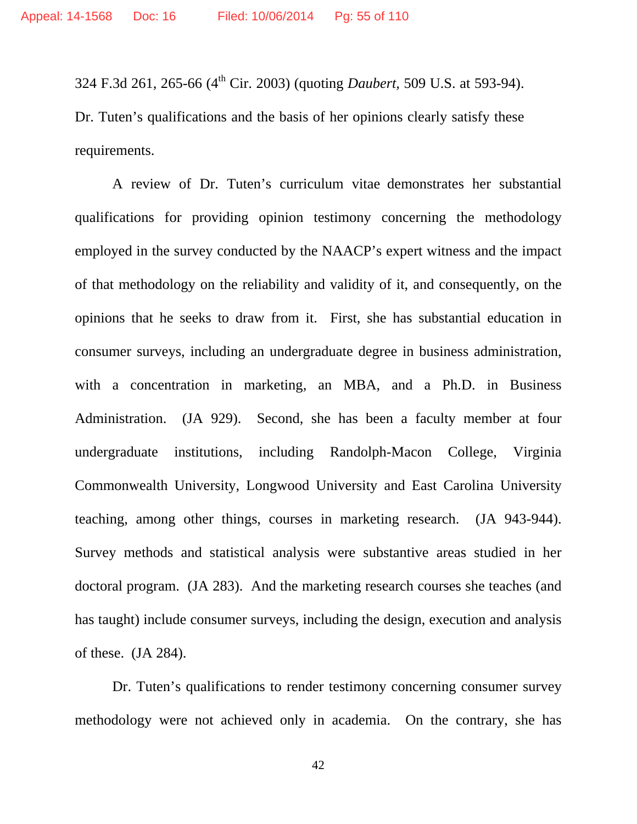324 F.3d 261, 265-66 (4th Cir. 2003) (quoting *Daubert,* 509 U.S. at 593-94).

Dr. Tuten's qualifications and the basis of her opinions clearly satisfy these requirements.

A review of Dr. Tuten's curriculum vitae demonstrates her substantial qualifications for providing opinion testimony concerning the methodology employed in the survey conducted by the NAACP's expert witness and the impact of that methodology on the reliability and validity of it, and consequently, on the opinions that he seeks to draw from it. First, she has substantial education in consumer surveys, including an undergraduate degree in business administration, with a concentration in marketing, an MBA, and a Ph.D. in Business Administration. (JA 929). Second, she has been a faculty member at four undergraduate institutions, including Randolph-Macon College, Virginia Commonwealth University, Longwood University and East Carolina University teaching, among other things, courses in marketing research. (JA 943-944). Survey methods and statistical analysis were substantive areas studied in her doctoral program. (JA 283). And the marketing research courses she teaches (and has taught) include consumer surveys, including the design, execution and analysis of these. (JA 284).

Dr. Tuten's qualifications to render testimony concerning consumer survey methodology were not achieved only in academia. On the contrary, she has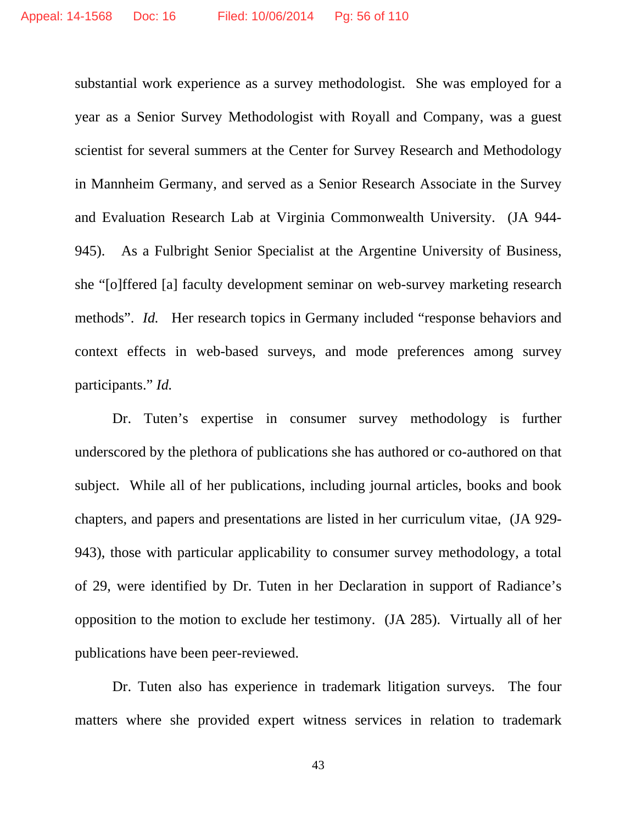substantial work experience as a survey methodologist. She was employed for a year as a Senior Survey Methodologist with Royall and Company, was a guest scientist for several summers at the Center for Survey Research and Methodology in Mannheim Germany, and served as a Senior Research Associate in the Survey and Evaluation Research Lab at Virginia Commonwealth University. (JA 944- 945). As a Fulbright Senior Specialist at the Argentine University of Business, she "[o]ffered [a] faculty development seminar on web-survey marketing research methods". *Id.* Her research topics in Germany included "response behaviors and context effects in web-based surveys, and mode preferences among survey participants." *Id.* 

Dr. Tuten's expertise in consumer survey methodology is further underscored by the plethora of publications she has authored or co-authored on that subject. While all of her publications, including journal articles, books and book chapters, and papers and presentations are listed in her curriculum vitae, (JA 929- 943), those with particular applicability to consumer survey methodology, a total of 29, were identified by Dr. Tuten in her Declaration in support of Radiance's opposition to the motion to exclude her testimony. (JA 285). Virtually all of her publications have been peer-reviewed.

Dr. Tuten also has experience in trademark litigation surveys. The four matters where she provided expert witness services in relation to trademark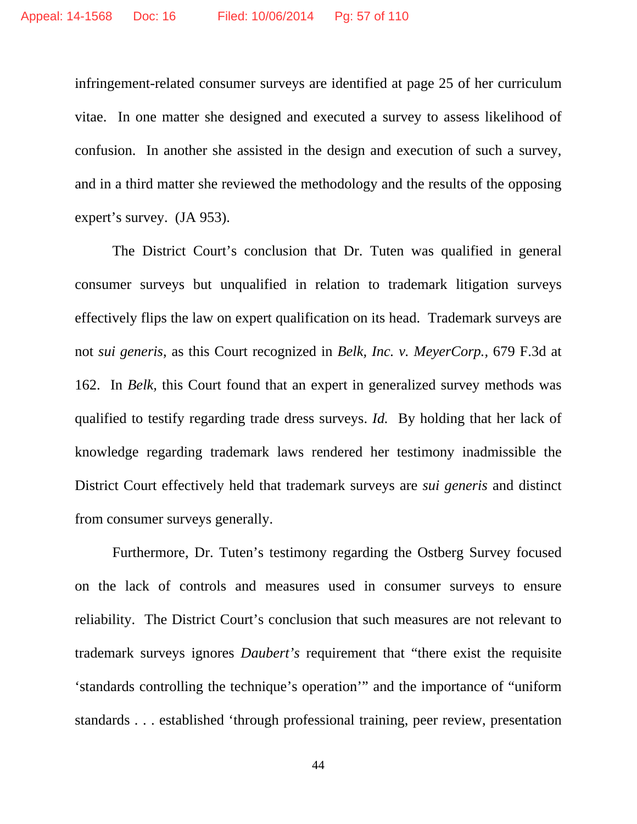infringement-related consumer surveys are identified at page 25 of her curriculum vitae. In one matter she designed and executed a survey to assess likelihood of confusion. In another she assisted in the design and execution of such a survey, and in a third matter she reviewed the methodology and the results of the opposing expert's survey. (JA 953).

The District Court's conclusion that Dr. Tuten was qualified in general consumer surveys but unqualified in relation to trademark litigation surveys effectively flips the law on expert qualification on its head. Trademark surveys are not *sui generis*, as this Court recognized in *Belk, Inc. v. MeyerCorp.,* 679 F.3d at 162. In *Belk,* this Court found that an expert in generalized survey methods was qualified to testify regarding trade dress surveys. *Id.* By holding that her lack of knowledge regarding trademark laws rendered her testimony inadmissible the District Court effectively held that trademark surveys are *sui generis* and distinct from consumer surveys generally.

Furthermore, Dr. Tuten's testimony regarding the Ostberg Survey focused on the lack of controls and measures used in consumer surveys to ensure reliability. The District Court's conclusion that such measures are not relevant to trademark surveys ignores *Daubert's* requirement that "there exist the requisite 'standards controlling the technique's operation'" and the importance of "uniform standards . . . established 'through professional training, peer review, presentation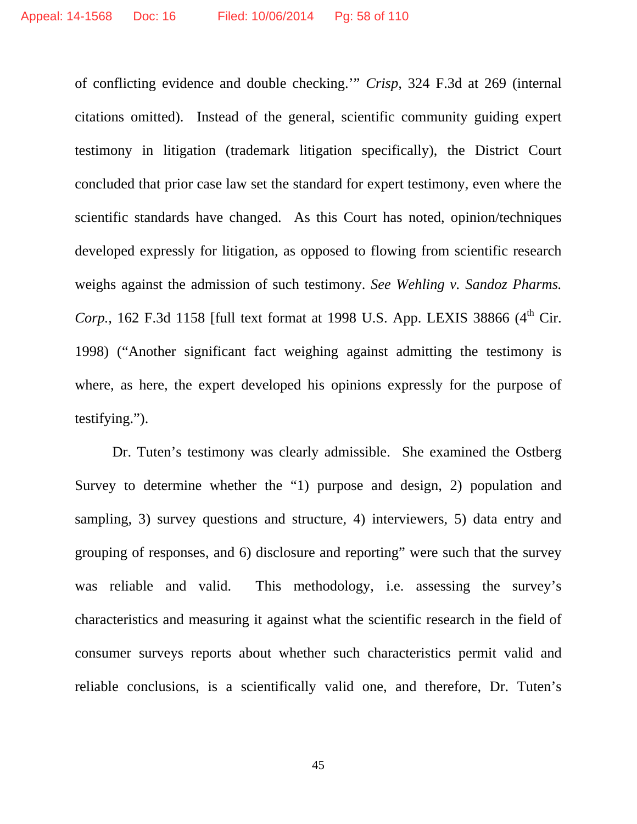of conflicting evidence and double checking.'" *Crisp,* 324 F.3d at 269 (internal citations omitted). Instead of the general, scientific community guiding expert testimony in litigation (trademark litigation specifically), the District Court concluded that prior case law set the standard for expert testimony, even where the scientific standards have changed. As this Court has noted, opinion/techniques developed expressly for litigation, as opposed to flowing from scientific research weighs against the admission of such testimony. *See Wehling v. Sandoz Pharms. Corp.*, 162 F.3d 1158 [full text format at 1998 U.S. App. LEXIS 38866  $(4<sup>th</sup>$  Cir. 1998) ("Another significant fact weighing against admitting the testimony is where, as here, the expert developed his opinions expressly for the purpose of testifying.").

Dr. Tuten's testimony was clearly admissible. She examined the Ostberg Survey to determine whether the "1) purpose and design, 2) population and sampling, 3) survey questions and structure, 4) interviewers, 5) data entry and grouping of responses, and 6) disclosure and reporting" were such that the survey was reliable and valid. This methodology, i.e. assessing the survey's characteristics and measuring it against what the scientific research in the field of consumer surveys reports about whether such characteristics permit valid and reliable conclusions, is a scientifically valid one, and therefore, Dr. Tuten's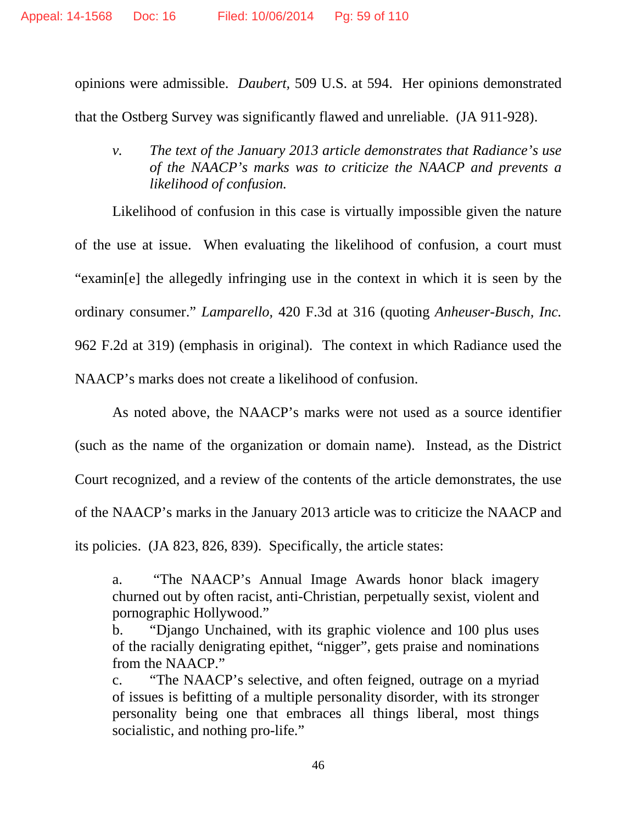opinions were admissible. *Daubert,* 509 U.S. at 594. Her opinions demonstrated that the Ostberg Survey was significantly flawed and unreliable. (JA 911-928).

*v. The text of the January 2013 article demonstrates that Radiance's use of the NAACP's marks was to criticize the NAACP and prevents a likelihood of confusion.* 

 Likelihood of confusion in this case is virtually impossible given the nature of the use at issue. When evaluating the likelihood of confusion, a court must "examin[e] the allegedly infringing use in the context in which it is seen by the ordinary consumer." *Lamparello,* 420 F.3d at 316 (quoting *Anheuser-Busch, Inc.*  962 F.2d at 319) (emphasis in original). The context in which Radiance used the NAACP's marks does not create a likelihood of confusion.

As noted above, the NAACP's marks were not used as a source identifier (such as the name of the organization or domain name). Instead, as the District Court recognized, and a review of the contents of the article demonstrates, the use of the NAACP's marks in the January 2013 article was to criticize the NAACP and its policies. (JA 823, 826, 839). Specifically, the article states:

a. "The NAACP's Annual Image Awards honor black imagery churned out by often racist, anti-Christian, perpetually sexist, violent and pornographic Hollywood."

b. "Django Unchained, with its graphic violence and 100 plus uses of the racially denigrating epithet, "nigger", gets praise and nominations from the NAACP."

c. "The NAACP's selective, and often feigned, outrage on a myriad of issues is befitting of a multiple personality disorder, with its stronger personality being one that embraces all things liberal, most things socialistic, and nothing pro-life."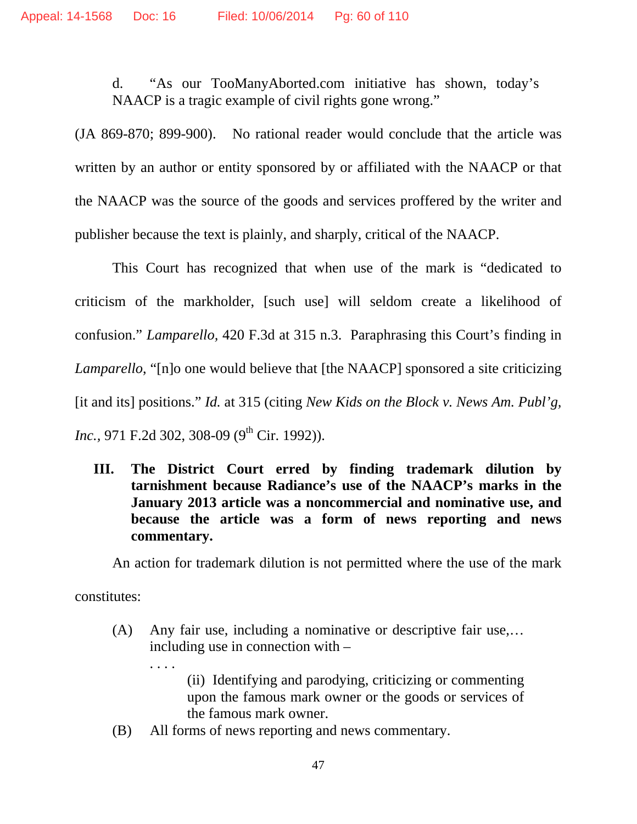d. "As our TooManyAborted.com initiative has shown, today's NAACP is a tragic example of civil rights gone wrong."

(JA 869-870; 899-900). No rational reader would conclude that the article was written by an author or entity sponsored by or affiliated with the NAACP or that the NAACP was the source of the goods and services proffered by the writer and publisher because the text is plainly, and sharply, critical of the NAACP.

This Court has recognized that when use of the mark is "dedicated to criticism of the markholder, [such use] will seldom create a likelihood of confusion." *Lamparello,* 420 F.3d at 315 n.3. Paraphrasing this Court's finding in *Lamparello*, "[n]o one would believe that [the NAACP] sponsored a site criticizing [it and its] positions." *Id.* at 315 (citing *New Kids on the Block v. News Am. Publ'g, Inc.*, 971 F.2d 302, 308-09 (9<sup>th</sup> Cir. 1992)).

**III. The District Court erred by finding trademark dilution by tarnishment because Radiance's use of the NAACP's marks in the January 2013 article was a noncommercial and nominative use, and because the article was a form of news reporting and news commentary.** 

An action for trademark dilution is not permitted where the use of the mark constitutes:

(A) Any fair use, including a nominative or descriptive fair use,… including use in connection with –

> (ii) Identifying and parodying, criticizing or commenting upon the famous mark owner or the goods or services of the famous mark owner.

(B) All forms of news reporting and news commentary.

. . . .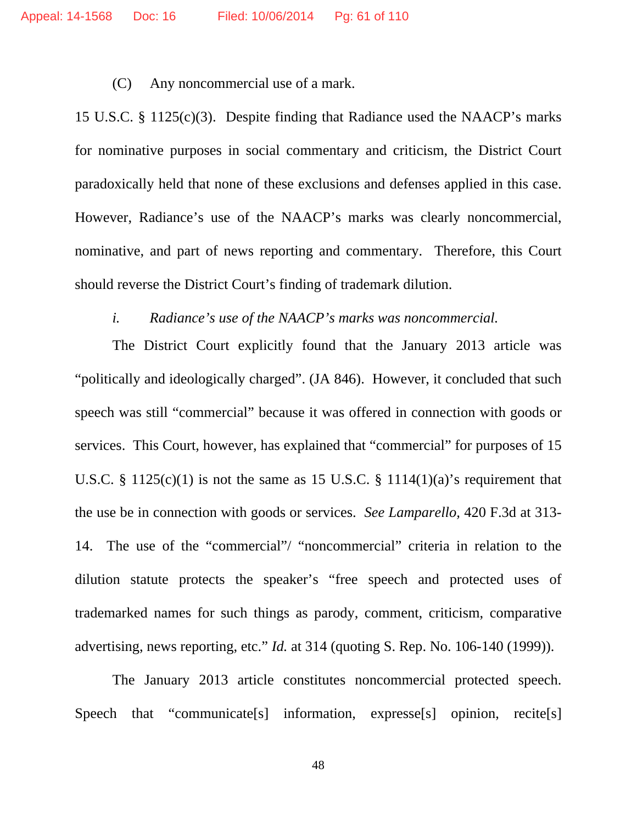(C) Any noncommercial use of a mark.

15 U.S.C. § 1125(c)(3). Despite finding that Radiance used the NAACP's marks for nominative purposes in social commentary and criticism, the District Court paradoxically held that none of these exclusions and defenses applied in this case. However, Radiance's use of the NAACP's marks was clearly noncommercial, nominative, and part of news reporting and commentary. Therefore, this Court should reverse the District Court's finding of trademark dilution.

## *i. Radiance's use of the NAACP's marks was noncommercial.*

The District Court explicitly found that the January 2013 article was "politically and ideologically charged". (JA 846). However, it concluded that such speech was still "commercial" because it was offered in connection with goods or services. This Court, however, has explained that "commercial" for purposes of 15 U.S.C. § 1125(c)(1) is not the same as 15 U.S.C. § 1114(1)(a)'s requirement that the use be in connection with goods or services. *See Lamparello,* 420 F.3d at 313- 14. The use of the "commercial"/ "noncommercial" criteria in relation to the dilution statute protects the speaker's "free speech and protected uses of trademarked names for such things as parody, comment, criticism, comparative advertising, news reporting, etc." *Id.* at 314 (quoting S. Rep. No. 106-140 (1999)).

The January 2013 article constitutes noncommercial protected speech. Speech that "communicate[s] information, expresse[s] opinion, recite[s]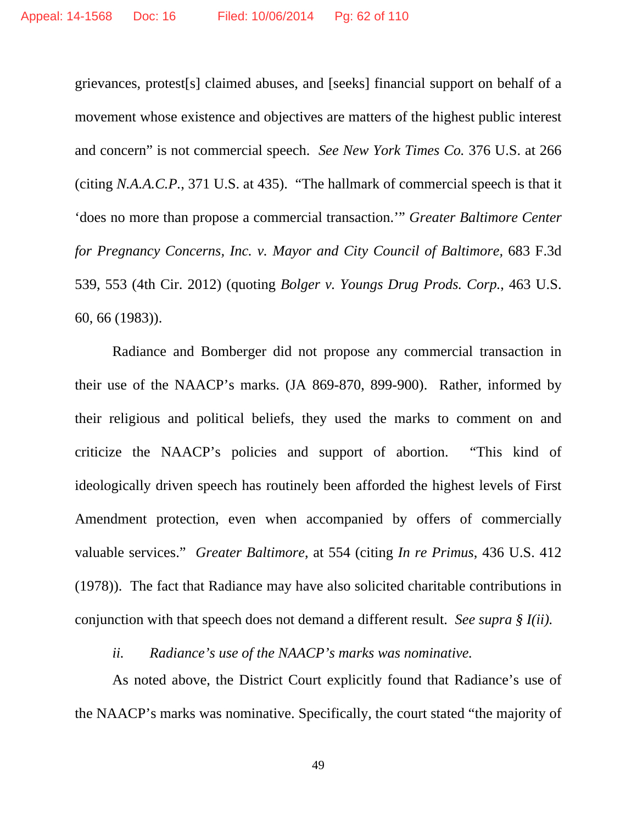grievances, protest[s] claimed abuses, and [seeks] financial support on behalf of a movement whose existence and objectives are matters of the highest public interest and concern" is not commercial speech. *See New York Times Co.* 376 U.S. at 266 (citing *N.A.A.C.P.*, 371 U.S. at 435). "The hallmark of commercial speech is that it 'does no more than propose a commercial transaction.'" *Greater Baltimore Center for Pregnancy Concerns, Inc. v. Mayor and City Council of Baltimore,* 683 F.3d 539, 553 (4th Cir. 2012) (quoting *Bolger v. Youngs Drug Prods. Corp.*, 463 U.S. 60, 66 (1983)).

Radiance and Bomberger did not propose any commercial transaction in their use of the NAACP's marks. (JA 869-870, 899-900). Rather, informed by their religious and political beliefs, they used the marks to comment on and criticize the NAACP's policies and support of abortion. "This kind of ideologically driven speech has routinely been afforded the highest levels of First Amendment protection, even when accompanied by offers of commercially valuable services." *Greater Baltimore*, at 554 (citing *In re Primus*, 436 U.S. 412 (1978)). The fact that Radiance may have also solicited charitable contributions in conjunction with that speech does not demand a different result. *See supra § I(ii).*

*ii. Radiance's use of the NAACP's marks was nominative.* 

As noted above, the District Court explicitly found that Radiance's use of the NAACP's marks was nominative. Specifically, the court stated "the majority of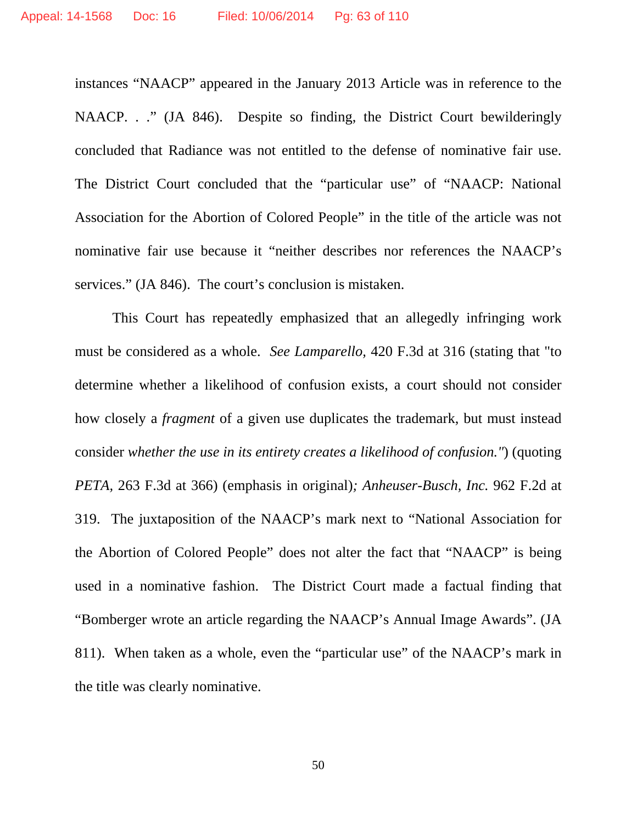instances "NAACP" appeared in the January 2013 Article was in reference to the NAACP. . ." (JA 846). Despite so finding, the District Court bewilderingly concluded that Radiance was not entitled to the defense of nominative fair use. The District Court concluded that the "particular use" of "NAACP: National Association for the Abortion of Colored People" in the title of the article was not nominative fair use because it "neither describes nor references the NAACP's services." (JA 846). The court's conclusion is mistaken.

This Court has repeatedly emphasized that an allegedly infringing work must be considered as a whole. *See Lamparello,* 420 F.3d at 316 (stating that "to determine whether a likelihood of confusion exists, a court should not consider how closely a *fragment* of a given use duplicates the trademark, but must instead consider *whether the use in its entirety creates a likelihood of confusion."*) (quoting *PETA,* 263 F.3d at 366) (emphasis in original)*; Anheuser-Busch, Inc.* 962 F.2d at 319. The juxtaposition of the NAACP's mark next to "National Association for the Abortion of Colored People" does not alter the fact that "NAACP" is being used in a nominative fashion. The District Court made a factual finding that "Bomberger wrote an article regarding the NAACP's Annual Image Awards". (JA 811). When taken as a whole, even the "particular use" of the NAACP's mark in the title was clearly nominative.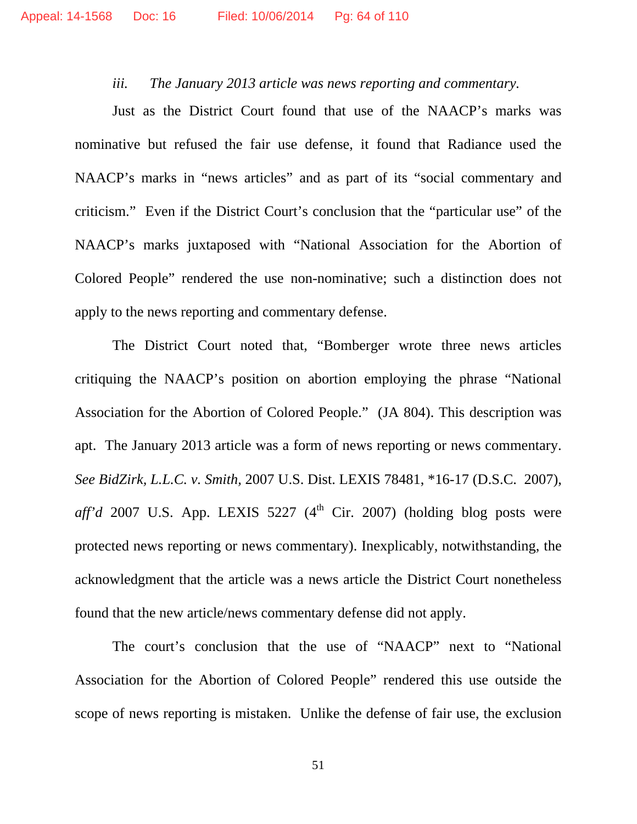## *iii. The January 2013 article was news reporting and commentary.*

Just as the District Court found that use of the NAACP's marks was nominative but refused the fair use defense, it found that Radiance used the NAACP's marks in "news articles" and as part of its "social commentary and criticism." Even if the District Court's conclusion that the "particular use" of the NAACP's marks juxtaposed with "National Association for the Abortion of Colored People" rendered the use non-nominative; such a distinction does not apply to the news reporting and commentary defense.

The District Court noted that, "Bomberger wrote three news articles critiquing the NAACP's position on abortion employing the phrase "National Association for the Abortion of Colored People." (JA 804). This description was apt. The January 2013 article was a form of news reporting or news commentary. *See BidZirk, L.L.C. v. Smith,* 2007 U.S. Dist. LEXIS 78481, \*16-17 (D.S.C. 2007),  $aff'd$  2007 U.S. App. LEXIS 5227  $(4<sup>th</sup>$  Cir. 2007) (holding blog posts were protected news reporting or news commentary). Inexplicably, notwithstanding, the acknowledgment that the article was a news article the District Court nonetheless found that the new article/news commentary defense did not apply.

The court's conclusion that the use of "NAACP" next to "National Association for the Abortion of Colored People" rendered this use outside the scope of news reporting is mistaken. Unlike the defense of fair use, the exclusion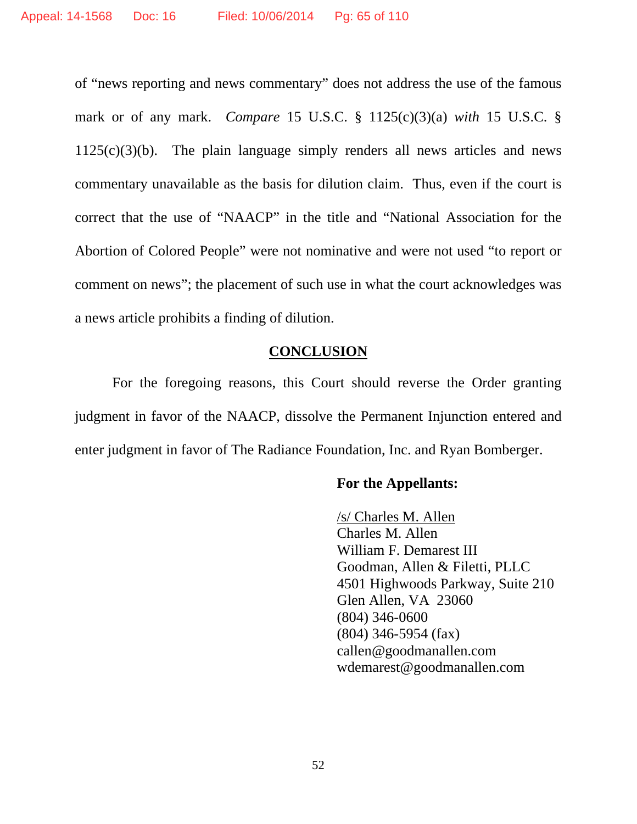of "news reporting and news commentary" does not address the use of the famous mark or of any mark. *Compare* 15 U.S.C. § 1125(c)(3)(a) *with* 15 U.S.C. §  $1125(c)(3)(b)$ . The plain language simply renders all news articles and news commentary unavailable as the basis for dilution claim. Thus, even if the court is correct that the use of "NAACP" in the title and "National Association for the Abortion of Colored People" were not nominative and were not used "to report or comment on news"; the placement of such use in what the court acknowledges was a news article prohibits a finding of dilution.

# **CONCLUSION**

 For the foregoing reasons, this Court should reverse the Order granting judgment in favor of the NAACP, dissolve the Permanent Injunction entered and enter judgment in favor of The Radiance Foundation, Inc. and Ryan Bomberger.

## **For the Appellants:**

 /s/ Charles M. Allen Charles M. Allen William F. Demarest III Goodman, Allen & Filetti, PLLC 4501 Highwoods Parkway, Suite 210 Glen Allen, VA 23060 (804) 346-0600 (804) 346-5954 (fax) callen@goodmanallen.com wdemarest@goodmanallen.com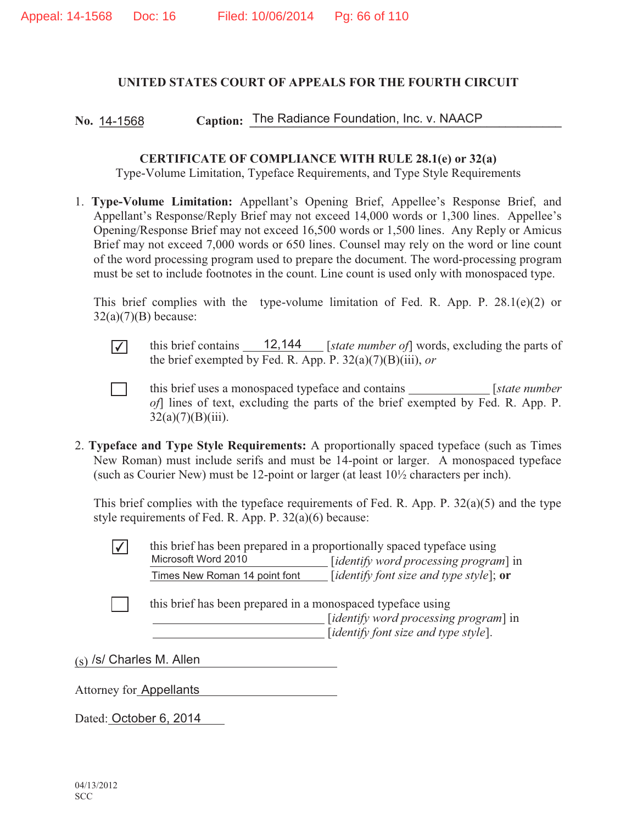## **UNITED STATES COURT OF APPEALS FOR THE FOURTH CIRCUIT**

No. 14-1568 **Caption:** The Radiance Foundation, Inc. v. NAACP

## **CERTIFICATE OF COMPLIANCE WITH RULE 28.1(e) or 32(a)**

Type-Volume Limitation, Typeface Requirements, and Type Style Requirements

1. **Type-Volume Limitation:** Appellant's Opening Brief, Appellee's Response Brief, and Appellant's Response/Reply Brief may not exceed 14,000 words or 1,300 lines. Appellee's Opening/Response Brief may not exceed 16,500 words or 1,500 lines. Any Reply or Amicus Brief may not exceed 7,000 words or 650 lines. Counsel may rely on the word or line count of the word processing program used to prepare the document. The word-processing program must be set to include footnotes in the count. Line count is used only with monospaced type.

This brief complies with the type-volume limitation of Fed. R. App. P. 28.1(e)(2) or  $32(a)(7)(B)$  because:

 $\sqrt{ }$ 

 $\sqrt{\sqrt{ }}$  this brief contains  $\frac{12,144}{\sqrt{ }}$  [*state number of*] words, excluding the parts of the brief exempted by Fed. R. App. P. 32(a)(7)(B)(iii), *or*

 [ ] this brief uses a monospaced typeface and contains [*state number of*] lines of text, excluding the parts of the brief exempted by Fed. R. App. P.  $32(a)(7)(B)(iii)$ .

2. **Typeface and Type Style Requirements:** A proportionally spaced typeface (such as Times New Roman) must include serifs and must be 14-point or larger. A monospaced typeface (such as Courier New) must be 12-point or larger (at least 10½ characters per inch).

This brief complies with the typeface requirements of Fed. R. App. P. 32(a)(5) and the type style requirements of Fed. R. App. P. 32(a)(6) because:

| √ | this brief has been prepared in a proportionally spaced typeface using                               |                                           |
|---|------------------------------------------------------------------------------------------------------|-------------------------------------------|
|   | Microsoft Word 2010                                                                                  | [identify word processing program] in     |
|   | Times New Roman 14 point font                                                                        | [identify font size and type style]; $or$ |
|   | this brief has been prepared in a monospaced typeface using<br>[identify word processing program] in |                                           |

[*identify font size and type style*].

(s) /s/ Charles M. Allen

Attorney for **Appellants** 

Dated: October 6, 2014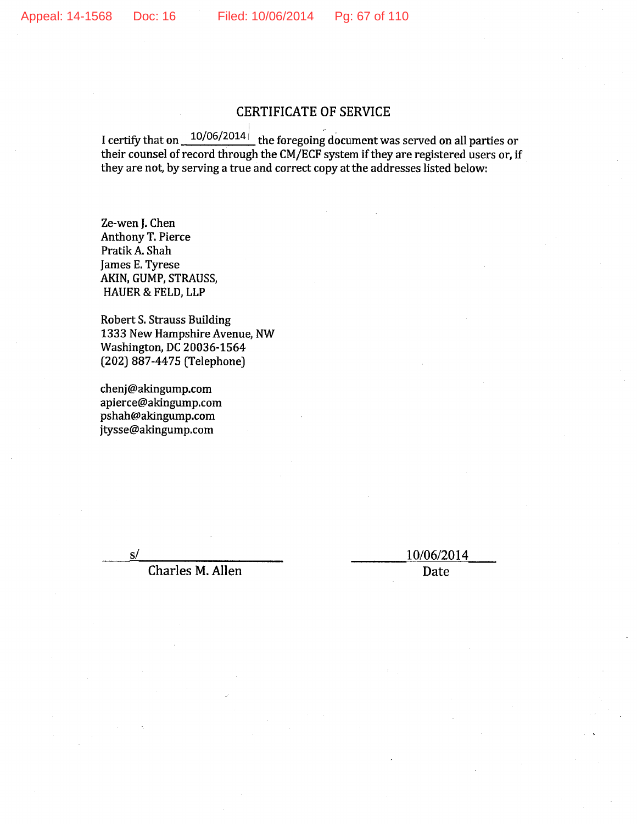## **CERTIFICATE OF SERVICE**

I certify that on  $\frac{10/06/2014}{\sqrt{10}}$  the foregoing document was served on all parties or their counsel of record through the CM/ECF system if they are registered users or, if they are not, by serving a true and correct copy at the addresses listed below:

Ze-wen J. Chen Anthony T. Pierce Pratik A. Shah James E. Tyrese AKIN, GUMP, STRAUSS, HAUER & FELD, LLP

Robert S. Strauss Building 1333 New Hampshire Avenue, NW Washington, DC 20036-1564 (202) 887-4475 (Telephone)

chenj@akingump.com apierce@akingump.com pshah@akingump.com jtysse@akingump.com

s/

Charles M. Allen

10/06/2014 Date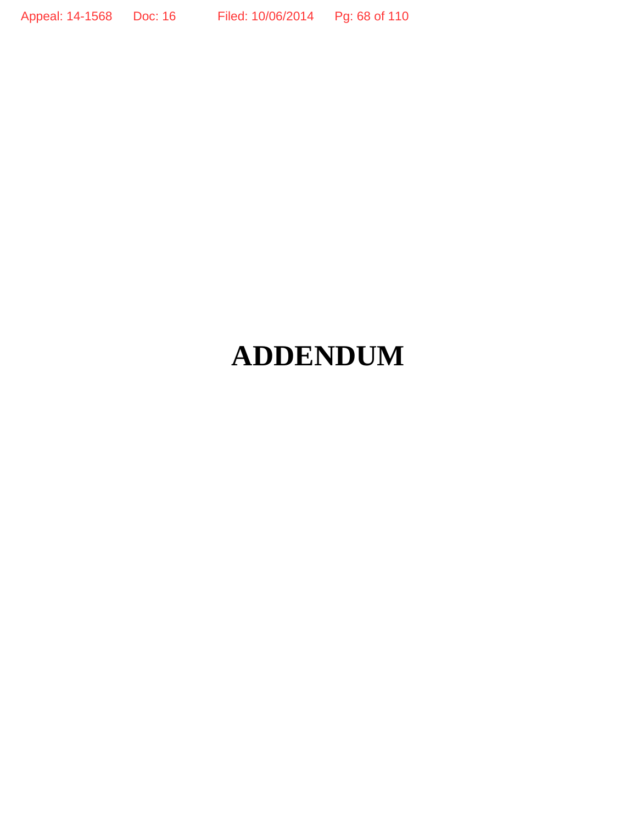Appeal: 14-1568 Doc: 16 Filed: 10/06/2014 Pg: 68 of 110

# **ADDENDUM**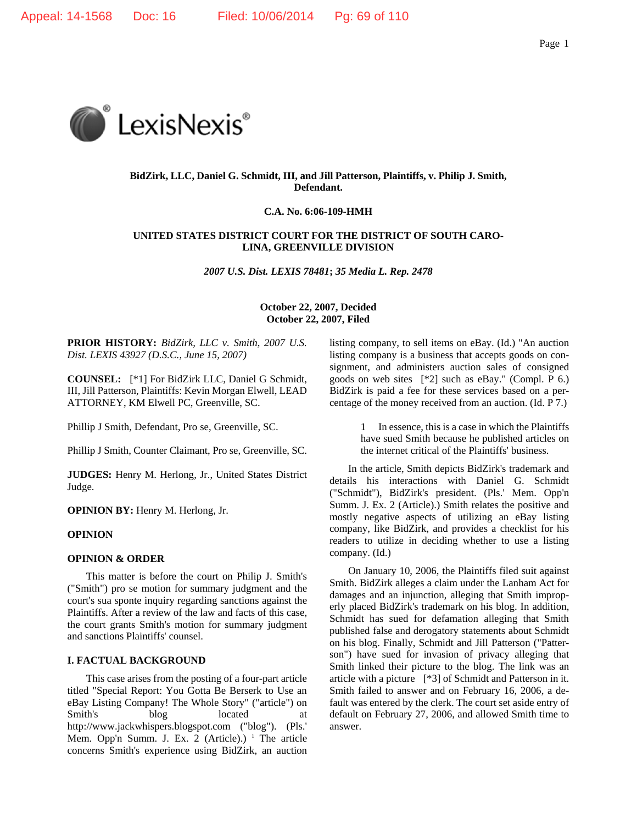

**BidZirk, LLC, Daniel G. Schmidt, III, and Jill Patterson, Plaintiffs, v. Philip J. Smith, Defendant.** 

#### **C.A. No. 6:06-109-HMH**

#### **UNITED STATES DISTRICT COURT FOR THE DISTRICT OF SOUTH CARO-LINA, GREENVILLE DIVISION**

*2007 U.S. Dist. LEXIS 78481***;** *35 Media L. Rep. 2478*

#### **October 22, 2007, Decided October 22, 2007, Filed**

**PRIOR HISTORY:** *BidZirk, LLC v. Smith, 2007 U.S. Dist. LEXIS 43927 (D.S.C., June 15, 2007)*

**COUNSEL:** [\*1] For BidZirk LLC, Daniel G Schmidt, III, Jill Patterson, Plaintiffs: Kevin Morgan Elwell, LEAD ATTORNEY, KM Elwell PC, Greenville, SC.

Phillip J Smith, Defendant, Pro se, Greenville, SC.

Phillip J Smith, Counter Claimant, Pro se, Greenville, SC.

**JUDGES:** Henry M. Herlong, Jr., United States District Judge.

**OPINION BY:** Henry M. Herlong, Jr.

#### **OPINION**

#### **OPINION & ORDER**

This matter is before the court on Philip J. Smith's ("Smith") pro se motion for summary judgment and the court's sua sponte inquiry regarding sanctions against the Plaintiffs. After a review of the law and facts of this case, the court grants Smith's motion for summary judgment and sanctions Plaintiffs' counsel.

#### **I. FACTUAL BACKGROUND**

This case arises from the posting of a four-part article titled "Special Report: You Gotta Be Berserk to Use an eBay Listing Company! The Whole Story" ("article") on Smith's blog located at http://www.jackwhispers.blogspot.com ("blog"). (Pls.' Mem. Opp'n Summ. J. Ex. 2 (Article).)  $\perp$  The article concerns Smith's experience using BidZirk, an auction

listing company, to sell items on eBay. (Id.) "An auction listing company is a business that accepts goods on consignment, and administers auction sales of consigned goods on web sites [\*2] such as eBay." (Compl. P 6.) BidZirk is paid a fee for these services based on a percentage of the money received from an auction. (Id. P 7.)

> 1 In essence, this is a case in which the Plaintiffs have sued Smith because he published articles on the internet critical of the Plaintiffs' business.

In the article, Smith depicts BidZirk's trademark and details his interactions with Daniel G. Schmidt ("Schmidt"), BidZirk's president. (Pls.' Mem. Opp'n Summ. J. Ex. 2 (Article).) Smith relates the positive and mostly negative aspects of utilizing an eBay listing company, like BidZirk, and provides a checklist for his readers to utilize in deciding whether to use a listing company. (Id.)

On January 10, 2006, the Plaintiffs filed suit against Smith. BidZirk alleges a claim under the Lanham Act for damages and an injunction, alleging that Smith improperly placed BidZirk's trademark on his blog. In addition, Schmidt has sued for defamation alleging that Smith published false and derogatory statements about Schmidt on his blog. Finally, Schmidt and Jill Patterson ("Patterson") have sued for invasion of privacy alleging that Smith linked their picture to the blog. The link was an article with a picture [\*3] of Schmidt and Patterson in it. Smith failed to answer and on February 16, 2006, a default was entered by the clerk. The court set aside entry of default on February 27, 2006, and allowed Smith time to answer.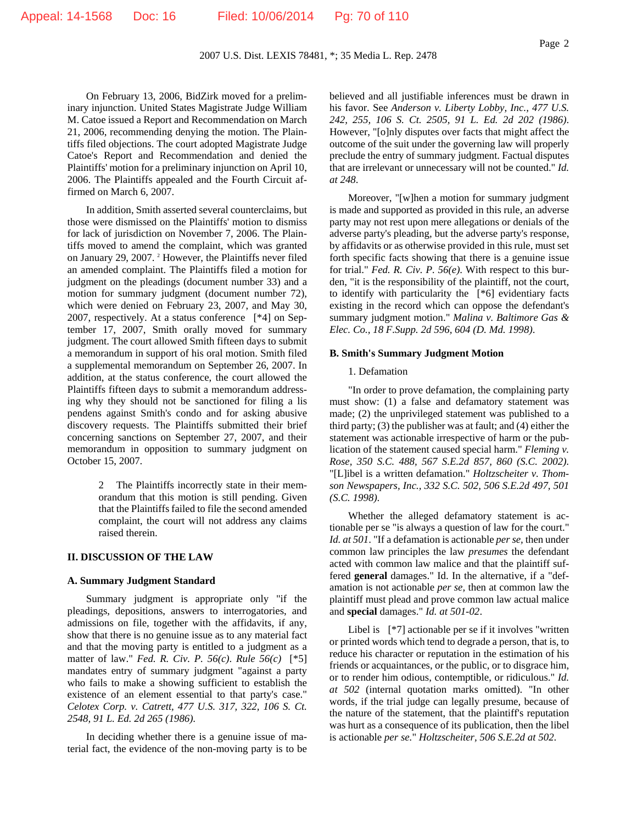On February 13, 2006, BidZirk moved for a preliminary injunction. United States Magistrate Judge William M. Catoe issued a Report and Recommendation on March 21, 2006, recommending denying the motion. The Plaintiffs filed objections. The court adopted Magistrate Judge Catoe's Report and Recommendation and denied the Plaintiffs' motion for a preliminary injunction on April 10, 2006. The Plaintiffs appealed and the Fourth Circuit affirmed on March 6, 2007.

In addition, Smith asserted several counterclaims, but those were dismissed on the Plaintiffs' motion to dismiss for lack of jurisdiction on November 7, 2006. The Plaintiffs moved to amend the complaint, which was granted on January 29, 2007. 2 However, the Plaintiffs never filed an amended complaint. The Plaintiffs filed a motion for judgment on the pleadings (document number 33) and a motion for summary judgment (document number 72), which were denied on February 23, 2007, and May 30, 2007, respectively. At a status conference [\*4] on September 17, 2007, Smith orally moved for summary judgment. The court allowed Smith fifteen days to submit a memorandum in support of his oral motion. Smith filed a supplemental memorandum on September 26, 2007. In addition, at the status conference, the court allowed the Plaintiffs fifteen days to submit a memorandum addressing why they should not be sanctioned for filing a lis pendens against Smith's condo and for asking abusive discovery requests. The Plaintiffs submitted their brief concerning sanctions on September 27, 2007, and their memorandum in opposition to summary judgment on October 15, 2007.

> 2 The Plaintiffs incorrectly state in their memorandum that this motion is still pending. Given that the Plaintiffs failed to file the second amended complaint, the court will not address any claims raised therein.

#### **II. DISCUSSION OF THE LAW**

#### **A. Summary Judgment Standard**

Summary judgment is appropriate only "if the pleadings, depositions, answers to interrogatories, and admissions on file, together with the affidavits, if any, show that there is no genuine issue as to any material fact and that the moving party is entitled to a judgment as a matter of law." *Fed. R. Civ. P. 56(c)*. *Rule 56(c)* [\*5] mandates entry of summary judgment "against a party who fails to make a showing sufficient to establish the existence of an element essential to that party's case." *Celotex Corp. v. Catrett, 477 U.S. 317, 322, 106 S. Ct. 2548, 91 L. Ed. 2d 265 (1986)*.

In deciding whether there is a genuine issue of material fact, the evidence of the non-moving party is to be believed and all justifiable inferences must be drawn in his favor. See *Anderson v. Liberty Lobby, Inc., 477 U.S. 242, 255, 106 S. Ct. 2505, 91 L. Ed. 2d 202 (1986)*. However, "[o]nly disputes over facts that might affect the outcome of the suit under the governing law will properly preclude the entry of summary judgment. Factual disputes that are irrelevant or unnecessary will not be counted." *Id. at 248*.

Moreover, "[w]hen a motion for summary judgment is made and supported as provided in this rule, an adverse party may not rest upon mere allegations or denials of the adverse party's pleading, but the adverse party's response, by affidavits or as otherwise provided in this rule, must set forth specific facts showing that there is a genuine issue for trial." *Fed. R. Civ. P. 56(e)*. With respect to this burden, "it is the responsibility of the plaintiff, not the court, to identify with particularity the [\*6] evidentiary facts existing in the record which can oppose the defendant's summary judgment motion." *Malina v. Baltimore Gas & Elec. Co., 18 F.Supp. 2d 596, 604 (D. Md. 1998)*.

#### **B. Smith's Summary Judgment Motion**

#### 1. Defamation

"In order to prove defamation, the complaining party must show: (1) a false and defamatory statement was made; (2) the unprivileged statement was published to a third party; (3) the publisher was at fault; and (4) either the statement was actionable irrespective of harm or the publication of the statement caused special harm." *Fleming v. Rose, 350 S.C. 488, 567 S.E.2d 857, 860 (S.C. 2002)*. "[L]ibel is a written defamation." *Holtzscheiter v. Thomson Newspapers, Inc., 332 S.C. 502, 506 S.E.2d 497, 501 (S.C. 1998)*.

Whether the alleged defamatory statement is actionable per se "is always a question of law for the court." *Id. at 501*. "If a defamation is actionable *per se,* then under common law principles the law *presumes* the defendant acted with common law malice and that the plaintiff suffered **general** damages." Id. In the alternative, if a "defamation is not actionable *per se,* then at common law the plaintiff must plead and prove common law actual malice and **special** damages." *Id. at 501-02*.

Libel is [\*7] actionable per se if it involves "written or printed words which tend to degrade a person, that is, to reduce his character or reputation in the estimation of his friends or acquaintances, or the public, or to disgrace him, or to render him odious, contemptible, or ridiculous." *Id. at 502* (internal quotation marks omitted). "In other words, if the trial judge can legally presume, because of the nature of the statement, that the plaintiff's reputation was hurt as a consequence of its publication, then the libel is actionable *per se.*" *Holtzscheiter, 506 S.E.2d at 502*.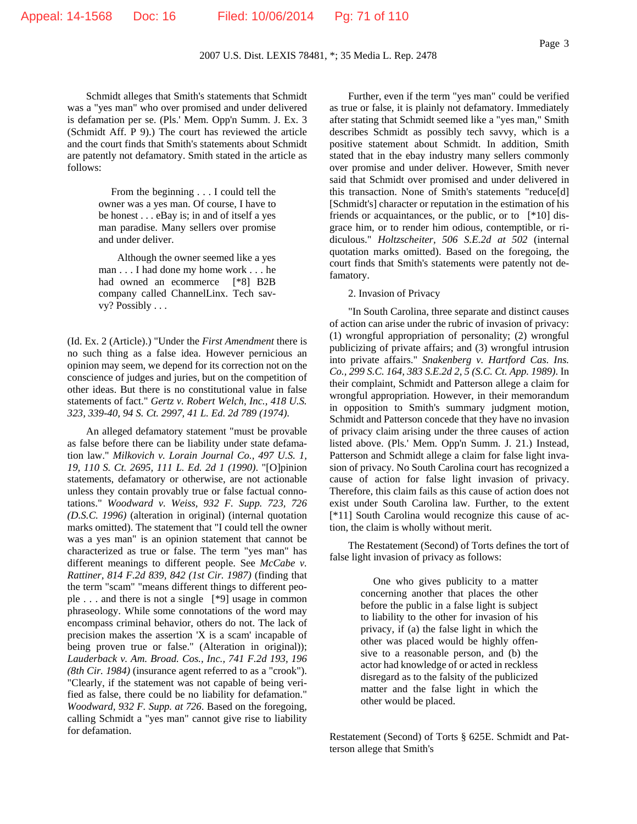Schmidt alleges that Smith's statements that Schmidt was a "yes man" who over promised and under delivered is defamation per se. (Pls.' Mem. Opp'n Summ. J. Ex. 3 (Schmidt Aff. P 9).) The court has reviewed the article and the court finds that Smith's statements about Schmidt are patently not defamatory. Smith stated in the article as follows:

> From the beginning . . . I could tell the owner was a yes man. Of course, I have to be honest . . . eBay is; in and of itself a yes man paradise. Many sellers over promise and under deliver.

> Although the owner seemed like a yes man . . . I had done my home work . . . he had owned an ecommerce [\*8] B2B company called ChannelLinx. Tech savvy? Possibly . . .

(Id. Ex. 2 (Article).) "Under the *First Amendment* there is no such thing as a false idea. However pernicious an opinion may seem, we depend for its correction not on the conscience of judges and juries, but on the competition of other ideas. But there is no constitutional value in false statements of fact." *Gertz v. Robert Welch, Inc., 418 U.S. 323, 339-40, 94 S. Ct. 2997, 41 L. Ed. 2d 789 (1974)*.

An alleged defamatory statement "must be provable as false before there can be liability under state defamation law." *Milkovich v. Lorain Journal Co., 497 U.S. 1, 19, 110 S. Ct. 2695, 111 L. Ed. 2d 1 (1990)*. "[O]pinion statements, defamatory or otherwise, are not actionable unless they contain provably true or false factual connotations." *Woodward v. Weiss, 932 F. Supp. 723, 726 (D.S.C. 1996)* (alteration in original) (internal quotation marks omitted). The statement that "I could tell the owner was a yes man" is an opinion statement that cannot be characterized as true or false. The term "yes man" has different meanings to different people. See *McCabe v. Rattiner, 814 F.2d 839, 842 (1st Cir. 1987)* (finding that the term "scam" "means different things to different people . . . and there is not a single [\*9] usage in common phraseology. While some connotations of the word may encompass criminal behavior, others do not. The lack of precision makes the assertion 'X is a scam' incapable of being proven true or false." (Alteration in original)); *Lauderback v. Am. Broad. Cos., Inc., 741 F.2d 193, 196 (8th Cir. 1984)* (insurance agent referred to as a "crook"). "Clearly, if the statement was not capable of being verified as false, there could be no liability for defamation." *Woodward, 932 F. Supp. at 726*. Based on the foregoing, calling Schmidt a "yes man" cannot give rise to liability for defamation.

Further, even if the term "yes man" could be verified as true or false, it is plainly not defamatory. Immediately after stating that Schmidt seemed like a "yes man," Smith describes Schmidt as possibly tech savvy, which is a positive statement about Schmidt. In addition, Smith stated that in the ebay industry many sellers commonly over promise and under deliver. However, Smith never said that Schmidt over promised and under delivered in this transaction. None of Smith's statements "reduce[d] [Schmidt's] character or reputation in the estimation of his friends or acquaintances, or the public, or to [\*10] disgrace him, or to render him odious, contemptible, or ridiculous." *Holtzscheiter, 506 S.E.2d at 502* (internal quotation marks omitted). Based on the foregoing, the court finds that Smith's statements were patently not defamatory.

#### 2. Invasion of Privacy

"In South Carolina, three separate and distinct causes of action can arise under the rubric of invasion of privacy: (1) wrongful appropriation of personality; (2) wrongful publicizing of private affairs; and (3) wrongful intrusion into private affairs." *Snakenberg v. Hartford Cas. Ins. Co., 299 S.C. 164, 383 S.E.2d 2, 5 (S.C. Ct. App. 1989)*. In their complaint, Schmidt and Patterson allege a claim for wrongful appropriation. However, in their memorandum in opposition to Smith's summary judgment motion, Schmidt and Patterson concede that they have no invasion of privacy claim arising under the three causes of action listed above. (Pls.' Mem. Opp'n Summ. J. 21.) Instead, Patterson and Schmidt allege a claim for false light invasion of privacy. No South Carolina court has recognized a cause of action for false light invasion of privacy. Therefore, this claim fails as this cause of action does not exist under South Carolina law. Further, to the extent [\*11] South Carolina would recognize this cause of action, the claim is wholly without merit.

The Restatement (Second) of Torts defines the tort of false light invasion of privacy as follows:

> One who gives publicity to a matter concerning another that places the other before the public in a false light is subject to liability to the other for invasion of his privacy, if (a) the false light in which the other was placed would be highly offensive to a reasonable person, and (b) the actor had knowledge of or acted in reckless disregard as to the falsity of the publicized matter and the false light in which the other would be placed.

Restatement (Second) of Torts § 625E. Schmidt and Patterson allege that Smith's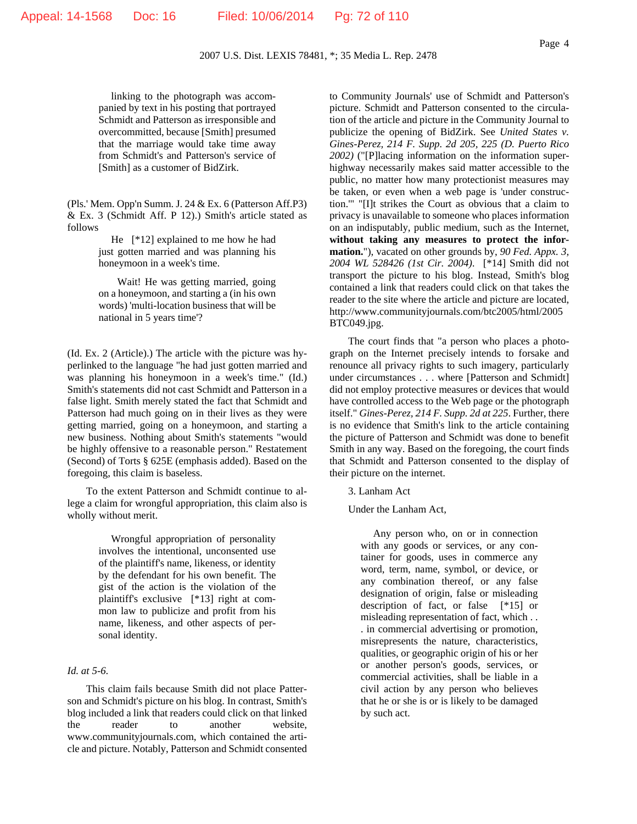linking to the photograph was accompanied by text in his posting that portrayed Schmidt and Patterson as irresponsible and overcommitted, because [Smith] presumed that the marriage would take time away from Schmidt's and Patterson's service of [Smith] as a customer of BidZirk.

(Pls.' Mem. Opp'n Summ. J. 24 & Ex. 6 (Patterson Aff.P3) & Ex. 3 (Schmidt Aff. P 12).) Smith's article stated as follows

> He [\*12] explained to me how he had just gotten married and was planning his honeymoon in a week's time.

> Wait! He was getting married, going on a honeymoon, and starting a (in his own words) 'multi-location business that will be national in 5 years time'?

(Id. Ex. 2 (Article).) The article with the picture was hyperlinked to the language "he had just gotten married and was planning his honeymoon in a week's time." (Id.) Smith's statements did not cast Schmidt and Patterson in a false light. Smith merely stated the fact that Schmidt and Patterson had much going on in their lives as they were getting married, going on a honeymoon, and starting a new business. Nothing about Smith's statements "would be highly offensive to a reasonable person." Restatement (Second) of Torts § 625E (emphasis added). Based on the foregoing, this claim is baseless.

To the extent Patterson and Schmidt continue to allege a claim for wrongful appropriation, this claim also is wholly without merit.

> Wrongful appropriation of personality involves the intentional, unconsented use of the plaintiff's name, likeness, or identity by the defendant for his own benefit. The gist of the action is the violation of the plaintiff's exclusive [\*13] right at common law to publicize and profit from his name, likeness, and other aspects of personal identity.

#### *Id. at 5-6*.

This claim fails because Smith did not place Patterson and Schmidt's picture on his blog. In contrast, Smith's blog included a link that readers could click on that linked the reader to another website, www.communityjournals.com, which contained the article and picture. Notably, Patterson and Schmidt consented to Community Journals' use of Schmidt and Patterson's picture. Schmidt and Patterson consented to the circulation of the article and picture in the Community Journal to publicize the opening of BidZirk. See *United States v. Gines-Perez, 214 F. Supp. 2d 205, 225 (D. Puerto Rico 2002)* ("[P]lacing information on the information superhighway necessarily makes said matter accessible to the public, no matter how many protectionist measures may be taken, or even when a web page is 'under construction.'" "[I]t strikes the Court as obvious that a claim to privacy is unavailable to someone who places information on an indisputably, public medium, such as the Internet, **without taking any measures to protect the information.**"), vacated on other grounds by, *90 Fed. Appx. 3, 2004 WL 528426 (1st Cir. 2004)*. [\*14] Smith did not transport the picture to his blog. Instead, Smith's blog contained a link that readers could click on that takes the reader to the site where the article and picture are located, http://www.communityjournals.com/btc2005/html/2005 BTC049.jpg.

The court finds that "a person who places a photograph on the Internet precisely intends to forsake and renounce all privacy rights to such imagery, particularly under circumstances . . . where [Patterson and Schmidt] did not employ protective measures or devices that would have controlled access to the Web page or the photograph itself." *Gines-Perez, 214 F. Supp. 2d at 225*. Further, there is no evidence that Smith's link to the article containing the picture of Patterson and Schmidt was done to benefit Smith in any way. Based on the foregoing, the court finds that Schmidt and Patterson consented to the display of their picture on the internet.

3. Lanham Act

Under the Lanham Act,

 Any person who, on or in connection with any goods or services, or any container for goods, uses in commerce any word, term, name, symbol, or device, or any combination thereof, or any false designation of origin, false or misleading description of fact, or false [\*15] or misleading representation of fact, which . . . in commercial advertising or promotion, misrepresents the nature, characteristics, qualities, or geographic origin of his or her or another person's goods, services, or commercial activities, shall be liable in a civil action by any person who believes that he or she is or is likely to be damaged by such act.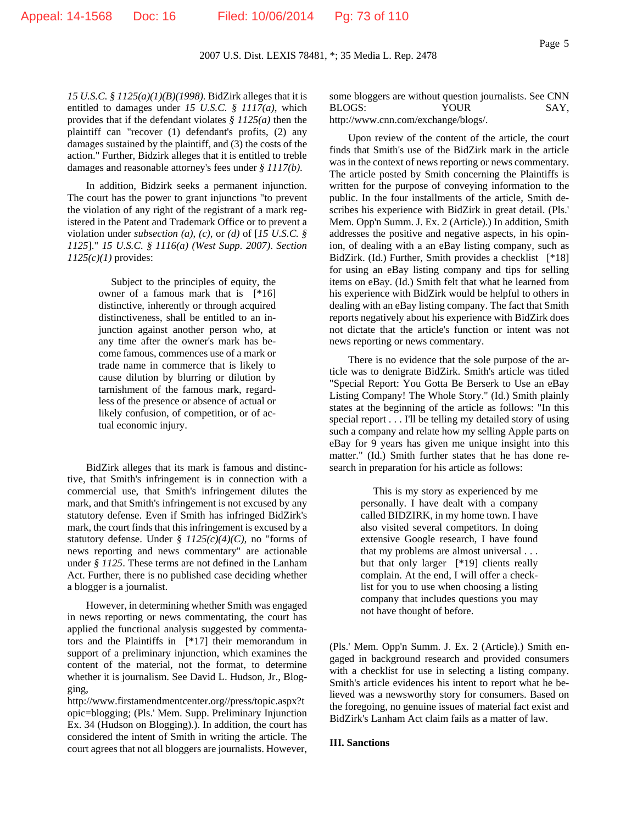*15 U.S.C. § 1125(a)(1)(B)(1998)*. BidZirk alleges that it is entitled to damages under *15 U.S.C. § 1117(a)*, which provides that if the defendant violates *§ 1125(a)* then the plaintiff can "recover (1) defendant's profits, (2) any damages sustained by the plaintiff, and (3) the costs of the action." Further, Bidzirk alleges that it is entitled to treble damages and reasonable attorney's fees under *§ 1117(b)*.

In addition, Bidzirk seeks a permanent injunction. The court has the power to grant injunctions "to prevent the violation of any right of the registrant of a mark registered in the Patent and Trademark Office or to prevent a violation under *subsection (a)*, *(c)*, or *(d)* of [*15 U.S.C. § 1125*]." *15 U.S.C. § 1116(a) (West Supp. 2007)*. *Section 1125(c)(1)* provides:

> Subject to the principles of equity, the owner of a famous mark that is [\*16] distinctive, inherently or through acquired distinctiveness, shall be entitled to an injunction against another person who, at any time after the owner's mark has become famous, commences use of a mark or trade name in commerce that is likely to cause dilution by blurring or dilution by tarnishment of the famous mark, regardless of the presence or absence of actual or likely confusion, of competition, or of actual economic injury.

BidZirk alleges that its mark is famous and distinctive, that Smith's infringement is in connection with a commercial use, that Smith's infringement dilutes the mark, and that Smith's infringement is not excused by any statutory defense. Even if Smith has infringed BidZirk's mark, the court finds that this infringement is excused by a statutory defense. Under *§ 1125(c)(4)(C)*, no "forms of news reporting and news commentary" are actionable under *§ 1125*. These terms are not defined in the Lanham Act. Further, there is no published case deciding whether a blogger is a journalist.

However, in determining whether Smith was engaged in news reporting or news commentating, the court has applied the functional analysis suggested by commentators and the Plaintiffs in [\*17] their memorandum in support of a preliminary injunction, which examines the content of the material, not the format, to determine whether it is journalism. See David L. Hudson, Jr., Blogging,

http://www.firstamendmentcenter.org//press/topic.aspx?t opic=blogging; (Pls.' Mem. Supp. Preliminary Injunction Ex. 34 (Hudson on Blogging).). In addition, the court has considered the intent of Smith in writing the article. The court agrees that not all bloggers are journalists. However, some bloggers are without question journalists. See CNN BLOGS: YOUR SAY, http://www.cnn.com/exchange/blogs/.

Upon review of the content of the article, the court finds that Smith's use of the BidZirk mark in the article was in the context of news reporting or news commentary. The article posted by Smith concerning the Plaintiffs is written for the purpose of conveying information to the public. In the four installments of the article, Smith describes his experience with BidZirk in great detail. (Pls.' Mem. Opp'n Summ. J. Ex. 2 (Article).) In addition, Smith addresses the positive and negative aspects, in his opinion, of dealing with a an eBay listing company, such as BidZirk. (Id.) Further, Smith provides a checklist [\*18] for using an eBay listing company and tips for selling items on eBay. (Id.) Smith felt that what he learned from his experience with BidZirk would be helpful to others in dealing with an eBay listing company. The fact that Smith reports negatively about his experience with BidZirk does not dictate that the article's function or intent was not news reporting or news commentary.

There is no evidence that the sole purpose of the article was to denigrate BidZirk. Smith's article was titled "Special Report: You Gotta Be Berserk to Use an eBay Listing Company! The Whole Story." (Id.) Smith plainly states at the beginning of the article as follows: "In this special report . . . I'll be telling my detailed story of using such a company and relate how my selling Apple parts on eBay for 9 years has given me unique insight into this matter." (Id.) Smith further states that he has done research in preparation for his article as follows:

> This is my story as experienced by me personally. I have dealt with a company called BIDZIRK, in my home town. I have also visited several competitors. In doing extensive Google research, I have found that my problems are almost universal . . . but that only larger [\*19] clients really complain. At the end, I will offer a checklist for you to use when choosing a listing company that includes questions you may not have thought of before.

(Pls.' Mem. Opp'n Summ. J. Ex. 2 (Article).) Smith engaged in background research and provided consumers with a checklist for use in selecting a listing company. Smith's article evidences his intent to report what he believed was a newsworthy story for consumers. Based on the foregoing, no genuine issues of material fact exist and BidZirk's Lanham Act claim fails as a matter of law.

### **III. Sanctions**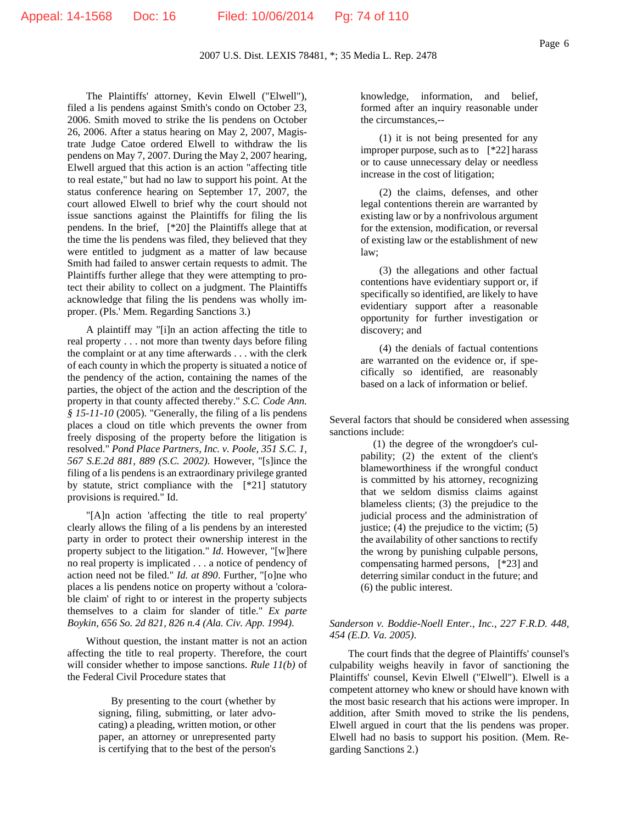The Plaintiffs' attorney, Kevin Elwell ("Elwell"), filed a lis pendens against Smith's condo on October 23, 2006. Smith moved to strike the lis pendens on October 26, 2006. After a status hearing on May 2, 2007, Magistrate Judge Catoe ordered Elwell to withdraw the lis pendens on May 7, 2007. During the May 2, 2007 hearing, Elwell argued that this action is an action "affecting title to real estate," but had no law to support his point. At the status conference hearing on September 17, 2007, the court allowed Elwell to brief why the court should not issue sanctions against the Plaintiffs for filing the lis pendens. In the brief, [\*20] the Plaintiffs allege that at the time the lis pendens was filed, they believed that they were entitled to judgment as a matter of law because Smith had failed to answer certain requests to admit. The Plaintiffs further allege that they were attempting to protect their ability to collect on a judgment. The Plaintiffs acknowledge that filing the lis pendens was wholly improper. (Pls.' Mem. Regarding Sanctions 3.)

A plaintiff may "[i]n an action affecting the title to real property . . . not more than twenty days before filing the complaint or at any time afterwards . . . with the clerk of each county in which the property is situated a notice of the pendency of the action, containing the names of the parties, the object of the action and the description of the property in that county affected thereby." *S.C. Code Ann. § 15-11-10* (2005). "Generally, the filing of a lis pendens places a cloud on title which prevents the owner from freely disposing of the property before the litigation is resolved." *Pond Place Partners, Inc. v. Poole, 351 S.C. 1, 567 S.E.2d 881, 889 (S.C. 2002)*. However, "[s]ince the filing of a lis pendens is an extraordinary privilege granted by statute, strict compliance with the [\*21] statutory provisions is required." Id.

"[A]n action 'affecting the title to real property' clearly allows the filing of a lis pendens by an interested party in order to protect their ownership interest in the property subject to the litigation." *Id*. However, "[w]here no real property is implicated . . . a notice of pendency of action need not be filed." *Id. at 890*. Further, "[o]ne who places a lis pendens notice on property without a 'colorable claim' of right to or interest in the property subjects themselves to a claim for slander of title." *Ex parte Boykin, 656 So. 2d 821, 826 n.4 (Ala. Civ. App. 1994)*.

Without question, the instant matter is not an action affecting the title to real property. Therefore, the court will consider whether to impose sanctions. *Rule 11(b)* of the Federal Civil Procedure states that

> By presenting to the court (whether by signing, filing, submitting, or later advocating) a pleading, written motion, or other paper, an attorney or unrepresented party is certifying that to the best of the person's

knowledge, information, and belief, formed after an inquiry reasonable under the circumstances,--

(1) it is not being presented for any improper purpose, such as to [\*22] harass or to cause unnecessary delay or needless increase in the cost of litigation;

(2) the claims, defenses, and other legal contentions therein are warranted by existing law or by a nonfrivolous argument for the extension, modification, or reversal of existing law or the establishment of new law;

(3) the allegations and other factual contentions have evidentiary support or, if specifically so identified, are likely to have evidentiary support after a reasonable opportunity for further investigation or discovery; and

(4) the denials of factual contentions are warranted on the evidence or, if specifically so identified, are reasonably based on a lack of information or belief.

Several factors that should be considered when assessing sanctions include:

> (1) the degree of the wrongdoer's culpability; (2) the extent of the client's blameworthiness if the wrongful conduct is committed by his attorney, recognizing that we seldom dismiss claims against blameless clients; (3) the prejudice to the judicial process and the administration of justice; (4) the prejudice to the victim; (5) the availability of other sanctions to rectify the wrong by punishing culpable persons, compensating harmed persons, [\*23] and deterring similar conduct in the future; and (6) the public interest.

# *Sanderson v. Boddie-Noell Enter., Inc., 227 F.R.D. 448, 454 (E.D. Va. 2005)*.

The court finds that the degree of Plaintiffs' counsel's culpability weighs heavily in favor of sanctioning the Plaintiffs' counsel, Kevin Elwell ("Elwell"). Elwell is a competent attorney who knew or should have known with the most basic research that his actions were improper. In addition, after Smith moved to strike the lis pendens, Elwell argued in court that the lis pendens was proper. Elwell had no basis to support his position. (Mem. Regarding Sanctions 2.)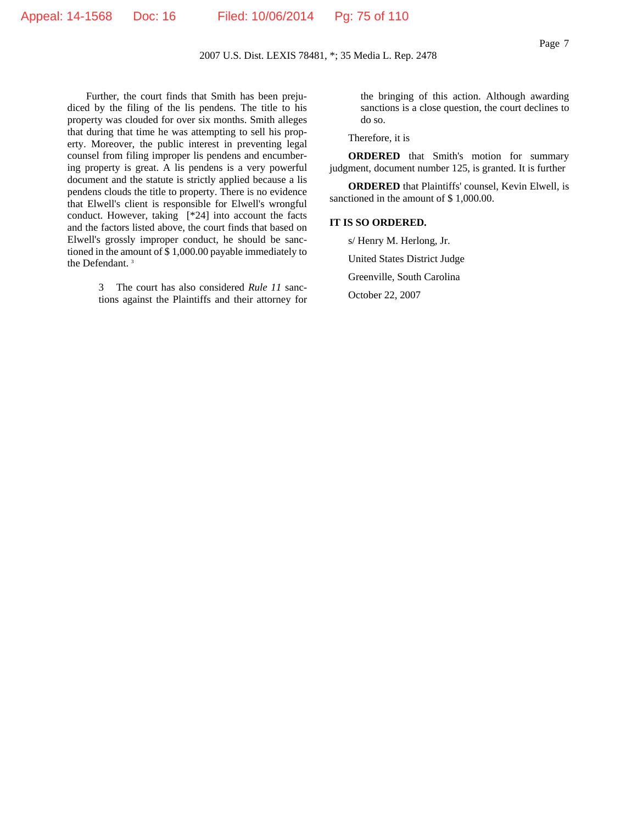Further, the court finds that Smith has been prejudiced by the filing of the lis pendens. The title to his property was clouded for over six months. Smith alleges that during that time he was attempting to sell his property. Moreover, the public interest in preventing legal counsel from filing improper lis pendens and encumbering property is great. A lis pendens is a very powerful document and the statute is strictly applied because a lis pendens clouds the title to property. There is no evidence that Elwell's client is responsible for Elwell's wrongful conduct. However, taking [\*24] into account the facts and the factors listed above, the court finds that based on Elwell's grossly improper conduct, he should be sanctioned in the amount of \$ 1,000.00 payable immediately to the Defendant.<sup>3</sup>

> 3 The court has also considered *Rule 11* sanctions against the Plaintiffs and their attorney for

the bringing of this action. Although awarding sanctions is a close question, the court declines to do so.

Therefore, it is

**ORDERED** that Smith's motion for summary judgment, document number 125, is granted. It is further

**ORDERED** that Plaintiffs' counsel, Kevin Elwell, is sanctioned in the amount of \$1,000.00.

### **IT IS SO ORDERED.**

s/ Henry M. Herlong, Jr. United States District Judge Greenville, South Carolina October 22, 2007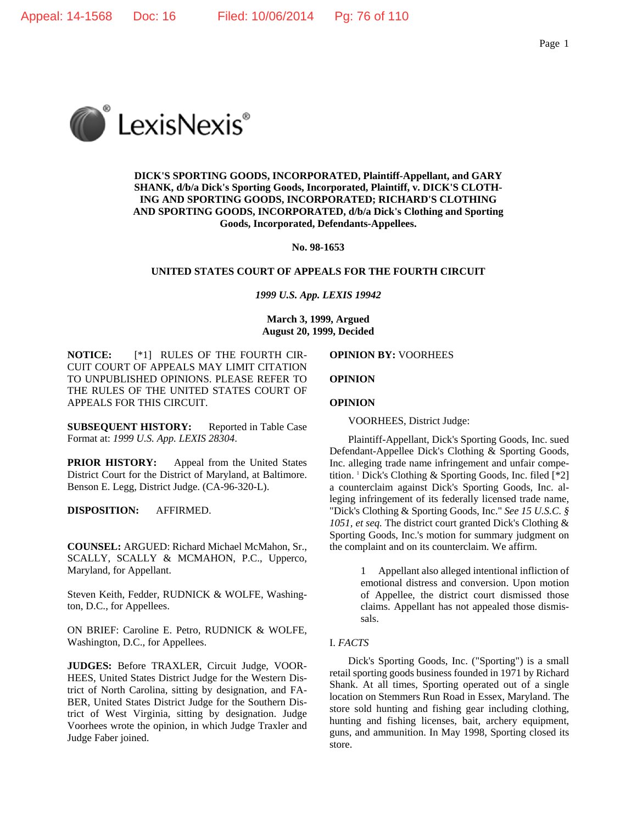

**DICK'S SPORTING GOODS, INCORPORATED, Plaintiff-Appellant, and GARY SHANK, d/b/a Dick's Sporting Goods, Incorporated, Plaintiff, v. DICK'S CLOTH-ING AND SPORTING GOODS, INCORPORATED; RICHARD'S CLOTHING AND SPORTING GOODS, INCORPORATED, d/b/a Dick's Clothing and Sporting Goods, Incorporated, Defendants-Appellees.** 

### **No. 98-1653**

### **UNITED STATES COURT OF APPEALS FOR THE FOURTH CIRCUIT**

#### *1999 U.S. App. LEXIS 19942*

# **March 3, 1999, Argued August 20, 1999, Decided**

**NOTICE:** [\*1] RULES OF THE FOURTH CIR-CUIT COURT OF APPEALS MAY LIMIT CITATION TO UNPUBLISHED OPINIONS. PLEASE REFER TO THE RULES OF THE UNITED STATES COURT OF APPEALS FOR THIS CIRCUIT.

**SUBSEQUENT HISTORY:** Reported in Table Case Format at: *1999 U.S. App. LEXIS 28304*.

**PRIOR HISTORY:** Appeal from the United States District Court for the District of Maryland, at Baltimore. Benson E. Legg, District Judge. (CA-96-320-L).

**DISPOSITION:** AFFIRMED.

**COUNSEL:** ARGUED: Richard Michael McMahon, Sr., SCALLY, SCALLY & MCMAHON, P.C., Upperco, Maryland, for Appellant.

Steven Keith, Fedder, RUDNICK & WOLFE, Washington, D.C., for Appellees.

ON BRIEF: Caroline E. Petro, RUDNICK & WOLFE, Washington, D.C., for Appellees.

**JUDGES:** Before TRAXLER, Circuit Judge, VOOR-HEES, United States District Judge for the Western District of North Carolina, sitting by designation, and FA-BER, United States District Judge for the Southern District of West Virginia, sitting by designation. Judge Voorhees wrote the opinion, in which Judge Traxler and Judge Faber joined.

**OPINION BY:** VOORHEES

## **OPINION**

#### **OPINION**

VOORHEES, District Judge:

Plaintiff-Appellant, Dick's Sporting Goods, Inc. sued Defendant-Appellee Dick's Clothing & Sporting Goods, Inc. alleging trade name infringement and unfair competition. 1 Dick's Clothing & Sporting Goods, Inc. filed [\*2] a counterclaim against Dick's Sporting Goods, Inc. alleging infringement of its federally licensed trade name, "Dick's Clothing & Sporting Goods, Inc." *See 15 U.S.C. § 1051, et seq.* The district court granted Dick's Clothing & Sporting Goods, Inc.'s motion for summary judgment on the complaint and on its counterclaim. We affirm.

> 1 Appellant also alleged intentional infliction of emotional distress and conversion. Upon motion of Appellee, the district court dismissed those claims. Appellant has not appealed those dismissals.

### I. *FACTS*

Dick's Sporting Goods, Inc. ("Sporting") is a small retail sporting goods business founded in 1971 by Richard Shank. At all times, Sporting operated out of a single location on Stemmers Run Road in Essex, Maryland. The store sold hunting and fishing gear including clothing, hunting and fishing licenses, bait, archery equipment, guns, and ammunition. In May 1998, Sporting closed its store.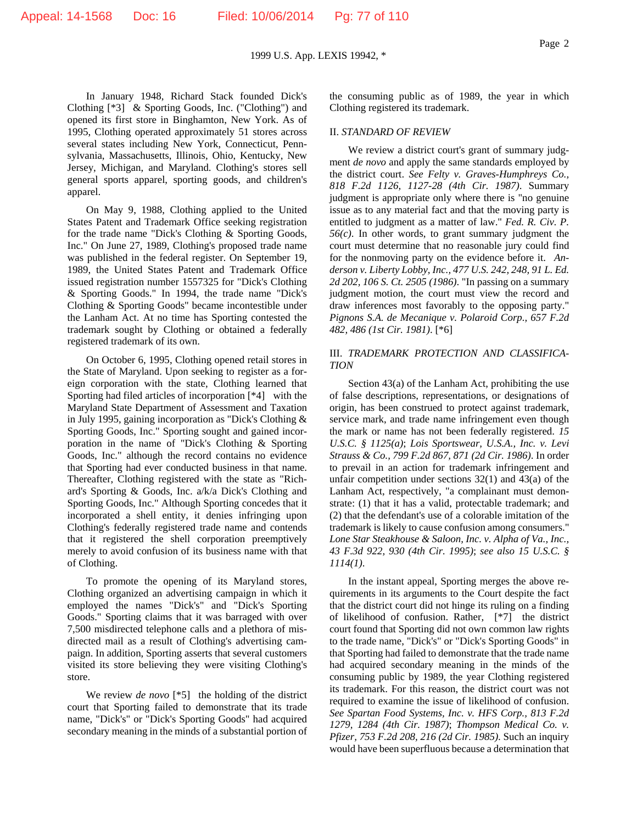1999 U.S. App. LEXIS 19942, \*

In January 1948, Richard Stack founded Dick's Clothing [\*3] & Sporting Goods, Inc. ("Clothing") and opened its first store in Binghamton, New York. As of 1995, Clothing operated approximately 51 stores across several states including New York, Connecticut, Pennsylvania, Massachusetts, Illinois, Ohio, Kentucky, New Jersey, Michigan, and Maryland. Clothing's stores sell general sports apparel, sporting goods, and children's apparel.

On May 9, 1988, Clothing applied to the United States Patent and Trademark Office seeking registration for the trade name "Dick's Clothing & Sporting Goods, Inc." On June 27, 1989, Clothing's proposed trade name was published in the federal register. On September 19, 1989, the United States Patent and Trademark Office issued registration number 1557325 for "Dick's Clothing & Sporting Goods." In 1994, the trade name "Dick's Clothing & Sporting Goods" became incontestible under the Lanham Act. At no time has Sporting contested the trademark sought by Clothing or obtained a federally registered trademark of its own.

On October 6, 1995, Clothing opened retail stores in the State of Maryland. Upon seeking to register as a foreign corporation with the state, Clothing learned that Sporting had filed articles of incorporation [\*4] with the Maryland State Department of Assessment and Taxation in July 1995, gaining incorporation as "Dick's Clothing & Sporting Goods, Inc." Sporting sought and gained incorporation in the name of "Dick's Clothing & Sporting Goods, Inc." although the record contains no evidence that Sporting had ever conducted business in that name. Thereafter, Clothing registered with the state as "Richard's Sporting & Goods, Inc. a/k/a Dick's Clothing and Sporting Goods, Inc." Although Sporting concedes that it incorporated a shell entity, it denies infringing upon Clothing's federally registered trade name and contends that it registered the shell corporation preemptively merely to avoid confusion of its business name with that of Clothing.

To promote the opening of its Maryland stores, Clothing organized an advertising campaign in which it employed the names "Dick's" and "Dick's Sporting Goods." Sporting claims that it was barraged with over 7,500 misdirected telephone calls and a plethora of misdirected mail as a result of Clothing's advertising campaign. In addition, Sporting asserts that several customers visited its store believing they were visiting Clothing's store.

We review *de novo* [\*5] the holding of the district court that Sporting failed to demonstrate that its trade name, "Dick's" or "Dick's Sporting Goods" had acquired secondary meaning in the minds of a substantial portion of the consuming public as of 1989, the year in which Clothing registered its trademark.

#### II. *STANDARD OF REVIEW*

We review a district court's grant of summary judgment *de novo* and apply the same standards employed by the district court. *See Felty v. Graves-Humphreys Co., 818 F.2d 1126, 1127-28 (4th Cir. 1987)*. Summary judgment is appropriate only where there is "no genuine issue as to any material fact and that the moving party is entitled to judgment as a matter of law." *Fed. R. Civ. P. 56(c)*. In other words, to grant summary judgment the court must determine that no reasonable jury could find for the nonmoving party on the evidence before it. *Anderson v. Liberty Lobby, Inc., 477 U.S. 242, 248, 91 L. Ed. 2d 202, 106 S. Ct. 2505 (1986)*. "In passing on a summary judgment motion, the court must view the record and draw inferences most favorably to the opposing party." *Pignons S.A. de Mecanique v. Polaroid Corp., 657 F.2d 482, 486 (1st Cir. 1981)*. [\*6]

### III. *TRADEMARK PROTECTION AND CLASSIFICA-TION*

Section 43(a) of the Lanham Act, prohibiting the use of false descriptions, representations, or designations of origin, has been construed to protect against trademark, service mark, and trade name infringement even though the mark or name has not been federally registered. *15 U.S.C. § 1125(a)*; *Lois Sportswear, U.S.A., Inc. v. Levi Strauss & Co., 799 F.2d 867, 871 (2d Cir. 1986)*. In order to prevail in an action for trademark infringement and unfair competition under sections 32(1) and 43(a) of the Lanham Act, respectively, "a complainant must demonstrate: (1) that it has a valid, protectable trademark; and (2) that the defendant's use of a colorable imitation of the trademark is likely to cause confusion among consumers." *Lone Star Steakhouse & Saloon, Inc. v. Alpha of Va., Inc., 43 F.3d 922, 930 (4th Cir. 1995)*; *see also 15 U.S.C. § 1114(1)*.

In the instant appeal, Sporting merges the above requirements in its arguments to the Court despite the fact that the district court did not hinge its ruling on a finding of likelihood of confusion. Rather, [\*7] the district court found that Sporting did not own common law rights to the trade name, "Dick's" or "Dick's Sporting Goods" in that Sporting had failed to demonstrate that the trade name had acquired secondary meaning in the minds of the consuming public by 1989, the year Clothing registered its trademark. For this reason, the district court was not required to examine the issue of likelihood of confusion. *See Spartan Food Systems, Inc. v. HFS Corp., 813 F.2d 1279, 1284 (4th Cir. 1987)*; *Thompson Medical Co. v. Pfizer, 753 F.2d 208, 216 (2d Cir. 1985)*. Such an inquiry would have been superfluous because a determination that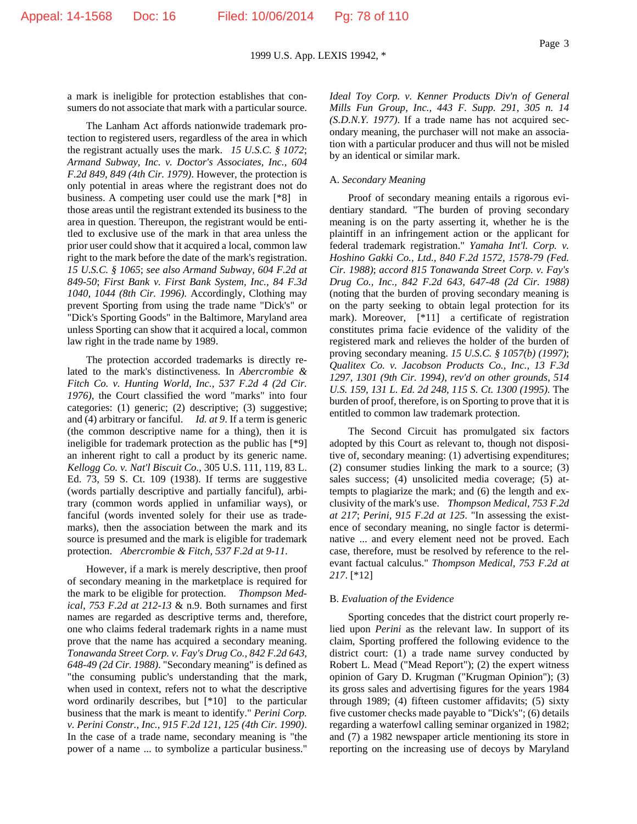1999 U.S. App. LEXIS 19942, \*

a mark is ineligible for protection establishes that consumers do not associate that mark with a particular source.

The Lanham Act affords nationwide trademark protection to registered users, regardless of the area in which the registrant actually uses the mark. *15 U.S.C. § 1072*; *Armand Subway, Inc. v. Doctor's Associates, Inc., 604 F.2d 849, 849 (4th Cir. 1979)*. However, the protection is only potential in areas where the registrant does not do business. A competing user could use the mark [\*8] in those areas until the registrant extended its business to the area in question. Thereupon, the registrant would be entitled to exclusive use of the mark in that area unless the prior user could show that it acquired a local, common law right to the mark before the date of the mark's registration. *15 U.S.C. § 1065*; *see also Armand Subway, 604 F.2d at 849-50*; *First Bank v. First Bank System, Inc., 84 F.3d 1040, 1044 (8th Cir. 1996)*. Accordingly, Clothing may prevent Sporting from using the trade name "Dick's" or "Dick's Sporting Goods" in the Baltimore, Maryland area unless Sporting can show that it acquired a local, common law right in the trade name by 1989.

The protection accorded trademarks is directly related to the mark's distinctiveness. In *Abercrombie & Fitch Co. v. Hunting World, Inc., 537 F.2d 4 (2d Cir. 1976)*, the Court classified the word "marks" into four categories: (1) generic; (2) descriptive; (3) suggestive; and (4) arbitrary or fanciful. *Id. at 9*. If a term is generic (the common descriptive name for a thing), then it is ineligible for trademark protection as the public has [\*9] an inherent right to call a product by its generic name. *Kellogg Co. v. Nat'l Biscuit Co.*, 305 U.S. 111, 119, 83 L. Ed. 73, 59 S. Ct. 109 (1938). If terms are suggestive (words partially descriptive and partially fanciful), arbitrary (common words applied in unfamiliar ways), or fanciful (words invented solely for their use as trademarks), then the association between the mark and its source is presumed and the mark is eligible for trademark protection. *Abercrombie & Fitch, 537 F.2d at 9-11*.

However, if a mark is merely descriptive, then proof of secondary meaning in the marketplace is required for the mark to be eligible for protection. *Thompson Medical, 753 F.2d at 212-13* & n.9. Both surnames and first names are regarded as descriptive terms and, therefore, one who claims federal trademark rights in a name must prove that the name has acquired a secondary meaning. *Tonawanda Street Corp. v. Fay's Drug Co., 842 F.2d 643, 648-49 (2d Cir. 1988)*. "Secondary meaning" is defined as "the consuming public's understanding that the mark, when used in context, refers not to what the descriptive word ordinarily describes, but [\*10] to the particular business that the mark is meant to identify." *Perini Corp. v. Perini Constr., Inc., 915 F.2d 121, 125 (4th Cir. 1990)*. In the case of a trade name, secondary meaning is "the power of a name ... to symbolize a particular business."

*Ideal Toy Corp. v. Kenner Products Div'n of General Mills Fun Group, Inc., 443 F. Supp. 291, 305 n. 14 (S.D.N.Y. 1977)*. If a trade name has not acquired secondary meaning, the purchaser will not make an association with a particular producer and thus will not be misled by an identical or similar mark.

### A. *Secondary Meaning*

Proof of secondary meaning entails a rigorous evidentiary standard. "The burden of proving secondary meaning is on the party asserting it, whether he is the plaintiff in an infringement action or the applicant for federal trademark registration." *Yamaha Int'l. Corp. v. Hoshino Gakki Co., Ltd., 840 F.2d 1572, 1578-79 (Fed. Cir. 1988)*; *accord 815 Tonawanda Street Corp. v. Fay's Drug Co., Inc., 842 F.2d 643, 647-48 (2d Cir. 1988)* (noting that the burden of proving secondary meaning is on the party seeking to obtain legal protection for its mark). Moreover, [\*11] a certificate of registration constitutes prima facie evidence of the validity of the registered mark and relieves the holder of the burden of proving secondary meaning. *15 U.S.C. § 1057(b) (1997)*; *Qualitex Co. v. Jacobson Products Co., Inc., 13 F.3d 1297, 1301 (9th Cir. 1994)*, *rev'd on other grounds*, *514 U.S. 159, 131 L. Ed. 2d 248, 115 S. Ct. 1300 (1995)*. The burden of proof, therefore, is on Sporting to prove that it is entitled to common law trademark protection.

The Second Circuit has promulgated six factors adopted by this Court as relevant to, though not dispositive of, secondary meaning: (1) advertising expenditures; (2) consumer studies linking the mark to a source; (3) sales success; (4) unsolicited media coverage; (5) attempts to plagiarize the mark; and (6) the length and exclusivity of the mark's use. *Thompson Medical, 753 F.2d at 217*; *Perini, 915 F.2d at 125*. "In assessing the existence of secondary meaning, no single factor is determinative ... and every element need not be proved. Each case, therefore, must be resolved by reference to the relevant factual calculus." *Thompson Medical, 753 F.2d at 217*. [\*12]

#### B. *Evaluation of the Evidence*

Sporting concedes that the district court properly relied upon *Perini* as the relevant law. In support of its claim, Sporting proffered the following evidence to the district court: (1) a trade name survey conducted by Robert L. Mead ("Mead Report"); (2) the expert witness opinion of Gary D. Krugman ("Krugman Opinion"); (3) its gross sales and advertising figures for the years 1984 through 1989; (4) fifteen customer affidavits; (5) sixty five customer checks made payable to "Dick's"; (6) details regarding a waterfowl calling seminar organized in 1982; and (7) a 1982 newspaper article mentioning its store in reporting on the increasing use of decoys by Maryland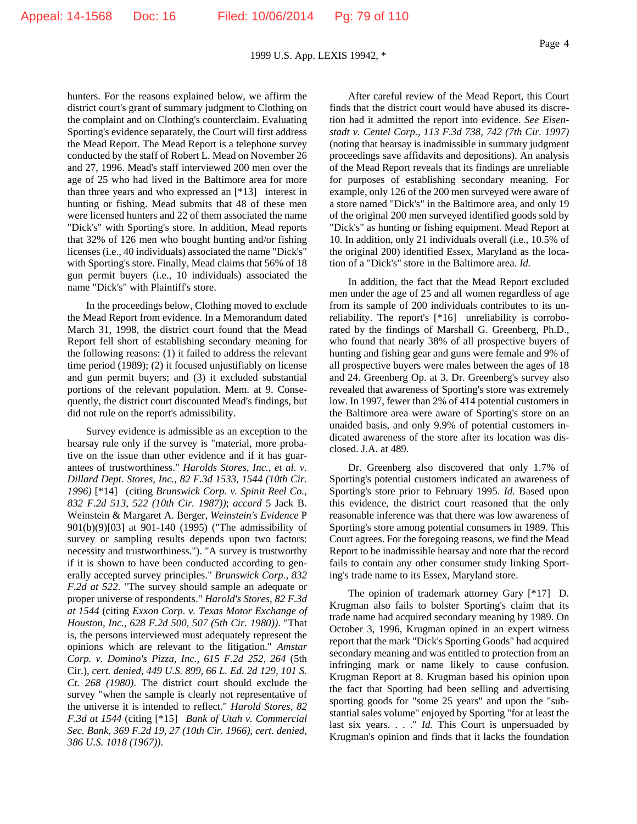hunters. For the reasons explained below, we affirm the district court's grant of summary judgment to Clothing on the complaint and on Clothing's counterclaim. Evaluating Sporting's evidence separately, the Court will first address the Mead Report. The Mead Report is a telephone survey conducted by the staff of Robert L. Mead on November 26 and 27, 1996. Mead's staff interviewed 200 men over the age of 25 who had lived in the Baltimore area for more than three years and who expressed an [\*13] interest in hunting or fishing. Mead submits that 48 of these men were licensed hunters and 22 of them associated the name "Dick's" with Sporting's store. In addition, Mead reports that 32% of 126 men who bought hunting and/or fishing licenses (i.e., 40 individuals) associated the name "Dick's" with Sporting's store. Finally, Mead claims that 56% of 18 gun permit buyers (i.e., 10 individuals) associated the name "Dick's" with Plaintiff's store.

In the proceedings below, Clothing moved to exclude the Mead Report from evidence. In a Memorandum dated March 31, 1998, the district court found that the Mead Report fell short of establishing secondary meaning for the following reasons: (1) it failed to address the relevant time period (1989); (2) it focused unjustifiably on license and gun permit buyers; and (3) it excluded substantial portions of the relevant population. Mem. at 9. Consequently, the district court discounted Mead's findings, but did not rule on the report's admissibility.

Survey evidence is admissible as an exception to the hearsay rule only if the survey is "material, more probative on the issue than other evidence and if it has guarantees of trustworthiness." *Harolds Stores, Inc., et al. v. Dillard Dept. Stores, Inc., 82 F.3d 1533, 1544 (10th Cir. 1996)* [\*14] (citing *Brunswick Corp. v. Spinit Reel Co., 832 F.2d 513, 522 (10th Cir. 1987))*; *accord* 5 Jack B. Weinstein & Margaret A. Berger, *Weinstein's Evidence* P 901(b)(9)[03] at 901-140 (1995) ("The admissibility of survey or sampling results depends upon two factors: necessity and trustworthiness."). "A survey is trustworthy if it is shown to have been conducted according to generally accepted survey principles." *Brunswick Corp., 832 F.2d at 522*. "The survey should sample an adequate or proper universe of respondents." *Harold's Stores, 82 F.3d at 1544* (citing *Exxon Corp. v. Texas Motor Exchange of Houston, Inc., 628 F.2d 500, 507 (5th Cir. 1980))*. "That is, the persons interviewed must adequately represent the opinions which are relevant to the litigation." *Amstar Corp. v. Domino's Pizza, Inc., 615 F.2d 252, 264* (5th Cir.), *cert. denied*, *449 U.S. 899, 66 L. Ed. 2d 129, 101 S. Ct. 268 (1980)*. The district court should exclude the survey "when the sample is clearly not representative of the universe it is intended to reflect." *Harold Stores, 82 F.3d at 1544* (citing [\*15] *Bank of Utah v. Commercial Sec. Bank, 369 F.2d 19, 27 (10th Cir. 1966)*, *cert. denied*, *386 U.S. 1018 (1967))*.

After careful review of the Mead Report, this Court finds that the district court would have abused its discretion had it admitted the report into evidence. *See Eisenstadt v. Centel Corp., 113 F.3d 738, 742 (7th Cir. 1997)* (noting that hearsay is inadmissible in summary judgment proceedings save affidavits and depositions). An analysis of the Mead Report reveals that its findings are unreliable for purposes of establishing secondary meaning. For example, only 126 of the 200 men surveyed were aware of a store named "Dick's" in the Baltimore area, and only 19 of the original 200 men surveyed identified goods sold by "Dick's" as hunting or fishing equipment. Mead Report at 10. In addition, only 21 individuals overall (i.e., 10.5% of the original 200) identified Essex, Maryland as the location of a "Dick's" store in the Baltimore area. *Id.*

In addition, the fact that the Mead Report excluded men under the age of 25 and all women regardless of age from its sample of 200 individuals contributes to its unreliability. The report's [\*16] unreliability is corroborated by the findings of Marshall G. Greenberg, Ph.D., who found that nearly 38% of all prospective buyers of hunting and fishing gear and guns were female and 9% of all prospective buyers were males between the ages of 18 and 24. Greenberg Op. at 3. Dr. Greenberg's survey also revealed that awareness of Sporting's store was extremely low. In 1997, fewer than 2% of 414 potential customers in the Baltimore area were aware of Sporting's store on an unaided basis, and only 9.9% of potential customers indicated awareness of the store after its location was disclosed. J.A. at 489.

Dr. Greenberg also discovered that only 1.7% of Sporting's potential customers indicated an awareness of Sporting's store prior to February 1995. *Id.* Based upon this evidence, the district court reasoned that the only reasonable inference was that there was low awareness of Sporting's store among potential consumers in 1989. This Court agrees. For the foregoing reasons, we find the Mead Report to be inadmissible hearsay and note that the record fails to contain any other consumer study linking Sporting's trade name to its Essex, Maryland store.

The opinion of trademark attorney Gary [\*17] D. Krugman also fails to bolster Sporting's claim that its trade name had acquired secondary meaning by 1989. On October 3, 1996, Krugman opined in an expert witness report that the mark "Dick's Sporting Goods" had acquired secondary meaning and was entitled to protection from an infringing mark or name likely to cause confusion. Krugman Report at 8. Krugman based his opinion upon the fact that Sporting had been selling and advertising sporting goods for "some 25 years" and upon the "substantial sales volume" enjoyed by Sporting "for at least the last six years. . . ." *Id.* This Court is unpersuaded by Krugman's opinion and finds that it lacks the foundation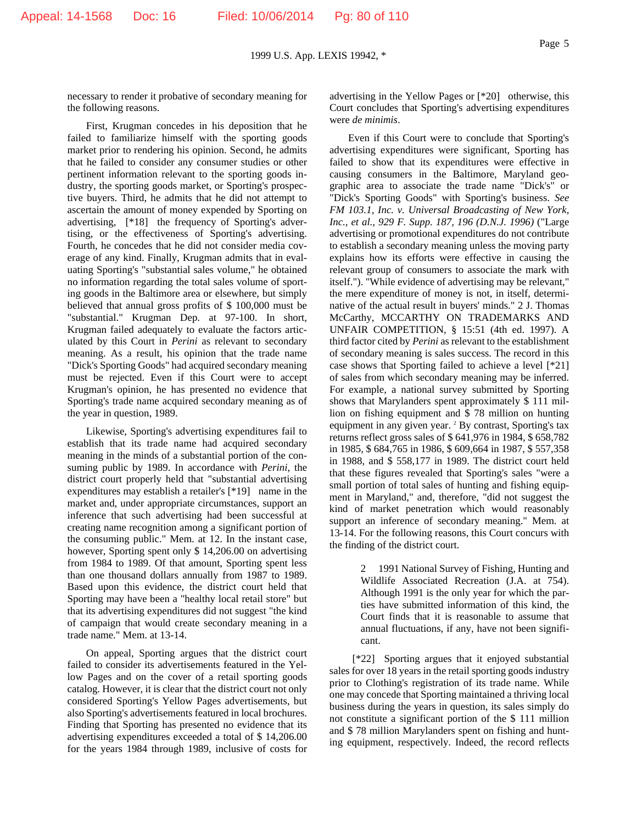necessary to render it probative of secondary meaning for the following reasons.

First, Krugman concedes in his deposition that he failed to familiarize himself with the sporting goods market prior to rendering his opinion. Second, he admits that he failed to consider any consumer studies or other pertinent information relevant to the sporting goods industry, the sporting goods market, or Sporting's prospective buyers. Third, he admits that he did not attempt to ascertain the amount of money expended by Sporting on advertising, [\*18] the frequency of Sporting's advertising, or the effectiveness of Sporting's advertising. Fourth, he concedes that he did not consider media coverage of any kind. Finally, Krugman admits that in evaluating Sporting's "substantial sales volume," he obtained no information regarding the total sales volume of sporting goods in the Baltimore area or elsewhere, but simply believed that annual gross profits of \$ 100,000 must be "substantial." Krugman Dep. at 97-100. In short, Krugman failed adequately to evaluate the factors articulated by this Court in *Perini* as relevant to secondary meaning. As a result, his opinion that the trade name "Dick's Sporting Goods" had acquired secondary meaning must be rejected. Even if this Court were to accept Krugman's opinion, he has presented no evidence that Sporting's trade name acquired secondary meaning as of the year in question, 1989.

Likewise, Sporting's advertising expenditures fail to establish that its trade name had acquired secondary meaning in the minds of a substantial portion of the consuming public by 1989. In accordance with *Perini*, the district court properly held that "substantial advertising expenditures may establish a retailer's [\*19] name in the market and, under appropriate circumstances, support an inference that such advertising had been successful at creating name recognition among a significant portion of the consuming public." Mem. at 12. In the instant case, however, Sporting spent only \$ 14,206.00 on advertising from 1984 to 1989. Of that amount, Sporting spent less than one thousand dollars annually from 1987 to 1989. Based upon this evidence, the district court held that Sporting may have been a "healthy local retail store" but that its advertising expenditures did not suggest "the kind of campaign that would create secondary meaning in a trade name." Mem. at 13-14.

On appeal, Sporting argues that the district court failed to consider its advertisements featured in the Yellow Pages and on the cover of a retail sporting goods catalog. However, it is clear that the district court not only considered Sporting's Yellow Pages advertisements, but also Sporting's advertisements featured in local brochures. Finding that Sporting has presented no evidence that its advertising expenditures exceeded a total of \$ 14,206.00 for the years 1984 through 1989, inclusive of costs for

advertising in the Yellow Pages or [\*20] otherwise, this Court concludes that Sporting's advertising expenditures were *de minimis*.

Even if this Court were to conclude that Sporting's advertising expenditures were significant, Sporting has failed to show that its expenditures were effective in causing consumers in the Baltimore, Maryland geographic area to associate the trade name "Dick's" or "Dick's Sporting Goods" with Sporting's business. *See FM 103.1, Inc. v. Universal Broadcasting of New York, Inc., et al., 929 F. Supp. 187, 196 (D.N.J. 1996)* ("Large advertising or promotional expenditures do not contribute to establish a secondary meaning unless the moving party explains how its efforts were effective in causing the relevant group of consumers to associate the mark with itself."). "While evidence of advertising may be relevant," the mere expenditure of money is not, in itself, determinative of the actual result in buyers' minds." 2 J. Thomas McCarthy, MCCARTHY ON TRADEMARKS AND UNFAIR COMPETITION, § 15:51 (4th ed. 1997). A third factor cited by *Perini* as relevant to the establishment of secondary meaning is sales success. The record in this case shows that Sporting failed to achieve a level [\*21] of sales from which secondary meaning may be inferred. For example, a national survey submitted by Sporting shows that Marylanders spent approximately \$ 111 million on fishing equipment and \$ 78 million on hunting equipment in any given year. <sup>2</sup> By contrast, Sporting's tax returns reflect gross sales of \$ 641,976 in 1984, \$ 658,782 in 1985, \$ 684,765 in 1986, \$ 609,664 in 1987, \$ 557,358 in 1988, and \$ 558,177 in 1989. The district court held that these figures revealed that Sporting's sales "were a small portion of total sales of hunting and fishing equipment in Maryland," and, therefore, "did not suggest the kind of market penetration which would reasonably support an inference of secondary meaning." Mem. at 13-14. For the following reasons, this Court concurs with the finding of the district court.

> 2 1991 National Survey of Fishing, Hunting and Wildlife Associated Recreation (J.A. at 754). Although 1991 is the only year for which the parties have submitted information of this kind, the Court finds that it is reasonable to assume that annual fluctuations, if any, have not been significant.

 [\*22] Sporting argues that it enjoyed substantial sales for over 18 years in the retail sporting goods industry prior to Clothing's registration of its trade name. While one may concede that Sporting maintained a thriving local business during the years in question, its sales simply do not constitute a significant portion of the \$ 111 million and \$ 78 million Marylanders spent on fishing and hunting equipment, respectively. Indeed, the record reflects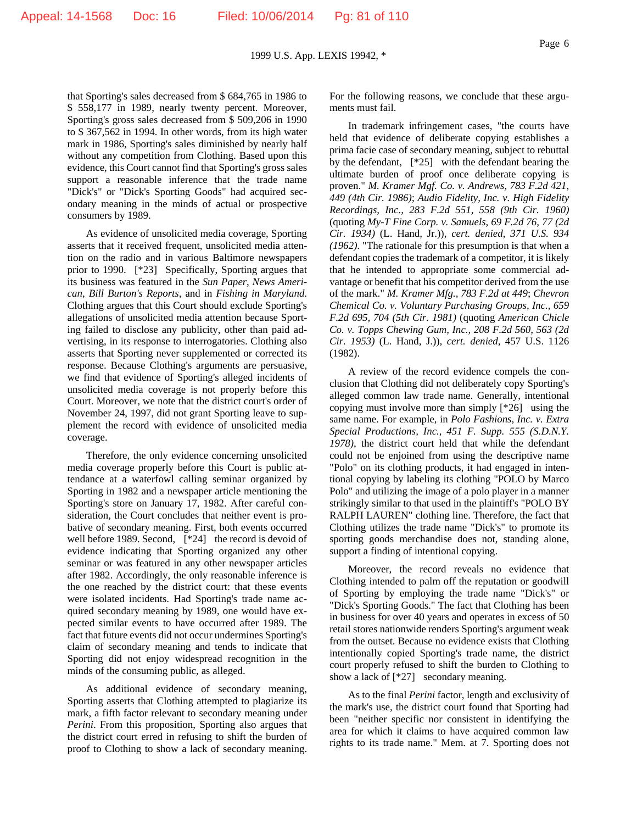1999 U.S. App. LEXIS 19942, \*

that Sporting's sales decreased from \$ 684,765 in 1986 to \$ 558,177 in 1989, nearly twenty percent. Moreover, Sporting's gross sales decreased from \$ 509,206 in 1990 to \$ 367,562 in 1994. In other words, from its high water mark in 1986, Sporting's sales diminished by nearly half without any competition from Clothing. Based upon this evidence, this Court cannot find that Sporting's gross sales support a reasonable inference that the trade name "Dick's" or "Dick's Sporting Goods" had acquired secondary meaning in the minds of actual or prospective consumers by 1989.

As evidence of unsolicited media coverage, Sporting asserts that it received frequent, unsolicited media attention on the radio and in various Baltimore newspapers prior to 1990. [\*23] Specifically, Sporting argues that its business was featured in the *Sun Paper*, *News American*, *Bill Burton's Reports*, and in *Fishing in Maryland*. Clothing argues that this Court should exclude Sporting's allegations of unsolicited media attention because Sporting failed to disclose any publicity, other than paid advertising, in its response to interrogatories. Clothing also asserts that Sporting never supplemented or corrected its response. Because Clothing's arguments are persuasive, we find that evidence of Sporting's alleged incidents of unsolicited media coverage is not properly before this Court. Moreover, we note that the district court's order of November 24, 1997, did not grant Sporting leave to supplement the record with evidence of unsolicited media coverage.

Therefore, the only evidence concerning unsolicited media coverage properly before this Court is public attendance at a waterfowl calling seminar organized by Sporting in 1982 and a newspaper article mentioning the Sporting's store on January 17, 1982. After careful consideration, the Court concludes that neither event is probative of secondary meaning. First, both events occurred well before 1989. Second, [\*24] the record is devoid of evidence indicating that Sporting organized any other seminar or was featured in any other newspaper articles after 1982. Accordingly, the only reasonable inference is the one reached by the district court: that these events were isolated incidents. Had Sporting's trade name acquired secondary meaning by 1989, one would have expected similar events to have occurred after 1989. The fact that future events did not occur undermines Sporting's claim of secondary meaning and tends to indicate that Sporting did not enjoy widespread recognition in the minds of the consuming public, as alleged.

As additional evidence of secondary meaning, Sporting asserts that Clothing attempted to plagiarize its mark, a fifth factor relevant to secondary meaning under *Perini*. From this proposition, Sporting also argues that the district court erred in refusing to shift the burden of proof to Clothing to show a lack of secondary meaning.

For the following reasons, we conclude that these arguments must fail.

In trademark infringement cases, "the courts have held that evidence of deliberate copying establishes a prima facie case of secondary meaning, subject to rebuttal by the defendant, [\*25] with the defendant bearing the ultimate burden of proof once deliberate copying is proven." *M. Kramer Mgf. Co. v. Andrews, 783 F.2d 421, 449 (4th Cir. 1986)*; *Audio Fidelity, Inc. v. High Fidelity Recordings, Inc., 283 F.2d 551, 558 (9th Cir. 1960)* (quoting *My-T Fine Corp. v. Samuels, 69 F.2d 76, 77 (2d Cir. 1934)* (L. Hand, Jr.)), *cert. denied*, *371 U.S. 934 (1962)*. "The rationale for this presumption is that when a defendant copies the trademark of a competitor, it is likely that he intended to appropriate some commercial advantage or benefit that his competitor derived from the use of the mark." *M. Kramer Mfg., 783 F.2d at 449*; *Chevron Chemical Co. v. Voluntary Purchasing Groups, Inc., 659 F.2d 695, 704 (5th Cir. 1981)* (quoting *American Chicle Co. v. Topps Chewing Gum, Inc., 208 F.2d 560, 563 (2d Cir. 1953)* (L. Hand, J.)), *cert. denied*, 457 U.S. 1126 (1982).

A review of the record evidence compels the conclusion that Clothing did not deliberately copy Sporting's alleged common law trade name. Generally, intentional copying must involve more than simply [\*26] using the same name. For example, in *Polo Fashions, Inc. v. Extra Special Productions, Inc., 451 F. Supp. 555 (S.D.N.Y. 1978)*, the district court held that while the defendant could not be enjoined from using the descriptive name "Polo" on its clothing products, it had engaged in intentional copying by labeling its clothing "POLO by Marco Polo" and utilizing the image of a polo player in a manner strikingly similar to that used in the plaintiff's "POLO BY RALPH LAUREN" clothing line. Therefore, the fact that Clothing utilizes the trade name "Dick's" to promote its sporting goods merchandise does not, standing alone, support a finding of intentional copying.

Moreover, the record reveals no evidence that Clothing intended to palm off the reputation or goodwill of Sporting by employing the trade name "Dick's" or "Dick's Sporting Goods." The fact that Clothing has been in business for over 40 years and operates in excess of 50 retail stores nationwide renders Sporting's argument weak from the outset. Because no evidence exists that Clothing intentionally copied Sporting's trade name, the district court properly refused to shift the burden to Clothing to show a lack of  $[27]$  secondary meaning.

As to the final *Perini* factor, length and exclusivity of the mark's use, the district court found that Sporting had been "neither specific nor consistent in identifying the area for which it claims to have acquired common law rights to its trade name." Mem. at 7. Sporting does not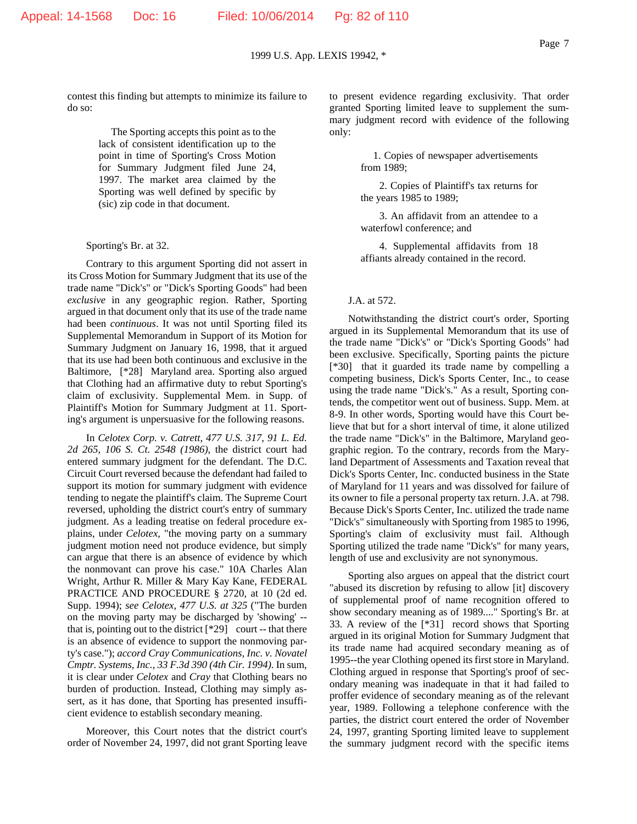contest this finding but attempts to minimize its failure to do so:

> The Sporting accepts this point as to the lack of consistent identification up to the point in time of Sporting's Cross Motion for Summary Judgment filed June 24, 1997. The market area claimed by the Sporting was well defined by specific by (sic) zip code in that document.

#### Sporting's Br. at 32.

Contrary to this argument Sporting did not assert in its Cross Motion for Summary Judgment that its use of the trade name "Dick's" or "Dick's Sporting Goods" had been *exclusive* in any geographic region. Rather, Sporting argued in that document only that its use of the trade name had been *continuous*. It was not until Sporting filed its Supplemental Memorandum in Support of its Motion for Summary Judgment on January 16, 1998, that it argued that its use had been both continuous and exclusive in the Baltimore, [\*28] Maryland area. Sporting also argued that Clothing had an affirmative duty to rebut Sporting's claim of exclusivity. Supplemental Mem. in Supp. of Plaintiff's Motion for Summary Judgment at 11. Sporting's argument is unpersuasive for the following reasons.

In *Celotex Corp. v. Catrett, 477 U.S. 317, 91 L. Ed. 2d 265, 106 S. Ct. 2548 (1986)*, the district court had entered summary judgment for the defendant. The D.C. Circuit Court reversed because the defendant had failed to support its motion for summary judgment with evidence tending to negate the plaintiff's claim. The Supreme Court reversed, upholding the district court's entry of summary judgment. As a leading treatise on federal procedure explains, under *Celotex*, "the moving party on a summary judgment motion need not produce evidence, but simply can argue that there is an absence of evidence by which the nonmovant can prove his case." 10A Charles Alan Wright, Arthur R. Miller & Mary Kay Kane, FEDERAL PRACTICE AND PROCEDURE § 2720, at 10 (2d ed. Supp. 1994); *see Celotex, 477 U.S. at 325* ("The burden on the moving party may be discharged by 'showing' - that is, pointing out to the district  $[*29]$  court -- that there is an absence of evidence to support the nonmoving party's case."); *accord Cray Communications, Inc. v. Novatel Cmptr. Systems, Inc., 33 F.3d 390 (4th Cir. 1994)*. In sum, it is clear under *Celotex* and *Cray* that Clothing bears no burden of production. Instead, Clothing may simply assert, as it has done, that Sporting has presented insufficient evidence to establish secondary meaning.

Moreover, this Court notes that the district court's order of November 24, 1997, did not grant Sporting leave to present evidence regarding exclusivity. That order granted Sporting limited leave to supplement the summary judgment record with evidence of the following only:

> 1. Copies of newspaper advertisements from 1989;

> 2. Copies of Plaintiff's tax returns for the years 1985 to 1989;

> 3. An affidavit from an attendee to a waterfowl conference; and

> 4. Supplemental affidavits from 18 affiants already contained in the record.

### J.A. at 572.

Notwithstanding the district court's order, Sporting argued in its Supplemental Memorandum that its use of the trade name "Dick's" or "Dick's Sporting Goods" had been exclusive. Specifically, Sporting paints the picture [\*30] that it guarded its trade name by compelling a competing business, Dick's Sports Center, Inc., to cease using the trade name "Dick's." As a result, Sporting contends, the competitor went out of business. Supp. Mem. at 8-9. In other words, Sporting would have this Court believe that but for a short interval of time, it alone utilized the trade name "Dick's" in the Baltimore, Maryland geographic region. To the contrary, records from the Maryland Department of Assessments and Taxation reveal that Dick's Sports Center, Inc. conducted business in the State of Maryland for 11 years and was dissolved for failure of its owner to file a personal property tax return. J.A. at 798. Because Dick's Sports Center, Inc. utilized the trade name "Dick's" simultaneously with Sporting from 1985 to 1996, Sporting's claim of exclusivity must fail. Although Sporting utilized the trade name "Dick's" for many years, length of use and exclusivity are not synonymous.

Sporting also argues on appeal that the district court "abused its discretion by refusing to allow [it] discovery of supplemental proof of name recognition offered to show secondary meaning as of 1989...." Sporting's Br. at 33. A review of the [\*31] record shows that Sporting argued in its original Motion for Summary Judgment that its trade name had acquired secondary meaning as of 1995--the year Clothing opened its first store in Maryland. Clothing argued in response that Sporting's proof of secondary meaning was inadequate in that it had failed to proffer evidence of secondary meaning as of the relevant year, 1989. Following a telephone conference with the parties, the district court entered the order of November 24, 1997, granting Sporting limited leave to supplement the summary judgment record with the specific items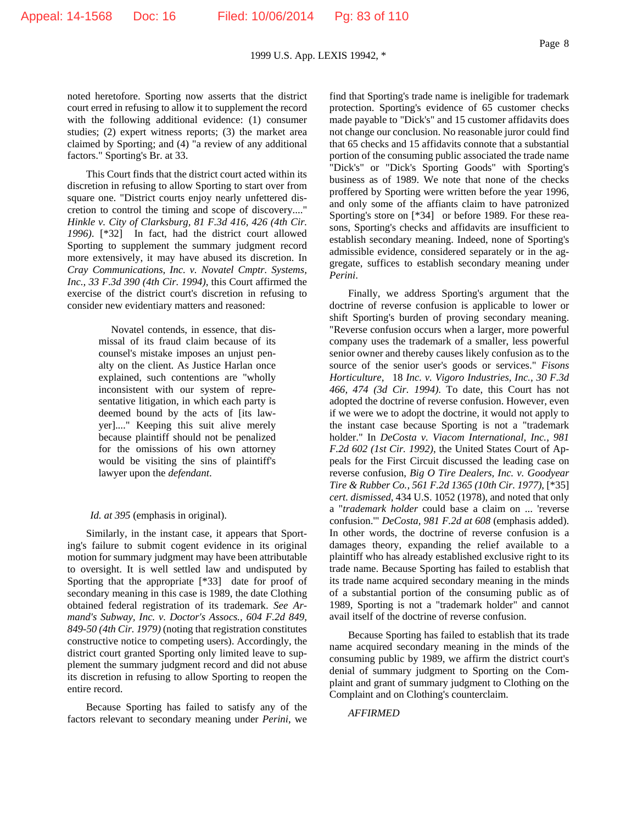1999 U.S. App. LEXIS 19942, \*

noted heretofore. Sporting now asserts that the district court erred in refusing to allow it to supplement the record with the following additional evidence: (1) consumer studies; (2) expert witness reports; (3) the market area claimed by Sporting; and (4) "a review of any additional factors." Sporting's Br. at 33.

This Court finds that the district court acted within its discretion in refusing to allow Sporting to start over from square one. "District courts enjoy nearly unfettered discretion to control the timing and scope of discovery...." *Hinkle v. City of Clarksburg, 81 F.3d 416, 426 (4th Cir. 1996)*. [\*32] In fact, had the district court allowed Sporting to supplement the summary judgment record more extensively, it may have abused its discretion. In *Cray Communications, Inc. v. Novatel Cmptr. Systems, Inc., 33 F.3d 390 (4th Cir. 1994)*, this Court affirmed the exercise of the district court's discretion in refusing to consider new evidentiary matters and reasoned:

> Novatel contends, in essence, that dismissal of its fraud claim because of its counsel's mistake imposes an unjust penalty on the client. As Justice Harlan once explained, such contentions are "wholly inconsistent with our system of representative litigation, in which each party is deemed bound by the acts of [its lawyer]...." Keeping this suit alive merely because plaintiff should not be penalized for the omissions of his own attorney would be visiting the sins of plaintiff's lawyer upon the *defendant*.

*Id. at 395* (emphasis in original).

Similarly, in the instant case, it appears that Sporting's failure to submit cogent evidence in its original motion for summary judgment may have been attributable to oversight. It is well settled law and undisputed by Sporting that the appropriate [\*33] date for proof of secondary meaning in this case is 1989, the date Clothing obtained federal registration of its trademark. *See Armand's Subway, Inc. v. Doctor's Assocs., 604 F.2d 849, 849-50 (4th Cir. 1979)* (noting that registration constitutes constructive notice to competing users). Accordingly, the district court granted Sporting only limited leave to supplement the summary judgment record and did not abuse its discretion in refusing to allow Sporting to reopen the entire record.

Because Sporting has failed to satisfy any of the factors relevant to secondary meaning under *Perini*, we find that Sporting's trade name is ineligible for trademark protection. Sporting's evidence of 65 customer checks made payable to "Dick's" and 15 customer affidavits does not change our conclusion. No reasonable juror could find that 65 checks and 15 affidavits connote that a substantial portion of the consuming public associated the trade name "Dick's" or "Dick's Sporting Goods" with Sporting's business as of 1989. We note that none of the checks proffered by Sporting were written before the year 1996, and only some of the affiants claim to have patronized Sporting's store on [\*34] or before 1989. For these reasons, Sporting's checks and affidavits are insufficient to establish secondary meaning. Indeed, none of Sporting's admissible evidence, considered separately or in the aggregate, suffices to establish secondary meaning under *Perini*.

Finally, we address Sporting's argument that the doctrine of reverse confusion is applicable to lower or shift Sporting's burden of proving secondary meaning. "Reverse confusion occurs when a larger, more powerful company uses the trademark of a smaller, less powerful senior owner and thereby causes likely confusion as to the source of the senior user's goods or services." *Fisons Horticulture,* 18 *Inc. v. Vigoro Industries, Inc., 30 F.3d 466, 474 (3d Cir. 1994)*. To date, this Court has not adopted the doctrine of reverse confusion. However, even if we were we to adopt the doctrine, it would not apply to the instant case because Sporting is not a "trademark holder." In *DeCosta v. Viacom International, Inc., 981 F.2d 602 (1st Cir. 1992)*, the United States Court of Appeals for the First Circuit discussed the leading case on reverse confusion, *Big O Tire Dealers, Inc. v. Goodyear Tire & Rubber Co., 561 F.2d 1365 (10th Cir. 1977)*, [\*35] *cert. dismissed*, 434 U.S. 1052 (1978), and noted that only a "*trademark holder* could base a claim on ... 'reverse confusion.'" *DeCosta, 981 F.2d at 608* (emphasis added). In other words, the doctrine of reverse confusion is a damages theory, expanding the relief available to a plaintiff who has already established exclusive right to its trade name. Because Sporting has failed to establish that its trade name acquired secondary meaning in the minds of a substantial portion of the consuming public as of 1989, Sporting is not a "trademark holder" and cannot avail itself of the doctrine of reverse confusion.

Because Sporting has failed to establish that its trade name acquired secondary meaning in the minds of the consuming public by 1989, we affirm the district court's denial of summary judgment to Sporting on the Complaint and grant of summary judgment to Clothing on the Complaint and on Clothing's counterclaim.

*AFFIRMED*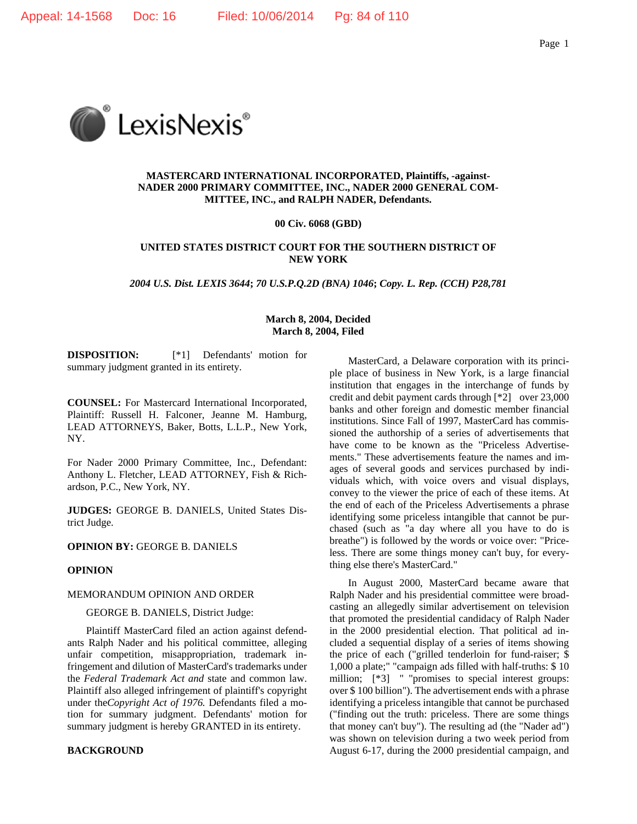

## **MASTERCARD INTERNATIONAL INCORPORATED, Plaintiffs, -against-NADER 2000 PRIMARY COMMITTEE, INC., NADER 2000 GENERAL COM-MITTEE, INC., and RALPH NADER, Defendants.**

### **00 Civ. 6068 (GBD)**

## **UNITED STATES DISTRICT COURT FOR THE SOUTHERN DISTRICT OF NEW YORK**

*2004 U.S. Dist. LEXIS 3644***;** *70 U.S.P.Q.2D (BNA) 1046***;** *Copy. L. Rep. (CCH) P28,781*

# **March 8, 2004, Decided March 8, 2004, Filed**

**DISPOSITION:** [\*1] Defendants' motion for summary judgment granted in its entirety.

**COUNSEL:** For Mastercard International Incorporated, Plaintiff: Russell H. Falconer, Jeanne M. Hamburg, LEAD ATTORNEYS, Baker, Botts, L.L.P., New York, NY.

For Nader 2000 Primary Committee, Inc., Defendant: Anthony L. Fletcher, LEAD ATTORNEY, Fish & Richardson, P.C., New York, NY.

**JUDGES:** GEORGE B. DANIELS, United States District Judge.

**OPINION BY:** GEORGE B. DANIELS

### **OPINION**

# MEMORANDUM OPINION AND ORDER

GEORGE B. DANIELS, District Judge:

Plaintiff MasterCard filed an action against defendants Ralph Nader and his political committee, alleging unfair competition, misappropriation, trademark infringement and dilution of MasterCard's trademarks under the *Federal Trademark Act and* state and common law. Plaintiff also alleged infringement of plaintiff's copyright under the*Copyright Act of 1976.* Defendants filed a motion for summary judgment. Defendants' motion for summary judgment is hereby GRANTED in its entirety.

# **BACKGROUND**

MasterCard, a Delaware corporation with its principle place of business in New York, is a large financial institution that engages in the interchange of funds by credit and debit payment cards through [\*2] over 23,000 banks and other foreign and domestic member financial institutions. Since Fall of 1997, MasterCard has commissioned the authorship of a series of advertisements that have come to be known as the "Priceless Advertisements." These advertisements feature the names and images of several goods and services purchased by individuals which, with voice overs and visual displays, convey to the viewer the price of each of these items. At the end of each of the Priceless Advertisements a phrase identifying some priceless intangible that cannot be purchased (such as "a day where all you have to do is breathe") is followed by the words or voice over: "Priceless. There are some things money can't buy, for everything else there's MasterCard."

In August 2000, MasterCard became aware that Ralph Nader and his presidential committee were broadcasting an allegedly similar advertisement on television that promoted the presidential candidacy of Ralph Nader in the 2000 presidential election. That political ad included a sequential display of a series of items showing the price of each ("grilled tenderloin for fund-raiser; \$ 1,000 a plate;" "campaign ads filled with half-truths: \$ 10 million;  $[ *3]$  " "promises to special interest groups: over \$ 100 billion"). The advertisement ends with a phrase identifying a priceless intangible that cannot be purchased ("finding out the truth: priceless. There are some things that money can't buy"). The resulting ad (the "Nader ad") was shown on television during a two week period from August 6-17, during the 2000 presidential campaign, and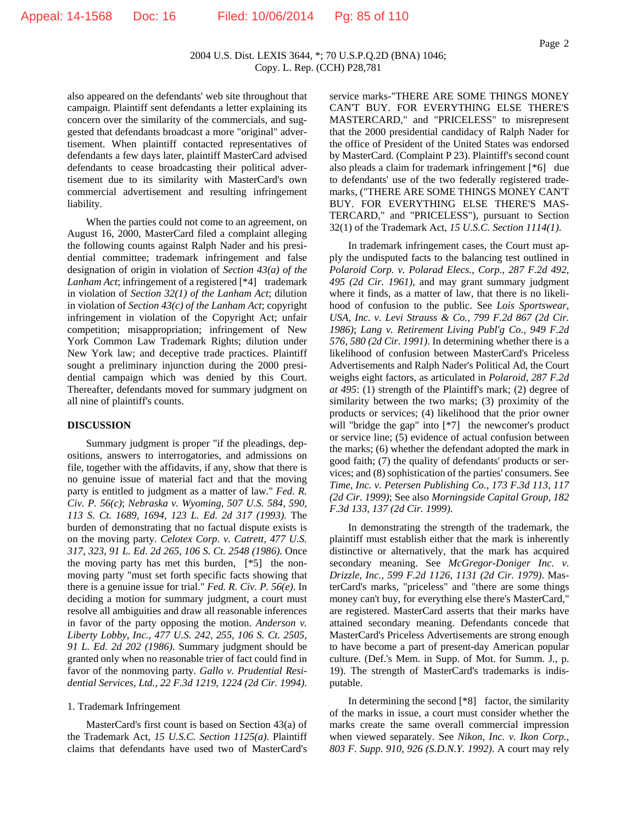also appeared on the defendants' web site throughout that campaign. Plaintiff sent defendants a letter explaining its concern over the similarity of the commercials, and suggested that defendants broadcast a more "original" advertisement. When plaintiff contacted representatives of defendants a few days later, plaintiff MasterCard advised defendants to cease broadcasting their political advertisement due to its similarity with MasterCard's own commercial advertisement and resulting infringement liability.

When the parties could not come to an agreement, on August 16, 2000, MasterCard filed a complaint alleging the following counts against Ralph Nader and his presidential committee; trademark infringement and false designation of origin in violation of *Section 43(a) of the Lanham Act*; infringement of a registered [\*4] trademark in violation of *Section 32(1) of the Lanham Act*; dilution in violation of *Section 43(c) of the Lanham Act*; copyright infringement in violation of the Copyright Act; unfair competition; misappropriation; infringement of New York Common Law Trademark Rights; dilution under New York law; and deceptive trade practices. Plaintiff sought a preliminary injunction during the 2000 presidential campaign which was denied by this Court. Thereafter, defendants moved for summary judgment on all nine of plaintiff's counts.

#### **DISCUSSION**

Summary judgment is proper "if the pleadings, depositions, answers to interrogatories, and admissions on file, together with the affidavits, if any, show that there is no genuine issue of material fact and that the moving party is entitled to judgment as a matter of law." *Fed. R. Civ. P. 56(c)*; *Nebraska v. Wyoming, 507 U.S. 584, 590, 113 S. Ct. 1689, 1694, 123 L. Ed. 2d 317 (1993)*. The burden of demonstrating that no factual dispute exists is on the moving party. *Celotex Corp. v. Catrett, 477 U.S. 317, 323, 91 L. Ed. 2d 265, 106 S. Ct. 2548 (1986)*. Once the moving party has met this burden, [\*5] the nonmoving party "must set forth specific facts showing that there is a genuine issue for trial." *Fed. R. Civ. P. 56(e)*. In deciding a motion for summary judgment, a court must resolve all ambiguities and draw all reasonable inferences in favor of the party opposing the motion. *Anderson v. Liberty Lobby, Inc., 477 U.S. 242, 255, 106 S. Ct. 2505, 91 L. Ed. 2d 202 (1986)*. Summary judgment should be granted only when no reasonable trier of fact could find in favor of the nonmoving party. *Gallo v. Prudential Residential Services, Ltd., 22 F.3d 1219, 1224 (2d Cir. 1994)*.

#### 1. Trademark Infringement

MasterCard's first count is based on Section 43(a) of the Trademark Act, *15 U.S.C. Section 1125(a)*. Plaintiff claims that defendants have used two of MasterCard's

service marks-"THERE ARE SOME THINGS MONEY CAN'T BUY. FOR EVERYTHING ELSE THERE'S MASTERCARD," and "PRICELESS" to misrepresent that the 2000 presidential candidacy of Ralph Nader for the office of President of the United States was endorsed by MasterCard. (Complaint P 23). Plaintiff's second count also pleads a claim for trademark infringement [\*6] due to defendants' use of the two federally registered trademarks, ("THERE ARE SOME THINGS MONEY CAN'T BUY. FOR EVERYTHING ELSE THERE'S MAS-TERCARD," and "PRICELESS"), pursuant to Section 32(1) of the Trademark Act, *15 U.S.C. Section 1114(1)*.

In trademark infringement cases, the Court must apply the undisputed facts to the balancing test outlined in *Polaroid Corp. v. Polarad Elecs., Corp., 287 F.2d 492, 495 (2d Cir. 1961)*, and may grant summary judgment where it finds, as a matter of law, that there is no likelihood of confusion to the public. See *Lois Sportswear, USA, Inc. v. Levi Strauss & Co., 799 F.2d 867 (2d Cir. 1986)*; *Lang v. Retirement Living Publ'g Co., 949 F.2d 576, 580 (2d Cir. 1991)*. In determining whether there is a likelihood of confusion between MasterCard's Priceless Advertisements and Ralph Nader's Political Ad, the Court weighs eight factors, as articulated in *Polaroid, 287 F.2d at 495*: (1) strength of the Plaintiff's mark; (2) degree of similarity between the two marks; (3) proximity of the products or services; (4) likelihood that the prior owner will "bridge the gap" into [\*7] the newcomer's product or service line; (5) evidence of actual confusion between the marks; (6) whether the defendant adopted the mark in good faith; (7) the quality of defendants' products or services; and (8) sophistication of the parties' consumers. See *Time, Inc. v. Petersen Publishing Co., 173 F.3d 113, 117 (2d Cir. 1999)*; See also *Morningside Capital Group, 182 F.3d 133, 137 (2d Cir. 1999)*.

In demonstrating the strength of the trademark, the plaintiff must establish either that the mark is inherently distinctive or alternatively, that the mark has acquired secondary meaning. See *McGregor-Doniger Inc. v. Drizzle, Inc., 599 F.2d 1126, 1131 (2d Cir. 1979)*. MasterCard's marks, "priceless" and "there are some things money can't buy, for everything else there's MasterCard," are registered. MasterCard asserts that their marks have attained secondary meaning. Defendants concede that MasterCard's Priceless Advertisements are strong enough to have become a part of present-day American popular culture. (Def.'s Mem. in Supp. of Mot. for Summ. J., p. 19). The strength of MasterCard's trademarks is indisputable.

In determining the second [\*8] factor, the similarity of the marks in issue, a court must consider whether the marks create the same overall commercial impression when viewed separately. See *Nikon, Inc. v. Ikon Corp., 803 F. Supp. 910, 926 (S.D.N.Y. 1992)*. A court may rely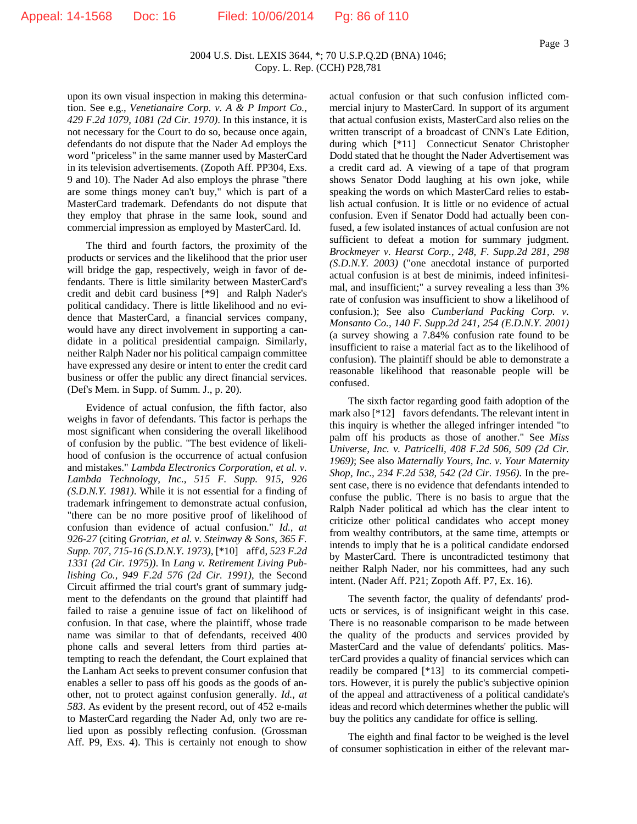upon its own visual inspection in making this determination. See e.g., *Venetianaire Corp. v. A & P Import Co., 429 F.2d 1079, 1081 (2d Cir. 1970)*. In this instance, it is not necessary for the Court to do so, because once again, defendants do not dispute that the Nader Ad employs the word "priceless" in the same manner used by MasterCard in its television advertisements. (Zopoth Aff. PP304, Exs. 9 and 10). The Nader Ad also employs the phrase "there are some things money can't buy," which is part of a MasterCard trademark. Defendants do not dispute that they employ that phrase in the same look, sound and commercial impression as employed by MasterCard. Id.

The third and fourth factors, the proximity of the products or services and the likelihood that the prior user will bridge the gap, respectively, weigh in favor of defendants. There is little similarity between MasterCard's credit and debit card business [\*9] and Ralph Nader's political candidacy. There is little likelihood and no evidence that MasterCard, a financial services company, would have any direct involvement in supporting a candidate in a political presidential campaign. Similarly, neither Ralph Nader nor his political campaign committee have expressed any desire or intent to enter the credit card business or offer the public any direct financial services. (Def's Mem. in Supp. of Summ. J., p. 20).

Evidence of actual confusion, the fifth factor, also weighs in favor of defendants. This factor is perhaps the most significant when considering the overall likelihood of confusion by the public. "The best evidence of likelihood of confusion is the occurrence of actual confusion and mistakes." *Lambda Electronics Corporation, et al. v. Lambda Technology, Inc., 515 F. Supp. 915, 926 (S.D.N.Y. 1981)*. While it is not essential for a finding of trademark infringement to demonstrate actual confusion, "there can be no more positive proof of likelihood of confusion than evidence of actual confusion." *Id., at 926-27* (citing *Grotrian, et al. v. Steinway & Sons, 365 F. Supp. 707, 715-16 (S.D.N.Y. 1973),* [\*10] aff'd, *523 F.2d 1331 (2d Cir. 1975))*. In *Lang v. Retirement Living Publishing Co., 949 F.2d 576 (2d Cir. 1991)*, the Second Circuit affirmed the trial court's grant of summary judgment to the defendants on the ground that plaintiff had failed to raise a genuine issue of fact on likelihood of confusion. In that case, where the plaintiff, whose trade name was similar to that of defendants, received 400 phone calls and several letters from third parties attempting to reach the defendant, the Court explained that the Lanham Act seeks to prevent consumer confusion that enables a seller to pass off his goods as the goods of another, not to protect against confusion generally. *Id., at 583*. As evident by the present record, out of 452 e-mails to MasterCard regarding the Nader Ad, only two are relied upon as possibly reflecting confusion. (Grossman Aff. P9, Exs. 4). This is certainly not enough to show

actual confusion or that such confusion inflicted commercial injury to MasterCard. In support of its argument that actual confusion exists, MasterCard also relies on the written transcript of a broadcast of CNN's Late Edition, during which [\*11] Connecticut Senator Christopher Dodd stated that he thought the Nader Advertisement was a credit card ad. A viewing of a tape of that program shows Senator Dodd laughing at his own joke, while speaking the words on which MasterCard relies to establish actual confusion. It is little or no evidence of actual confusion. Even if Senator Dodd had actually been confused, a few isolated instances of actual confusion are not sufficient to defeat a motion for summary judgment. *Brockmeyer v. Hearst Corp., 248, F. Supp.2d 281, 298 (S.D.N.Y. 2003)* ("one anecdotal instance of purported actual confusion is at best de minimis, indeed infinitesimal, and insufficient;" a survey revealing a less than 3% rate of confusion was insufficient to show a likelihood of confusion.); See also *Cumberland Packing Corp. v. Monsanto Co., 140 F. Supp.2d 241, 254 (E.D.N.Y. 2001)* (a survey showing a 7.84% confusion rate found to be insufficient to raise a material fact as to the likelihood of confusion). The plaintiff should be able to demonstrate a reasonable likelihood that reasonable people will be confused.

The sixth factor regarding good faith adoption of the mark also [\*12] favors defendants. The relevant intent in this inquiry is whether the alleged infringer intended "to palm off his products as those of another." See *Miss Universe, Inc. v. Patricelli, 408 F.2d 506, 509 (2d Cir. 1969)*; See also *Maternally Yours, Inc. v. Your Maternity Shop, Inc., 234 F.2d 538, 542 (2d Cir. 1956)*. In the present case, there is no evidence that defendants intended to confuse the public. There is no basis to argue that the Ralph Nader political ad which has the clear intent to criticize other political candidates who accept money from wealthy contributors, at the same time, attempts or intends to imply that he is a political candidate endorsed by MasterCard. There is uncontradicted testimony that neither Ralph Nader, nor his committees, had any such intent. (Nader Aff. P21; Zopoth Aff. P7, Ex. 16).

The seventh factor, the quality of defendants' products or services, is of insignificant weight in this case. There is no reasonable comparison to be made between the quality of the products and services provided by MasterCard and the value of defendants' politics. MasterCard provides a quality of financial services which can readily be compared [\*13] to its commercial competitors. However, it is purely the public's subjective opinion of the appeal and attractiveness of a political candidate's ideas and record which determines whether the public will buy the politics any candidate for office is selling.

The eighth and final factor to be weighed is the level of consumer sophistication in either of the relevant mar-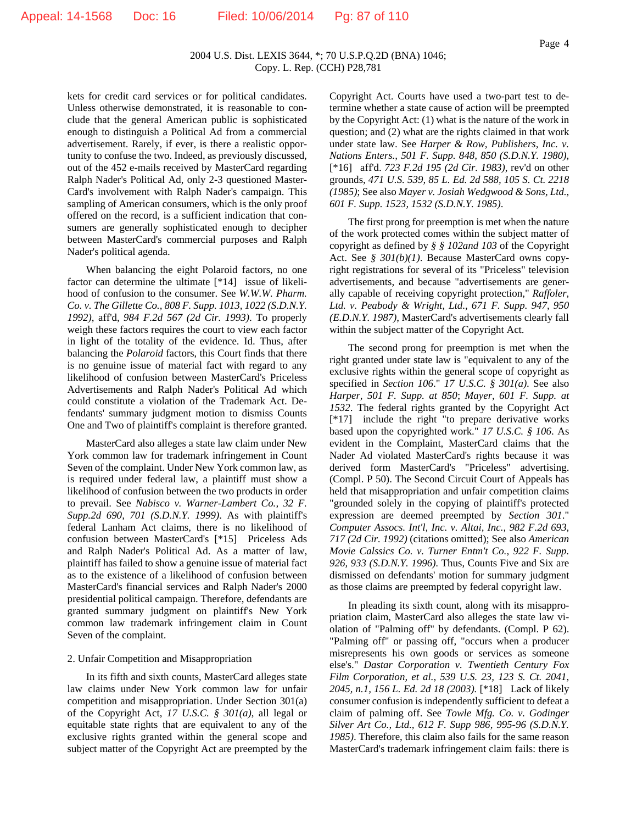kets for credit card services or for political candidates. Unless otherwise demonstrated, it is reasonable to conclude that the general American public is sophisticated enough to distinguish a Political Ad from a commercial advertisement. Rarely, if ever, is there a realistic opportunity to confuse the two. Indeed, as previously discussed, out of the 452 e-mails received by MasterCard regarding Ralph Nader's Political Ad, only 2-3 questioned Master-Card's involvement with Ralph Nader's campaign. This sampling of American consumers, which is the only proof offered on the record, is a sufficient indication that consumers are generally sophisticated enough to decipher between MasterCard's commercial purposes and Ralph Nader's political agenda.

When balancing the eight Polaroid factors, no one factor can determine the ultimate [\*14] issue of likelihood of confusion to the consumer. See *W.W.W. Pharm. Co. v. The Gillette Co., 808 F. Supp. 1013, 1022 (S.D.N.Y. 1992)*, aff'd, *984 F.2d 567 (2d Cir. 1993)*. To properly weigh these factors requires the court to view each factor in light of the totality of the evidence. Id. Thus, after balancing the *Polaroid* factors, this Court finds that there is no genuine issue of material fact with regard to any likelihood of confusion between MasterCard's Priceless Advertisements and Ralph Nader's Political Ad which could constitute a violation of the Trademark Act. Defendants' summary judgment motion to dismiss Counts One and Two of plaintiff's complaint is therefore granted.

MasterCard also alleges a state law claim under New York common law for trademark infringement in Count Seven of the complaint. Under New York common law, as is required under federal law, a plaintiff must show a likelihood of confusion between the two products in order to prevail. See *Nabisco v. Warner-Lambert Co., 32 F. Supp.2d 690, 701 (S.D.N.Y. 1999)*. As with plaintiff's federal Lanham Act claims, there is no likelihood of confusion between MasterCard's [\*15] Priceless Ads and Ralph Nader's Political Ad. As a matter of law, plaintiff has failed to show a genuine issue of material fact as to the existence of a likelihood of confusion between MasterCard's financial services and Ralph Nader's 2000 presidential political campaign. Therefore, defendants are granted summary judgment on plaintiff's New York common law trademark infringement claim in Count Seven of the complaint.

## 2. Unfair Competition and Misappropriation

In its fifth and sixth counts, MasterCard alleges state law claims under New York common law for unfair competition and misappropriation. Under Section 301(a) of the Copyright Act, *17 U.S.C. § 301(a)*, all legal or equitable state rights that are equivalent to any of the exclusive rights granted within the general scope and subject matter of the Copyright Act are preempted by the Copyright Act. Courts have used a two-part test to determine whether a state cause of action will be preempted by the Copyright Act: (1) what is the nature of the work in question; and (2) what are the rights claimed in that work under state law. See *Harper & Row, Publishers, Inc. v. Nations Enters., 501 F. Supp. 848, 850 (S.D.N.Y. 1980),* [\*16] aff'd. *723 F.2d 195 (2d Cir. 1983)*, rev'd on other grounds, *471 U.S. 539, 85 L. Ed. 2d 588, 105 S. Ct. 2218 (1985)*; See also *Mayer v. Josiah Wedgwood & Sons, Ltd., 601 F. Supp. 1523, 1532 (S.D.N.Y. 1985)*.

The first prong for preemption is met when the nature of the work protected comes within the subject matter of copyright as defined by *§ § 102and 103* of the Copyright Act. See *§ 301(b)(1)*. Because MasterCard owns copyright registrations for several of its "Priceless" television advertisements, and because "advertisements are generally capable of receiving copyright protection," *Raffoler, Ltd. v. Peabody & Wright, Ltd., 671 F. Supp. 947, 950 (E.D.N.Y. 1987)*, MasterCard's advertisements clearly fall within the subject matter of the Copyright Act.

The second prong for preemption is met when the right granted under state law is "equivalent to any of the exclusive rights within the general scope of copyright as specified in *Section 106*." *17 U.S.C. § 301(a)*. See also *Harper, 501 F. Supp. at 850*; *Mayer, 601 F. Supp. at 1532*. The federal rights granted by the Copyright Act [\*17] include the right "to prepare derivative works based upon the copyrighted work." *17 U.S.C. § 106*. As evident in the Complaint, MasterCard claims that the Nader Ad violated MasterCard's rights because it was derived form MasterCard's "Priceless" advertising. (Compl. P 50). The Second Circuit Court of Appeals has held that misappropriation and unfair competition claims "grounded solely in the copying of plaintiff's protected expression are deemed preempted by *Section 301*." *Computer Assocs. Int'l, Inc. v. Altai, Inc., 982 F.2d 693, 717 (2d Cir. 1992)* (citations omitted); See also *American Movie Calssics Co. v. Turner Entm't Co., 922 F. Supp. 926, 933 (S.D.N.Y. 1996)*. Thus, Counts Five and Six are dismissed on defendants' motion for summary judgment as those claims are preempted by federal copyright law.

In pleading its sixth count, along with its misappropriation claim, MasterCard also alleges the state law violation of "Palming off" by defendants. (Compl. P 62). "Palming off" or passing off, "occurs when a producer misrepresents his own goods or services as someone else's." *Dastar Corporation v. Twentieth Century Fox Film Corporation, et al., 539 U.S. 23, 123 S. Ct. 2041, 2045, n.1, 156 L. Ed. 2d 18 (2003).* [\*18] Lack of likely consumer confusion is independently sufficient to defeat a claim of palming off. See *Towle Mfg. Co. v. Godinger Silver Art Co., Ltd., 612 F. Supp 986, 995-96 (S.D.N.Y. 1985)*. Therefore, this claim also fails for the same reason MasterCard's trademark infringement claim fails: there is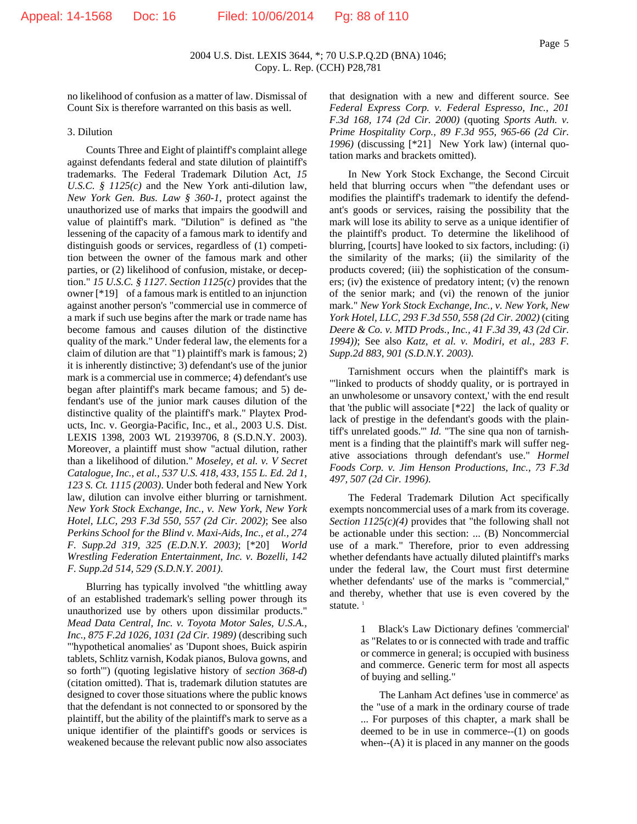no likelihood of confusion as a matter of law. Dismissal of Count Six is therefore warranted on this basis as well.

### 3. Dilution

Counts Three and Eight of plaintiff's complaint allege against defendants federal and state dilution of plaintiff's trademarks. The Federal Trademark Dilution Act, *15 U.S.C. § 1125(c)* and the New York anti-dilution law, *New York Gen. Bus. Law § 360-1*, protect against the unauthorized use of marks that impairs the goodwill and value of plaintiff's mark. "Dilution" is defined as "the lessening of the capacity of a famous mark to identify and distinguish goods or services, regardless of (1) competition between the owner of the famous mark and other parties, or (2) likelihood of confusion, mistake, or deception." *15 U.S.C. § 1127*. *Section 1125(c)* provides that the owner [\*19] of a famous mark is entitled to an injunction against another person's "commercial use in commerce of a mark if such use begins after the mark or trade name has become famous and causes dilution of the distinctive quality of the mark." Under federal law, the elements for a claim of dilution are that "1) plaintiff's mark is famous; 2) it is inherently distinctive; 3) defendant's use of the junior mark is a commercial use in commerce; 4) defendant's use began after plaintiff's mark became famous; and 5) defendant's use of the junior mark causes dilution of the distinctive quality of the plaintiff's mark." Playtex Products, Inc. v. Georgia-Pacific, Inc., et al., 2003 U.S. Dist. LEXIS 1398, 2003 WL 21939706, 8 (S.D.N.Y. 2003). Moreover, a plaintiff must show "actual dilution, rather than a likelihood of dilution." *Moseley, et al. v. V Secret Catalogue, Inc., et al., 537 U.S. 418, 433, 155 L. Ed. 2d 1, 123 S. Ct. 1115 (2003)*. Under both federal and New York law, dilution can involve either blurring or tarnishment. *New York Stock Exchange, Inc., v. New York, New York Hotel, LLC, 293 F.3d 550, 557 (2d Cir. 2002)*; See also *Perkins School for the Blind v. Maxi-Aids, Inc., et al., 274 F. Supp.2d 319, 325 (E.D.N.Y. 2003)*; [\*20] *World Wrestling Federation Entertainment, Inc. v. Bozelli, 142 F. Supp.2d 514, 529 (S.D.N.Y. 2001)*.

Blurring has typically involved "the whittling away of an established trademark's selling power through its unauthorized use by others upon dissimilar products." *Mead Data Central, Inc. v. Toyota Motor Sales, U.S.A., Inc., 875 F.2d 1026, 1031 (2d Cir. 1989)* (describing such "'hypothetical anomalies' as 'Dupont shoes, Buick aspirin tablets, Schlitz varnish, Kodak pianos, Bulova gowns, and so forth'") (quoting legislative history of *section 368-d*) (citation omitted). That is, trademark dilution statutes are designed to cover those situations where the public knows that the defendant is not connected to or sponsored by the plaintiff, but the ability of the plaintiff's mark to serve as a unique identifier of the plaintiff's goods or services is weakened because the relevant public now also associates

that designation with a new and different source. See *Federal Express Corp. v. Federal Espresso, Inc., 201 F.3d 168, 174 (2d Cir. 2000)* (quoting *Sports Auth. v. Prime Hospitality Corp., 89 F.3d 955, 965-66 (2d Cir. 1996)* (discussing [\*21] New York law) (internal quotation marks and brackets omitted).

In New York Stock Exchange, the Second Circuit held that blurring occurs when "'the defendant uses or modifies the plaintiff's trademark to identify the defendant's goods or services, raising the possibility that the mark will lose its ability to serve as a unique identifier of the plaintiff's product. To determine the likelihood of blurring, [courts] have looked to six factors, including: (i) the similarity of the marks; (ii) the similarity of the products covered; (iii) the sophistication of the consumers; (iv) the existence of predatory intent; (v) the renown of the senior mark; and (vi) the renown of the junior mark." *New York Stock Exchange, Inc., v. New York, New York Hotel, LLC, 293 F.3d 550, 558 (2d Cir. 2002)* (citing *Deere & Co. v. MTD Prods., Inc., 41 F.3d 39, 43 (2d Cir. 1994))*; See also *Katz, et al. v. Modiri, et al., 283 F. Supp.2d 883, 901 (S.D.N.Y. 2003)*.

Tarnishment occurs when the plaintiff's mark is "'linked to products of shoddy quality, or is portrayed in an unwholesome or unsavory context,' with the end result that 'the public will associate [\*22] the lack of quality or lack of prestige in the defendant's goods with the plaintiff's unrelated goods.'" *Id.* "The sine qua non of tarnishment is a finding that the plaintiff's mark will suffer negative associations through defendant's use." *Hormel Foods Corp. v. Jim Henson Productions, Inc., 73 F.3d 497, 507 (2d Cir. 1996)*.

The Federal Trademark Dilution Act specifically exempts noncommercial uses of a mark from its coverage. *Section 1125(c)(4)* provides that "the following shall not be actionable under this section: ... (B) Noncommercial use of a mark." Therefore, prior to even addressing whether defendants have actually diluted plaintiff's marks under the federal law, the Court must first determine whether defendants' use of the marks is "commercial," and thereby, whether that use is even covered by the statute.<sup>1</sup>

> 1 Black's Law Dictionary defines 'commercial' as "Relates to or is connected with trade and traffic or commerce in general; is occupied with business and commerce. Generic term for most all aspects of buying and selling."

> The Lanham Act defines 'use in commerce' as the "use of a mark in the ordinary course of trade ... For purposes of this chapter, a mark shall be deemed to be in use in commerce--(1) on goods when--(A) it is placed in any manner on the goods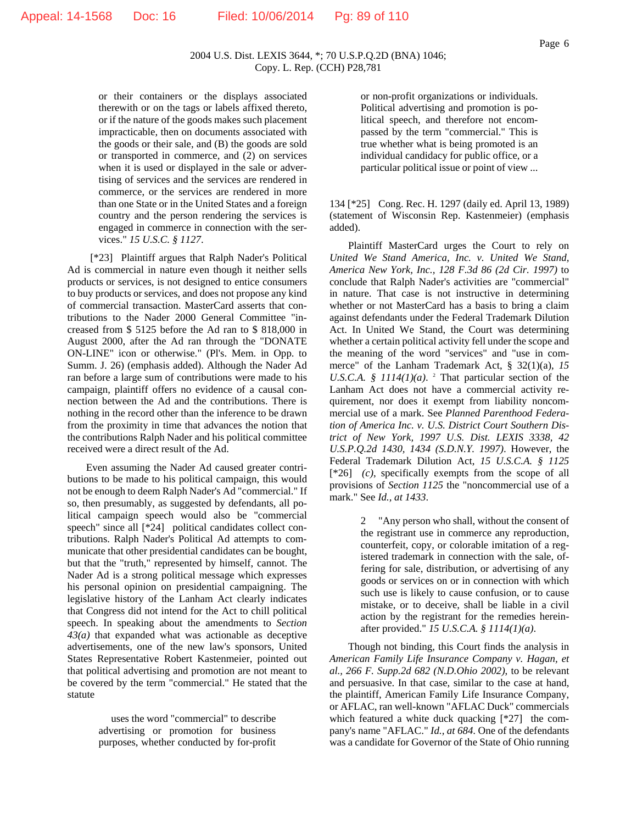or their containers or the displays associated therewith or on the tags or labels affixed thereto, or if the nature of the goods makes such placement impracticable, then on documents associated with the goods or their sale, and (B) the goods are sold or transported in commerce, and (2) on services when it is used or displayed in the sale or advertising of services and the services are rendered in commerce, or the services are rendered in more than one State or in the United States and a foreign country and the person rendering the services is engaged in commerce in connection with the services." *15 U.S.C. § 1127*.

 [\*23] Plaintiff argues that Ralph Nader's Political Ad is commercial in nature even though it neither sells products or services, is not designed to entice consumers to buy products or services, and does not propose any kind of commercial transaction. MasterCard asserts that contributions to the Nader 2000 General Committee "increased from \$ 5125 before the Ad ran to \$ 818,000 in August 2000, after the Ad ran through the "DONATE ON-LINE" icon or otherwise." (Pl's. Mem. in Opp. to Summ. J. 26) (emphasis added). Although the Nader Ad ran before a large sum of contributions were made to his campaign, plaintiff offers no evidence of a causal connection between the Ad and the contributions. There is nothing in the record other than the inference to be drawn from the proximity in time that advances the notion that the contributions Ralph Nader and his political committee received were a direct result of the Ad.

Even assuming the Nader Ad caused greater contributions to be made to his political campaign, this would not be enough to deem Ralph Nader's Ad "commercial." If so, then presumably, as suggested by defendants, all political campaign speech would also be "commercial speech" since all [\*24] political candidates collect contributions. Ralph Nader's Political Ad attempts to communicate that other presidential candidates can be bought, but that the "truth," represented by himself, cannot. The Nader Ad is a strong political message which expresses his personal opinion on presidential campaigning. The legislative history of the Lanham Act clearly indicates that Congress did not intend for the Act to chill political speech. In speaking about the amendments to *Section 43(a)* that expanded what was actionable as deceptive advertisements, one of the new law's sponsors, United States Representative Robert Kastenmeier, pointed out that political advertising and promotion are not meant to be covered by the term "commercial." He stated that the statute

> uses the word "commercial" to describe advertising or promotion for business purposes, whether conducted by for-profit

or non-profit organizations or individuals. Political advertising and promotion is political speech, and therefore not encompassed by the term "commercial." This is true whether what is being promoted is an individual candidacy for public office, or a particular political issue or point of view ...

134 [\*25] Cong. Rec. H. 1297 (daily ed. April 13, 1989) (statement of Wisconsin Rep. Kastenmeier) (emphasis added).

Plaintiff MasterCard urges the Court to rely on *United We Stand America, Inc. v. United We Stand, America New York, Inc., 128 F.3d 86 (2d Cir. 1997)* to conclude that Ralph Nader's activities are "commercial" in nature. That case is not instructive in determining whether or not MasterCard has a basis to bring a claim against defendants under the Federal Trademark Dilution Act. In United We Stand, the Court was determining whether a certain political activity fell under the scope and the meaning of the word "services" and "use in commerce" of the Lanham Trademark Act, § 32(1)(a), *15*  U.S.C.A.  $$ 1114(1)(a)$ . <sup>2</sup> That particular section of the Lanham Act does not have a commercial activity requirement, nor does it exempt from liability noncommercial use of a mark. See *Planned Parenthood Federation of America Inc. v. U.S. District Court Southern District of New York, 1997 U.S. Dist. LEXIS 3338, 42 U.S.P.Q.2d 1430, 1434 (S.D.N.Y. 1997)*. However, the Federal Trademark Dilution Act, *15 U.S.C.A. § 1125*  [\*26] *(c)*, specifically exempts from the scope of all provisions of *Section 1125* the "noncommercial use of a mark." See *Id., at 1433*.

> "Any person who shall, without the consent of the registrant use in commerce any reproduction, counterfeit, copy, or colorable imitation of a registered trademark in connection with the sale, offering for sale, distribution, or advertising of any goods or services on or in connection with which such use is likely to cause confusion, or to cause mistake, or to deceive, shall be liable in a civil action by the registrant for the remedies hereinafter provided." *15 U.S.C.A. § 1114(1)(a)*.

Though not binding, this Court finds the analysis in *American Family Life Insurance Company v. Hagan, et al., 266 F. Supp.2d 682 (N.D.Ohio 2002)*, to be relevant and persuasive. In that case, similar to the case at hand, the plaintiff, American Family Life Insurance Company, or AFLAC, ran well-known "AFLAC Duck" commercials which featured a white duck quacking [\*27] the company's name "AFLAC." *Id., at 684*. One of the defendants was a candidate for Governor of the State of Ohio running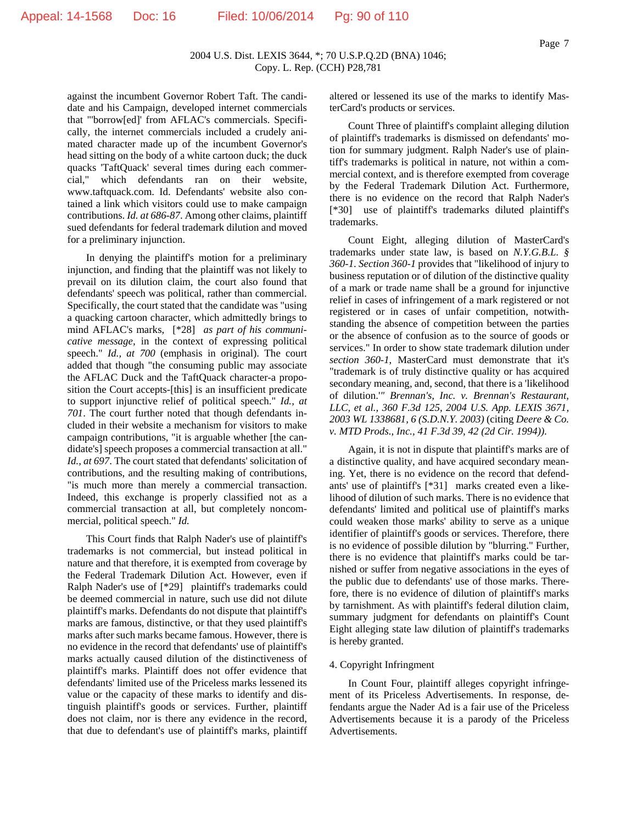against the incumbent Governor Robert Taft. The candidate and his Campaign, developed internet commercials that "'borrow[ed]' from AFLAC's commercials. Specifically, the internet commercials included a crudely animated character made up of the incumbent Governor's head sitting on the body of a white cartoon duck; the duck quacks 'TaftQuack' several times during each commercial," which defendants ran on their website, www.taftquack.com. Id. Defendants' website also contained a link which visitors could use to make campaign contributions. *Id. at 686-87*. Among other claims, plaintiff sued defendants for federal trademark dilution and moved for a preliminary injunction.

In denying the plaintiff's motion for a preliminary injunction, and finding that the plaintiff was not likely to prevail on its dilution claim, the court also found that defendants' speech was political, rather than commercial. Specifically, the court stated that the candidate was "using a quacking cartoon character, which admittedly brings to mind AFLAC's marks, [\*28] *as part of his communicative message,* in the context of expressing political speech." *Id., at 700* (emphasis in original). The court added that though "the consuming public may associate the AFLAC Duck and the TaftQuack character-a proposition the Court accepts-[this] is an insufficient predicate to support injunctive relief of political speech." *Id., at 701*. The court further noted that though defendants included in their website a mechanism for visitors to make campaign contributions, "it is arguable whether [the candidate's] speech proposes a commercial transaction at all." *Id., at 697*. The court stated that defendants' solicitation of contributions, and the resulting making of contributions, "is much more than merely a commercial transaction. Indeed, this exchange is properly classified not as a commercial transaction at all, but completely noncommercial, political speech." *Id.*

This Court finds that Ralph Nader's use of plaintiff's trademarks is not commercial, but instead political in nature and that therefore, it is exempted from coverage by the Federal Trademark Dilution Act. However, even if Ralph Nader's use of [\*29] plaintiff's trademarks could be deemed commercial in nature, such use did not dilute plaintiff's marks. Defendants do not dispute that plaintiff's marks are famous, distinctive, or that they used plaintiff's marks after such marks became famous. However, there is no evidence in the record that defendants' use of plaintiff's marks actually caused dilution of the distinctiveness of plaintiff's marks. Plaintiff does not offer evidence that defendants' limited use of the Priceless marks lessened its value or the capacity of these marks to identify and distinguish plaintiff's goods or services. Further, plaintiff does not claim, nor is there any evidence in the record, that due to defendant's use of plaintiff's marks, plaintiff altered or lessened its use of the marks to identify MasterCard's products or services.

Count Three of plaintiff's complaint alleging dilution of plaintiff's trademarks is dismissed on defendants' motion for summary judgment. Ralph Nader's use of plaintiff's trademarks is political in nature, not within a commercial context, and is therefore exempted from coverage by the Federal Trademark Dilution Act. Furthermore, there is no evidence on the record that Ralph Nader's [\*30] use of plaintiff's trademarks diluted plaintiff's trademarks.

Count Eight, alleging dilution of MasterCard's trademarks under state law, is based on *N.Y.G.B.L. § 360-1*. *Section 360-1* provides that "likelihood of injury to business reputation or of dilution of the distinctive quality of a mark or trade name shall be a ground for injunctive relief in cases of infringement of a mark registered or not registered or in cases of unfair competition, notwithstanding the absence of competition between the parties or the absence of confusion as to the source of goods or services." In order to show state trademark dilution under *section 360-1*, MasterCard must demonstrate that it's "trademark is of truly distinctive quality or has acquired secondary meaning, and, second, that there is a 'likelihood of dilution.'*" Brennan's, Inc. v. Brennan's Restaurant, LLC, et al., 360 F.3d 125, 2004 U.S. App. LEXIS 3671, 2003 WL 1338681, 6 (S.D.N.Y. 2003)* (citing *Deere & Co. v. MTD Prods., Inc., 41 F.3d 39, 42 (2d Cir. 1994))*.

Again, it is not in dispute that plaintiff's marks are of a distinctive quality, and have acquired secondary meaning. Yet, there is no evidence on the record that defendants' use of plaintiff's [\*31] marks created even a likelihood of dilution of such marks. There is no evidence that defendants' limited and political use of plaintiff's marks could weaken those marks' ability to serve as a unique identifier of plaintiff's goods or services. Therefore, there is no evidence of possible dilution by "blurring." Further, there is no evidence that plaintiff's marks could be tarnished or suffer from negative associations in the eyes of the public due to defendants' use of those marks. Therefore, there is no evidence of dilution of plaintiff's marks by tarnishment. As with plaintiff's federal dilution claim, summary judgment for defendants on plaintiff's Count Eight alleging state law dilution of plaintiff's trademarks is hereby granted.

### 4. Copyright Infringment

In Count Four, plaintiff alleges copyright infringement of its Priceless Advertisements. In response, defendants argue the Nader Ad is a fair use of the Priceless Advertisements because it is a parody of the Priceless Advertisements.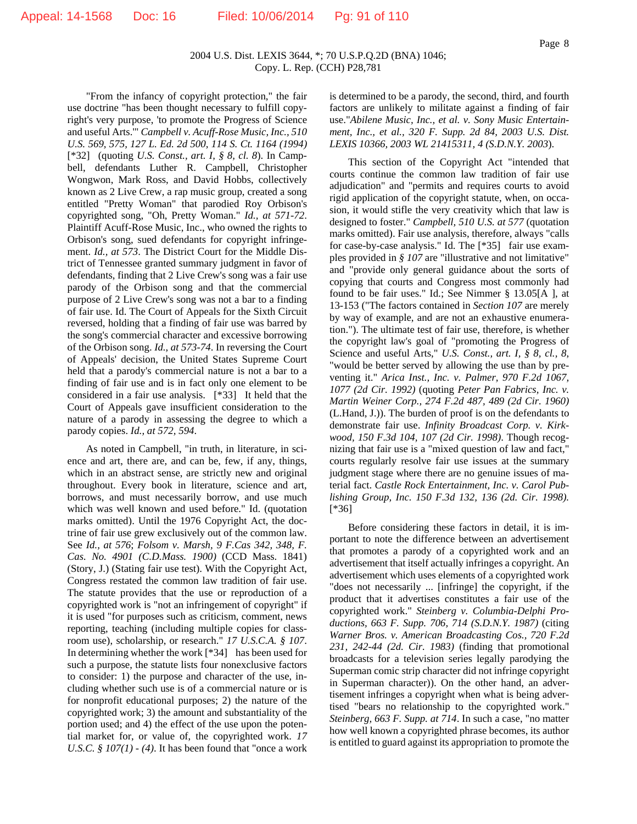"From the infancy of copyright protection," the fair use doctrine "has been thought necessary to fulfill copyright's very purpose, 'to promote the Progress of Science and useful Arts.'" *Campbell v. Acuff-Rose Music, Inc., 510 U.S. 569, 575, 127 L. Ed. 2d 500, 114 S. Ct. 1164 (1994)* [\*32] (quoting *U.S. Const., art. I, § 8, cl. 8*). In Campbell, defendants Luther R. Campbell, Christopher Wongwon, Mark Ross, and David Hobbs, collectively known as 2 Live Crew, a rap music group, created a song entitled "Pretty Woman" that parodied Roy Orbison's copyrighted song, "Oh, Pretty Woman." *Id., at 571-72*. Plaintiff Acuff-Rose Music, Inc., who owned the rights to Orbison's song, sued defendants for copyright infringement. *Id., at 573*. The District Court for the Middle District of Tennessee granted summary judgment in favor of defendants, finding that 2 Live Crew's song was a fair use parody of the Orbison song and that the commercial purpose of 2 Live Crew's song was not a bar to a finding of fair use. Id. The Court of Appeals for the Sixth Circuit reversed, holding that a finding of fair use was barred by the song's commercial character and excessive borrowing of the Orbison song. *Id., at 573-74*. In reversing the Court of Appeals' decision, the United States Supreme Court held that a parody's commercial nature is not a bar to a finding of fair use and is in fact only one element to be considered in a fair use analysis. [\*33] It held that the Court of Appeals gave insufficient consideration to the nature of a parody in assessing the degree to which a parody copies. *Id., at 572, 594*.

As noted in Campbell, "in truth, in literature, in science and art, there are, and can be, few, if any, things, which in an abstract sense, are strictly new and original throughout. Every book in literature, science and art, borrows, and must necessarily borrow, and use much which was well known and used before." Id. (quotation marks omitted). Until the 1976 Copyright Act, the doctrine of fair use grew exclusively out of the common law. See *Id., at 576*; *Folsom v. Marsh, 9 F.Cas 342, 348, F. Cas. No. 4901 (C.D.Mass. 1900)* (CCD Mass. 1841) (Story, J.) (Stating fair use test). With the Copyright Act, Congress restated the common law tradition of fair use. The statute provides that the use or reproduction of a copyrighted work is "not an infringement of copyright" if it is used "for purposes such as criticism, comment, news reporting, teaching (including multiple copies for classroom use), scholarship, or research." *17 U.S.C.A. § 107*. In determining whether the work [\*34] has been used for such a purpose, the statute lists four nonexclusive factors to consider: 1) the purpose and character of the use, including whether such use is of a commercial nature or is for nonprofit educational purposes; 2) the nature of the copyrighted work; 3) the amount and substantiality of the portion used; and 4) the effect of the use upon the potential market for, or value of, the copyrighted work. *17 U.S.C. § 107(1) - (4)*. It has been found that "once a work

is determined to be a parody, the second, third, and fourth factors are unlikely to militate against a finding of fair use."*Abilene Music, Inc., et al. v. Sony Music Entertainment, Inc., et al., 320 F. Supp. 2d 84, 2003 U.S. Dist. LEXIS 10366, 2003 WL 21415311, 4 (S.D.N.Y. 2003*).

This section of the Copyright Act "intended that courts continue the common law tradition of fair use adjudication" and "permits and requires courts to avoid rigid application of the copyright statute, when, on occasion, it would stifle the very creativity which that law is designed to foster." *Campbell, 510 U.S. at 577* (quotation marks omitted). Fair use analysis, therefore, always "calls for case-by-case analysis." Id. The [\*35] fair use examples provided in *§ 107* are "illustrative and not limitative" and "provide only general guidance about the sorts of copying that courts and Congress most commonly had found to be fair uses." Id.; See Nimmer § 13.05[A ], at 13-153 ("The factors contained in *Section 107* are merely by way of example, and are not an exhaustive enumeration."). The ultimate test of fair use, therefore, is whether the copyright law's goal of "promoting the Progress of Science and useful Arts," *U.S. Const., art. I, § 8, cl., 8*, "would be better served by allowing the use than by preventing it." *Arica Inst., Inc. v. Palmer, 970 F.2d 1067, 1077 (2d Cir. 1992)* (quoting *Peter Pan Fabrics, Inc. v. Martin Weiner Corp., 274 F.2d 487, 489 (2d Cir. 1960)* (L.Hand, J.)). The burden of proof is on the defendants to demonstrate fair use. *Infinity Broadcast Corp. v. Kirkwood, 150 F.3d 104, 107 (2d Cir. 1998)*. Though recognizing that fair use is a "mixed question of law and fact," courts regularly resolve fair use issues at the summary judgment stage where there are no genuine issues of material fact. *Castle Rock Entertainment, Inc. v. Carol Publishing Group, Inc. 150 F.3d 132, 136 (2d. Cir. 1998).* [\*36]

Before considering these factors in detail, it is important to note the difference between an advertisement that promotes a parody of a copyrighted work and an advertisement that itself actually infringes a copyright. An advertisement which uses elements of a copyrighted work "does not necessarily ... [infringe] the copyright, if the product that it advertises constitutes a fair use of the copyrighted work." *Steinberg v. Columbia-Delphi Productions, 663 F. Supp. 706, 714 (S.D.N.Y. 1987)* (citing *Warner Bros. v. American Broadcasting Cos., 720 F.2d 231, 242-44 (2d. Cir. 1983)* (finding that promotional broadcasts for a television series legally parodying the Superman comic strip character did not infringe copyright in Superman character)). On the other hand, an advertisement infringes a copyright when what is being advertised "bears no relationship to the copyrighted work." *Steinberg, 663 F. Supp. at 714*. In such a case, "no matter how well known a copyrighted phrase becomes, its author is entitled to guard against its appropriation to promote the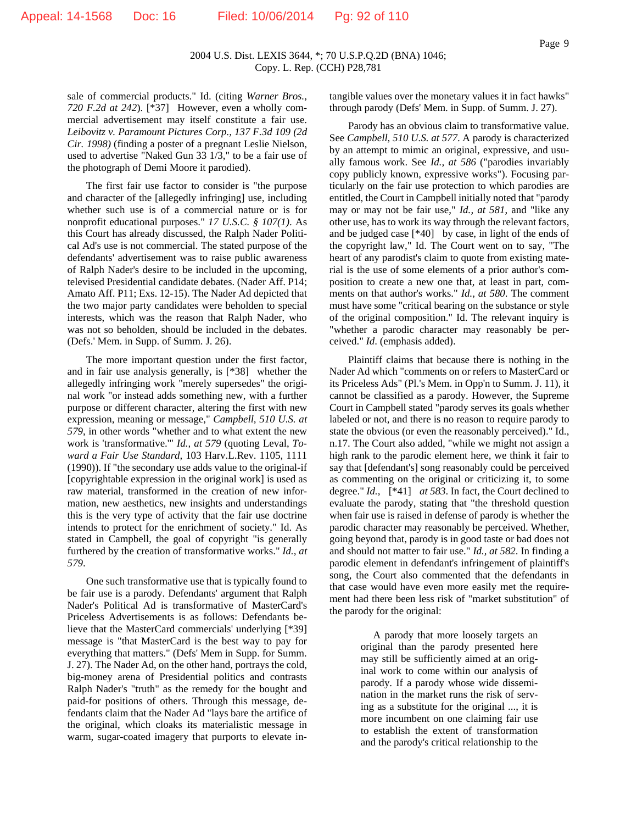sale of commercial products." Id. (citing *Warner Bros., 720 F.2d at 242*). [\*37] However, even a wholly commercial advertisement may itself constitute a fair use. *Leibovitz v. Paramount Pictures Corp., 137 F.3d 109 (2d Cir. 1998)* (finding a poster of a pregnant Leslie Nielson, used to advertise "Naked Gun 33 1/3," to be a fair use of the photograph of Demi Moore it parodied).

The first fair use factor to consider is "the purpose and character of the [allegedly infringing] use, including whether such use is of a commercial nature or is for nonprofit educational purposes." *17 U.S.C. § 107(1)*. As this Court has already discussed, the Ralph Nader Political Ad's use is not commercial. The stated purpose of the defendants' advertisement was to raise public awareness of Ralph Nader's desire to be included in the upcoming, televised Presidential candidate debates. (Nader Aff. P14; Amato Aff. P11; Exs. 12-15). The Nader Ad depicted that the two major party candidates were beholden to special interests, which was the reason that Ralph Nader, who was not so beholden, should be included in the debates. (Defs.' Mem. in Supp. of Summ. J. 26).

The more important question under the first factor, and in fair use analysis generally, is [\*38] whether the allegedly infringing work "merely supersedes" the original work "or instead adds something new, with a further purpose or different character, altering the first with new expression, meaning or message," *Campbell, 510 U.S. at 579*, in other words "whether and to what extent the new work is 'transformative.'" *Id., at 579* (quoting Leval, *Toward a Fair Use Standard,* 103 Harv.L.Rev. 1105, 1111 (1990)). If "the secondary use adds value to the original-if [copyrightable expression in the original work] is used as raw material, transformed in the creation of new information, new aesthetics, new insights and understandings this is the very type of activity that the fair use doctrine intends to protect for the enrichment of society." Id. As stated in Campbell, the goal of copyright "is generally furthered by the creation of transformative works." *Id., at 579*.

One such transformative use that is typically found to be fair use is a parody. Defendants' argument that Ralph Nader's Political Ad is transformative of MasterCard's Priceless Advertisements is as follows: Defendants believe that the MasterCard commercials' underlying [\*39] message is "that MasterCard is the best way to pay for everything that matters." (Defs' Mem in Supp. for Summ. J. 27). The Nader Ad, on the other hand, portrays the cold, big-money arena of Presidential politics and contrasts Ralph Nader's "truth" as the remedy for the bought and paid-for positions of others. Through this message, defendants claim that the Nader Ad "lays bare the artifice of the original, which cloaks its materialistic message in warm, sugar-coated imagery that purports to elevate intangible values over the monetary values it in fact hawks" through parody (Defs' Mem. in Supp. of Summ. J. 27).

Parody has an obvious claim to transformative value. See *Campbell, 510 U.S. at 577*. A parody is characterized by an attempt to mimic an original, expressive, and usually famous work. See *Id., at 586* ("parodies invariably copy publicly known, expressive works"). Focusing particularly on the fair use protection to which parodies are entitled, the Court in Campbell initially noted that "parody may or may not be fair use," *Id., at 581*, and "like any other use, has to work its way through the relevant factors, and be judged case [\*40] by case, in light of the ends of the copyright law," Id. The Court went on to say, "The heart of any parodist's claim to quote from existing material is the use of some elements of a prior author's composition to create a new one that, at least in part, comments on that author's works." *Id., at 580*. The comment must have some "critical bearing on the substance or style of the original composition." Id. The relevant inquiry is "whether a parodic character may reasonably be perceived." *Id*. (emphasis added).

Plaintiff claims that because there is nothing in the Nader Ad which "comments on or refers to MasterCard or its Priceless Ads" (Pl.'s Mem. in Opp'n to Summ. J. 11), it cannot be classified as a parody. However, the Supreme Court in Campbell stated "parody serves its goals whether labeled or not, and there is no reason to require parody to state the obvious (or even the reasonably perceived)." Id., n.17. The Court also added, "while we might not assign a high rank to the parodic element here, we think it fair to say that [defendant's] song reasonably could be perceived as commenting on the original or criticizing it, to some degree." *Id.,* [\*41] *at 583*. In fact, the Court declined to evaluate the parody, stating that "the threshold question when fair use is raised in defense of parody is whether the parodic character may reasonably be perceived. Whether, going beyond that, parody is in good taste or bad does not and should not matter to fair use." *Id., at 582*. In finding a parodic element in defendant's infringement of plaintiff's song, the Court also commented that the defendants in that case would have even more easily met the requirement had there been less risk of "market substitution" of the parody for the original:

> A parody that more loosely targets an original than the parody presented here may still be sufficiently aimed at an original work to come within our analysis of parody. If a parody whose wide dissemination in the market runs the risk of serving as a substitute for the original ..., it is more incumbent on one claiming fair use to establish the extent of transformation and the parody's critical relationship to the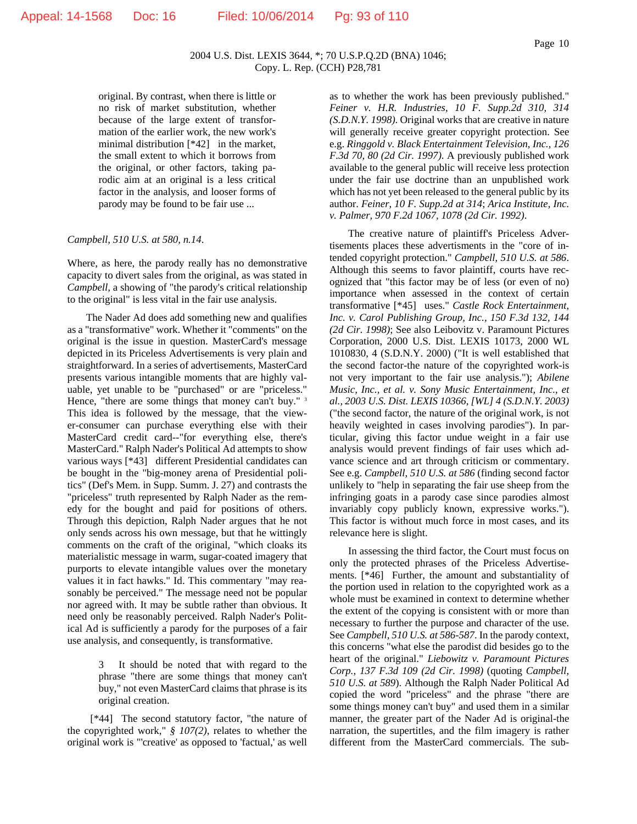original. By contrast, when there is little or no risk of market substitution, whether because of the large extent of transformation of the earlier work, the new work's minimal distribution [\*42] in the market, the small extent to which it borrows from the original, or other factors, taking parodic aim at an original is a less critical factor in the analysis, and looser forms of parody may be found to be fair use ...

### *Campbell, 510 U.S. at 580, n.14*.

Where, as here, the parody really has no demonstrative capacity to divert sales from the original, as was stated in *Campbell,* a showing of "the parody's critical relationship to the original" is less vital in the fair use analysis.

The Nader Ad does add something new and qualifies as a "transformative" work. Whether it "comments" on the original is the issue in question. MasterCard's message depicted in its Priceless Advertisements is very plain and straightforward. In a series of advertisements, MasterCard presents various intangible moments that are highly valuable, yet unable to be "purchased" or are "priceless." Hence, "there are some things that money can't buy." <sup>3</sup> This idea is followed by the message, that the viewer-consumer can purchase everything else with their MasterCard credit card--"for everything else, there's MasterCard." Ralph Nader's Political Ad attempts to show various ways [\*43] different Presidential candidates can be bought in the "big-money arena of Presidential politics" (Def's Mem. in Supp. Summ. J. 27) and contrasts the "priceless" truth represented by Ralph Nader as the remedy for the bought and paid for positions of others. Through this depiction, Ralph Nader argues that he not only sends across his own message, but that he wittingly comments on the craft of the original, "which cloaks its materialistic message in warm, sugar-coated imagery that purports to elevate intangible values over the monetary values it in fact hawks." Id. This commentary "may reasonably be perceived." The message need not be popular nor agreed with. It may be subtle rather than obvious. It need only be reasonably perceived. Ralph Nader's Political Ad is sufficiently a parody for the purposes of a fair use analysis, and consequently, is transformative.

> 3 It should be noted that with regard to the phrase "there are some things that money can't buy," not even MasterCard claims that phrase is its original creation.

 [\*44] The second statutory factor, "the nature of the copyrighted work," *§ 107(2)*, relates to whether the original work is "'creative' as opposed to 'factual,' as well

as to whether the work has been previously published." *Feiner v. H.R. Industries, 10 F. Supp.2d 310, 314 (S.D.N.Y. 1998)*. Original works that are creative in nature will generally receive greater copyright protection. See e.g. *Ringgold v. Black Entertainment Television, Inc., 126 F.3d 70, 80 (2d Cir. 1997)*. A previously published work available to the general public will receive less protection under the fair use doctrine than an unpublished work which has not yet been released to the general public by its author. *Feiner, 10 F. Supp.2d at 314*; *Arica Institute, Inc. v. Palmer, 970 F.2d 1067, 1078 (2d Cir. 1992)*.

The creative nature of plaintiff's Priceless Advertisements places these advertisments in the "core of intended copyright protection." *Campbell, 510 U.S. at 586*. Although this seems to favor plaintiff, courts have recognized that "this factor may be of less (or even of no) importance when assessed in the context of certain transformative [\*45] uses." *Castle Rock Entertainment, Inc. v. Carol Publishing Group, Inc., 150 F.3d 132, 144 (2d Cir. 1998)*; See also Leibovitz v. Paramount Pictures Corporation, 2000 U.S. Dist. LEXIS 10173, 2000 WL 1010830, 4 (S.D.N.Y. 2000) ("It is well established that the second factor-the nature of the copyrighted work-is not very important to the fair use analysis."); *Abilene Music, Inc., et al. v. Sony Music Entertainment, Inc., et al., 2003 U.S. Dist. LEXIS 10366, [WL] 4 (S.D.N.Y. 2003)* ("the second factor, the nature of the original work, is not heavily weighted in cases involving parodies"). In particular, giving this factor undue weight in a fair use analysis would prevent findings of fair uses which advance science and art through criticism or commentary. See e.g. *Campbell, 510 U.S. at 586* (finding second factor unlikely to "help in separating the fair use sheep from the infringing goats in a parody case since parodies almost invariably copy publicly known, expressive works."). This factor is without much force in most cases, and its relevance here is slight.

In assessing the third factor, the Court must focus on only the protected phrases of the Priceless Advertisements. [\*46] Further, the amount and substantiality of the portion used in relation to the copyrighted work as a whole must be examined in context to determine whether the extent of the copying is consistent with or more than necessary to further the purpose and character of the use. See *Campbell, 510 U.S. at 586-587*. In the parody context, this concerns "what else the parodist did besides go to the heart of the original." *Liebowitz v. Paramount Pictures Corp., 137 F.3d 109 (2d Cir. 1998)* (quoting *Campbell, 510 U.S. at 589*). Although the Ralph Nader Political Ad copied the word "priceless" and the phrase "there are some things money can't buy" and used them in a similar manner, the greater part of the Nader Ad is original-the narration, the supertitles, and the film imagery is rather different from the MasterCard commercials. The sub-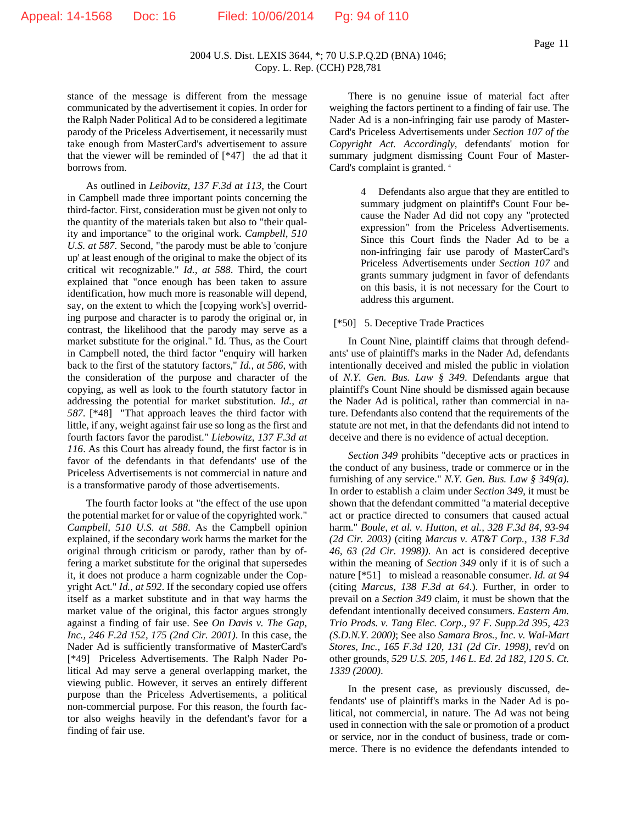stance of the message is different from the message communicated by the advertisement it copies. In order for the Ralph Nader Political Ad to be considered a legitimate parody of the Priceless Advertisement, it necessarily must take enough from MasterCard's advertisement to assure that the viewer will be reminded of [\*47] the ad that it borrows from.

As outlined in *Leibovitz, 137 F.3d at 113*, the Court in Campbell made three important points concerning the third-factor. First, consideration must be given not only to the quantity of the materials taken but also to "their quality and importance" to the original work. *Campbell, 510 U.S. at 587*. Second, "the parody must be able to 'conjure up' at least enough of the original to make the object of its critical wit recognizable." *Id., at 588*. Third, the court explained that "once enough has been taken to assure identification, how much more is reasonable will depend, say, on the extent to which the [copying work's] overriding purpose and character is to parody the original or, in contrast, the likelihood that the parody may serve as a market substitute for the original." Id. Thus, as the Court in Campbell noted, the third factor "enquiry will harken back to the first of the statutory factors," *Id., at 586*, with the consideration of the purpose and character of the copying, as well as look to the fourth statutory factor in addressing the potential for market substitution. *Id., at 587.* [\*48] "That approach leaves the third factor with little, if any, weight against fair use so long as the first and fourth factors favor the parodist." *Liebowitz, 137 F.3d at 116*. As this Court has already found, the first factor is in favor of the defendants in that defendants' use of the Priceless Advertisements is not commercial in nature and is a transformative parody of those advertisements.

The fourth factor looks at "the effect of the use upon the potential market for or value of the copyrighted work." *Campbell, 510 U.S. at 588*. As the Campbell opinion explained, if the secondary work harms the market for the original through criticism or parody, rather than by offering a market substitute for the original that supersedes it, it does not produce a harm cognizable under the Copyright Act." *Id., at 592*. If the secondary copied use offers itself as a market substitute and in that way harms the market value of the original, this factor argues strongly against a finding of fair use. See *On Davis v. The Gap, Inc., 246 F.2d 152, 175 (2nd Cir. 2001)*. In this case, the Nader Ad is sufficiently transformative of MasterCard's [\*49] Priceless Advertisements. The Ralph Nader Political Ad may serve a general overlapping market, the viewing public. However, it serves an entirely different purpose than the Priceless Advertisements, a political non-commercial purpose. For this reason, the fourth factor also weighs heavily in the defendant's favor for a finding of fair use.

There is no genuine issue of material fact after weighing the factors pertinent to a finding of fair use. The Nader Ad is a non-infringing fair use parody of Master-Card's Priceless Advertisements under *Section 107 of the Copyright Act. Accordingly*, defendants' motion for summary judgment dismissing Count Four of Master-Card's complaint is granted.<sup>4</sup>

> 4 Defendants also argue that they are entitled to summary judgment on plaintiff's Count Four because the Nader Ad did not copy any "protected expression" from the Priceless Advertisements. Since this Court finds the Nader Ad to be a non-infringing fair use parody of MasterCard's Priceless Advertisements under *Section 107* and grants summary judgment in favor of defendants on this basis, it is not necessary for the Court to address this argument.

### [\*50] 5. Deceptive Trade Practices

In Count Nine, plaintiff claims that through defendants' use of plaintiff's marks in the Nader Ad, defendants intentionally deceived and misled the public in violation of *N.Y. Gen. Bus. Law § 349*. Defendants argue that plaintiff's Count Nine should be dismissed again because the Nader Ad is political, rather than commercial in nature. Defendants also contend that the requirements of the statute are not met, in that the defendants did not intend to deceive and there is no evidence of actual deception.

*Section 349* prohibits "deceptive acts or practices in the conduct of any business, trade or commerce or in the furnishing of any service." *N.Y. Gen. Bus. Law § 349(a)*. In order to establish a claim under *Section 349*, it must be shown that the defendant committed "a material deceptive act or practice directed to consumers that caused actual harm." *Boule, et al. v. Hutton, et al., 328 F.3d 84, 93-94 (2d Cir. 2003)* (citing *Marcus v. AT&T Corp., 138 F.3d 46, 63 (2d Cir. 1998))*. An act is considered deceptive within the meaning of *Section 349* only if it is of such a nature [\*51] to mislead a reasonable consumer. *Id. at 94* (citing *Marcus, 138 F.3d at 64*.). Further, in order to prevail on a *Section 349* claim, it must be shown that the defendant intentionally deceived consumers. *Eastern Am. Trio Prods. v. Tang Elec. Corp., 97 F. Supp.2d 395, 423 (S.D.N.Y. 2000)*; See also *Samara Bros., Inc. v. Wal-Mart Stores, Inc., 165 F.3d 120, 131 (2d Cir. 1998)*, rev'd on other grounds, *529 U.S. 205, 146 L. Ed. 2d 182, 120 S. Ct. 1339 (2000)*.

In the present case, as previously discussed, defendants' use of plaintiff's marks in the Nader Ad is political, not commercial, in nature. The Ad was not being used in connection with the sale or promotion of a product or service, nor in the conduct of business, trade or commerce. There is no evidence the defendants intended to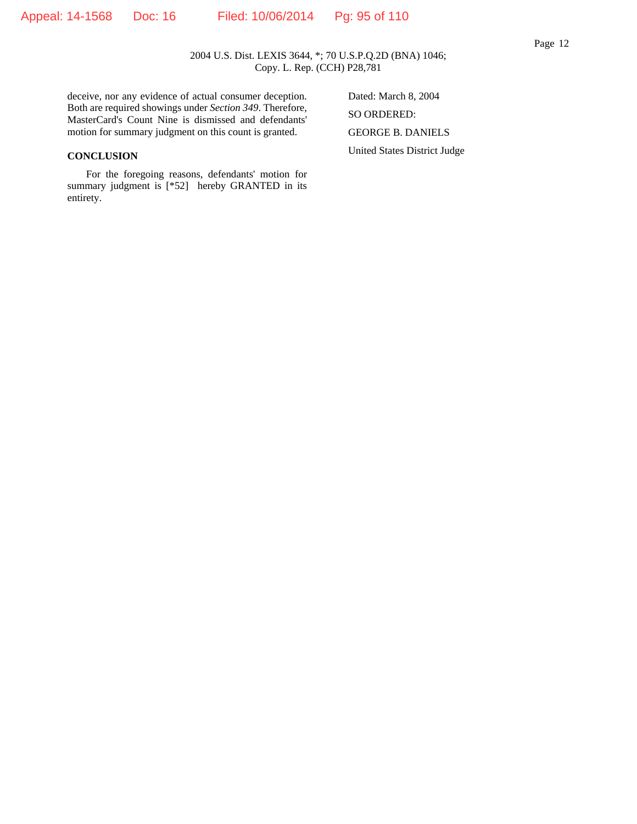deceive, nor any evidence of actual consumer deception. Both are required showings under *Section 349*. Therefore, MasterCard's Count Nine is dismissed and defendants' motion for summary judgment on this count is granted.

## **CONCLUSION**

Dated: March 8, 2004 SO ORDERED: GEORGE B. DANIELS United States District Judge

For the foregoing reasons, defendants' motion for summary judgment is [\*52] hereby GRANTED in its entirety.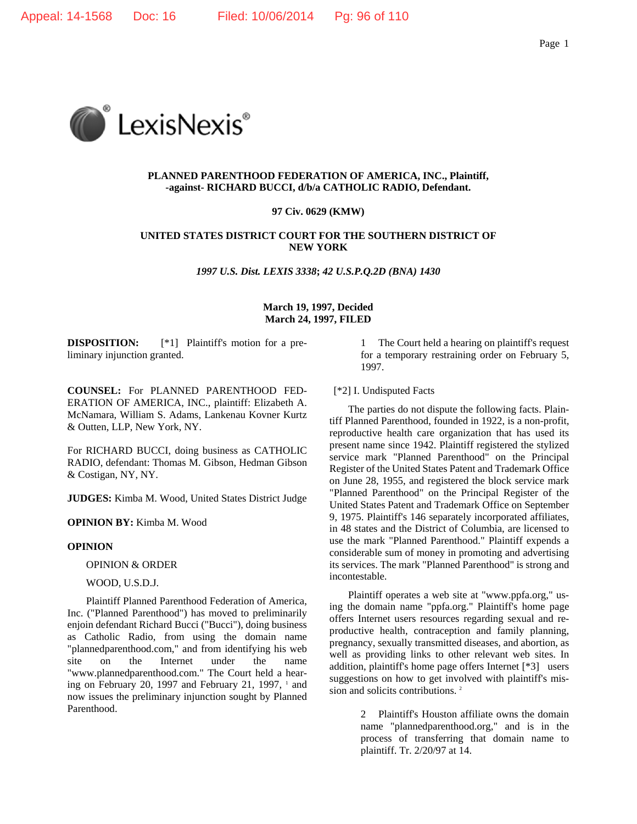

## **PLANNED PARENTHOOD FEDERATION OF AMERICA, INC., Plaintiff, -against- RICHARD BUCCI, d/b/a CATHOLIC RADIO, Defendant.**

# **97 Civ. 0629 (KMW)**

## **UNITED STATES DISTRICT COURT FOR THE SOUTHERN DISTRICT OF NEW YORK**

*1997 U.S. Dist. LEXIS 3338***;** *42 U.S.P.Q.2D (BNA) 1430*

## **March 19, 1997, Decided March 24, 1997, FILED**

**DISPOSITION:** [\*1] Plaintiff's motion for a preliminary injunction granted.

**COUNSEL:** For PLANNED PARENTHOOD FED-ERATION OF AMERICA, INC., plaintiff: Elizabeth A. McNamara, William S. Adams, Lankenau Kovner Kurtz & Outten, LLP, New York, NY.

For RICHARD BUCCI, doing business as CATHOLIC RADIO, defendant: Thomas M. Gibson, Hedman Gibson & Costigan, NY, NY.

**JUDGES:** Kimba M. Wood, United States District Judge

**OPINION BY:** Kimba M. Wood

### **OPINION**

OPINION & ORDER

WOOD, U.S.D.J.

Plaintiff Planned Parenthood Federation of America, Inc. ("Planned Parenthood") has moved to preliminarily enjoin defendant Richard Bucci ("Bucci"), doing business as Catholic Radio, from using the domain name "plannedparenthood.com," and from identifying his web site on the Internet under the name "www.plannedparenthood.com." The Court held a hearing on February 20, 1997 and February 21, 1997,  $\frac{1}{1}$  and now issues the preliminary injunction sought by Planned Parenthood.

The Court held a hearing on plaintiff's request for a temporary restraining order on February 5, 1997.

# [\*2] I. Undisputed Facts

The parties do not dispute the following facts. Plaintiff Planned Parenthood, founded in 1922, is a non-profit, reproductive health care organization that has used its present name since 1942. Plaintiff registered the stylized service mark "Planned Parenthood" on the Principal Register of the United States Patent and Trademark Office on June 28, 1955, and registered the block service mark "Planned Parenthood" on the Principal Register of the United States Patent and Trademark Office on September 9, 1975. Plaintiff's 146 separately incorporated affiliates, in 48 states and the District of Columbia, are licensed to use the mark "Planned Parenthood." Plaintiff expends a considerable sum of money in promoting and advertising its services. The mark "Planned Parenthood" is strong and incontestable.

Plaintiff operates a web site at "www.ppfa.org," using the domain name "ppfa.org." Plaintiff's home page offers Internet users resources regarding sexual and reproductive health, contraception and family planning, pregnancy, sexually transmitted diseases, and abortion, as well as providing links to other relevant web sites. In addition, plaintiff's home page offers Internet [\*3] users suggestions on how to get involved with plaintiff's mission and solicits contributions.<sup>2</sup>

> 2 Plaintiff's Houston affiliate owns the domain name "plannedparenthood.org," and is in the process of transferring that domain name to plaintiff. Tr. 2/20/97 at 14.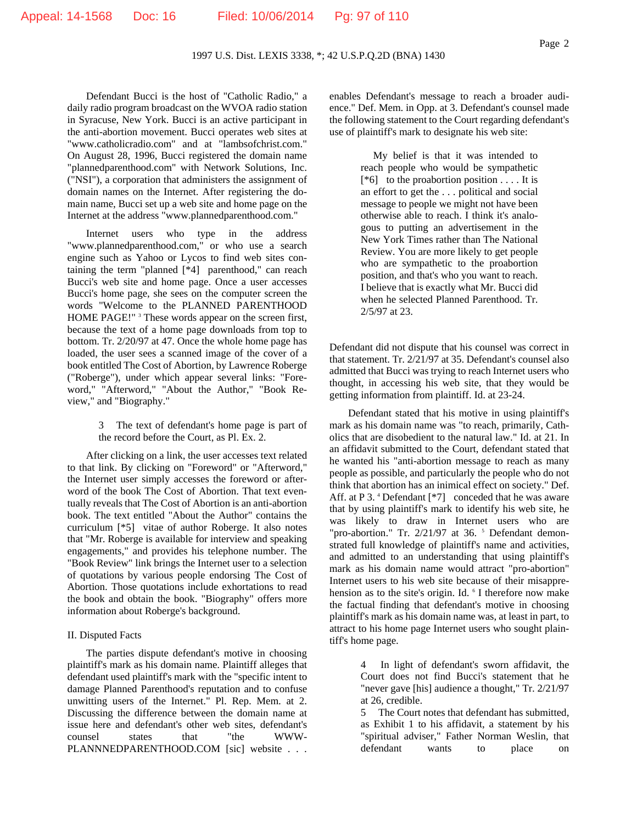Defendant Bucci is the host of "Catholic Radio," a daily radio program broadcast on the WVOA radio station in Syracuse, New York. Bucci is an active participant in the anti-abortion movement. Bucci operates web sites at "www.catholicradio.com" and at "lambsofchrist.com." On August 28, 1996, Bucci registered the domain name "plannedparenthood.com" with Network Solutions, Inc. ("NSI"), a corporation that administers the assignment of domain names on the Internet. After registering the domain name, Bucci set up a web site and home page on the Internet at the address "www.plannedparenthood.com."

Internet users who type in the address "www.plannedparenthood.com," or who use a search engine such as Yahoo or Lycos to find web sites containing the term "planned [\*4] parenthood," can reach Bucci's web site and home page. Once a user accesses Bucci's home page, she sees on the computer screen the words "Welcome to the PLANNED PARENTHOOD HOME PAGE!" <sup>3</sup> These words appear on the screen first, because the text of a home page downloads from top to bottom. Tr. 2/20/97 at 47. Once the whole home page has loaded, the user sees a scanned image of the cover of a book entitled The Cost of Abortion, by Lawrence Roberge ("Roberge"), under which appear several links: "Foreword," "Afterword," "About the Author," "Book Review," and "Biography."

> 3 The text of defendant's home page is part of the record before the Court, as Pl. Ex. 2.

After clicking on a link, the user accesses text related to that link. By clicking on "Foreword" or "Afterword," the Internet user simply accesses the foreword or afterword of the book The Cost of Abortion. That text eventually reveals that The Cost of Abortion is an anti-abortion book. The text entitled "About the Author" contains the curriculum [\*5] vitae of author Roberge. It also notes that "Mr. Roberge is available for interview and speaking engagements," and provides his telephone number. The "Book Review" link brings the Internet user to a selection of quotations by various people endorsing The Cost of Abortion. Those quotations include exhortations to read the book and obtain the book. "Biography" offers more information about Roberge's background.

### II. Disputed Facts

The parties dispute defendant's motive in choosing plaintiff's mark as his domain name. Plaintiff alleges that defendant used plaintiff's mark with the "specific intent to damage Planned Parenthood's reputation and to confuse unwitting users of the Internet." Pl. Rep. Mem. at 2. Discussing the difference between the domain name at issue here and defendant's other web sites, defendant's counsel states that "the WWW-PLANNNEDPARENTHOOD.COM [sic] website . . .

enables Defendant's message to reach a broader audience." Def. Mem. in Opp. at 3. Defendant's counsel made the following statement to the Court regarding defendant's use of plaintiff's mark to designate his web site:

> My belief is that it was intended to reach people who would be sympathetic  $[*6]$  to the proabortion position . . . . It is an effort to get the . . . political and social message to people we might not have been otherwise able to reach. I think it's analogous to putting an advertisement in the New York Times rather than The National Review. You are more likely to get people who are sympathetic to the proabortion position, and that's who you want to reach. I believe that is exactly what Mr. Bucci did when he selected Planned Parenthood. Tr. 2/5/97 at 23.

Defendant did not dispute that his counsel was correct in that statement. Tr. 2/21/97 at 35. Defendant's counsel also admitted that Bucci was trying to reach Internet users who thought, in accessing his web site, that they would be getting information from plaintiff. Id. at 23-24.

Defendant stated that his motive in using plaintiff's mark as his domain name was "to reach, primarily, Catholics that are disobedient to the natural law." Id. at 21. In an affidavit submitted to the Court, defendant stated that he wanted his "anti-abortion message to reach as many people as possible, and particularly the people who do not think that abortion has an inimical effect on society." Def. Aff. at P 3.  $\textdegree$  Defendant  $\textdegree$  7] conceded that he was aware that by using plaintiff's mark to identify his web site, he was likely to draw in Internet users who are "pro-abortion." Tr.  $2/21/97$  at 36.<sup>5</sup> Defendant demonstrated full knowledge of plaintiff's name and activities, and admitted to an understanding that using plaintiff's mark as his domain name would attract "pro-abortion" Internet users to his web site because of their misapprehension as to the site's origin. Id. <sup>6</sup> I therefore now make the factual finding that defendant's motive in choosing plaintiff's mark as his domain name was, at least in part, to attract to his home page Internet users who sought plaintiff's home page.

> In light of defendant's sworn affidavit, the Court does not find Bucci's statement that he "never gave [his] audience a thought," Tr. 2/21/97 at 26, credible.

> 5 The Court notes that defendant has submitted, as Exhibit 1 to his affidavit, a statement by his "spiritual adviser," Father Norman Weslin, that defendant wants to place on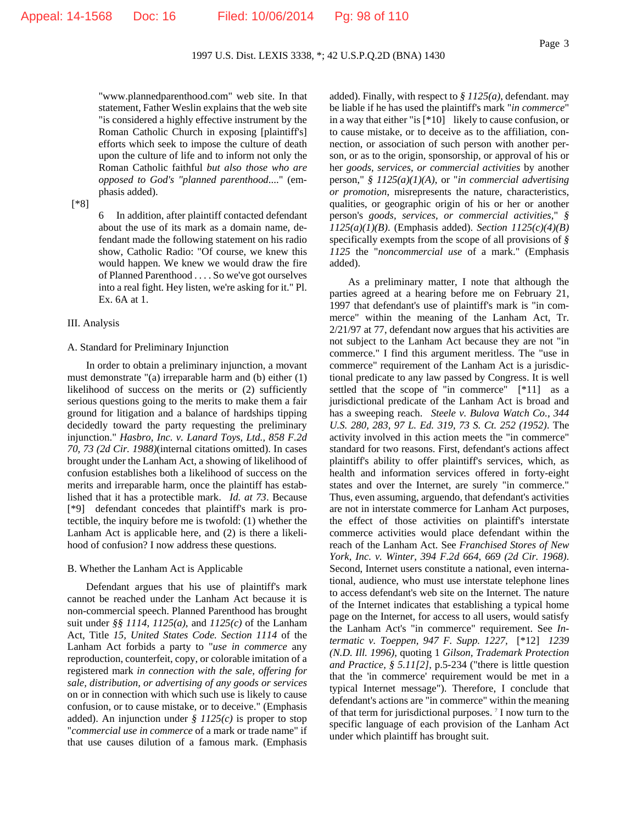"www.plannedparenthood.com" web site. In that statement, Father Weslin explains that the web site "is considered a highly effective instrument by the Roman Catholic Church in exposing [plaintiff's] efforts which seek to impose the culture of death upon the culture of life and to inform not only the Roman Catholic faithful *but also those who are opposed to God's "planned parenthood*...." (emphasis added).

[\*8]

6 In addition, after plaintiff contacted defendant about the use of its mark as a domain name, defendant made the following statement on his radio show, Catholic Radio: "Of course, we knew this would happen. We knew we would draw the fire of Planned Parenthood . . . . So we've got ourselves into a real fight. Hey listen, we're asking for it." Pl. Ex. 6A at 1.

#### III. Analysis

#### A. Standard for Preliminary Injunction

In order to obtain a preliminary injunction, a movant must demonstrate "(a) irreparable harm and (b) either (1) likelihood of success on the merits or (2) sufficiently serious questions going to the merits to make them a fair ground for litigation and a balance of hardships tipping decidedly toward the party requesting the preliminary injunction." *Hasbro, Inc. v. Lanard Toys, Ltd., 858 F.2d 70, 73 (2d Cir. 1988)*(internal citations omitted). In cases brought under the Lanham Act, a showing of likelihood of confusion establishes both a likelihood of success on the merits and irreparable harm, once the plaintiff has established that it has a protectible mark. *Id. at 73*. Because [\*9] defendant concedes that plaintiff's mark is protectible, the inquiry before me is twofold: (1) whether the Lanham Act is applicable here, and (2) is there a likelihood of confusion? I now address these questions.

#### B. Whether the Lanham Act is Applicable

Defendant argues that his use of plaintiff's mark cannot be reached under the Lanham Act because it is non-commercial speech. Planned Parenthood has brought suit under *§§ 1114*, *1125(a)*, and *1125(c)* of the Lanham Act, Title *15, United States Code. Section 1114* of the Lanham Act forbids a party to "*use in commerce* any reproduction, counterfeit, copy, or colorable imitation of a registered mark *in connection with the sale, offering for sale, distribution, or advertising of any goods or services* on or in connection with which such use is likely to cause confusion, or to cause mistake, or to deceive." (Emphasis added). An injunction under *§ 1125(c)* is proper to stop "*commercial use in commerce* of a mark or trade name" if that use causes dilution of a famous mark. (Emphasis added). Finally, with respect to *§ 1125(a)*, defendant. may be liable if he has used the plaintiff's mark "*in commerce*" in a way that either "is [\*10] likely to cause confusion, or to cause mistake, or to deceive as to the affiliation, connection, or association of such person with another person, or as to the origin, sponsorship, or approval of his or her *goods, services, or commercial activities* by another person," *§ 1125(a)(1)(A)*, or "*in commercial advertising or promotion*, misrepresents the nature, characteristics, qualities, or geographic origin of his or her or another person's *goods, services, or commercial activities*," *§ 1125(a)(1)(B)*. (Emphasis added). *Section 1125(c)(4)(B)* specifically exempts from the scope of all provisions of *§ 1125* the "*noncommercial use* of a mark." (Emphasis added).

As a preliminary matter, I note that although the parties agreed at a hearing before me on February 21, 1997 that defendant's use of plaintiff's mark is "in commerce" within the meaning of the Lanham Act, Tr. 2/21/97 at 77, defendant now argues that his activities are not subject to the Lanham Act because they are not "in commerce." I find this argument meritless. The "use in commerce" requirement of the Lanham Act is a jurisdictional predicate to any law passed by Congress. It is well settled that the scope of "in commerce" [\*11] as a jurisdictional predicate of the Lanham Act is broad and has a sweeping reach. *Steele v. Bulova Watch Co., 344 U.S. 280, 283, 97 L. Ed. 319, 73 S. Ct. 252 (1952)*. The activity involved in this action meets the "in commerce" standard for two reasons. First, defendant's actions affect plaintiff's ability to offer plaintiff's services, which, as health and information services offered in forty-eight states and over the Internet, are surely "in commerce." Thus, even assuming, arguendo, that defendant's activities are not in interstate commerce for Lanham Act purposes, the effect of those activities on plaintiff's interstate commerce activities would place defendant within the reach of the Lanham Act. See *Franchised Stores of New York, Inc. v. Winter, 394 F.2d 664, 669 (2d Cir. 1968)*. Second, Internet users constitute a national, even international, audience, who must use interstate telephone lines to access defendant's web site on the Internet. The nature of the Internet indicates that establishing a typical home page on the Internet, for access to all users, would satisfy the Lanham Act's "in commerce" requirement. See *Intermatic v. Toeppen, 947 F. Supp. 1227,* [\*12] *1239 (N.D. Ill. 1996)*, quoting 1 *Gilson, Trademark Protection and Practice, § 5.11[2]*, p.5-234 ("there is little question that the 'in commerce' requirement would be met in a typical Internet message"). Therefore, I conclude that defendant's actions are "in commerce" within the meaning of that term for jurisdictional purposes. 7 I now turn to the specific language of each provision of the Lanham Act under which plaintiff has brought suit.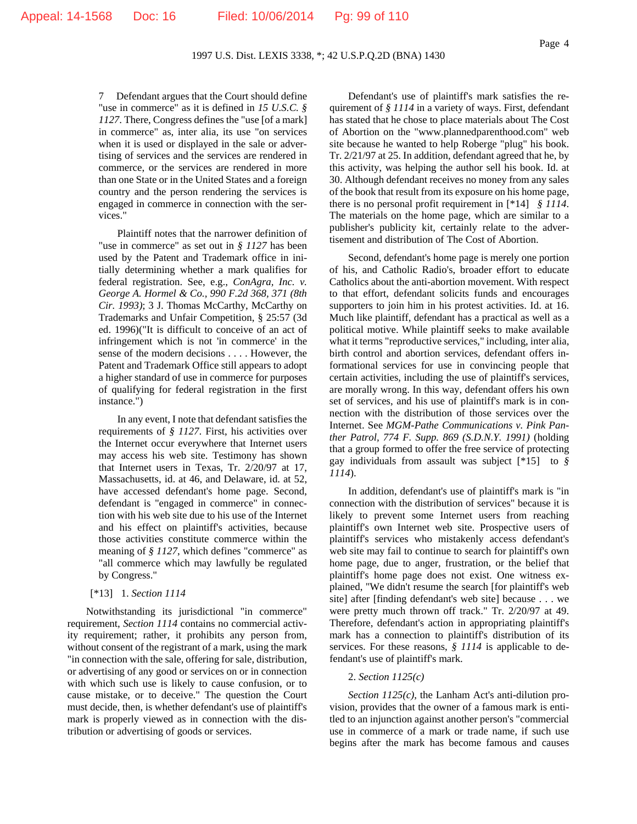1997 U.S. Dist. LEXIS 3338, \*; 42 U.S.P.Q.2D (BNA) 1430

7 Defendant argues that the Court should define "use in commerce" as it is defined in *15 U.S.C. § 1127*. There, Congress defines the "use [of a mark] in commerce" as, inter alia, its use "on services when it is used or displayed in the sale or advertising of services and the services are rendered in commerce, or the services are rendered in more than one State or in the United States and a foreign country and the person rendering the services is engaged in commerce in connection with the services."

Plaintiff notes that the narrower definition of "use in commerce" as set out in *§ 1127* has been used by the Patent and Trademark office in initially determining whether a mark qualifies for federal registration. See, e.g., *ConAgra, Inc. v. George A. Hormel & Co., 990 F.2d 368, 371 (8th Cir. 1993)*; 3 J. Thomas McCarthy, McCarthy on Trademarks and Unfair Competition, § 25:57 (3d ed. 1996)("It is difficult to conceive of an act of infringement which is not 'in commerce' in the sense of the modern decisions . . . . However, the Patent and Trademark Office still appears to adopt a higher standard of use in commerce for purposes of qualifying for federal registration in the first instance.")

In any event, I note that defendant satisfies the requirements of *§ 1127*. First, his activities over the Internet occur everywhere that Internet users may access his web site. Testimony has shown that Internet users in Texas, Tr. 2/20/97 at 17, Massachusetts, id. at 46, and Delaware, id. at 52, have accessed defendant's home page. Second, defendant is "engaged in commerce" in connection with his web site due to his use of the Internet and his effect on plaintiff's activities, because those activities constitute commerce within the meaning of *§ 1127*, which defines "commerce" as "all commerce which may lawfully be regulated by Congress."

# [\*13] 1. *Section 1114*

Notwithstanding its jurisdictional "in commerce" requirement, *Section 1114* contains no commercial activity requirement; rather, it prohibits any person from, without consent of the registrant of a mark, using the mark "in connection with the sale, offering for sale, distribution, or advertising of any good or services on or in connection with which such use is likely to cause confusion, or to cause mistake, or to deceive." The question the Court must decide, then, is whether defendant's use of plaintiff's mark is properly viewed as in connection with the distribution or advertising of goods or services.

Defendant's use of plaintiff's mark satisfies the requirement of *§ 1114* in a variety of ways. First, defendant has stated that he chose to place materials about The Cost of Abortion on the "www.plannedparenthood.com" web site because he wanted to help Roberge "plug" his book. Tr. 2/21/97 at 25. In addition, defendant agreed that he, by this activity, was helping the author sell his book. Id. at 30. Although defendant receives no money from any sales of the book that result from its exposure on his home page, there is no personal profit requirement in [\*14] *§ 1114*. The materials on the home page, which are similar to a publisher's publicity kit, certainly relate to the advertisement and distribution of The Cost of Abortion.

Second, defendant's home page is merely one portion of his, and Catholic Radio's, broader effort to educate Catholics about the anti-abortion movement. With respect to that effort, defendant solicits funds and encourages supporters to join him in his protest activities. Id. at 16. Much like plaintiff, defendant has a practical as well as a political motive. While plaintiff seeks to make available what it terms "reproductive services," including, inter alia, birth control and abortion services, defendant offers informational services for use in convincing people that certain activities, including the use of plaintiff's services, are morally wrong. In this way, defendant offers his own set of services, and his use of plaintiff's mark is in connection with the distribution of those services over the Internet. See *MGM-Pathe Communications v. Pink Panther Patrol, 774 F. Supp. 869 (S.D.N.Y. 1991)* (holding that a group formed to offer the free service of protecting gay individuals from assault was subject [\*15] to *§ 1114*).

In addition, defendant's use of plaintiff's mark is "in connection with the distribution of services" because it is likely to prevent some Internet users from reaching plaintiff's own Internet web site. Prospective users of plaintiff's services who mistakenly access defendant's web site may fail to continue to search for plaintiff's own home page, due to anger, frustration, or the belief that plaintiff's home page does not exist. One witness explained, "We didn't resume the search [for plaintiff's web site] after [finding defendant's web site] because . . . we were pretty much thrown off track." Tr. 2/20/97 at 49. Therefore, defendant's action in appropriating plaintiff's mark has a connection to plaintiff's distribution of its services. For these reasons, *§ 1114* is applicable to defendant's use of plaintiff's mark.

#### 2. *Section 1125(c)*

*Section 1125(c)*, the Lanham Act's anti-dilution provision, provides that the owner of a famous mark is entitled to an injunction against another person's "commercial use in commerce of a mark or trade name, if such use begins after the mark has become famous and causes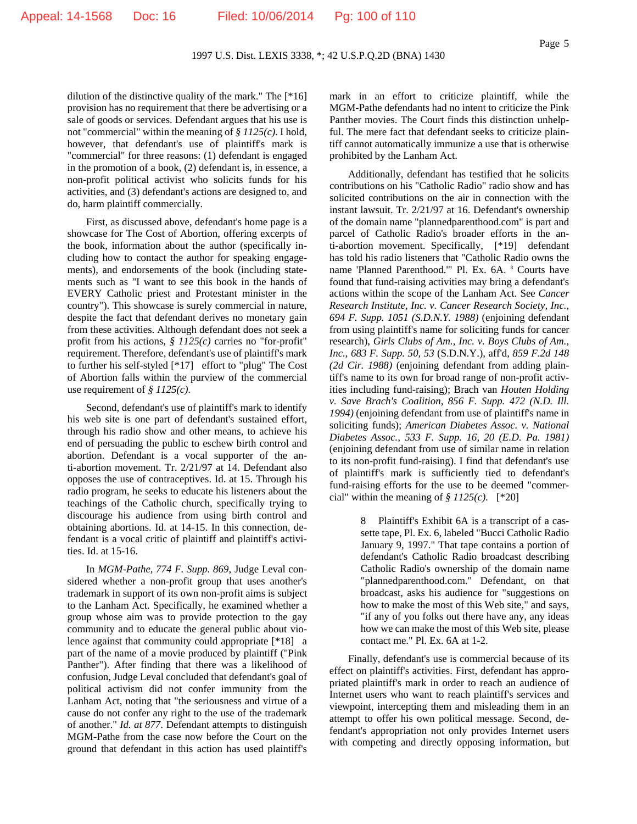dilution of the distinctive quality of the mark." The [\*16] provision has no requirement that there be advertising or a sale of goods or services. Defendant argues that his use is not "commercial" within the meaning of *§ 1125(c)*. I hold, however, that defendant's use of plaintiff's mark is "commercial" for three reasons: (1) defendant is engaged in the promotion of a book, (2) defendant is, in essence, a non-profit political activist who solicits funds for his activities, and (3) defendant's actions are designed to, and do, harm plaintiff commercially.

First, as discussed above, defendant's home page is a showcase for The Cost of Abortion, offering excerpts of the book, information about the author (specifically including how to contact the author for speaking engagements), and endorsements of the book (including statements such as "I want to see this book in the hands of EVERY Catholic priest and Protestant minister in the country"). This showcase is surely commercial in nature, despite the fact that defendant derives no monetary gain from these activities. Although defendant does not seek a profit from his actions, *§ 1125(c)* carries no "for-profit" requirement. Therefore, defendant's use of plaintiff's mark to further his self-styled [\*17] effort to "plug" The Cost of Abortion falls within the purview of the commercial use requirement of *§ 1125(c)*.

Second, defendant's use of plaintiff's mark to identify his web site is one part of defendant's sustained effort, through his radio show and other means, to achieve his end of persuading the public to eschew birth control and abortion. Defendant is a vocal supporter of the anti-abortion movement. Tr. 2/21/97 at 14. Defendant also opposes the use of contraceptives. Id. at 15. Through his radio program, he seeks to educate his listeners about the teachings of the Catholic church, specifically trying to discourage his audience from using birth control and obtaining abortions. Id. at 14-15. In this connection, defendant is a vocal critic of plaintiff and plaintiff's activities. Id. at 15-16.

In *MGM-Pathe, 774 F. Supp. 869*, Judge Leval considered whether a non-profit group that uses another's trademark in support of its own non-profit aims is subject to the Lanham Act. Specifically, he examined whether a group whose aim was to provide protection to the gay community and to educate the general public about violence against that community could appropriate [\*18] a part of the name of a movie produced by plaintiff ("Pink Panther"). After finding that there was a likelihood of confusion, Judge Leval concluded that defendant's goal of political activism did not confer immunity from the Lanham Act, noting that "the seriousness and virtue of a cause do not confer any right to the use of the trademark of another." *Id. at 877*. Defendant attempts to distinguish MGM-Pathe from the case now before the Court on the ground that defendant in this action has used plaintiff's

mark in an effort to criticize plaintiff, while the MGM-Pathe defendants had no intent to criticize the Pink Panther movies. The Court finds this distinction unhelpful. The mere fact that defendant seeks to criticize plaintiff cannot automatically immunize a use that is otherwise prohibited by the Lanham Act.

Additionally, defendant has testified that he solicits contributions on his "Catholic Radio" radio show and has solicited contributions on the air in connection with the instant lawsuit. Tr. 2/21/97 at 16. Defendant's ownership of the domain name "plannedparenthood.com" is part and parcel of Catholic Radio's broader efforts in the anti-abortion movement. Specifically, [\*19] defendant has told his radio listeners that "Catholic Radio owns the name 'Planned Parenthood.'" Pl. Ex. 6A. <sup>8</sup> Courts have found that fund-raising activities may bring a defendant's actions within the scope of the Lanham Act. See *Cancer Research Institute, Inc. v. Cancer Research Society, Inc., 694 F. Supp. 1051 (S.D.N.Y. 1988)* (enjoining defendant from using plaintiff's name for soliciting funds for cancer research), *Girls Clubs of Am., Inc. v. Boys Clubs of Am., Inc., 683 F. Supp. 50, 53* (S.D.N.Y.), aff'd, *859 F.2d 148 (2d Cir. 1988)* (enjoining defendant from adding plaintiff's name to its own for broad range of non-profit activities including fund-raising); Brach van *Houten Holding v. Save Brach's Coalition, 856 F. Supp. 472 (N.D. Ill. 1994)* (enjoining defendant from use of plaintiff's name in soliciting funds); *American Diabetes Assoc. v. National Diabetes Assoc., 533 F. Supp. 16, 20 (E.D. Pa. 1981)* (enjoining defendant from use of similar name in relation to its non-profit fund-raising). I find that defendant's use of plaintiff's mark is sufficiently tied to defendant's fund-raising efforts for the use to be deemed "commercial" within the meaning of  $\S$  1125(c). [\*20]

> 8 Plaintiff's Exhibit 6A is a transcript of a cassette tape, Pl. Ex. 6, labeled "Bucci Catholic Radio January 9, 1997." That tape contains a portion of defendant's Catholic Radio broadcast describing Catholic Radio's ownership of the domain name "plannedparenthood.com." Defendant, on that broadcast, asks his audience for "suggestions on how to make the most of this Web site," and says, "if any of you folks out there have any, any ideas how we can make the most of this Web site, please contact me." Pl. Ex. 6A at 1-2.

Finally, defendant's use is commercial because of its effect on plaintiff's activities. First, defendant has appropriated plaintiff's mark in order to reach an audience of Internet users who want to reach plaintiff's services and viewpoint, intercepting them and misleading them in an attempt to offer his own political message. Second, defendant's appropriation not only provides Internet users with competing and directly opposing information, but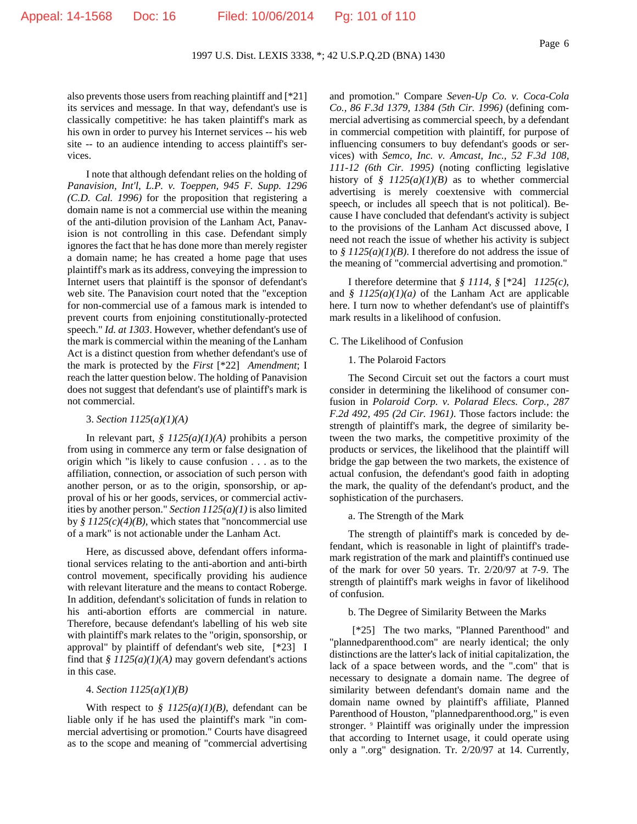also prevents those users from reaching plaintiff and [\*21] its services and message. In that way, defendant's use is classically competitive: he has taken plaintiff's mark as his own in order to purvey his Internet services -- his web site -- to an audience intending to access plaintiff's services.

I note that although defendant relies on the holding of *Panavision, Int'l, L.P. v. Toeppen, 945 F. Supp. 1296 (C.D. Cal. 1996)* for the proposition that registering a domain name is not a commercial use within the meaning of the anti-dilution provision of the Lanham Act, Panavision is not controlling in this case. Defendant simply ignores the fact that he has done more than merely register a domain name; he has created a home page that uses plaintiff's mark as its address, conveying the impression to Internet users that plaintiff is the sponsor of defendant's web site. The Panavision court noted that the "exception for non-commercial use of a famous mark is intended to prevent courts from enjoining constitutionally-protected speech." *Id. at 1303*. However, whether defendant's use of the mark is commercial within the meaning of the Lanham Act is a distinct question from whether defendant's use of the mark is protected by the *First* [\*22] *Amendment*; I reach the latter question below. The holding of Panavision does not suggest that defendant's use of plaintiff's mark is not commercial.

#### 3. *Section 1125(a)(1)(A)*

In relevant part, *§ 1125(a)(1)(A)* prohibits a person from using in commerce any term or false designation of origin which "is likely to cause confusion . . . as to the affiliation, connection, or association of such person with another person, or as to the origin, sponsorship, or approval of his or her goods, services, or commercial activities by another person." *Section 1125(a)(1)* is also limited by  $\frac{g}{f}$  1125(c)(4)(B), which states that "noncommercial use of a mark" is not actionable under the Lanham Act.

Here, as discussed above, defendant offers informational services relating to the anti-abortion and anti-birth control movement, specifically providing his audience with relevant literature and the means to contact Roberge. In addition, defendant's solicitation of funds in relation to his anti-abortion efforts are commercial in nature. Therefore, because defendant's labelling of his web site with plaintiff's mark relates to the "origin, sponsorship, or approval" by plaintiff of defendant's web site, [\*23] I find that  $\frac{g}{2}$  1125(a)(1)(A) may govern defendant's actions in this case.

### 4. *Section 1125(a)(1)(B)*

With respect to *§ 1125(a)(1)(B)*, defendant can be liable only if he has used the plaintiff's mark "in commercial advertising or promotion." Courts have disagreed as to the scope and meaning of "commercial advertising and promotion." Compare *Seven-Up Co. v. Coca-Cola Co., 86 F.3d 1379, 1384 (5th Cir. 1996)* (defining commercial advertising as commercial speech, by a defendant in commercial competition with plaintiff, for purpose of influencing consumers to buy defendant's goods or services) with *Semco, Inc. v. Amcast, Inc., 52 F.3d 108, 111-12 (6th Cir. 1995)* (noting conflicting legislative history of *§ 1125(a)(1)(B)* as to whether commercial advertising is merely coextensive with commercial speech, or includes all speech that is not political). Because I have concluded that defendant's activity is subject to the provisions of the Lanham Act discussed above, I need not reach the issue of whether his activity is subject to *§ 1125(a)(1)(B)*. I therefore do not address the issue of the meaning of "commercial advertising and promotion."

I therefore determine that *§ 1114*, *§* [\*24] *1125(c)*, and  $\frac{8}{3}$  1125(a)(1)(a) of the Lanham Act are applicable here. I turn now to whether defendant's use of plaintiff's mark results in a likelihood of confusion.

### C. The Likelihood of Confusion

1. The Polaroid Factors

The Second Circuit set out the factors a court must consider in determining the likelihood of consumer confusion in *Polaroid Corp. v. Polarad Elecs. Corp., 287 F.2d 492, 495 (2d Cir. 1961)*. Those factors include: the strength of plaintiff's mark, the degree of similarity between the two marks, the competitive proximity of the products or services, the likelihood that the plaintiff will bridge the gap between the two markets, the existence of actual confusion, the defendant's good faith in adopting the mark, the quality of the defendant's product, and the sophistication of the purchasers.

a. The Strength of the Mark

The strength of plaintiff's mark is conceded by defendant, which is reasonable in light of plaintiff's trademark registration of the mark and plaintiff's continued use of the mark for over 50 years. Tr. 2/20/97 at 7-9. The strength of plaintiff's mark weighs in favor of likelihood of confusion.

b. The Degree of Similarity Between the Marks

 [\*25] The two marks, "Planned Parenthood" and "plannedparenthood.com" are nearly identical; the only distinctions are the latter's lack of initial capitalization, the lack of a space between words, and the ".com" that is necessary to designate a domain name. The degree of similarity between defendant's domain name and the domain name owned by plaintiff's affiliate, Planned Parenthood of Houston, "plannedparenthood.org," is even stronger. <sup>9</sup> Plaintiff was originally under the impression that according to Internet usage, it could operate using only a ".org" designation. Tr. 2/20/97 at 14. Currently,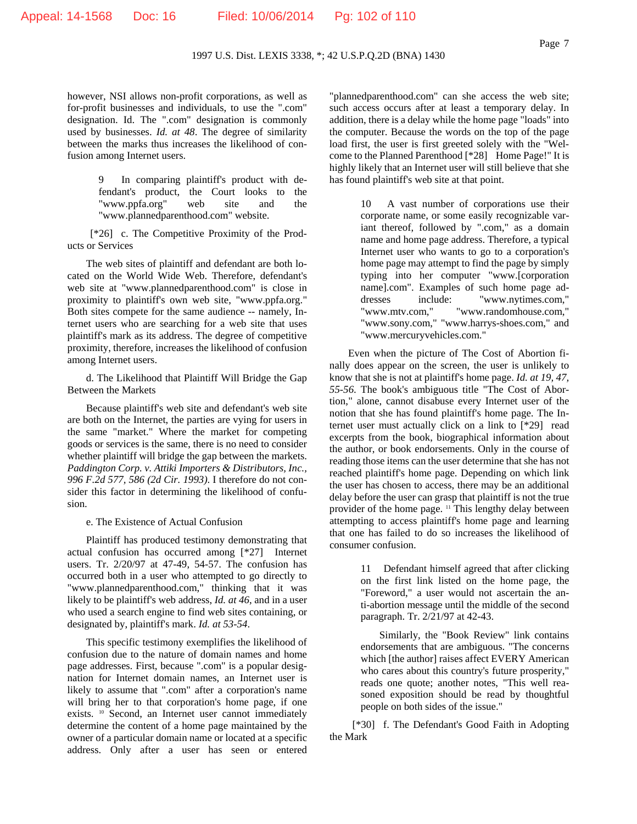however, NSI allows non-profit corporations, as well as for-profit businesses and individuals, to use the ".com" designation. Id. The ".com" designation is commonly used by businesses. *Id. at 48*. The degree of similarity between the marks thus increases the likelihood of confusion among Internet users.

> In comparing plaintiff's product with defendant's product, the Court looks to the "www.ppfa.org" web site and the "www.plannedparenthood.com" website.

 [\*26] c. The Competitive Proximity of the Products or Services

The web sites of plaintiff and defendant are both located on the World Wide Web. Therefore, defendant's web site at "www.plannedparenthood.com" is close in proximity to plaintiff's own web site, "www.ppfa.org." Both sites compete for the same audience -- namely, Internet users who are searching for a web site that uses plaintiff's mark as its address. The degree of competitive proximity, therefore, increases the likelihood of confusion among Internet users.

d. The Likelihood that Plaintiff Will Bridge the Gap Between the Markets

Because plaintiff's web site and defendant's web site are both on the Internet, the parties are vying for users in the same "market." Where the market for competing goods or services is the same, there is no need to consider whether plaintiff will bridge the gap between the markets. *Paddington Corp. v. Attiki Importers & Distributors, Inc., 996 F.2d 577, 586 (2d Cir. 1993)*. I therefore do not consider this factor in determining the likelihood of confusion.

### e. The Existence of Actual Confusion

Plaintiff has produced testimony demonstrating that actual confusion has occurred among [\*27] Internet users. Tr. 2/20/97 at 47-49, 54-57. The confusion has occurred both in a user who attempted to go directly to "www.plannedparenthood.com," thinking that it was likely to be plaintiff's web address, *Id. at 46*, and in a user who used a search engine to find web sites containing, or designated by, plaintiff's mark. *Id. at 53-54*.

This specific testimony exemplifies the likelihood of confusion due to the nature of domain names and home page addresses. First, because ".com" is a popular designation for Internet domain names, an Internet user is likely to assume that ".com" after a corporation's name will bring her to that corporation's home page, if one exists. <sup>10</sup> Second, an Internet user cannot immediately determine the content of a home page maintained by the owner of a particular domain name or located at a specific address. Only after a user has seen or entered

"plannedparenthood.com" can she access the web site; such access occurs after at least a temporary delay. In addition, there is a delay while the home page "loads" into the computer. Because the words on the top of the page load first, the user is first greeted solely with the "Welcome to the Planned Parenthood [\*28] Home Page!" It is highly likely that an Internet user will still believe that she has found plaintiff's web site at that point.

> 10 A vast number of corporations use their corporate name, or some easily recognizable variant thereof, followed by ".com," as a domain name and home page address. Therefore, a typical Internet user who wants to go to a corporation's home page may attempt to find the page by simply typing into her computer "www.[corporation name].com". Examples of such home page addresses include: "www.nytimes.com," "www.mtv.com," "www.randomhouse.com," "www.sony.com," "www.harrys-shoes.com," and "www.mercuryvehicles.com."

Even when the picture of The Cost of Abortion finally does appear on the screen, the user is unlikely to know that she is not at plaintiff's home page. *Id. at 19, 47, 55-56*. The book's ambiguous title "The Cost of Abortion," alone, cannot disabuse every Internet user of the notion that she has found plaintiff's home page. The Internet user must actually click on a link to [\*29] read excerpts from the book, biographical information about the author, or book endorsements. Only in the course of reading those items can the user determine that she has not reached plaintiff's home page. Depending on which link the user has chosen to access, there may be an additional delay before the user can grasp that plaintiff is not the true provider of the home page. 11 This lengthy delay between attempting to access plaintiff's home page and learning that one has failed to do so increases the likelihood of consumer confusion.

> 11 Defendant himself agreed that after clicking on the first link listed on the home page, the "Foreword," a user would not ascertain the anti-abortion message until the middle of the second paragraph. Tr. 2/21/97 at 42-43.

> Similarly, the "Book Review" link contains endorsements that are ambiguous. "The concerns which [the author] raises affect EVERY American who cares about this country's future prosperity," reads one quote; another notes, "This well reasoned exposition should be read by thoughtful people on both sides of the issue."

 [\*30] f. The Defendant's Good Faith in Adopting the Mark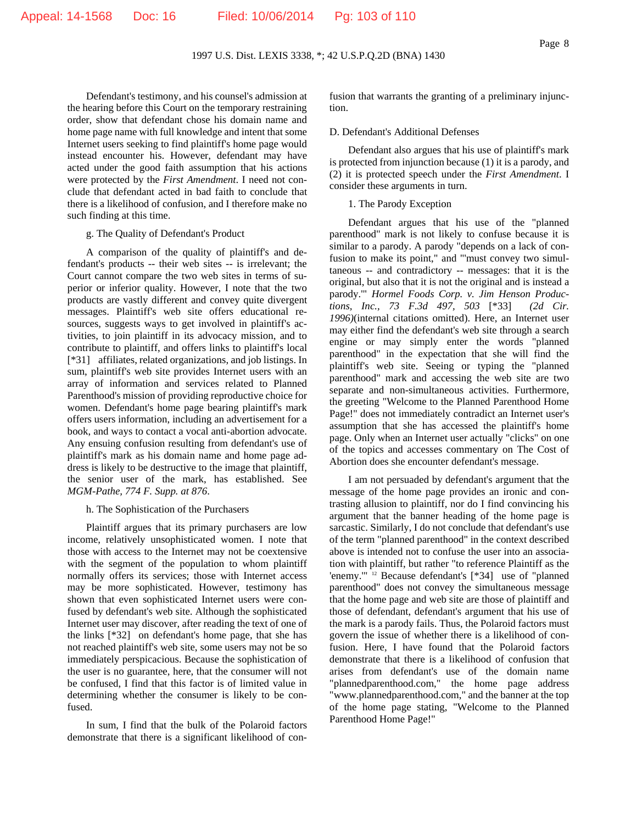1997 U.S. Dist. LEXIS 3338, \*; 42 U.S.P.Q.2D (BNA) 1430

Defendant's testimony, and his counsel's admission at the hearing before this Court on the temporary restraining order, show that defendant chose his domain name and home page name with full knowledge and intent that some Internet users seeking to find plaintiff's home page would instead encounter his. However, defendant may have acted under the good faith assumption that his actions were protected by the *First Amendment*. I need not conclude that defendant acted in bad faith to conclude that there is a likelihood of confusion, and I therefore make no such finding at this time.

### g. The Quality of Defendant's Product

A comparison of the quality of plaintiff's and defendant's products -- their web sites -- is irrelevant; the Court cannot compare the two web sites in terms of superior or inferior quality. However, I note that the two products are vastly different and convey quite divergent messages. Plaintiff's web site offers educational resources, suggests ways to get involved in plaintiff's activities, to join plaintiff in its advocacy mission, and to contribute to plaintiff, and offers links to plaintiff's local [\*31] affiliates, related organizations, and job listings. In sum, plaintiff's web site provides Internet users with an array of information and services related to Planned Parenthood's mission of providing reproductive choice for women. Defendant's home page bearing plaintiff's mark offers users information, including an advertisement for a book, and ways to contact a vocal anti-abortion advocate. Any ensuing confusion resulting from defendant's use of plaintiff's mark as his domain name and home page address is likely to be destructive to the image that plaintiff, the senior user of the mark, has established. See *MGM-Pathe, 774 F. Supp. at 876*.

#### h. The Sophistication of the Purchasers

Plaintiff argues that its primary purchasers are low income, relatively unsophisticated women. I note that those with access to the Internet may not be coextensive with the segment of the population to whom plaintiff normally offers its services; those with Internet access may be more sophisticated. However, testimony has shown that even sophisticated Internet users were confused by defendant's web site. Although the sophisticated Internet user may discover, after reading the text of one of the links [\*32] on defendant's home page, that she has not reached plaintiff's web site, some users may not be so immediately perspicacious. Because the sophistication of the user is no guarantee, here, that the consumer will not be confused, I find that this factor is of limited value in determining whether the consumer is likely to be confused.

In sum, I find that the bulk of the Polaroid factors demonstrate that there is a significant likelihood of confusion that warrants the granting of a preliminary injunction.

#### D. Defendant's Additional Defenses

Defendant also argues that his use of plaintiff's mark is protected from injunction because (1) it is a parody, and (2) it is protected speech under the *First Amendment*. I consider these arguments in turn.

#### 1. The Parody Exception

Defendant argues that his use of the "planned parenthood" mark is not likely to confuse because it is similar to a parody. A parody "depends on a lack of confusion to make its point," and "'must convey two simultaneous -- and contradictory -- messages: that it is the original, but also that it is not the original and is instead a parody.'" *Hormel Foods Corp. v. Jim Henson Productions, Inc., 73 F.3d 497, 503* [\*33] *(2d Cir. 1996)*(internal citations omitted). Here, an Internet user may either find the defendant's web site through a search engine or may simply enter the words "planned parenthood" in the expectation that she will find the plaintiff's web site. Seeing or typing the "planned parenthood" mark and accessing the web site are two separate and non-simultaneous activities. Furthermore, the greeting "Welcome to the Planned Parenthood Home Page!" does not immediately contradict an Internet user's assumption that she has accessed the plaintiff's home page. Only when an Internet user actually "clicks" on one of the topics and accesses commentary on The Cost of Abortion does she encounter defendant's message.

I am not persuaded by defendant's argument that the message of the home page provides an ironic and contrasting allusion to plaintiff, nor do I find convincing his argument that the banner heading of the home page is sarcastic. Similarly, I do not conclude that defendant's use of the term "planned parenthood" in the context described above is intended not to confuse the user into an association with plaintiff, but rather "to reference Plaintiff as the 'enemy.'" 12 Because defendant's [\*34] use of "planned parenthood" does not convey the simultaneous message that the home page and web site are those of plaintiff and those of defendant, defendant's argument that his use of the mark is a parody fails. Thus, the Polaroid factors must govern the issue of whether there is a likelihood of confusion. Here, I have found that the Polaroid factors demonstrate that there is a likelihood of confusion that arises from defendant's use of the domain name "plannedparenthood.com," the home page address "www.plannedparenthood.com," and the banner at the top of the home page stating, "Welcome to the Planned Parenthood Home Page!"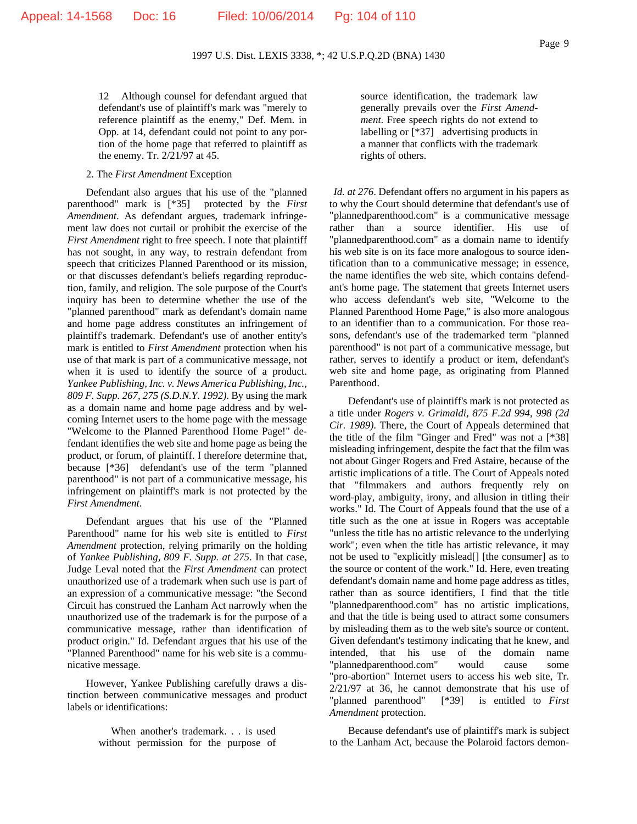source identification, the trademark law generally prevails over the *First Amendment*. Free speech rights do not extend to labelling or [\*37] advertising products in a manner that conflicts with the trademark rights of others.

*Id. at 276*. Defendant offers no argument in his papers as to why the Court should determine that defendant's use of "plannedparenthood.com" is a communicative message rather than a source identifier. His use of "plannedparenthood.com" as a domain name to identify his web site is on its face more analogous to source identification than to a communicative message; in essence, the name identifies the web site, which contains defendant's home page. The statement that greets Internet users who access defendant's web site, "Welcome to the Planned Parenthood Home Page," is also more analogous to an identifier than to a communication. For those reasons, defendant's use of the trademarked term "planned parenthood" is not part of a communicative message, but rather, serves to identify a product or item, defendant's web site and home page, as originating from Planned Parenthood.

Defendant's use of plaintiff's mark is not protected as a title under *Rogers v. Grimaldi, 875 F.2d 994, 998 (2d Cir. 1989)*. There, the Court of Appeals determined that the title of the film "Ginger and Fred" was not a [\*38] misleading infringement, despite the fact that the film was not about Ginger Rogers and Fred Astaire, because of the artistic implications of a title. The Court of Appeals noted that "filmmakers and authors frequently rely on word-play, ambiguity, irony, and allusion in titling their works." Id. The Court of Appeals found that the use of a title such as the one at issue in Rogers was acceptable "unless the title has no artistic relevance to the underlying work"; even when the title has artistic relevance, it may not be used to "explicitly mislead[] [the consumer] as to the source or content of the work." Id. Here, even treating defendant's domain name and home page address as titles, rather than as source identifiers, I find that the title "plannedparenthood.com" has no artistic implications, and that the title is being used to attract some consumers by misleading them as to the web site's source or content. Given defendant's testimony indicating that he knew, and intended, that his use of the domain name "plannedparenthood.com" would cause some "pro-abortion" Internet users to access his web site, Tr. 2/21/97 at 36, he cannot demonstrate that his use of "planned parenthood" [\*39] is entitled to *First Amendment* protection.

Because defendant's use of plaintiff's mark is subject to the Lanham Act, because the Polaroid factors demon-

12 Although counsel for defendant argued that defendant's use of plaintiff's mark was "merely to reference plaintiff as the enemy," Def. Mem. in Opp. at 14, defendant could not point to any portion of the home page that referred to plaintiff as the enemy. Tr. 2/21/97 at 45.

# 2. The *First Amendment* Exception

Defendant also argues that his use of the "planned parenthood" mark is [\*35] protected by the *First Amendment*. As defendant argues, trademark infringement law does not curtail or prohibit the exercise of the *First Amendment* right to free speech. I note that plaintiff has not sought, in any way, to restrain defendant from speech that criticizes Planned Parenthood or its mission, or that discusses defendant's beliefs regarding reproduction, family, and religion. The sole purpose of the Court's inquiry has been to determine whether the use of the "planned parenthood" mark as defendant's domain name and home page address constitutes an infringement of plaintiff's trademark. Defendant's use of another entity's mark is entitled to *First Amendment* protection when his use of that mark is part of a communicative message, not when it is used to identify the source of a product. *Yankee Publishing, Inc. v. News America Publishing, Inc., 809 F. Supp. 267, 275 (S.D.N.Y. 1992)*. By using the mark as a domain name and home page address and by welcoming Internet users to the home page with the message "Welcome to the Planned Parenthood Home Page!" defendant identifies the web site and home page as being the product, or forum, of plaintiff. I therefore determine that, because [\*36] defendant's use of the term "planned parenthood" is not part of a communicative message, his infringement on plaintiff's mark is not protected by the *First Amendment*.

Defendant argues that his use of the "Planned Parenthood" name for his web site is entitled to *First Amendment* protection, relying primarily on the holding of *Yankee Publishing, 809 F. Supp. at 275*. In that case, Judge Leval noted that the *First Amendment* can protect unauthorized use of a trademark when such use is part of an expression of a communicative message: "the Second Circuit has construed the Lanham Act narrowly when the unauthorized use of the trademark is for the purpose of a communicative message, rather than identification of product origin." Id. Defendant argues that his use of the "Planned Parenthood" name for his web site is a communicative message.

However, Yankee Publishing carefully draws a distinction between communicative messages and product labels or identifications:

> When another's trademark. . . is used without permission for the purpose of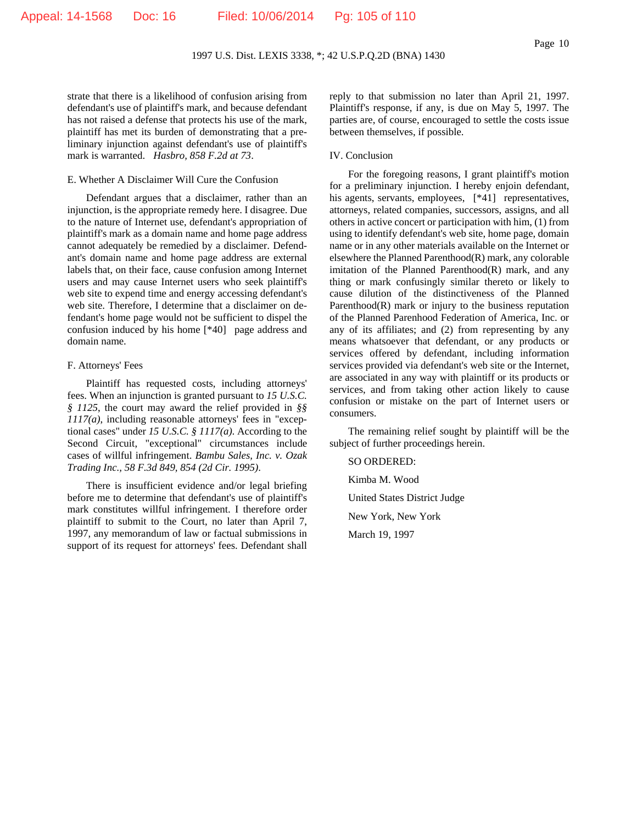strate that there is a likelihood of confusion arising from defendant's use of plaintiff's mark, and because defendant has not raised a defense that protects his use of the mark, plaintiff has met its burden of demonstrating that a preliminary injunction against defendant's use of plaintiff's mark is warranted. *Hasbro, 858 F.2d at 73*.

### E. Whether A Disclaimer Will Cure the Confusion

Defendant argues that a disclaimer, rather than an injunction, is the appropriate remedy here. I disagree. Due to the nature of Internet use, defendant's appropriation of plaintiff's mark as a domain name and home page address cannot adequately be remedied by a disclaimer. Defendant's domain name and home page address are external labels that, on their face, cause confusion among Internet users and may cause Internet users who seek plaintiff's web site to expend time and energy accessing defendant's web site. Therefore, I determine that a disclaimer on defendant's home page would not be sufficient to dispel the confusion induced by his home [\*40] page address and domain name.

### F. Attorneys' Fees

Plaintiff has requested costs, including attorneys' fees. When an injunction is granted pursuant to *15 U.S.C. § 1125*, the court may award the relief provided in *§§ 1117(a)*, including reasonable attorneys' fees in "exceptional cases" under *15 U.S.C. § 1117(a)*. According to the Second Circuit, "exceptional" circumstances include cases of willful infringement. *Bambu Sales, Inc. v. Ozak Trading Inc., 58 F.3d 849, 854 (2d Cir. 1995)*.

There is insufficient evidence and/or legal briefing before me to determine that defendant's use of plaintiff's mark constitutes willful infringement. I therefore order plaintiff to submit to the Court, no later than April 7, 1997, any memorandum of law or factual submissions in support of its request for attorneys' fees. Defendant shall reply to that submission no later than April 21, 1997. Plaintiff's response, if any, is due on May 5, 1997. The parties are, of course, encouraged to settle the costs issue between themselves, if possible.

#### IV. Conclusion

For the foregoing reasons, I grant plaintiff's motion for a preliminary injunction. I hereby enjoin defendant, his agents, servants, employees, [\*41] representatives, attorneys, related companies, successors, assigns, and all others in active concert or participation with him, (1) from using to identify defendant's web site, home page, domain name or in any other materials available on the Internet or elsewhere the Planned Parenthood(R) mark, any colorable imitation of the Planned Parenthood(R) mark, and any thing or mark confusingly similar thereto or likely to cause dilution of the distinctiveness of the Planned Parenthood(R) mark or injury to the business reputation of the Planned Parenhood Federation of America, Inc. or any of its affiliates; and (2) from representing by any means whatsoever that defendant, or any products or services offered by defendant, including information services provided via defendant's web site or the Internet, are associated in any way with plaintiff or its products or services, and from taking other action likely to cause confusion or mistake on the part of Internet users or consumers.

The remaining relief sought by plaintiff will be the subject of further proceedings herein.

SO ORDERED: Kimba M. Wood United States District Judge New York, New York March 19, 1997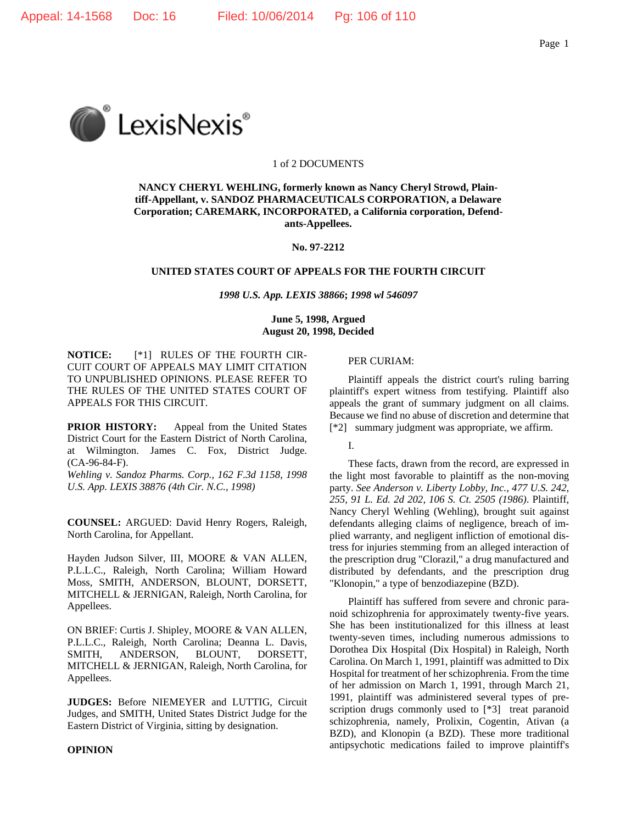

#### 1 of 2 DOCUMENTS

**NANCY CHERYL WEHLING, formerly known as Nancy Cheryl Strowd, Plaintiff-Appellant, v. SANDOZ PHARMACEUTICALS CORPORATION, a Delaware Corporation; CAREMARK, INCORPORATED, a California corporation, Defendants-Appellees.** 

#### **No. 97-2212**

### **UNITED STATES COURT OF APPEALS FOR THE FOURTH CIRCUIT**

*1998 U.S. App. LEXIS 38866***;** *1998 wl 546097*

**June 5, 1998, Argued August 20, 1998, Decided** 

**NOTICE:** [\*1] RULES OF THE FOURTH CIR-CUIT COURT OF APPEALS MAY LIMIT CITATION TO UNPUBLISHED OPINIONS. PLEASE REFER TO THE RULES OF THE UNITED STATES COURT OF APPEALS FOR THIS CIRCUIT.

**PRIOR HISTORY:** Appeal from the United States District Court for the Eastern District of North Carolina, at Wilmington. James C. Fox, District Judge. (CA-96-84-F).

*Wehling v. Sandoz Pharms. Corp., 162 F.3d 1158, 1998 U.S. App. LEXIS 38876 (4th Cir. N.C., 1998)*

**COUNSEL:** ARGUED: David Henry Rogers, Raleigh, North Carolina, for Appellant.

Hayden Judson Silver, III, MOORE & VAN ALLEN, P.L.L.C., Raleigh, North Carolina; William Howard Moss, SMITH, ANDERSON, BLOUNT, DORSETT, MITCHELL & JERNIGAN, Raleigh, North Carolina, for Appellees.

ON BRIEF: Curtis J. Shipley, MOORE & VAN ALLEN, P.L.L.C., Raleigh, North Carolina; Deanna L. Davis, SMITH, ANDERSON, BLOUNT, DORSETT, MITCHELL & JERNIGAN, Raleigh, North Carolina, for Appellees.

**JUDGES:** Before NIEMEYER and LUTTIG, Circuit Judges, and SMITH, United States District Judge for the Eastern District of Virginia, sitting by designation.

## **OPINION**

### PER CURIAM:

Plaintiff appeals the district court's ruling barring plaintiff's expert witness from testifying. Plaintiff also appeals the grant of summary judgment on all claims. Because we find no abuse of discretion and determine that [\*2] summary judgment was appropriate, we affirm.

I.

These facts, drawn from the record, are expressed in the light most favorable to plaintiff as the non-moving party. *See Anderson v. Liberty Lobby, Inc., 477 U.S. 242, 255, 91 L. Ed. 2d 202, 106 S. Ct. 2505 (1986)*. Plaintiff, Nancy Cheryl Wehling (Wehling), brought suit against defendants alleging claims of negligence, breach of implied warranty, and negligent infliction of emotional distress for injuries stemming from an alleged interaction of the prescription drug "Clorazil," a drug manufactured and distributed by defendants, and the prescription drug "Klonopin," a type of benzodiazepine (BZD).

Plaintiff has suffered from severe and chronic paranoid schizophrenia for approximately twenty-five years. She has been institutionalized for this illness at least twenty-seven times, including numerous admissions to Dorothea Dix Hospital (Dix Hospital) in Raleigh, North Carolina. On March 1, 1991, plaintiff was admitted to Dix Hospital for treatment of her schizophrenia. From the time of her admission on March 1, 1991, through March 21, 1991, plaintiff was administered several types of prescription drugs commonly used to [\*3] treat paranoid schizophrenia, namely, Prolixin, Cogentin, Ativan (a BZD), and Klonopin (a BZD). These more traditional antipsychotic medications failed to improve plaintiff's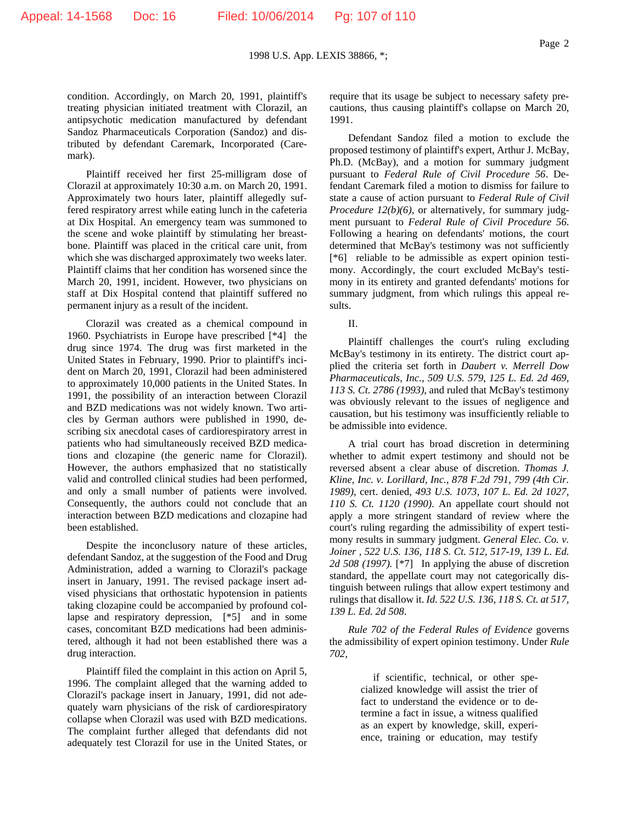condition. Accordingly, on March 20, 1991, plaintiff's treating physician initiated treatment with Clorazil, an antipsychotic medication manufactured by defendant Sandoz Pharmaceuticals Corporation (Sandoz) and distributed by defendant Caremark, Incorporated (Caremark).

Plaintiff received her first 25-milligram dose of Clorazil at approximately 10:30 a.m. on March 20, 1991. Approximately two hours later, plaintiff allegedly suffered respiratory arrest while eating lunch in the cafeteria at Dix Hospital. An emergency team was summoned to the scene and woke plaintiff by stimulating her breastbone. Plaintiff was placed in the critical care unit, from which she was discharged approximately two weeks later. Plaintiff claims that her condition has worsened since the March 20, 1991, incident. However, two physicians on staff at Dix Hospital contend that plaintiff suffered no permanent injury as a result of the incident.

Clorazil was created as a chemical compound in 1960. Psychiatrists in Europe have prescribed [\*4] the drug since 1974. The drug was first marketed in the United States in February, 1990. Prior to plaintiff's incident on March 20, 1991, Clorazil had been administered to approximately 10,000 patients in the United States. In 1991, the possibility of an interaction between Clorazil and BZD medications was not widely known. Two articles by German authors were published in 1990, describing six anecdotal cases of cardiorespiratory arrest in patients who had simultaneously received BZD medications and clozapine (the generic name for Clorazil). However, the authors emphasized that no statistically valid and controlled clinical studies had been performed, and only a small number of patients were involved. Consequently, the authors could not conclude that an interaction between BZD medications and clozapine had been established.

Despite the inconclusory nature of these articles, defendant Sandoz, at the suggestion of the Food and Drug Administration, added a warning to Clorazil's package insert in January, 1991. The revised package insert advised physicians that orthostatic hypotension in patients taking clozapine could be accompanied by profound collapse and respiratory depression, [\*5] and in some cases, concomitant BZD medications had been administered, although it had not been established there was a drug interaction.

Plaintiff filed the complaint in this action on April 5, 1996. The complaint alleged that the warning added to Clorazil's package insert in January, 1991, did not adequately warn physicians of the risk of cardiorespiratory collapse when Clorazil was used with BZD medications. The complaint further alleged that defendants did not adequately test Clorazil for use in the United States, or require that its usage be subject to necessary safety precautions, thus causing plaintiff's collapse on March 20, 1991.

Defendant Sandoz filed a motion to exclude the proposed testimony of plaintiff's expert, Arthur J. McBay, Ph.D. (McBay), and a motion for summary judgment pursuant to *Federal Rule of Civil Procedure 56*. Defendant Caremark filed a motion to dismiss for failure to state a cause of action pursuant to *Federal Rule of Civil Procedure 12(b)(6)*, or alternatively, for summary judgment pursuant to *Federal Rule of Civil Procedure 56*. Following a hearing on defendants' motions, the court determined that McBay's testimony was not sufficiently [\*6] reliable to be admissible as expert opinion testimony. Accordingly, the court excluded McBay's testimony in its entirety and granted defendants' motions for summary judgment, from which rulings this appeal results.

#### II.

Plaintiff challenges the court's ruling excluding McBay's testimony in its entirety. The district court applied the criteria set forth in *Daubert v. Merrell Dow Pharmaceuticals, Inc., 509 U.S. 579, 125 L. Ed. 2d 469, 113 S. Ct. 2786 (1993)*, and ruled that McBay's testimony was obviously relevant to the issues of negligence and causation, but his testimony was insufficiently reliable to be admissible into evidence.

A trial court has broad discretion in determining whether to admit expert testimony and should not be reversed absent a clear abuse of discretion. *Thomas J. Kline, Inc. v. Lorillard, Inc., 878 F.2d 791, 799 (4th Cir. 1989)*, cert. denied, *493 U.S. 1073, 107 L. Ed. 2d 1027, 110 S. Ct. 1120 (1990)*. An appellate court should not apply a more stringent standard of review where the court's ruling regarding the admissibility of expert testimony results in summary judgment. *General Elec. Co. v. Joiner , 522 U.S. 136, 118 S. Ct. 512, 517-19, 139 L. Ed. 2d 508 (1997).* [\*7] In applying the abuse of discretion standard, the appellate court may not categorically distinguish between rulings that allow expert testimony and rulings that disallow it. *Id. 522 U.S. 136, 118 S. Ct. at 517, 139 L. Ed. 2d 508*.

*Rule 702 of the Federal Rules of Evidence* governs the admissibility of expert opinion testimony. Under *Rule 702*,

> if scientific, technical, or other specialized knowledge will assist the trier of fact to understand the evidence or to determine a fact in issue, a witness qualified as an expert by knowledge, skill, experience, training or education, may testify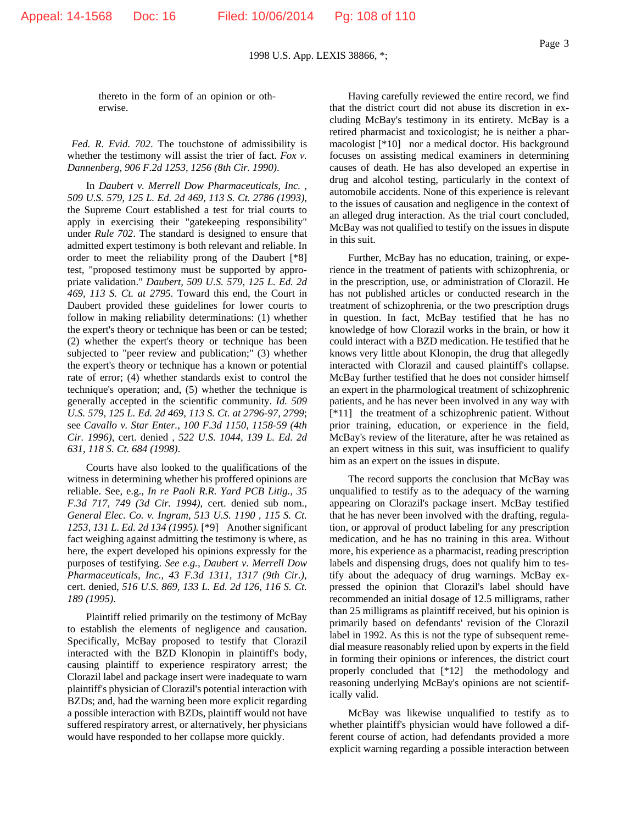1998 U.S. App. LEXIS 38866, \*;

thereto in the form of an opinion or otherwise.

*Fed. R. Evid. 702*. The touchstone of admissibility is whether the testimony will assist the trier of fact. *Fox v. Dannenberg, 906 F.2d 1253, 1256 (8th Cir. 1990)*.

In *Daubert v. Merrell Dow Pharmaceuticals, Inc. , 509 U.S. 579, 125 L. Ed. 2d 469, 113 S. Ct. 2786 (1993)*, the Supreme Court established a test for trial courts to apply in exercising their "gatekeeping responsibility" under *Rule 702*. The standard is designed to ensure that admitted expert testimony is both relevant and reliable. In order to meet the reliability prong of the Daubert [\*8] test, "proposed testimony must be supported by appropriate validation." *Daubert, 509 U.S. 579, 125 L. Ed. 2d 469, 113 S. Ct. at 2795*. Toward this end, the Court in Daubert provided these guidelines for lower courts to follow in making reliability determinations: (1) whether the expert's theory or technique has been or can be tested; (2) whether the expert's theory or technique has been subjected to "peer review and publication;" (3) whether the expert's theory or technique has a known or potential rate of error; (4) whether standards exist to control the technique's operation; and, (5) whether the technique is generally accepted in the scientific community. *Id. 509 U.S. 579, 125 L. Ed. 2d 469, 113 S. Ct. at 2796-97, 2799*; see *Cavallo v. Star Enter., 100 F.3d 1150, 1158-59 (4th Cir. 1996)*, cert. denied , *522 U.S. 1044, 139 L. Ed. 2d 631, 118 S. Ct. 684 (1998)*.

Courts have also looked to the qualifications of the witness in determining whether his proffered opinions are reliable. See, e.g., *In re Paoli R.R. Yard PCB Litig., 35 F.3d 717, 749 (3d Cir. 1994)*, cert. denied sub nom., *General Elec. Co. v. Ingram, 513 U.S. 1190 , 115 S. Ct. 1253, 131 L. Ed. 2d 134 (1995).* [\*9] Another significant fact weighing against admitting the testimony is where, as here, the expert developed his opinions expressly for the purposes of testifying. *See e.g., Daubert v. Merrell Dow Pharmaceuticals, Inc., 43 F.3d 1311, 1317 (9th Cir.)*, cert. denied, *516 U.S. 869, 133 L. Ed. 2d 126, 116 S. Ct. 189 (1995)*.

Plaintiff relied primarily on the testimony of McBay to establish the elements of negligence and causation. Specifically, McBay proposed to testify that Clorazil interacted with the BZD Klonopin in plaintiff's body, causing plaintiff to experience respiratory arrest; the Clorazil label and package insert were inadequate to warn plaintiff's physician of Clorazil's potential interaction with BZDs; and, had the warning been more explicit regarding a possible interaction with BZDs, plaintiff would not have suffered respiratory arrest, or alternatively, her physicians would have responded to her collapse more quickly.

Having carefully reviewed the entire record, we find that the district court did not abuse its discretion in excluding McBay's testimony in its entirety. McBay is a retired pharmacist and toxicologist; he is neither a pharmacologist [\*10] nor a medical doctor. His background focuses on assisting medical examiners in determining causes of death. He has also developed an expertise in drug and alcohol testing, particularly in the context of automobile accidents. None of this experience is relevant to the issues of causation and negligence in the context of an alleged drug interaction. As the trial court concluded, McBay was not qualified to testify on the issues in dispute in this suit.

Further, McBay has no education, training, or experience in the treatment of patients with schizophrenia, or in the prescription, use, or administration of Clorazil. He has not published articles or conducted research in the treatment of schizophrenia, or the two prescription drugs in question. In fact, McBay testified that he has no knowledge of how Clorazil works in the brain, or how it could interact with a BZD medication. He testified that he knows very little about Klonopin, the drug that allegedly interacted with Clorazil and caused plaintiff's collapse. McBay further testified that he does not consider himself an expert in the pharmological treatment of schizophrenic patients, and he has never been involved in any way with [\*11] the treatment of a schizophrenic patient. Without prior training, education, or experience in the field, McBay's review of the literature, after he was retained as an expert witness in this suit, was insufficient to qualify him as an expert on the issues in dispute.

The record supports the conclusion that McBay was unqualified to testify as to the adequacy of the warning appearing on Clorazil's package insert. McBay testified that he has never been involved with the drafting, regulation, or approval of product labeling for any prescription medication, and he has no training in this area. Without more, his experience as a pharmacist, reading prescription labels and dispensing drugs, does not qualify him to testify about the adequacy of drug warnings. McBay expressed the opinion that Clorazil's label should have recommended an initial dosage of 12.5 milligrams, rather than 25 milligrams as plaintiff received, but his opinion is primarily based on defendants' revision of the Clorazil label in 1992. As this is not the type of subsequent remedial measure reasonably relied upon by experts in the field in forming their opinions or inferences, the district court properly concluded that [\*12] the methodology and reasoning underlying McBay's opinions are not scientifically valid.

McBay was likewise unqualified to testify as to whether plaintiff's physician would have followed a different course of action, had defendants provided a more explicit warning regarding a possible interaction between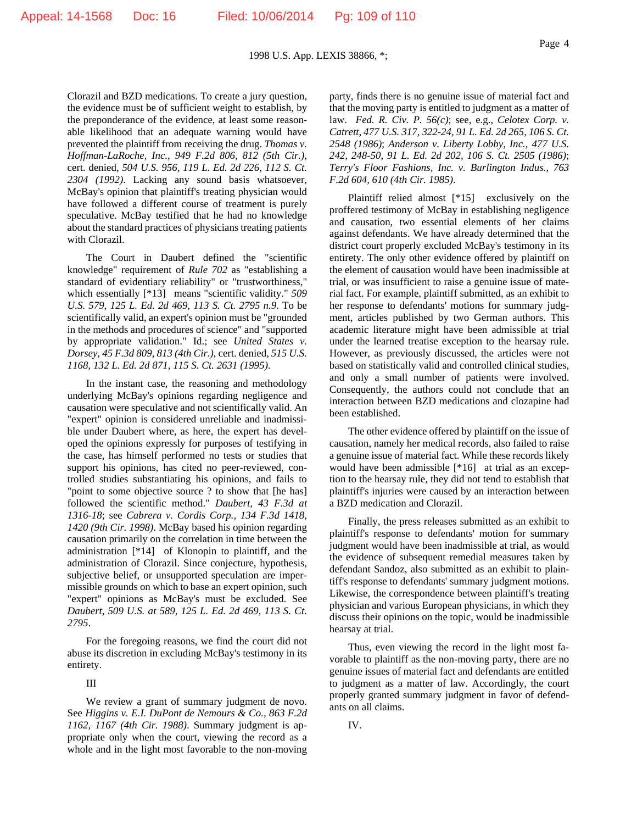1998 U.S. App. LEXIS 38866, \*;

Clorazil and BZD medications. To create a jury question, the evidence must be of sufficient weight to establish, by the preponderance of the evidence, at least some reasonable likelihood that an adequate warning would have prevented the plaintiff from receiving the drug. *Thomas v. Hoffman-LaRoche, Inc., 949 F.2d 806, 812 (5th Cir.)*, cert. denied, *504 U.S. 956, 119 L. Ed. 2d 226, 112 S. Ct. 2304 (1992)*. Lacking any sound basis whatsoever, McBay's opinion that plaintiff's treating physician would have followed a different course of treatment is purely speculative. McBay testified that he had no knowledge about the standard practices of physicians treating patients with Clorazil.

The Court in Daubert defined the "scientific knowledge" requirement of *Rule 702* as "establishing a standard of evidentiary reliability" or "trustworthiness," which essentially [\*13] means "scientific validity." *509 U.S. 579, 125 L. Ed. 2d 469, 113 S. Ct. 2795 n.9*. To be scientifically valid, an expert's opinion must be "grounded in the methods and procedures of science" and "supported by appropriate validation." Id.; see *United States v. Dorsey, 45 F.3d 809, 813 (4th Cir.)*, cert. denied, *515 U.S. 1168, 132 L. Ed. 2d 871, 115 S. Ct. 2631 (1995)*.

In the instant case, the reasoning and methodology underlying McBay's opinions regarding negligence and causation were speculative and not scientifically valid. An "expert" opinion is considered unreliable and inadmissible under Daubert where, as here, the expert has developed the opinions expressly for purposes of testifying in the case, has himself performed no tests or studies that support his opinions, has cited no peer-reviewed, controlled studies substantiating his opinions, and fails to "point to some objective source ? to show that [he has] followed the scientific method." *Daubert, 43 F.3d at 1316-18*; see *Cabrera v. Cordis Corp., 134 F.3d 1418, 1420 (9th Cir. 1998)*. McBay based his opinion regarding causation primarily on the correlation in time between the administration [\*14] of Klonopin to plaintiff, and the administration of Clorazil. Since conjecture, hypothesis, subjective belief, or unsupported speculation are impermissible grounds on which to base an expert opinion, such "expert" opinions as McBay's must be excluded. See *Daubert, 509 U.S. at 589, 125 L. Ed. 2d 469, 113 S. Ct. 2795*.

For the foregoing reasons, we find the court did not abuse its discretion in excluding McBay's testimony in its entirety.

## III

We review a grant of summary judgment de novo. See *Higgins v. E.I. DuPont de Nemours & Co., 863 F.2d 1162, 1167 (4th Cir. 1988)*. Summary judgment is appropriate only when the court, viewing the record as a whole and in the light most favorable to the non-moving party, finds there is no genuine issue of material fact and that the moving party is entitled to judgment as a matter of law. *Fed. R. Civ. P. 56(c)*; see, e.g., *Celotex Corp. v. Catrett, 477 U.S. 317, 322-24, 91 L. Ed. 2d 265, 106 S. Ct. 2548 (1986)*; *Anderson v. Liberty Lobby, Inc., 477 U.S. 242, 248-50, 91 L. Ed. 2d 202, 106 S. Ct. 2505 (1986)*; *Terry's Floor Fashions, Inc. v. Burlington Indus., 763 F.2d 604, 610 (4th Cir. 1985)*.

Plaintiff relied almost [\*15] exclusively on the proffered testimony of McBay in establishing negligence and causation, two essential elements of her claims against defendants. We have already determined that the district court properly excluded McBay's testimony in its entirety. The only other evidence offered by plaintiff on the element of causation would have been inadmissible at trial, or was insufficient to raise a genuine issue of material fact. For example, plaintiff submitted, as an exhibit to her response to defendants' motions for summary judgment, articles published by two German authors. This academic literature might have been admissible at trial under the learned treatise exception to the hearsay rule. However, as previously discussed, the articles were not based on statistically valid and controlled clinical studies, and only a small number of patients were involved. Consequently, the authors could not conclude that an interaction between BZD medications and clozapine had been established.

The other evidence offered by plaintiff on the issue of causation, namely her medical records, also failed to raise a genuine issue of material fact. While these records likely would have been admissible [\*16] at trial as an exception to the hearsay rule, they did not tend to establish that plaintiff's injuries were caused by an interaction between a BZD medication and Clorazil.

Finally, the press releases submitted as an exhibit to plaintiff's response to defendants' motion for summary judgment would have been inadmissible at trial, as would the evidence of subsequent remedial measures taken by defendant Sandoz, also submitted as an exhibit to plaintiff's response to defendants' summary judgment motions. Likewise, the correspondence between plaintiff's treating physician and various European physicians, in which they discuss their opinions on the topic, would be inadmissible hearsay at trial.

Thus, even viewing the record in the light most favorable to plaintiff as the non-moving party, there are no genuine issues of material fact and defendants are entitled to judgment as a matter of law. Accordingly, the court properly granted summary judgment in favor of defendants on all claims.

IV.